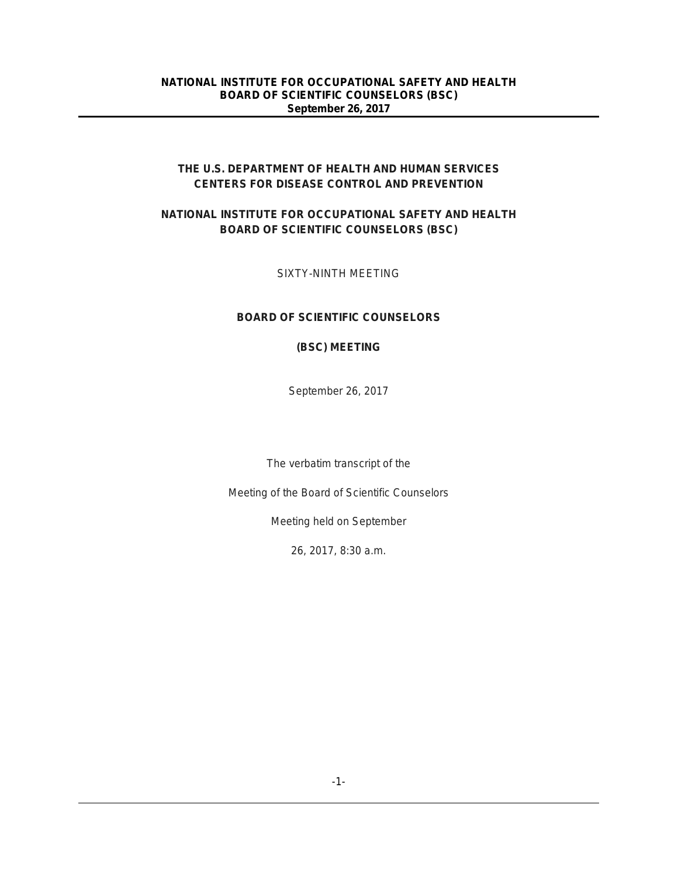## **THE U.S. DEPARTMENT OF HEALTH AND HUMAN SERVICES CENTERS FOR DISEASE CONTROL AND PREVENTION**

# **NATIONAL INSTITUTE FOR OCCUPATIONAL SAFETY AND HEALTH BOARD OF SCIENTIFIC COUNSELORS (BSC)**

SIXTY-NINTH MEETING

# **BOARD OF SCIENTIFIC COUNSELORS**

## **(BSC) MEETING**

September 26, 2017

The verbatim transcript of the

Meeting of the Board of Scientific Counselors

Meeting held on September

26, 2017, 8:30 a.m.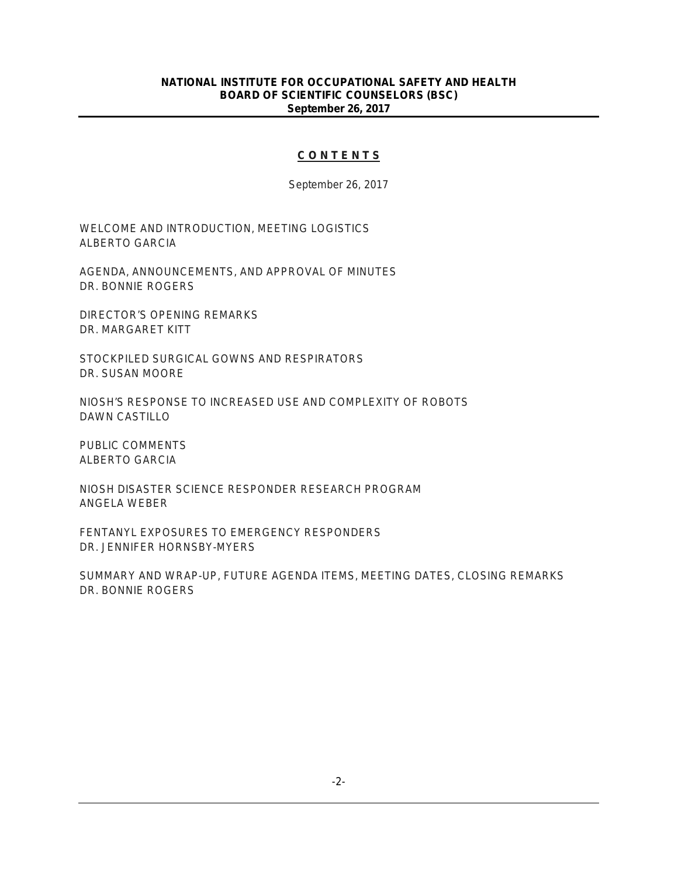#### **C O N T E N T S**

September 26, 2017

WELCOME AND INTRODUCTION, MEETING LOGISTICS ALBERTO GARCIA

AGENDA, ANNOUNCEMENTS, AND APPROVAL OF MINUTES DR. BONNIE ROGERS

DIRECTOR'S OPENING REMARKS DR. MARGARET KITT

STOCKPILED SURGICAL GOWNS AND RESPIRATORS DR. SUSAN MOORE

NIOSH'S RESPONSE TO INCREASED USE AND COMPLEXITY OF ROBOTS DAWN CASTILLO

PUBLIC COMMENTS ALBERTO GARCIA

NIOSH DISASTER SCIENCE RESPONDER RESEARCH PROGRAM ANGELA WEBER

FENTANYL EXPOSURES TO EMERGENCY RESPONDERS DR. JENNIFER HORNSBY-MYERS

SUMMARY AND WRAP-UP, FUTURE AGENDA ITEMS, MEETING DATES, CLOSING REMARKS DR. BONNIE ROGERS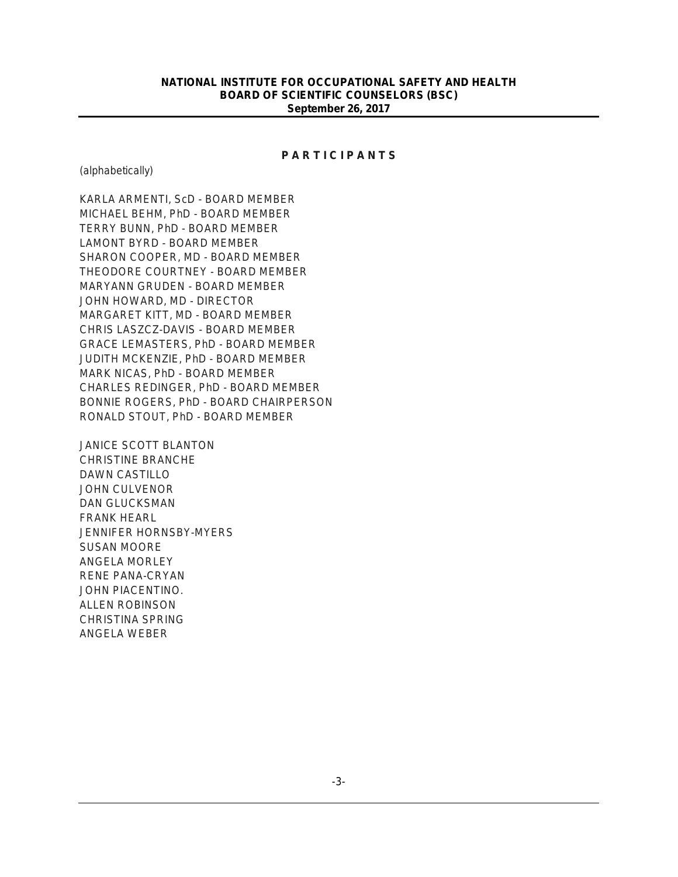#### **P A R T I C I P A N T S**

(alphabetically)

KARLA ARMENTI, ScD - BOARD MEMBER MICHAEL BEHM, PhD - BOARD MEMBER TERRY BUNN, PhD - BOARD MEMBER LAMONT BYRD - BOARD MEMBER SHARON COOPER, MD - BOARD MEMBER THEODORE COURTNEY - BOARD MEMBER MARYANN GRUDEN - BOARD MEMBER JOHN HOWARD, MD - DIRECTOR MARGARET KITT, MD - BOARD MEMBER CHRIS LASZCZ-DAVIS - BOARD MEMBER GRACE LEMASTERS, PhD - BOARD MEMBER JUDITH MCKENZIE, PhD - BOARD MEMBER MARK NICAS, PhD - BOARD MEMBER CHARLES REDINGER, PhD - BOARD MEMBER BONNIE ROGERS, PhD - BOARD CHAIRPERSON RONALD STOUT, PhD - BOARD MEMBER

JANICE SCOTT BLANTON CHRISTINE BRANCHE DAWN CASTILLO JOHN CULVENOR DAN GLUCKSMAN FRANK HEARL JENNIFER HORNSBY-MYERS SUSAN MOORE ANGELA MORLEY RENE PANA-CRYAN JOHN PIACENTINO. ALLEN ROBINSON CHRISTINA SPRING ANGELA WEBER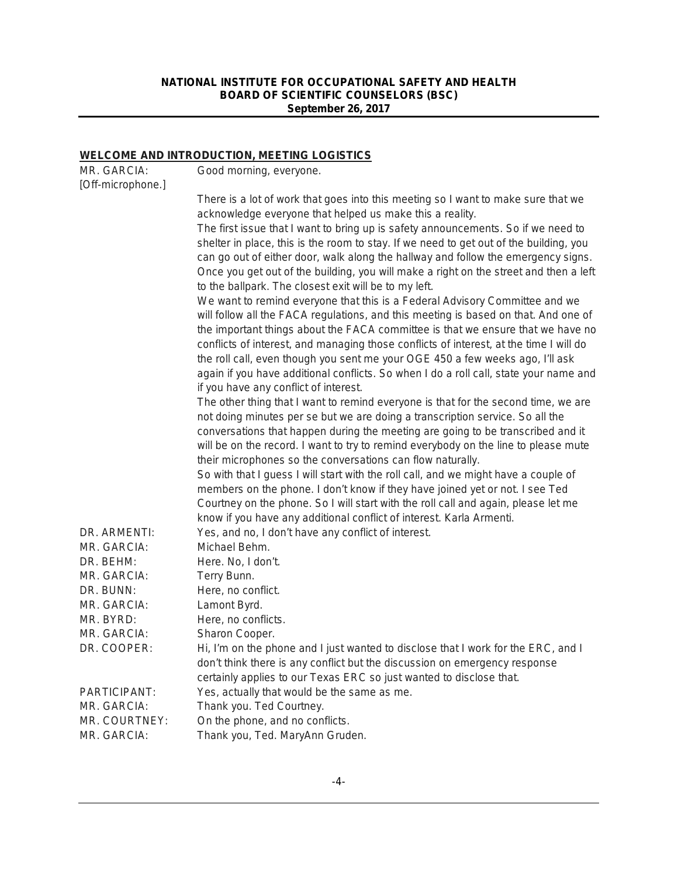# **WELCOME AND INTRODUCTION, MEETING LOGISTICS**

| MR. GARCIA:       | .<br>Good morning, everyone.                                                                                                                               |
|-------------------|------------------------------------------------------------------------------------------------------------------------------------------------------------|
| [Off-microphone.] |                                                                                                                                                            |
|                   | There is a lot of work that goes into this meeting so I want to make sure that we                                                                          |
|                   | acknowledge everyone that helped us make this a reality.                                                                                                   |
|                   | The first issue that I want to bring up is safety announcements. So if we need to                                                                          |
|                   | shelter in place, this is the room to stay. If we need to get out of the building, you                                                                     |
|                   | can go out of either door, walk along the hallway and follow the emergency signs.                                                                          |
|                   | Once you get out of the building, you will make a right on the street and then a left<br>to the ballpark. The closest exit will be to my left.             |
|                   | We want to remind everyone that this is a Federal Advisory Committee and we                                                                                |
|                   | will follow all the FACA regulations, and this meeting is based on that. And one of                                                                        |
|                   | the important things about the FACA committee is that we ensure that we have no                                                                            |
|                   | conflicts of interest, and managing those conflicts of interest, at the time I will do                                                                     |
|                   | the roll call, even though you sent me your OGE 450 a few weeks ago, I'll ask                                                                              |
|                   | again if you have additional conflicts. So when I do a roll call, state your name and                                                                      |
|                   | if you have any conflict of interest.                                                                                                                      |
|                   | The other thing that I want to remind everyone is that for the second time, we are                                                                         |
|                   | not doing minutes per se but we are doing a transcription service. So all the                                                                              |
|                   | conversations that happen during the meeting are going to be transcribed and it                                                                            |
|                   | will be on the record. I want to try to remind everybody on the line to please mute                                                                        |
|                   | their microphones so the conversations can flow naturally.                                                                                                 |
|                   | So with that I guess I will start with the roll call, and we might have a couple of                                                                        |
|                   | members on the phone. I don't know if they have joined yet or not. I see Ted                                                                               |
|                   | Courtney on the phone. So I will start with the roll call and again, please let me<br>know if you have any additional conflict of interest. Karla Armenti. |
| DR. ARMENTI:      | Yes, and no, I don't have any conflict of interest.                                                                                                        |
| MR. GARCIA:       | Michael Behm.                                                                                                                                              |
| DR. BEHM:         | Here. No, I don't.                                                                                                                                         |
| MR. GARCIA:       | Terry Bunn.                                                                                                                                                |
| DR. BUNN:         | Here, no conflict.                                                                                                                                         |
| MR. GARCIA:       | Lamont Byrd.                                                                                                                                               |
| MR. BYRD:         | Here, no conflicts.                                                                                                                                        |
| MR. GARCIA:       | Sharon Cooper.                                                                                                                                             |
| DR. COOPER:       | Hi, I'm on the phone and I just wanted to disclose that I work for the ERC, and I                                                                          |
|                   | don't think there is any conflict but the discussion on emergency response                                                                                 |
|                   | certainly applies to our Texas ERC so just wanted to disclose that.                                                                                        |
| PARTICIPANT:      | Yes, actually that would be the same as me.                                                                                                                |
| MR. GARCIA:       | Thank you. Ted Courtney.                                                                                                                                   |
| MR. COURTNEY:     | On the phone, and no conflicts.                                                                                                                            |
| MR. GARCIA:       | Thank you, Ted. MaryAnn Gruden.                                                                                                                            |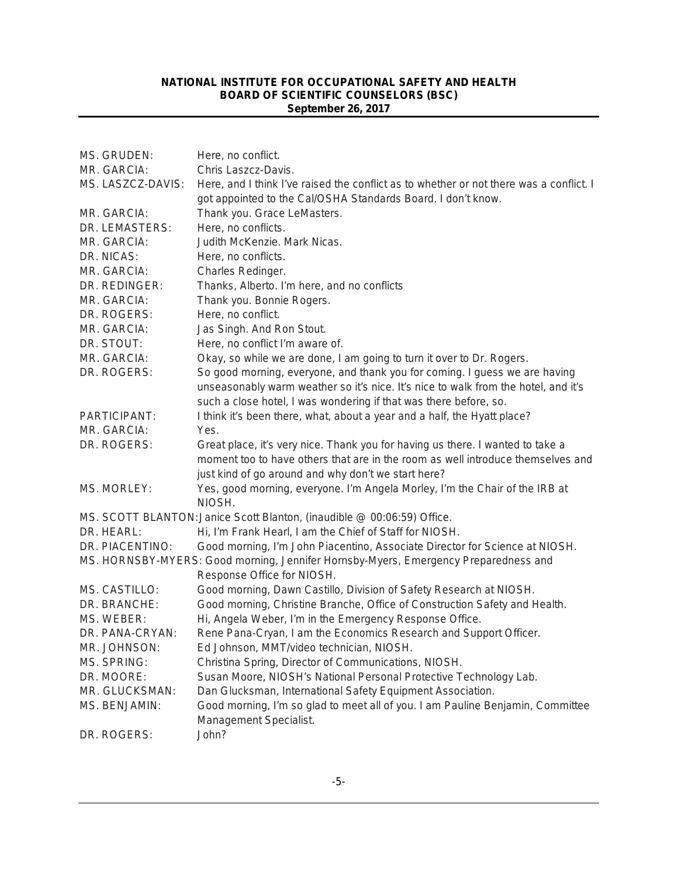| MS. GRUDEN:        | Here, no conflict.                                                                                       |
|--------------------|----------------------------------------------------------------------------------------------------------|
| MR. GARCIA:        | Chris Laszcz-Davis.                                                                                      |
| MS. LASZCZ-DAVIS:  | Here, and I think I've raised the conflict as to whether or not there was a conflict. I                  |
|                    | got appointed to the Cal/OSHA Standards Board. I don't know.                                             |
| MR. GARCIA:        | Thank you. Grace LeMasters.                                                                              |
| DR. LEMASTERS:     | Here, no conflicts.                                                                                      |
| MR. GARCIA:        | Judith McKenzie. Mark Nicas.                                                                             |
| DR. NICAS:         | Here, no conflicts.                                                                                      |
| MR. GARCIA:        | Charles Redinger.                                                                                        |
| DR. REDINGER:      | Thanks, Alberto. I'm here, and no conflicts                                                              |
| MR. GARCIA:        | Thank you. Bonnie Rogers.                                                                                |
| DR. ROGERS:        | Here, no conflict.                                                                                       |
| MR. GARCIA:        | Jas Singh. And Ron Stout.                                                                                |
| DR. STOUT:         | Here, no conflict I'm aware of.                                                                          |
| MR. GARCIA:        | Okay, so while we are done, I am going to turn it over to Dr. Rogers.                                    |
| DR. ROGERS:        | So good morning, everyone, and thank you for coming. I guess we are having                               |
|                    | unseasonably warm weather so it's nice. It's nice to walk from the hotel, and it's                       |
|                    | such a close hotel, I was wondering if that was there before, so.                                        |
| PARTICIPANT:       | I think it's been there, what, about a year and a half, the Hyatt place?                                 |
| MR. GARCIA:        | Yes.                                                                                                     |
| DR. ROGERS:        | Great place, it's very nice. Thank you for having us there. I wanted to take a                           |
|                    | moment too to have others that are in the room as well introduce themselves and                          |
|                    | just kind of go around and why don't we start here?                                                      |
| MS. MORLEY:        | Yes, good morning, everyone. I'm Angela Morley, I'm the Chair of the IRB at<br>NIOSH.                    |
|                    | MS. SCOTT BLANTON: Janice Scott Blanton, (inaudible @ 00:06:59) Office.                                  |
| DR. HEARL:         | Hi, I'm Frank Hearl, I am the Chief of Staff for NIOSH.                                                  |
| DR. PIACENTINO:    | Good morning, I'm John Piacentino, Associate Director for Science at NIOSH.                              |
|                    | MS. HORNSBY-MYERS: Good morning, Jennifer Hornsby-Myers, Emergency Preparedness and                      |
|                    | Response Office for NIOSH.                                                                               |
| MS. CASTILLO:      | Good morning, Dawn Castillo, Division of Safety Research at NIOSH.                                       |
| DR. BRANCHE:       | Good morning, Christine Branche, Office of Construction Safety and Health.                               |
| MS. WEBER:         | Hi, Angela Weber, I'm in the Emergency Response Office.                                                  |
| DR. PANA-CRYAN:    | Rene Pana-Cryan, I am the Economics Research and Support Officer.                                        |
| MR. JOHNSON:       | Ed Johnson, MMT/video technician, NIOSH.                                                                 |
| <b>MS. SPRING:</b> | Christina Spring, Director of Communications, NIOSH.                                                     |
| DR. MOORE:         | Susan Moore, NIOSH's National Personal Protective Technology Lab.                                        |
| MR. GLUCKSMAN:     | Dan Glucksman, International Safety Equipment Association.                                               |
| MS. BENJAMIN:      | Good morning, I'm so glad to meet all of you. I am Pauline Benjamin, Committee<br>Management Specialist. |
| DR. ROGERS:        | John?                                                                                                    |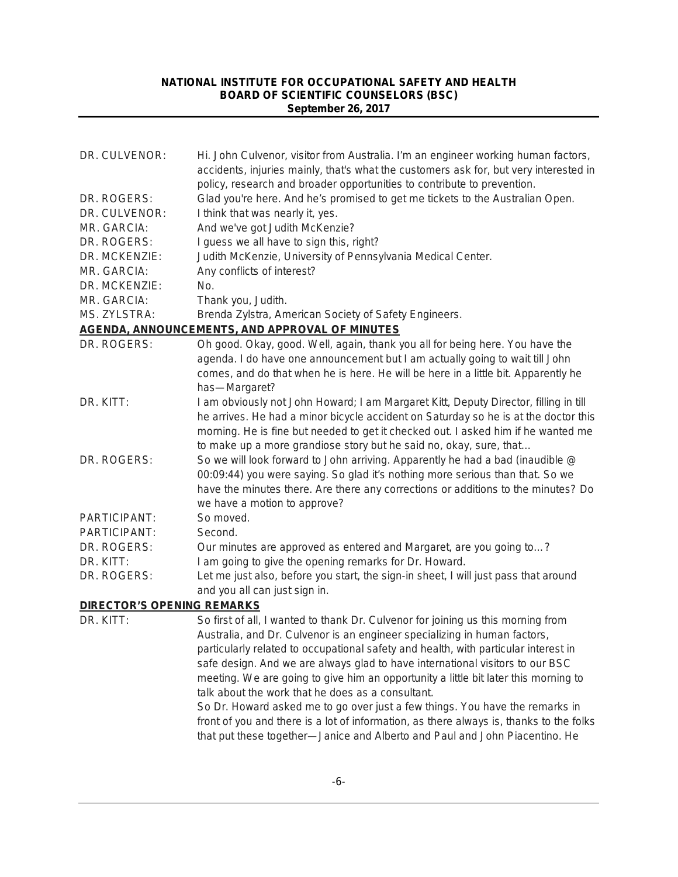| DR. CULVENOR:                     | Hi. John Culvenor, visitor from Australia. I'm an engineer working human factors,<br>accidents, injuries mainly, that's what the customers ask for, but very interested in |
|-----------------------------------|----------------------------------------------------------------------------------------------------------------------------------------------------------------------------|
|                                   | policy, research and broader opportunities to contribute to prevention.                                                                                                    |
| DR. ROGERS:                       | Glad you're here. And he's promised to get me tickets to the Australian Open.                                                                                              |
| DR. CULVENOR:                     | I think that was nearly it, yes.                                                                                                                                           |
| MR. GARCIA:                       | And we've got Judith McKenzie?                                                                                                                                             |
| DR. ROGERS:                       | I guess we all have to sign this, right?                                                                                                                                   |
| DR. MCKENZIE:                     | Judith McKenzie, University of Pennsylvania Medical Center.                                                                                                                |
| MR. GARCIA:                       | Any conflicts of interest?                                                                                                                                                 |
| DR. MCKENZIE:                     | No.                                                                                                                                                                        |
| MR. GARCIA:                       | Thank you, Judith.                                                                                                                                                         |
| MS. ZYLSTRA:                      | Brenda Zylstra, American Society of Safety Engineers.                                                                                                                      |
|                                   | AGENDA, ANNOUNCEMENTS, AND APPROVAL OF MINUTES                                                                                                                             |
| DR. ROGERS:                       | Oh good. Okay, good. Well, again, thank you all for being here. You have the                                                                                               |
|                                   | agenda. I do have one announcement but I am actually going to wait till John                                                                                               |
|                                   | comes, and do that when he is here. He will be here in a little bit. Apparently he                                                                                         |
|                                   | has-Margaret?                                                                                                                                                              |
| DR. KITT:                         | I am obviously not John Howard; I am Margaret Kitt, Deputy Director, filling in till                                                                                       |
|                                   | he arrives. He had a minor bicycle accident on Saturday so he is at the doctor this                                                                                        |
|                                   | morning. He is fine but needed to get it checked out. I asked him if he wanted me                                                                                          |
|                                   | to make up a more grandiose story but he said no, okay, sure, that                                                                                                         |
| DR. ROGERS:                       | So we will look forward to John arriving. Apparently he had a bad (inaudible @                                                                                             |
|                                   | 00:09:44) you were saying. So glad it's nothing more serious than that. So we                                                                                              |
|                                   | have the minutes there. Are there any corrections or additions to the minutes? Do                                                                                          |
|                                   | we have a motion to approve?                                                                                                                                               |
| PARTICIPANT:                      | So moved.                                                                                                                                                                  |
| PARTICIPANT:                      | Second.                                                                                                                                                                    |
| DR. ROGERS:                       | Our minutes are approved as entered and Margaret, are you going to?                                                                                                        |
| DR. KITT:                         | I am going to give the opening remarks for Dr. Howard.                                                                                                                     |
| DR. ROGERS:                       | Let me just also, before you start, the sign-in sheet, I will just pass that around                                                                                        |
|                                   | and you all can just sign in.                                                                                                                                              |
| <b>DIRECTOR'S OPENING REMARKS</b> |                                                                                                                                                                            |
| DR. KITT:                         | So first of all, I wanted to thank Dr. Culvenor for joining us this morning from                                                                                           |
|                                   | Australia, and Dr. Culvenor is an engineer specializing in human factors,                                                                                                  |
|                                   | particularly related to occupational safety and health, with particular interest in                                                                                        |
|                                   | safe design. And we are always glad to have international visitors to our BSC                                                                                              |
|                                   | meeting. We are going to give him an opportunity a little bit later this morning to                                                                                        |
|                                   | talk about the work that he does as a consultant.                                                                                                                          |
|                                   | So Dr. Howard asked me to go over just a few things. You have the remarks in                                                                                               |
|                                   | front of you and there is a lot of information, as there always is, thanks to the folks                                                                                    |

that put these together—Janice and Alberto and Paul and John Piacentino. He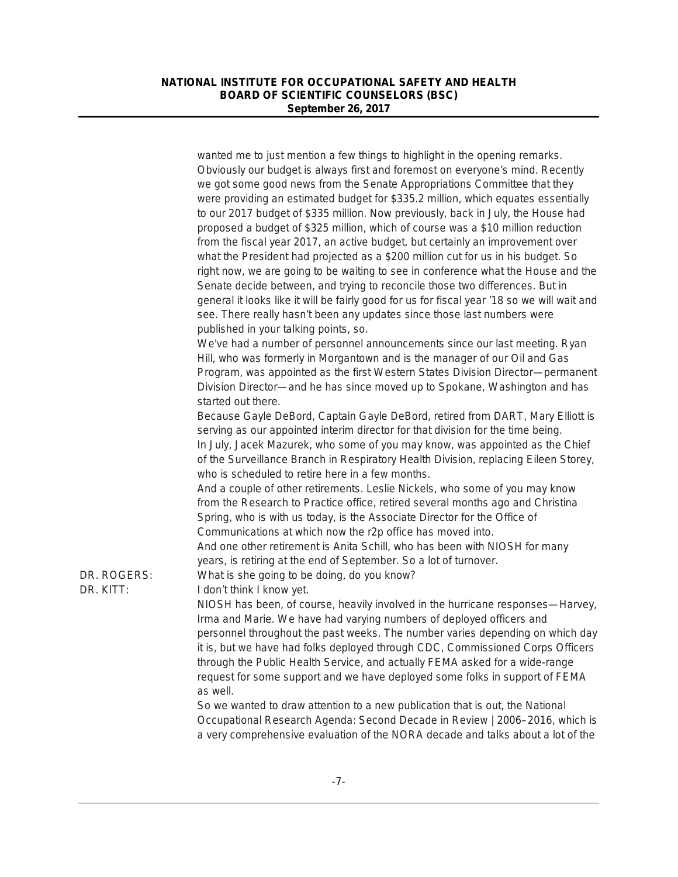|                          | wanted me to just mention a few things to highlight in the opening remarks.<br>Obviously our budget is always first and foremost on everyone's mind. Recently<br>we got some good news from the Senate Appropriations Committee that they<br>were providing an estimated budget for \$335.2 million, which equates essentially<br>to our 2017 budget of \$335 million. Now previously, back in July, the House had<br>proposed a budget of \$325 million, which of course was a \$10 million reduction<br>from the fiscal year 2017, an active budget, but certainly an improvement over<br>what the President had projected as a \$200 million cut for us in his budget. So<br>right now, we are going to be waiting to see in conference what the House and the<br>Senate decide between, and trying to reconcile those two differences. But in<br>general it looks like it will be fairly good for us for fiscal year '18 so we will wait and<br>see. There really hasn't been any updates since those last numbers were<br>published in your talking points, so. |
|--------------------------|----------------------------------------------------------------------------------------------------------------------------------------------------------------------------------------------------------------------------------------------------------------------------------------------------------------------------------------------------------------------------------------------------------------------------------------------------------------------------------------------------------------------------------------------------------------------------------------------------------------------------------------------------------------------------------------------------------------------------------------------------------------------------------------------------------------------------------------------------------------------------------------------------------------------------------------------------------------------------------------------------------------------------------------------------------------------|
|                          | We've had a number of personnel announcements since our last meeting. Ryan<br>Hill, who was formerly in Morgantown and is the manager of our Oil and Gas<br>Program, was appointed as the first Western States Division Director-permanent<br>Division Director—and he has since moved up to Spokane, Washington and has<br>started out there.<br>Because Gayle DeBord, Captain Gayle DeBord, retired from DART, Mary Elliott is<br>serving as our appointed interim director for that division for the time being.                                                                                                                                                                                                                                                                                                                                                                                                                                                                                                                                                  |
|                          | In July, Jacek Mazurek, who some of you may know, was appointed as the Chief<br>of the Surveillance Branch in Respiratory Health Division, replacing Eileen Storey,<br>who is scheduled to retire here in a few months.<br>And a couple of other retirements. Leslie Nickels, who some of you may know<br>from the Research to Practice office, retired several months ago and Christina<br>Spring, who is with us today, is the Associate Director for the Office of<br>Communications at which now the r2p office has moved into.<br>And one other retirement is Anita Schill, who has been with NIOSH for many<br>years, is retiring at the end of September. So a lot of turnover.                                                                                                                                                                                                                                                                                                                                                                               |
| DR. ROGERS:<br>DR. KITT: | What is she going to be doing, do you know?<br>I don't think I know yet.<br>NIOSH has been, of course, heavily involved in the hurricane responses—Harvey,<br>Irma and Marie. We have had varying numbers of deployed officers and<br>personnel throughout the past weeks. The number varies depending on which day<br>it is, but we have had folks deployed through CDC, Commissioned Corps Officers<br>through the Public Health Service, and actually FEMA asked for a wide-range<br>request for some support and we have deployed some folks in support of FEMA<br>as well.                                                                                                                                                                                                                                                                                                                                                                                                                                                                                      |
|                          | So we wanted to draw attention to a new publication that is out, the National<br>Occupational Research Agenda: Second Decade in Review   2006-2016, which is<br>a very comprehensive evaluation of the NORA decade and talks about a lot of the                                                                                                                                                                                                                                                                                                                                                                                                                                                                                                                                                                                                                                                                                                                                                                                                                      |
|                          |                                                                                                                                                                                                                                                                                                                                                                                                                                                                                                                                                                                                                                                                                                                                                                                                                                                                                                                                                                                                                                                                      |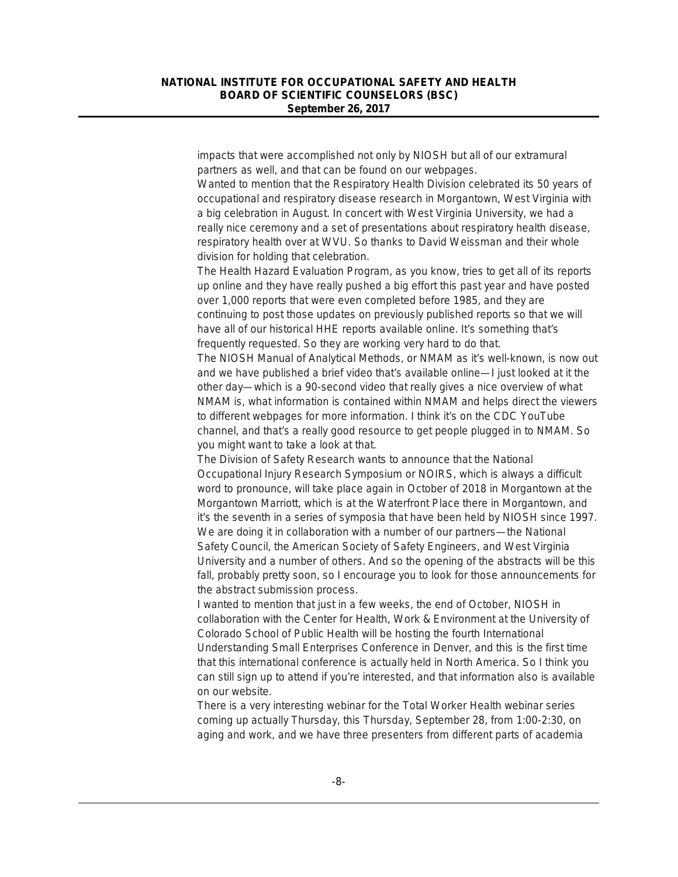impacts that were accomplished not only by NIOSH but all of our extramural partners as well, and that can be found on our webpages.

Wanted to mention that the Respiratory Health Division celebrated its 50 years of occupational and respiratory disease research in Morgantown, West Virginia with a big celebration in August. In concert with West Virginia University, we had a really nice ceremony and a set of presentations about respiratory health disease, respiratory health over at WVU. So thanks to David Weissman and their whole division for holding that celebration.

The Health Hazard Evaluation Program, as you know, tries to get all of its reports up online and they have really pushed a big effort this past year and have posted over 1,000 reports that were even completed before 1985, and they are continuing to post those updates on previously published reports so that we will have all of our historical HHE reports available online. It's something that's frequently requested. So they are working very hard to do that.

The *NIOSH Manual of Analytical Methods*, or NMAM as it's well-known, is now out and we have published a brief video that's available online—I just looked at it the other day—which is a 90-second video that really gives a nice overview of what NMAM is, what information is contained within NMAM and helps direct the viewers to different webpages for more information. I think it's on the CDC YouTube channel, and that's a really good resource to get people plugged in to NMAM. So you might want to take a look at that.

The Division of Safety Research wants to announce that the National Occupational Injury Research Symposium or NOIRS, which is always a difficult word to pronounce, will take place again in October of 2018 in Morgantown at the Morgantown Marriott, which is at the Waterfront Place there in Morgantown, and it's the seventh in a series of symposia that have been held by NIOSH since 1997. We are doing it in collaboration with a number of our partners—the National Safety Council, the American Society of Safety Engineers, and West Virginia University and a number of others. And so the opening of the abstracts will be this fall, probably pretty soon, so I encourage you to look for those announcements for the abstract submission process.

I wanted to mention that just in a few weeks, the end of October, NIOSH in collaboration with the Center for Health, Work & Environment at the University of Colorado School of Public Health will be hosting the fourth International Understanding Small Enterprises Conference in Denver, and this is the first time that this international conference is actually held in North America. So I think you can still sign up to attend if you're interested, and that information also is available on our website.

There is a very interesting webinar for the Total Worker Health webinar series coming up actually Thursday, this Thursday, September 28, from 1:00-2:30, on aging and work, and we have three presenters from different parts of academia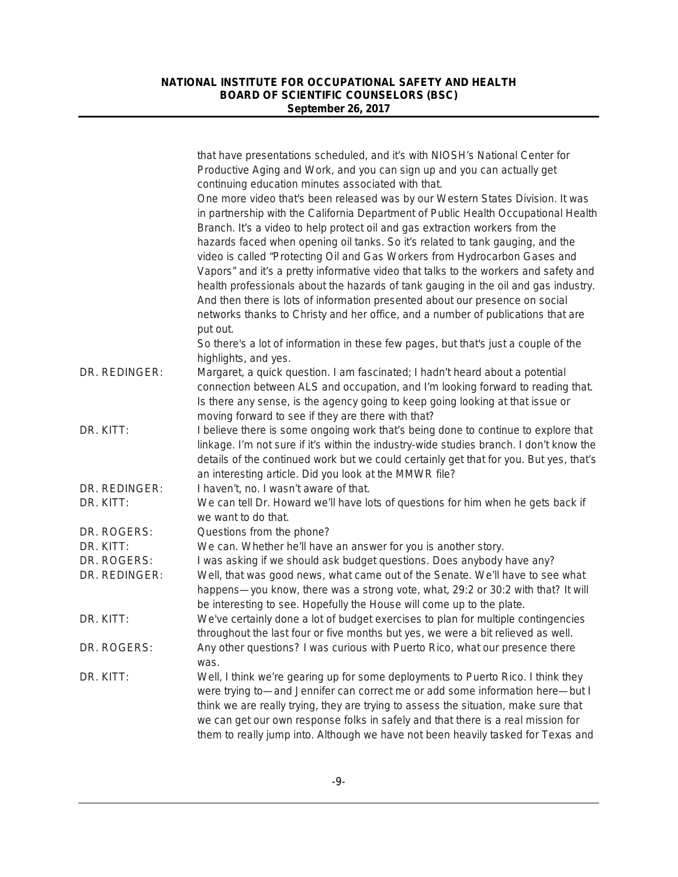|                              | that have presentations scheduled, and it's with NIOSH's National Center for<br>Productive Aging and Work, and you can sign up and you can actually get<br>continuing education minutes associated with that.                                                                                                                                                                                                                                                                                                                                                                                                                                                                                                                                                                       |
|------------------------------|-------------------------------------------------------------------------------------------------------------------------------------------------------------------------------------------------------------------------------------------------------------------------------------------------------------------------------------------------------------------------------------------------------------------------------------------------------------------------------------------------------------------------------------------------------------------------------------------------------------------------------------------------------------------------------------------------------------------------------------------------------------------------------------|
|                              | One more video that's been released was by our Western States Division. It was<br>in partnership with the California Department of Public Health Occupational Health<br>Branch. It's a video to help protect oil and gas extraction workers from the<br>hazards faced when opening oil tanks. So it's related to tank gauging, and the<br>video is called "Protecting Oil and Gas Workers from Hydrocarbon Gases and<br>Vapors" and it's a pretty informative video that talks to the workers and safety and<br>health professionals about the hazards of tank gauging in the oil and gas industry.<br>And then there is lots of information presented about our presence on social<br>networks thanks to Christy and her office, and a number of publications that are<br>put out. |
|                              | So there's a lot of information in these few pages, but that's just a couple of the<br>highlights, and yes.                                                                                                                                                                                                                                                                                                                                                                                                                                                                                                                                                                                                                                                                         |
| DR. REDINGER:                | Margaret, a quick question. I am fascinated; I hadn't heard about a potential<br>connection between ALS and occupation, and I'm looking forward to reading that.<br>Is there any sense, is the agency going to keep going looking at that issue or<br>moving forward to see if they are there with that?                                                                                                                                                                                                                                                                                                                                                                                                                                                                            |
| DR. KITT:                    | I believe there is some ongoing work that's being done to continue to explore that<br>linkage. I'm not sure if it's within the industry-wide studies branch. I don't know the<br>details of the continued work but we could certainly get that for you. But yes, that's<br>an interesting article. Did you look at the MMWR file?                                                                                                                                                                                                                                                                                                                                                                                                                                                   |
| DR. REDINGER:<br>DR. KITT:   | I haven't, no. I wasn't aware of that.<br>We can tell Dr. Howard we'll have lots of questions for him when he gets back if<br>we want to do that.                                                                                                                                                                                                                                                                                                                                                                                                                                                                                                                                                                                                                                   |
| DR. ROGERS:                  | Questions from the phone?                                                                                                                                                                                                                                                                                                                                                                                                                                                                                                                                                                                                                                                                                                                                                           |
| DR. KITT:                    | We can. Whether he'll have an answer for you is another story.                                                                                                                                                                                                                                                                                                                                                                                                                                                                                                                                                                                                                                                                                                                      |
| DR. ROGERS:<br>DR. REDINGER: | I was asking if we should ask budget questions. Does anybody have any?<br>Well, that was good news, what came out of the Senate. We'll have to see what<br>happens—you know, there was a strong vote, what, 29:2 or 30:2 with that? It will<br>be interesting to see. Hopefully the House will come up to the plate.                                                                                                                                                                                                                                                                                                                                                                                                                                                                |
| DR. KITT:                    | We've certainly done a lot of budget exercises to plan for multiple contingencies<br>throughout the last four or five months but yes, we were a bit relieved as well.                                                                                                                                                                                                                                                                                                                                                                                                                                                                                                                                                                                                               |
| DR. ROGERS:                  | Any other questions? I was curious with Puerto Rico, what our presence there<br>was.                                                                                                                                                                                                                                                                                                                                                                                                                                                                                                                                                                                                                                                                                                |
| DR. KITT:                    | Well, I think we're gearing up for some deployments to Puerto Rico. I think they<br>were trying to—and Jennifer can correct me or add some information here—but I<br>think we are really trying, they are trying to assess the situation, make sure that<br>we can get our own response folks in safely and that there is a real mission for<br>them to really jump into. Although we have not been heavily tasked for Texas and                                                                                                                                                                                                                                                                                                                                                    |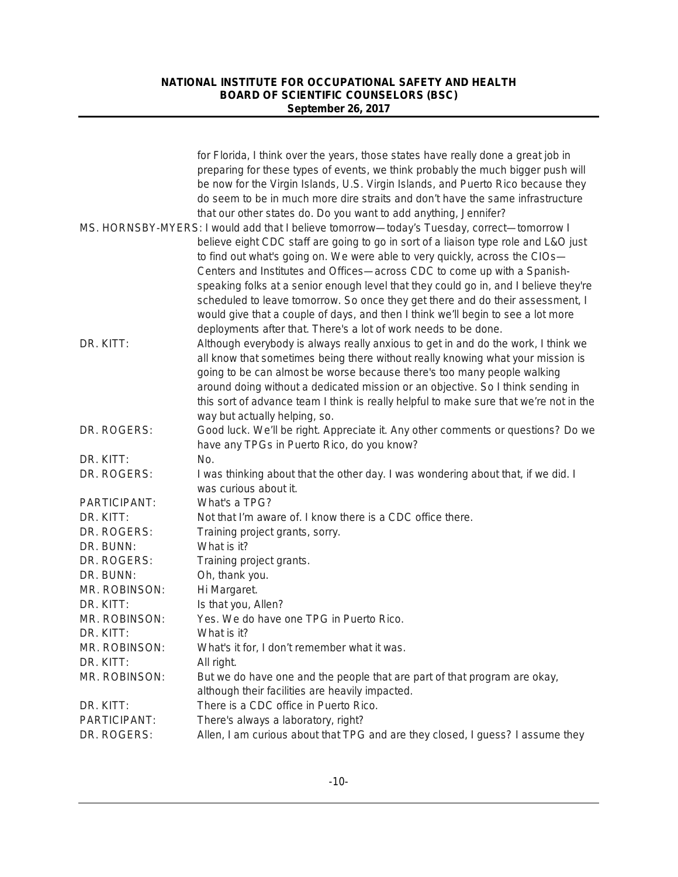|               | for Florida, I think over the years, those states have really done a great job in          |
|---------------|--------------------------------------------------------------------------------------------|
|               | preparing for these types of events, we think probably the much bigger push will           |
|               | be now for the Virgin Islands, U.S. Virgin Islands, and Puerto Rico because they           |
|               | do seem to be in much more dire straits and don't have the same infrastructure             |
|               | that our other states do. Do you want to add anything, Jennifer?                           |
|               | MS. HORNSBY-MYERS: I would add that I believe tomorrow-today's Tuesday, correct-tomorrow I |
|               | believe eight CDC staff are going to go in sort of a liaison type role and L&O just        |
|               | to find out what's going on. We were able to very quickly, across the CIOs-                |
|               | Centers and Institutes and Offices-across CDC to come up with a Spanish-                   |
|               | speaking folks at a senior enough level that they could go in, and I believe they're       |
|               | scheduled to leave tomorrow. So once they get there and do their assessment, I             |
|               | would give that a couple of days, and then I think we'll begin to see a lot more           |
|               | deployments after that. There's a lot of work needs to be done.                            |
| DR. KITT:     | Although everybody is always really anxious to get in and do the work, I think we          |
|               | all know that sometimes being there without really knowing what your mission is            |
|               | going to be can almost be worse because there's too many people walking                    |
|               | around doing without a dedicated mission or an objective. So I think sending in            |
|               | this sort of advance team I think is really helpful to make sure that we're not in the     |
|               | way but actually helping, so.                                                              |
| DR. ROGERS:   | Good luck. We'll be right. Appreciate it. Any other comments or questions? Do we           |
|               | have any TPGs in Puerto Rico, do you know?                                                 |
| DR. KITT:     | No.                                                                                        |
| DR. ROGERS:   | I was thinking about that the other day. I was wondering about that, if we did. I          |
|               | was curious about it.                                                                      |
| PARTICIPANT:  | What's a TPG?                                                                              |
| DR. KITT:     | Not that I'm aware of. I know there is a CDC office there.                                 |
| DR. ROGERS:   | Training project grants, sorry.                                                            |
| DR. BUNN:     | What is it?                                                                                |
| DR. ROGERS:   | Training project grants.                                                                   |
| DR. BUNN:     | Oh, thank you.                                                                             |
| MR. ROBINSON: | Hi Margaret.                                                                               |
| DR. KITT:     | Is that you, Allen?                                                                        |
| MR. ROBINSON: | Yes. We do have one TPG in Puerto Rico.                                                    |
| DR. KITT:     | What is it?                                                                                |
| MR. ROBINSON: | What's it for, I don't remember what it was.                                               |
| DR. KITT:     | All right.                                                                                 |
| MR. ROBINSON: | But we do have one and the people that are part of that program are okay,                  |
|               | although their facilities are heavily impacted.                                            |
| DR. KITT:     | There is a CDC office in Puerto Rico.                                                      |
| PARTICIPANT:  | There's always a laboratory, right?                                                        |
| DR. ROGERS:   | Allen, I am curious about that TPG and are they closed, I guess? I assume they             |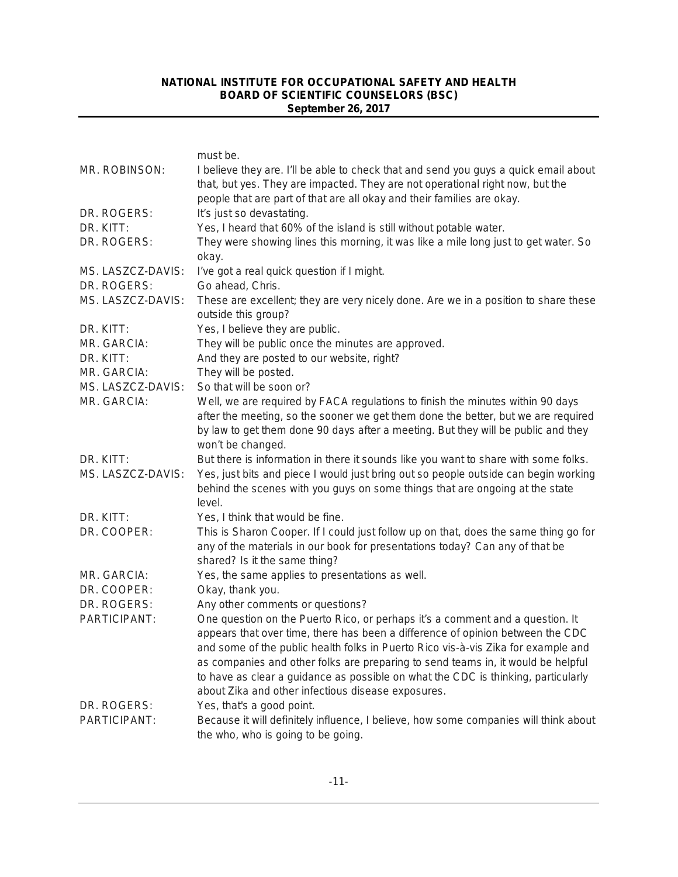|                   | must be.                                                                                                                                                                                                                                                                      |
|-------------------|-------------------------------------------------------------------------------------------------------------------------------------------------------------------------------------------------------------------------------------------------------------------------------|
| MR. ROBINSON:     | I believe they are. I'll be able to check that and send you guys a quick email about<br>that, but yes. They are impacted. They are not operational right now, but the<br>people that are part of that are all okay and their families are okay.                               |
| DR. ROGERS:       | It's just so devastating.                                                                                                                                                                                                                                                     |
| DR. KITT:         | Yes, I heard that 60% of the island is still without potable water.                                                                                                                                                                                                           |
| DR. ROGERS:       | They were showing lines this morning, it was like a mile long just to get water. So                                                                                                                                                                                           |
|                   | okay.                                                                                                                                                                                                                                                                         |
| MS. LASZCZ-DAVIS: | I've got a real quick question if I might.                                                                                                                                                                                                                                    |
| DR. ROGERS:       | Go ahead, Chris.                                                                                                                                                                                                                                                              |
| MS. LASZCZ-DAVIS: | These are excellent; they are very nicely done. Are we in a position to share these<br>outside this group?                                                                                                                                                                    |
| DR. KITT:         | Yes, I believe they are public.                                                                                                                                                                                                                                               |
| MR. GARCIA:       | They will be public once the minutes are approved.                                                                                                                                                                                                                            |
| DR. KITT:         | And they are posted to our website, right?                                                                                                                                                                                                                                    |
| MR. GARCIA:       | They will be posted.                                                                                                                                                                                                                                                          |
| MS. LASZCZ-DAVIS: | So that will be soon or?                                                                                                                                                                                                                                                      |
| MR. GARCIA:       | Well, we are required by FACA regulations to finish the minutes within 90 days<br>after the meeting, so the sooner we get them done the better, but we are required<br>by law to get them done 90 days after a meeting. But they will be public and they<br>won't be changed. |
| DR. KITT:         | But there is information in there it sounds like you want to share with some folks.                                                                                                                                                                                           |
| MS. LASZCZ-DAVIS: | Yes, just bits and piece I would just bring out so people outside can begin working<br>behind the scenes with you guys on some things that are ongoing at the state<br>level.                                                                                                 |
| DR. KITT:         | Yes, I think that would be fine.                                                                                                                                                                                                                                              |
| DR. COOPER:       | This is Sharon Cooper. If I could just follow up on that, does the same thing go for<br>any of the materials in our book for presentations today? Can any of that be<br>shared? Is it the same thing?                                                                         |
| MR. GARCIA:       | Yes, the same applies to presentations as well.                                                                                                                                                                                                                               |
| DR. COOPER:       | Okay, thank you.                                                                                                                                                                                                                                                              |
| DR. ROGERS:       | Any other comments or questions?                                                                                                                                                                                                                                              |
| PARTICIPANT:      | One question on the Puerto Rico, or perhaps it's a comment and a question. It                                                                                                                                                                                                 |
|                   | appears that over time, there has been a difference of opinion between the CDC                                                                                                                                                                                                |
|                   | and some of the public health folks in Puerto Rico vis-à-vis Zika for example and                                                                                                                                                                                             |
|                   | as companies and other folks are preparing to send teams in, it would be helpful                                                                                                                                                                                              |
|                   | to have as clear a guidance as possible on what the CDC is thinking, particularly<br>about Zika and other infectious disease exposures.                                                                                                                                       |
| DR. ROGERS:       | Yes, that's a good point.                                                                                                                                                                                                                                                     |
| PARTICIPANT:      | Because it will definitely influence, I believe, how some companies will think about<br>the who, who is going to be going.                                                                                                                                                    |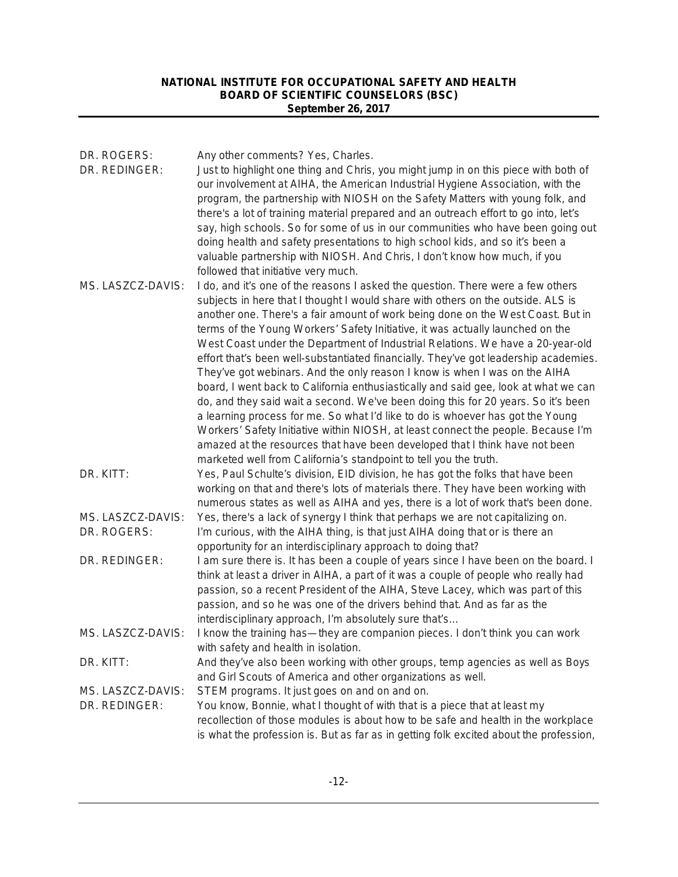| DR. ROGERS:<br>DR. REDINGER:       | Any other comments? Yes, Charles.<br>Just to highlight one thing and Chris, you might jump in on this piece with both of<br>our involvement at AIHA, the American Industrial Hygiene Association, with the<br>program, the partnership with NIOSH on the Safety Matters with young folk, and<br>there's a lot of training material prepared and an outreach effort to go into, let's<br>say, high schools. So for some of us in our communities who have been going out<br>doing health and safety presentations to high school kids, and so it's been a<br>valuable partnership with NIOSH. And Chris, I don't know how much, if you<br>followed that initiative very much.                                                                                                                                                                                                                                                                                                                                                                                                                            |
|------------------------------------|---------------------------------------------------------------------------------------------------------------------------------------------------------------------------------------------------------------------------------------------------------------------------------------------------------------------------------------------------------------------------------------------------------------------------------------------------------------------------------------------------------------------------------------------------------------------------------------------------------------------------------------------------------------------------------------------------------------------------------------------------------------------------------------------------------------------------------------------------------------------------------------------------------------------------------------------------------------------------------------------------------------------------------------------------------------------------------------------------------|
| MS. LASZCZ-DAVIS:                  | I do, and it's one of the reasons I asked the question. There were a few others<br>subjects in here that I thought I would share with others on the outside. ALS is<br>another one. There's a fair amount of work being done on the West Coast. But in<br>terms of the Young Workers' Safety Initiative, it was actually launched on the<br>West Coast under the Department of Industrial Relations. We have a 20-year-old<br>effort that's been well-substantiated financially. They've got leadership academies.<br>They've got webinars. And the only reason I know is when I was on the AIHA<br>board, I went back to California enthusiastically and said gee, look at what we can<br>do, and they said wait a second. We've been doing this for 20 years. So it's been<br>a learning process for me. So what I'd like to do is whoever has got the Young<br>Workers' Safety Initiative within NIOSH, at least connect the people. Because I'm<br>amazed at the resources that have been developed that I think have not been<br>marketed well from California's standpoint to tell you the truth. |
| DR. KITT:                          | Yes, Paul Schulte's division, EID division, he has got the folks that have been<br>working on that and there's lots of materials there. They have been working with<br>numerous states as well as AIHA and yes, there is a lot of work that's been done.                                                                                                                                                                                                                                                                                                                                                                                                                                                                                                                                                                                                                                                                                                                                                                                                                                                |
| MS. LASZCZ-DAVIS:<br>DR. ROGERS:   | Yes, there's a lack of synergy I think that perhaps we are not capitalizing on.<br>I'm curious, with the AIHA thing, is that just AIHA doing that or is there an<br>opportunity for an interdisciplinary approach to doing that?                                                                                                                                                                                                                                                                                                                                                                                                                                                                                                                                                                                                                                                                                                                                                                                                                                                                        |
| DR. REDINGER:                      | I am sure there is. It has been a couple of years since I have been on the board. I<br>think at least a driver in AIHA, a part of it was a couple of people who really had<br>passion, so a recent President of the AIHA, Steve Lacey, which was part of this<br>passion, and so he was one of the drivers behind that. And as far as the<br>interdisciplinary approach, I'm absolutely sure that's                                                                                                                                                                                                                                                                                                                                                                                                                                                                                                                                                                                                                                                                                                     |
| MS. LASZCZ-DAVIS:                  | I know the training has—they are companion pieces. I don't think you can work<br>with safety and health in isolation.                                                                                                                                                                                                                                                                                                                                                                                                                                                                                                                                                                                                                                                                                                                                                                                                                                                                                                                                                                                   |
| DR. KITT:                          | And they've also been working with other groups, temp agencies as well as Boys<br>and Girl Scouts of America and other organizations as well.                                                                                                                                                                                                                                                                                                                                                                                                                                                                                                                                                                                                                                                                                                                                                                                                                                                                                                                                                           |
| MS. LASZCZ-DAVIS:<br>DR. REDINGER: | STEM programs. It just goes on and on and on.<br>You know, Bonnie, what I thought of with that is a piece that at least my<br>recollection of those modules is about how to be safe and health in the workplace<br>is what the profession is. But as far as in getting folk excited about the profession,                                                                                                                                                                                                                                                                                                                                                                                                                                                                                                                                                                                                                                                                                                                                                                                               |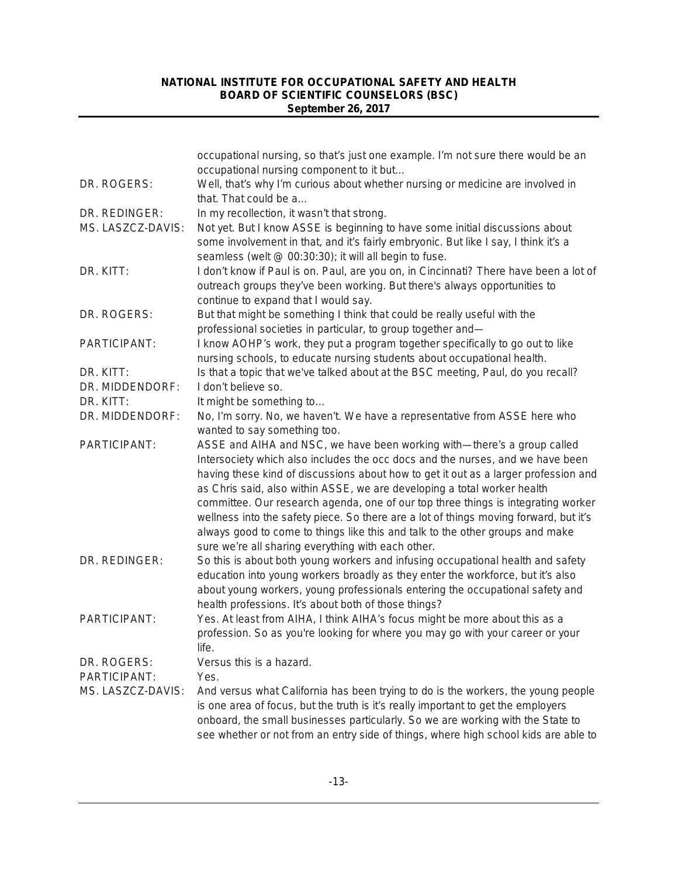|                   | occupational nursing, so that's just one example. I'm not sure there would be an<br>occupational nursing component to it but                                                                                                                                                                                                                                                                                                                                                                                                                                                                                                                      |
|-------------------|---------------------------------------------------------------------------------------------------------------------------------------------------------------------------------------------------------------------------------------------------------------------------------------------------------------------------------------------------------------------------------------------------------------------------------------------------------------------------------------------------------------------------------------------------------------------------------------------------------------------------------------------------|
| DR. ROGERS:       | Well, that's why I'm curious about whether nursing or medicine are involved in<br>that. That could be a                                                                                                                                                                                                                                                                                                                                                                                                                                                                                                                                           |
| DR. REDINGER:     | In my recollection, it wasn't that strong.                                                                                                                                                                                                                                                                                                                                                                                                                                                                                                                                                                                                        |
| MS. LASZCZ-DAVIS: | Not yet. But I know ASSE is beginning to have some initial discussions about<br>some involvement in that, and it's fairly embryonic. But like I say, I think it's a<br>seamless (welt @ 00:30:30); it will all begin to fuse.                                                                                                                                                                                                                                                                                                                                                                                                                     |
| DR. KITT:         | I don't know if Paul is on. Paul, are you on, in Cincinnati? There have been a lot of<br>outreach groups they've been working. But there's always opportunities to<br>continue to expand that I would say.                                                                                                                                                                                                                                                                                                                                                                                                                                        |
| DR. ROGERS:       | But that might be something I think that could be really useful with the<br>professional societies in particular, to group together and-                                                                                                                                                                                                                                                                                                                                                                                                                                                                                                          |
| PARTICIPANT:      | I know AOHP's work, they put a program together specifically to go out to like<br>nursing schools, to educate nursing students about occupational health.                                                                                                                                                                                                                                                                                                                                                                                                                                                                                         |
| DR. KITT:         | Is that a topic that we've talked about at the BSC meeting, Paul, do you recall?                                                                                                                                                                                                                                                                                                                                                                                                                                                                                                                                                                  |
| DR. MIDDENDORF:   | I don't believe so.                                                                                                                                                                                                                                                                                                                                                                                                                                                                                                                                                                                                                               |
| DR. KITT:         | It might be something to                                                                                                                                                                                                                                                                                                                                                                                                                                                                                                                                                                                                                          |
| DR. MIDDENDORF:   | No, I'm sorry. No, we haven't. We have a representative from ASSE here who<br>wanted to say something too.                                                                                                                                                                                                                                                                                                                                                                                                                                                                                                                                        |
| PARTICIPANT:      | ASSE and AIHA and NSC, we have been working with-there's a group called<br>Intersociety which also includes the occ docs and the nurses, and we have been<br>having these kind of discussions about how to get it out as a larger profession and<br>as Chris said, also within ASSE, we are developing a total worker health<br>committee. Our research agenda, one of our top three things is integrating worker<br>wellness into the safety piece. So there are a lot of things moving forward, but it's<br>always good to come to things like this and talk to the other groups and make<br>sure we're all sharing everything with each other. |
| DR. REDINGER:     | So this is about both young workers and infusing occupational health and safety<br>education into young workers broadly as they enter the workforce, but it's also<br>about young workers, young professionals entering the occupational safety and<br>health professions. It's about both of those things?                                                                                                                                                                                                                                                                                                                                       |
| PARTICIPANT:      | Yes. At least from AIHA, I think AIHA's focus might be more about this as a<br>profession. So as you're looking for where you may go with your career or your<br>life.                                                                                                                                                                                                                                                                                                                                                                                                                                                                            |
| DR. ROGERS:       | Versus this is a hazard.                                                                                                                                                                                                                                                                                                                                                                                                                                                                                                                                                                                                                          |
| PARTICIPANT:      | Yes.                                                                                                                                                                                                                                                                                                                                                                                                                                                                                                                                                                                                                                              |
| MS. LASZCZ-DAVIS: | And versus what California has been trying to do is the workers, the young people<br>is one area of focus, but the truth is it's really important to get the employers<br>onboard, the small businesses particularly. So we are working with the State to<br>see whether or not from an entry side of things, where high school kids are able to                                                                                                                                                                                                                                                                                                  |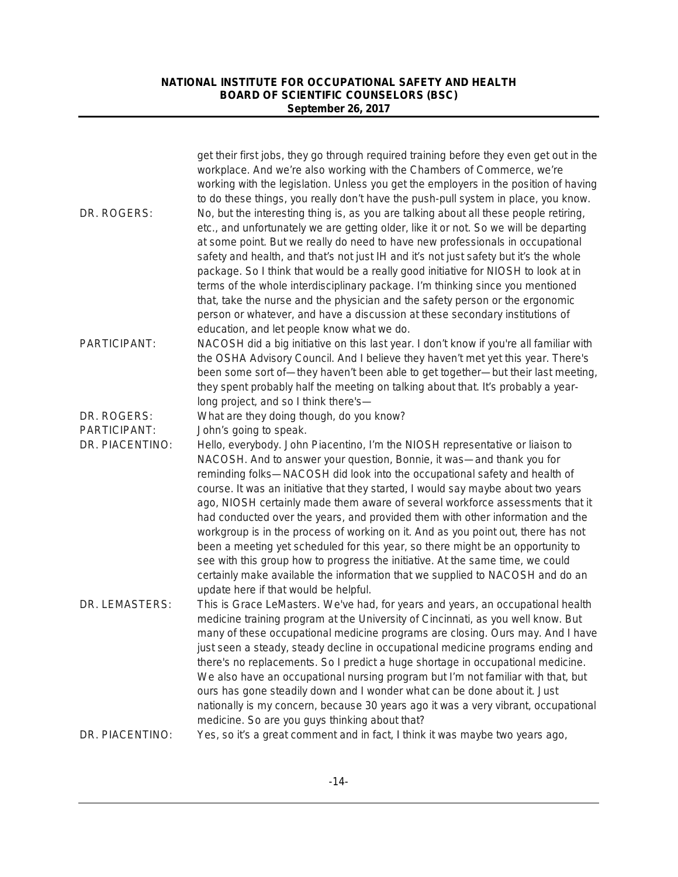|                 | get their first jobs, they go through required training before they even get out in the<br>workplace. And we're also working with the Chambers of Commerce, we're<br>working with the legislation. Unless you get the employers in the position of having<br>to do these things, you really don't have the push-pull system in place, you know.                                                                                                                                                                                                                                                                                                                                                                                                                                                                                                                                  |
|-----------------|----------------------------------------------------------------------------------------------------------------------------------------------------------------------------------------------------------------------------------------------------------------------------------------------------------------------------------------------------------------------------------------------------------------------------------------------------------------------------------------------------------------------------------------------------------------------------------------------------------------------------------------------------------------------------------------------------------------------------------------------------------------------------------------------------------------------------------------------------------------------------------|
| DR. ROGERS:     | No, but the interesting thing is, as you are talking about all these people retiring,<br>etc., and unfortunately we are getting older, like it or not. So we will be departing<br>at some point. But we really do need to have new professionals in occupational<br>safety and health, and that's not just IH and it's not just safety but it's the whole<br>package. So I think that would be a really good initiative for NIOSH to look at in<br>terms of the whole interdisciplinary package. I'm thinking since you mentioned<br>that, take the nurse and the physician and the safety person or the ergonomic<br>person or whatever, and have a discussion at these secondary institutions of<br>education, and let people know what we do.                                                                                                                                 |
| PARTICIPANT:    | NACOSH did a big initiative on this last year. I don't know if you're all familiar with<br>the OSHA Advisory Council. And I believe they haven't met yet this year. There's<br>been some sort of—they haven't been able to get together—but their last meeting,<br>they spent probably half the meeting on talking about that. It's probably a year-<br>long project, and so I think there's-                                                                                                                                                                                                                                                                                                                                                                                                                                                                                    |
| DR. ROGERS:     | What are they doing though, do you know?                                                                                                                                                                                                                                                                                                                                                                                                                                                                                                                                                                                                                                                                                                                                                                                                                                         |
| PARTICIPANT:    | John's going to speak.                                                                                                                                                                                                                                                                                                                                                                                                                                                                                                                                                                                                                                                                                                                                                                                                                                                           |
| DR. PIACENTINO: | Hello, everybody. John Piacentino, I'm the NIOSH representative or liaison to<br>NACOSH. And to answer your question, Bonnie, it was—and thank you for<br>reminding folks-NACOSH did look into the occupational safety and health of<br>course. It was an initiative that they started, I would say maybe about two years<br>ago, NIOSH certainly made them aware of several workforce assessments that it<br>had conducted over the years, and provided them with other information and the<br>workgroup is in the process of working on it. And as you point out, there has not<br>been a meeting yet scheduled for this year, so there might be an opportunity to<br>see with this group how to progress the initiative. At the same time, we could<br>certainly make available the information that we supplied to NACOSH and do an<br>update here if that would be helpful. |
| DR. LEMASTERS:  | This is Grace LeMasters. We've had, for years and years, an occupational health<br>medicine training program at the University of Cincinnati, as you well know. But<br>many of these occupational medicine programs are closing. Ours may. And I have<br>just seen a steady, steady decline in occupational medicine programs ending and<br>there's no replacements. So I predict a huge shortage in occupational medicine.<br>We also have an occupational nursing program but I'm not familiar with that, but<br>ours has gone steadily down and I wonder what can be done about it. Just<br>nationally is my concern, because 30 years ago it was a very vibrant, occupational<br>medicine. So are you guys thinking about that?                                                                                                                                              |
| DR. PIACENTINO: | Yes, so it's a great comment and in fact, I think it was maybe two years ago,                                                                                                                                                                                                                                                                                                                                                                                                                                                                                                                                                                                                                                                                                                                                                                                                    |
|                 |                                                                                                                                                                                                                                                                                                                                                                                                                                                                                                                                                                                                                                                                                                                                                                                                                                                                                  |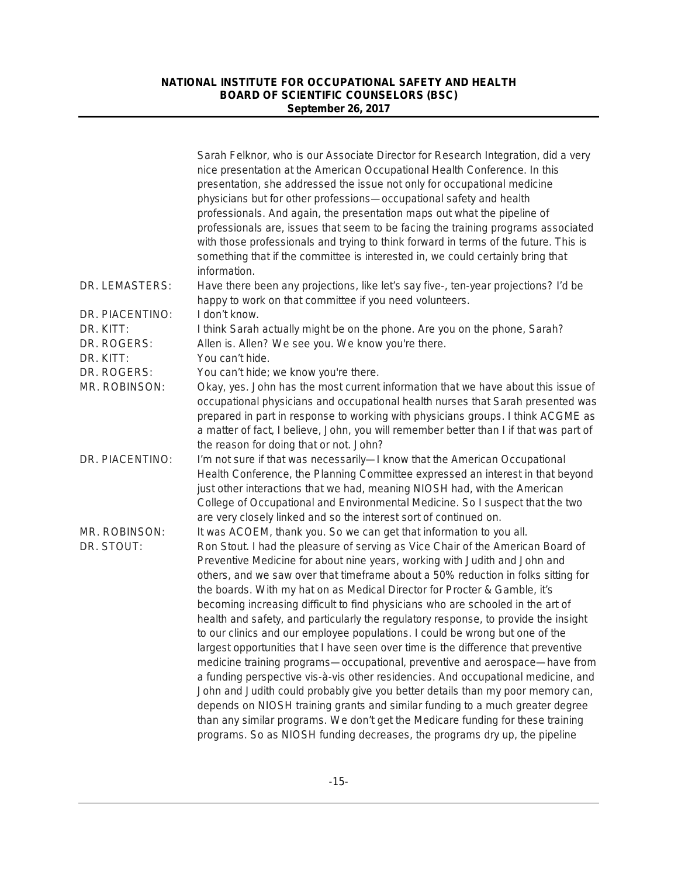|                          | Sarah Felknor, who is our Associate Director for Research Integration, did a very<br>nice presentation at the American Occupational Health Conference. In this<br>presentation, she addressed the issue not only for occupational medicine<br>physicians but for other professions-occupational safety and health<br>professionals. And again, the presentation maps out what the pipeline of<br>professionals are, issues that seem to be facing the training programs associated<br>with those professionals and trying to think forward in terms of the future. This is<br>something that if the committee is interested in, we could certainly bring that<br>information.                                                                                                                                                                                                                                                                                                                                           |
|--------------------------|-------------------------------------------------------------------------------------------------------------------------------------------------------------------------------------------------------------------------------------------------------------------------------------------------------------------------------------------------------------------------------------------------------------------------------------------------------------------------------------------------------------------------------------------------------------------------------------------------------------------------------------------------------------------------------------------------------------------------------------------------------------------------------------------------------------------------------------------------------------------------------------------------------------------------------------------------------------------------------------------------------------------------|
| DR. LEMASTERS:           | Have there been any projections, like let's say five-, ten-year projections? I'd be<br>happy to work on that committee if you need volunteers.                                                                                                                                                                                                                                                                                                                                                                                                                                                                                                                                                                                                                                                                                                                                                                                                                                                                          |
| DR. PIACENTINO:          | I don't know.                                                                                                                                                                                                                                                                                                                                                                                                                                                                                                                                                                                                                                                                                                                                                                                                                                                                                                                                                                                                           |
| DR. KITT:<br>DR. ROGERS: | I think Sarah actually might be on the phone. Are you on the phone, Sarah?<br>Allen is. Allen? We see you. We know you're there.                                                                                                                                                                                                                                                                                                                                                                                                                                                                                                                                                                                                                                                                                                                                                                                                                                                                                        |
| DR. KITT:                | You can't hide.                                                                                                                                                                                                                                                                                                                                                                                                                                                                                                                                                                                                                                                                                                                                                                                                                                                                                                                                                                                                         |
| DR. ROGERS:              | You can't hide; we know you're there.                                                                                                                                                                                                                                                                                                                                                                                                                                                                                                                                                                                                                                                                                                                                                                                                                                                                                                                                                                                   |
| MR. ROBINSON:            | Okay, yes. John has the most current information that we have about this issue of<br>occupational physicians and occupational health nurses that Sarah presented was<br>prepared in part in response to working with physicians groups. I think ACGME as<br>a matter of fact, I believe, John, you will remember better than I if that was part of<br>the reason for doing that or not. John?                                                                                                                                                                                                                                                                                                                                                                                                                                                                                                                                                                                                                           |
| DR. PIACENTINO:          | I'm not sure if that was necessarily-I know that the American Occupational<br>Health Conference, the Planning Committee expressed an interest in that beyond<br>just other interactions that we had, meaning NIOSH had, with the American<br>College of Occupational and Environmental Medicine. So I suspect that the two<br>are very closely linked and so the interest sort of continued on.                                                                                                                                                                                                                                                                                                                                                                                                                                                                                                                                                                                                                         |
| MR. ROBINSON:            | It was ACOEM, thank you. So we can get that information to you all.                                                                                                                                                                                                                                                                                                                                                                                                                                                                                                                                                                                                                                                                                                                                                                                                                                                                                                                                                     |
| DR. STOUT:               | Ron Stout. I had the pleasure of serving as Vice Chair of the American Board of<br>Preventive Medicine for about nine years, working with Judith and John and<br>others, and we saw over that timeframe about a 50% reduction in folks sitting for<br>the boards. With my hat on as Medical Director for Procter & Gamble, it's<br>becoming increasing difficult to find physicians who are schooled in the art of<br>health and safety, and particularly the regulatory response, to provide the insight<br>to our clinics and our employee populations. I could be wrong but one of the<br>largest opportunities that I have seen over time is the difference that preventive<br>medicine training programs-occupational, preventive and aerospace-have from<br>a funding perspective vis-à-vis other residencies. And occupational medicine, and<br>John and Judith could probably give you better details than my poor memory can,<br>depends on NIOSH training grants and similar funding to a much greater degree |
|                          | than any similar programs. We don't get the Medicare funding for these training<br>programs. So as NIOSH funding decreases, the programs dry up, the pipeline                                                                                                                                                                                                                                                                                                                                                                                                                                                                                                                                                                                                                                                                                                                                                                                                                                                           |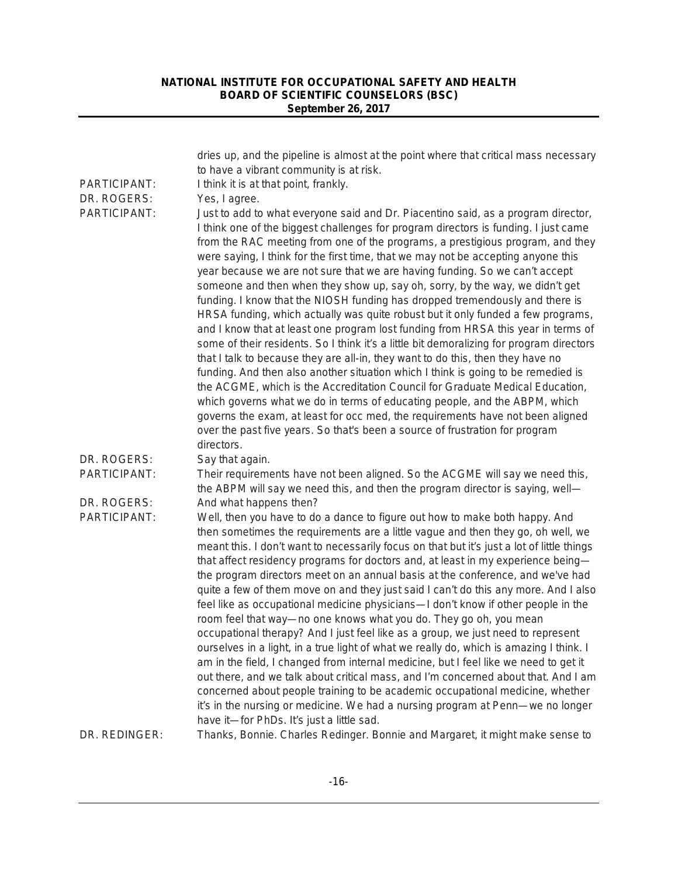|                             | dries up, and the pipeline is almost at the point where that critical mass necessary<br>to have a vibrant community is at risk.                                                                                                                                                                                                                                                                                                                                                                                                                                                                                                                                                                                                                                                                                                                                                                                                                                                                                                                                                                                                                                                                                                                                                                               |
|-----------------------------|---------------------------------------------------------------------------------------------------------------------------------------------------------------------------------------------------------------------------------------------------------------------------------------------------------------------------------------------------------------------------------------------------------------------------------------------------------------------------------------------------------------------------------------------------------------------------------------------------------------------------------------------------------------------------------------------------------------------------------------------------------------------------------------------------------------------------------------------------------------------------------------------------------------------------------------------------------------------------------------------------------------------------------------------------------------------------------------------------------------------------------------------------------------------------------------------------------------------------------------------------------------------------------------------------------------|
| PARTICIPANT:                | I think it is at that point, frankly.                                                                                                                                                                                                                                                                                                                                                                                                                                                                                                                                                                                                                                                                                                                                                                                                                                                                                                                                                                                                                                                                                                                                                                                                                                                                         |
|                             |                                                                                                                                                                                                                                                                                                                                                                                                                                                                                                                                                                                                                                                                                                                                                                                                                                                                                                                                                                                                                                                                                                                                                                                                                                                                                                               |
| DR. ROGERS:<br>PARTICIPANT: | Yes, I agree.<br>Just to add to what everyone said and Dr. Piacentino said, as a program director,<br>I think one of the biggest challenges for program directors is funding. I just came<br>from the RAC meeting from one of the programs, a prestigious program, and they<br>were saying, I think for the first time, that we may not be accepting anyone this<br>year because we are not sure that we are having funding. So we can't accept<br>someone and then when they show up, say oh, sorry, by the way, we didn't get<br>funding. I know that the NIOSH funding has dropped tremendously and there is<br>HRSA funding, which actually was quite robust but it only funded a few programs,<br>and I know that at least one program lost funding from HRSA this year in terms of<br>some of their residents. So I think it's a little bit demoralizing for program directors<br>that I talk to because they are all-in, they want to do this, then they have no<br>funding. And then also another situation which I think is going to be remedied is<br>the ACGME, which is the Accreditation Council for Graduate Medical Education,<br>which governs what we do in terms of educating people, and the ABPM, which<br>governs the exam, at least for occ med, the requirements have not been aligned |
|                             | over the past five years. So that's been a source of frustration for program                                                                                                                                                                                                                                                                                                                                                                                                                                                                                                                                                                                                                                                                                                                                                                                                                                                                                                                                                                                                                                                                                                                                                                                                                                  |
|                             | directors.                                                                                                                                                                                                                                                                                                                                                                                                                                                                                                                                                                                                                                                                                                                                                                                                                                                                                                                                                                                                                                                                                                                                                                                                                                                                                                    |
| DR. ROGERS:                 | Say that again.                                                                                                                                                                                                                                                                                                                                                                                                                                                                                                                                                                                                                                                                                                                                                                                                                                                                                                                                                                                                                                                                                                                                                                                                                                                                                               |
| PARTICIPANT:                | Their requirements have not been aligned. So the ACGME will say we need this,<br>the ABPM will say we need this, and then the program director is saying, well-                                                                                                                                                                                                                                                                                                                                                                                                                                                                                                                                                                                                                                                                                                                                                                                                                                                                                                                                                                                                                                                                                                                                               |
| DR. ROGERS:                 | And what happens then?                                                                                                                                                                                                                                                                                                                                                                                                                                                                                                                                                                                                                                                                                                                                                                                                                                                                                                                                                                                                                                                                                                                                                                                                                                                                                        |
| PARTICIPANT:                | Well, then you have to do a dance to figure out how to make both happy. And<br>then sometimes the requirements are a little vague and then they go, oh well, we<br>meant this. I don't want to necessarily focus on that but it's just a lot of little things<br>that affect residency programs for doctors and, at least in my experience being-<br>the program directors meet on an annual basis at the conference, and we've had<br>quite a few of them move on and they just said I can't do this any more. And I also<br>feel like as occupational medicine physicians—I don't know if other people in the<br>room feel that way-no one knows what you do. They go oh, you mean<br>occupational therapy? And I just feel like as a group, we just need to represent<br>ourselves in a light, in a true light of what we really do, which is amazing I think. I<br>am in the field, I changed from internal medicine, but I feel like we need to get it<br>out there, and we talk about critical mass, and I'm concerned about that. And I am<br>concerned about people training to be academic occupational medicine, whether<br>it's in the nursing or medicine. We had a nursing program at Penn-we no longer<br>have it-for PhDs. It's just a little sad.                                             |
| DR. REDINGER:               | Thanks, Bonnie. Charles Redinger. Bonnie and Margaret, it might make sense to                                                                                                                                                                                                                                                                                                                                                                                                                                                                                                                                                                                                                                                                                                                                                                                                                                                                                                                                                                                                                                                                                                                                                                                                                                 |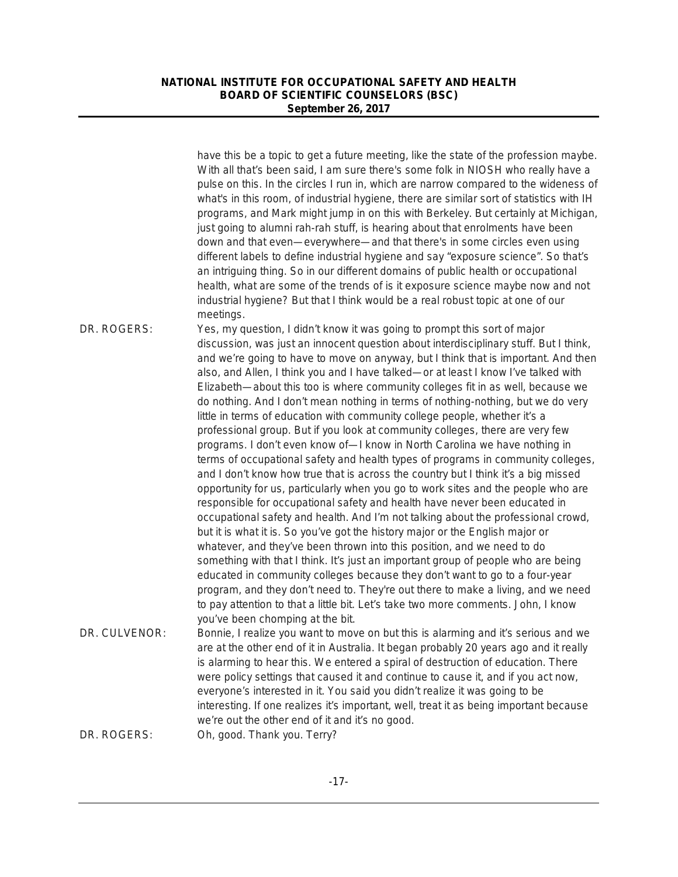|               | have this be a topic to get a future meeting, like the state of the profession maybe.<br>With all that's been said, I am sure there's some folk in NIOSH who really have a<br>pulse on this. In the circles I run in, which are narrow compared to the wideness of<br>what's in this room, of industrial hygiene, there are similar sort of statistics with IH<br>programs, and Mark might jump in on this with Berkeley. But certainly at Michigan,<br>just going to alumni rah-rah stuff, is hearing about that enrolments have been<br>down and that even-everywhere-and that there's in some circles even using<br>different labels to define industrial hygiene and say "exposure science". So that's<br>an intriguing thing. So in our different domains of public health or occupational<br>health, what are some of the trends of is it exposure science maybe now and not<br>industrial hygiene? But that I think would be a real robust topic at one of our<br>meetings. |
|---------------|------------------------------------------------------------------------------------------------------------------------------------------------------------------------------------------------------------------------------------------------------------------------------------------------------------------------------------------------------------------------------------------------------------------------------------------------------------------------------------------------------------------------------------------------------------------------------------------------------------------------------------------------------------------------------------------------------------------------------------------------------------------------------------------------------------------------------------------------------------------------------------------------------------------------------------------------------------------------------------|
| DR. ROGERS:   | Yes, my question, I didn't know it was going to prompt this sort of major<br>discussion, was just an innocent question about interdisciplinary stuff. But I think,<br>and we're going to have to move on anyway, but I think that is important. And then                                                                                                                                                                                                                                                                                                                                                                                                                                                                                                                                                                                                                                                                                                                           |
|               | also, and Allen, I think you and I have talked-or at least I know I've talked with<br>Elizabeth-about this too is where community colleges fit in as well, because we<br>do nothing. And I don't mean nothing in terms of nothing-nothing, but we do very<br>little in terms of education with community college people, whether it's a                                                                                                                                                                                                                                                                                                                                                                                                                                                                                                                                                                                                                                            |
|               | professional group. But if you look at community colleges, there are very few<br>programs. I don't even know of-I know in North Carolina we have nothing in<br>terms of occupational safety and health types of programs in community colleges,                                                                                                                                                                                                                                                                                                                                                                                                                                                                                                                                                                                                                                                                                                                                    |
|               | and I don't know how true that is across the country but I think it's a big missed<br>opportunity for us, particularly when you go to work sites and the people who are<br>responsible for occupational safety and health have never been educated in                                                                                                                                                                                                                                                                                                                                                                                                                                                                                                                                                                                                                                                                                                                              |
|               | occupational safety and health. And I'm not talking about the professional crowd,<br>but it is what it is. So you've got the history major or the English major or<br>whatever, and they've been thrown into this position, and we need to do                                                                                                                                                                                                                                                                                                                                                                                                                                                                                                                                                                                                                                                                                                                                      |
|               | something with that I think. It's just an important group of people who are being<br>educated in community colleges because they don't want to go to a four-year<br>program, and they don't need to. They're out there to make a living, and we need<br>to pay attention to that a little bit. Let's take two more comments. John, I know<br>you've been chomping at the bit.                                                                                                                                                                                                                                                                                                                                                                                                                                                                                                                                                                                                      |
| DR. CULVENOR: | Bonnie, I realize you want to move on but this is alarming and it's serious and we<br>are at the other end of it in Australia. It began probably 20 years ago and it really<br>is alarming to hear this. We entered a spiral of destruction of education. There<br>were policy settings that caused it and continue to cause it, and if you act now,<br>everyone's interested in it. You said you didn't realize it was going to be<br>interesting. If one realizes it's important, well, treat it as being important because                                                                                                                                                                                                                                                                                                                                                                                                                                                      |
| DR. ROGERS:   | we're out the other end of it and it's no good.<br>Oh, good. Thank you. Terry?                                                                                                                                                                                                                                                                                                                                                                                                                                                                                                                                                                                                                                                                                                                                                                                                                                                                                                     |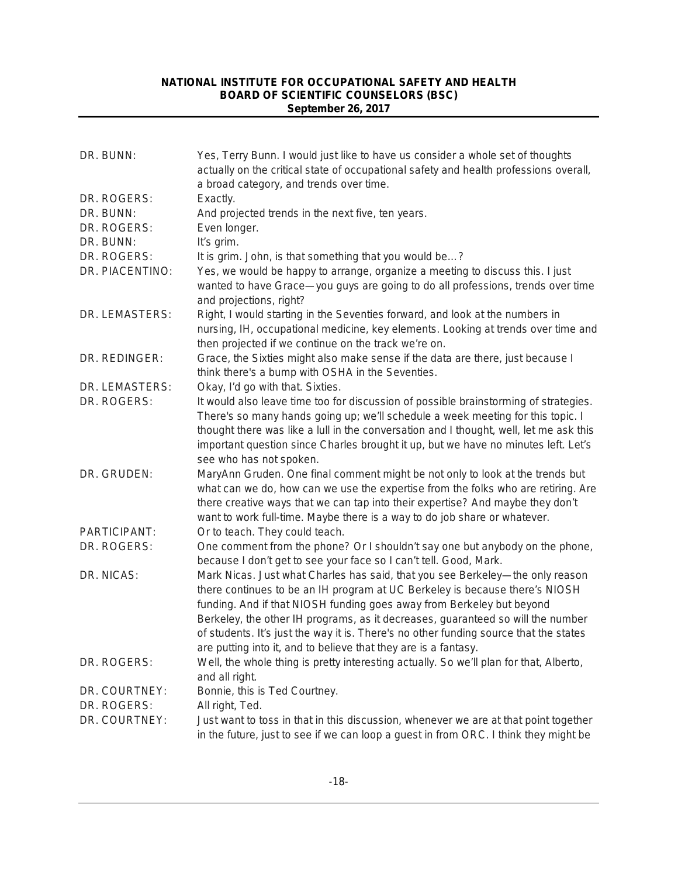| DR. BUNN:       | Yes, Terry Bunn. I would just like to have us consider a whole set of thoughts<br>actually on the critical state of occupational safety and health professions overall,                                                                                                                                                                                                                                                                                                              |
|-----------------|--------------------------------------------------------------------------------------------------------------------------------------------------------------------------------------------------------------------------------------------------------------------------------------------------------------------------------------------------------------------------------------------------------------------------------------------------------------------------------------|
|                 | a broad category, and trends over time.                                                                                                                                                                                                                                                                                                                                                                                                                                              |
| DR. ROGERS:     | Exactly.                                                                                                                                                                                                                                                                                                                                                                                                                                                                             |
| DR. BUNN:       | And projected trends in the next five, ten years.                                                                                                                                                                                                                                                                                                                                                                                                                                    |
| DR. ROGERS:     | Even longer.                                                                                                                                                                                                                                                                                                                                                                                                                                                                         |
| DR. BUNN:       | It's grim.                                                                                                                                                                                                                                                                                                                                                                                                                                                                           |
| DR. ROGERS:     | It is grim. John, is that something that you would be?                                                                                                                                                                                                                                                                                                                                                                                                                               |
| DR. PIACENTINO: | Yes, we would be happy to arrange, organize a meeting to discuss this. I just<br>wanted to have Grace-you guys are going to do all professions, trends over time<br>and projections, right?                                                                                                                                                                                                                                                                                          |
| DR. LEMASTERS:  | Right, I would starting in the Seventies forward, and look at the numbers in<br>nursing, IH, occupational medicine, key elements. Looking at trends over time and<br>then projected if we continue on the track we're on.                                                                                                                                                                                                                                                            |
| DR. REDINGER:   | Grace, the Sixties might also make sense if the data are there, just because I<br>think there's a bump with OSHA in the Seventies.                                                                                                                                                                                                                                                                                                                                                   |
| DR. LEMASTERS:  | Okay, I'd go with that. Sixties.                                                                                                                                                                                                                                                                                                                                                                                                                                                     |
| DR. ROGERS:     | It would also leave time too for discussion of possible brainstorming of strategies.<br>There's so many hands going up; we'll schedule a week meeting for this topic. I<br>thought there was like a lull in the conversation and I thought, well, let me ask this<br>important question since Charles brought it up, but we have no minutes left. Let's<br>see who has not spoken.                                                                                                   |
| DR. GRUDEN:     | MaryAnn Gruden. One final comment might be not only to look at the trends but<br>what can we do, how can we use the expertise from the folks who are retiring. Are<br>there creative ways that we can tap into their expertise? And maybe they don't<br>want to work full-time. Maybe there is a way to do job share or whatever.                                                                                                                                                    |
| PARTICIPANT:    | Or to teach. They could teach.                                                                                                                                                                                                                                                                                                                                                                                                                                                       |
| DR. ROGERS:     | One comment from the phone? Or I shouldn't say one but anybody on the phone,<br>because I don't get to see your face so I can't tell. Good, Mark.                                                                                                                                                                                                                                                                                                                                    |
| DR. NICAS:      | Mark Nicas. Just what Charles has said, that you see Berkeley—the only reason<br>there continues to be an IH program at UC Berkeley is because there's NIOSH<br>funding. And if that NIOSH funding goes away from Berkeley but beyond<br>Berkeley, the other IH programs, as it decreases, guaranteed so will the number<br>of students. It's just the way it is. There's no other funding source that the states<br>are putting into it, and to believe that they are is a fantasy. |
| DR. ROGERS:     | Well, the whole thing is pretty interesting actually. So we'll plan for that, Alberto,<br>and all right.                                                                                                                                                                                                                                                                                                                                                                             |
| DR. COURTNEY:   | Bonnie, this is Ted Courtney.                                                                                                                                                                                                                                                                                                                                                                                                                                                        |
| DR. ROGERS:     | All right, Ted.                                                                                                                                                                                                                                                                                                                                                                                                                                                                      |
| DR. COURTNEY:   | Just want to toss in that in this discussion, whenever we are at that point together<br>in the future, just to see if we can loop a guest in from ORC. I think they might be                                                                                                                                                                                                                                                                                                         |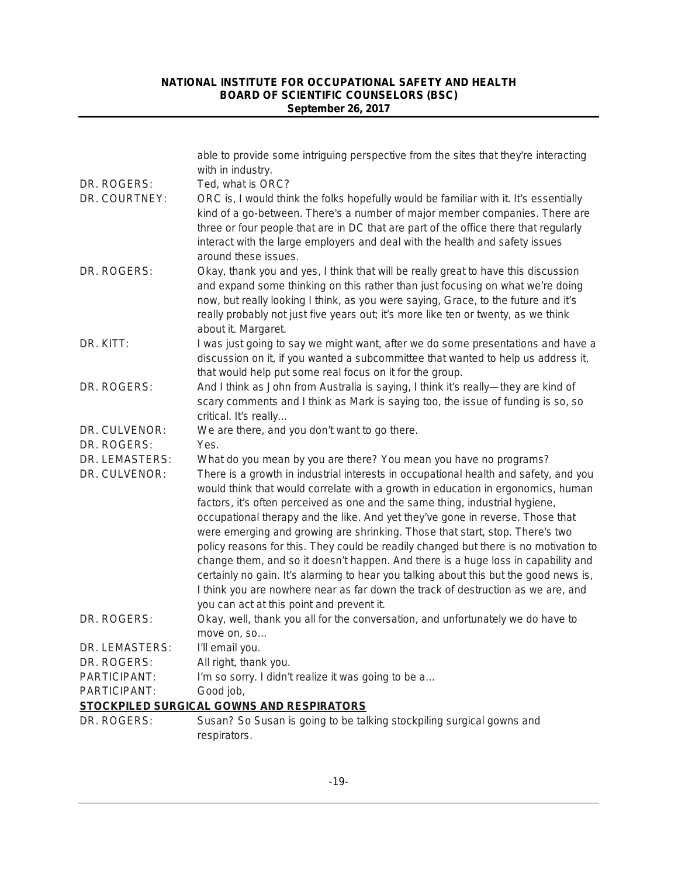|                                 | able to provide some intriguing perspective from the sites that they're interacting<br>with in industry.                                                                                                                                                                                                                                                                                                                                                                                                                                                                                                                                                                                                                                                                                                                                                                                               |
|---------------------------------|--------------------------------------------------------------------------------------------------------------------------------------------------------------------------------------------------------------------------------------------------------------------------------------------------------------------------------------------------------------------------------------------------------------------------------------------------------------------------------------------------------------------------------------------------------------------------------------------------------------------------------------------------------------------------------------------------------------------------------------------------------------------------------------------------------------------------------------------------------------------------------------------------------|
| DR. ROGERS:                     | Ted, what is ORC?                                                                                                                                                                                                                                                                                                                                                                                                                                                                                                                                                                                                                                                                                                                                                                                                                                                                                      |
| DR. COURTNEY:                   | ORC is, I would think the folks hopefully would be familiar with it. It's essentially<br>kind of a go-between. There's a number of major member companies. There are<br>three or four people that are in DC that are part of the office there that regularly<br>interact with the large employers and deal with the health and safety issues<br>around these issues.                                                                                                                                                                                                                                                                                                                                                                                                                                                                                                                                   |
| DR. ROGERS:                     | Okay, thank you and yes, I think that will be really great to have this discussion<br>and expand some thinking on this rather than just focusing on what we're doing<br>now, but really looking I think, as you were saying, Grace, to the future and it's<br>really probably not just five years out; it's more like ten or twenty, as we think<br>about it. Margaret.                                                                                                                                                                                                                                                                                                                                                                                                                                                                                                                                |
| DR. KITT:                       | I was just going to say we might want, after we do some presentations and have a<br>discussion on it, if you wanted a subcommittee that wanted to help us address it,<br>that would help put some real focus on it for the group.                                                                                                                                                                                                                                                                                                                                                                                                                                                                                                                                                                                                                                                                      |
| DR. ROGERS:                     | And I think as John from Australia is saying, I think it's really-they are kind of<br>scary comments and I think as Mark is saying too, the issue of funding is so, so<br>critical. It's really                                                                                                                                                                                                                                                                                                                                                                                                                                                                                                                                                                                                                                                                                                        |
| DR. CULVENOR:                   | We are there, and you don't want to go there.                                                                                                                                                                                                                                                                                                                                                                                                                                                                                                                                                                                                                                                                                                                                                                                                                                                          |
| DR. ROGERS:                     | Yes.                                                                                                                                                                                                                                                                                                                                                                                                                                                                                                                                                                                                                                                                                                                                                                                                                                                                                                   |
| DR. LEMASTERS:<br>DR. CULVENOR: | What do you mean by you are there? You mean you have no programs?<br>There is a growth in industrial interests in occupational health and safety, and you<br>would think that would correlate with a growth in education in ergonomics, human<br>factors, it's often perceived as one and the same thing, industrial hygiene,<br>occupational therapy and the like. And yet they've gone in reverse. Those that<br>were emerging and growing are shrinking. Those that start, stop. There's two<br>policy reasons for this. They could be readily changed but there is no motivation to<br>change them, and so it doesn't happen. And there is a huge loss in capability and<br>certainly no gain. It's alarming to hear you talking about this but the good news is,<br>I think you are nowhere near as far down the track of destruction as we are, and<br>you can act at this point and prevent it. |
| DR. ROGERS:                     | Okay, well, thank you all for the conversation, and unfortunately we do have to<br>move on, so                                                                                                                                                                                                                                                                                                                                                                                                                                                                                                                                                                                                                                                                                                                                                                                                         |
| DR. LEMASTERS:                  | I'll email you.                                                                                                                                                                                                                                                                                                                                                                                                                                                                                                                                                                                                                                                                                                                                                                                                                                                                                        |
| DR. ROGERS:                     | All right, thank you.                                                                                                                                                                                                                                                                                                                                                                                                                                                                                                                                                                                                                                                                                                                                                                                                                                                                                  |
| PARTICIPANT:                    | I'm so sorry. I didn't realize it was going to be a                                                                                                                                                                                                                                                                                                                                                                                                                                                                                                                                                                                                                                                                                                                                                                                                                                                    |
| PARTICIPANT:                    | Good job,                                                                                                                                                                                                                                                                                                                                                                                                                                                                                                                                                                                                                                                                                                                                                                                                                                                                                              |
|                                 | STOCKPILED SURGICAL GOWNS AND RESPIRATORS                                                                                                                                                                                                                                                                                                                                                                                                                                                                                                                                                                                                                                                                                                                                                                                                                                                              |
| DR. ROGERS:                     | Susan? So Susan is going to be talking stockpiling surgical gowns and<br>respirators.                                                                                                                                                                                                                                                                                                                                                                                                                                                                                                                                                                                                                                                                                                                                                                                                                  |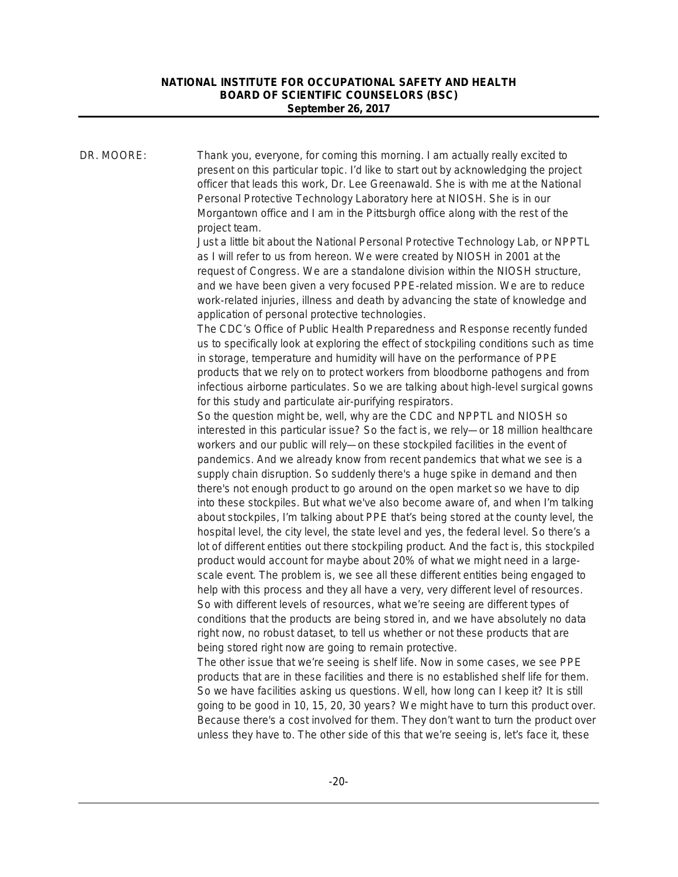DR. MOORE: Thank you, everyone, for coming this morning. I am actually really excited to present on this particular topic. I'd like to start out by acknowledging the project officer that leads this work, Dr. Lee Greenawald. She is with me at the National Personal Protective Technology Laboratory here at NIOSH. She is in our Morgantown office and I am in the Pittsburgh office along with the rest of the project team. Just a little bit about the National Personal Protective Technology Lab, or NPPTL as I will refer to us from hereon. We were created by NIOSH in 2001 at the request of Congress. We are a standalone division within the NIOSH structure, and we have been given a very focused PPE-related mission. We are to reduce work-related injuries, illness and death by advancing the state of knowledge and application of personal protective technologies. The CDC's Office of Public Health Preparedness and Response recently funded us to specifically look at exploring the effect of stockpiling conditions such as time in storage, temperature and humidity will have on the performance of PPE products that we rely on to protect workers from bloodborne pathogens and from infectious airborne particulates. So we are talking about high-level surgical gowns for this study and particulate air-purifying respirators. So the question might be, well, why are the CDC and NPPTL and NIOSH so interested in this particular issue? So the fact is, we rely—or 18 million healthcare workers and our public will rely—on these stockpiled facilities in the event of pandemics. And we already know from recent pandemics that what we see is a supply chain disruption. So suddenly there's a huge spike in demand and then there's not enough product to go around on the open market so we have to dip into these stockpiles. But what we've also become aware of, and when I'm talking about stockpiles, I'm talking about PPE that's being stored at the county level, the hospital level, the city level, the state level and yes, the federal level. So there's a lot of different entities out there stockpiling product. And the fact is, this stockpiled product would account for maybe about 20% of what we might need in a largescale event. The problem is, we see all these different entities being engaged to help with this process and they all have a very, very different level of resources. So with different levels of resources, what we're seeing are different types of conditions that the products are being stored in, and we have absolutely no data right now, no robust dataset, to tell us whether or not these products that are being stored right now are going to remain protective. The other issue that we're seeing is shelf life. Now in some cases, we see PPE products that are in these facilities and there is no established shelf life for them. So we have facilities asking us questions. Well, how long can I keep it? It is still going to be good in 10, 15, 20, 30 years? We might have to turn this product over. Because there's a cost involved for them. They don't want to turn the product over

unless they have to. The other side of this that we're seeing is, let's face it, these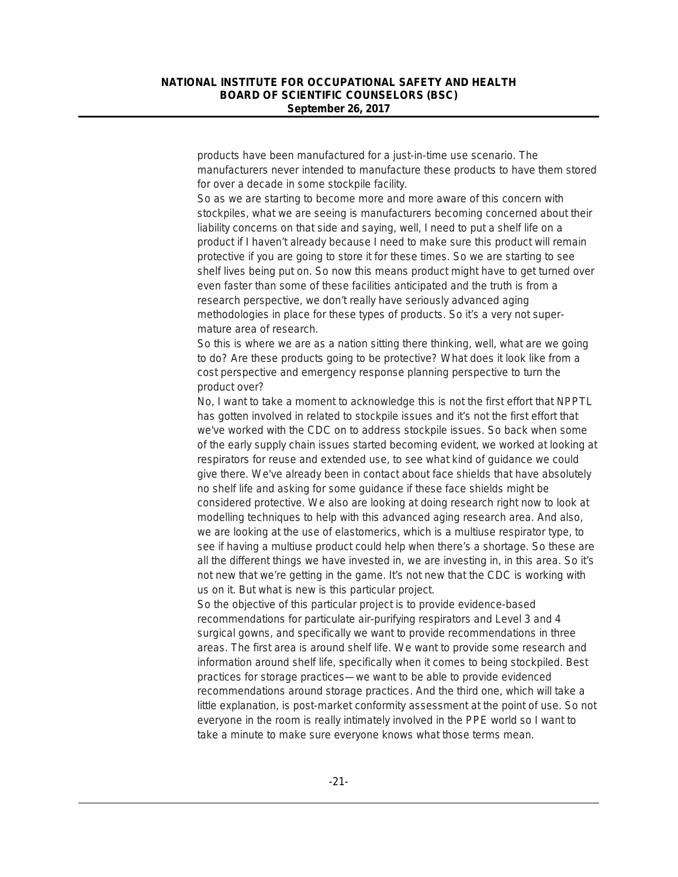products have been manufactured for a just-in-time use scenario. The manufacturers never intended to manufacture these products to have them stored for over a decade in some stockpile facility.

So as we are starting to become more and more aware of this concern with stockpiles, what we are seeing is manufacturers becoming concerned about their liability concerns on that side and saying, well, I need to put a shelf life on a product if I haven't already because I need to make sure this product will remain protective if you are going to store it for these times. So we are starting to see shelf lives being put on. So now this means product might have to get turned over even faster than some of these facilities anticipated and the truth is from a research perspective, we don't really have seriously advanced aging methodologies in place for these types of products. So it's a very not supermature area of research.

So this is where we are as a nation sitting there thinking, well, what are we going to do? Are these products going to be protective? What does it look like from a cost perspective and emergency response planning perspective to turn the product over?

No, I want to take a moment to acknowledge this is not the first effort that NPPTL has gotten involved in related to stockpile issues and it's not the first effort that we've worked with the CDC on to address stockpile issues. So back when some of the early supply chain issues started becoming evident, we worked at looking at respirators for reuse and extended use, to see what kind of guidance we could give there. We've already been in contact about face shields that have absolutely no shelf life and asking for some guidance if these face shields might be considered protective. We also are looking at doing research right now to look at modelling techniques to help with this advanced aging research area. And also, we are looking at the use of elastomerics, which is a multiuse respirator type, to see if having a multiuse product could help when there's a shortage. So these are all the different things we have invested in, we are investing in, in this area. So it's not new that we're getting in the game. It's not new that the CDC is working with us on it. But what is new is this particular project.

So the objective of this particular project is to provide evidence-based recommendations for particulate air-purifying respirators and Level 3 and 4 surgical gowns, and specifically we want to provide recommendations in three areas. The first area is around shelf life. We want to provide some research and information around shelf life, specifically when it comes to being stockpiled. Best practices for storage practices—we want to be able to provide evidenced recommendations around storage practices. And the third one, which will take a little explanation, is post-market conformity assessment at the point of use. So not everyone in the room is really intimately involved in the PPE world so I want to take a minute to make sure everyone knows what those terms mean.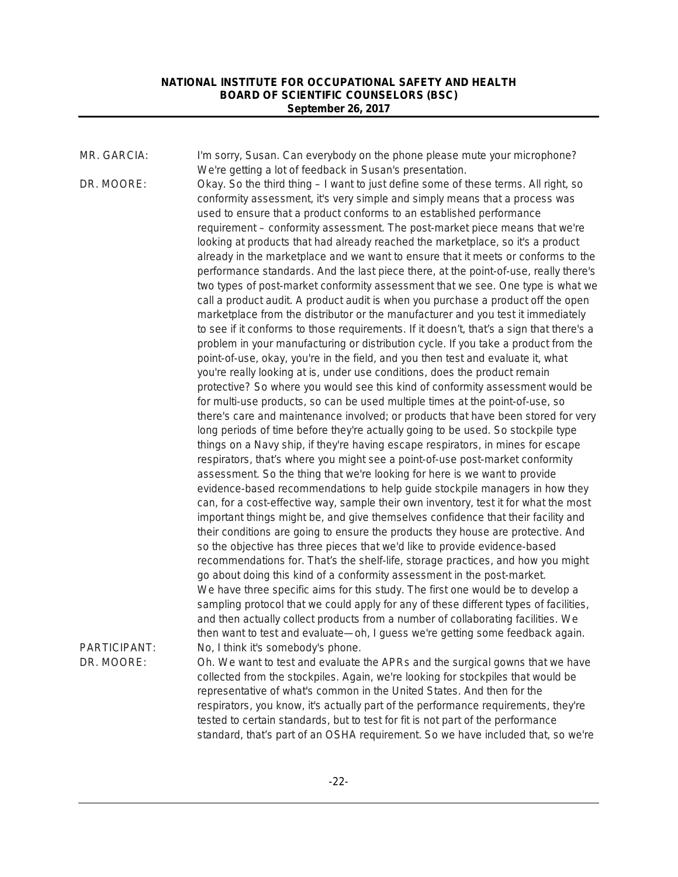MR. GARCIA: I'm sorry, Susan. Can everybody on the phone please mute your microphone? We're getting a lot of feedback in Susan's presentation. DR. MOORE: Okay. So the third thing – I want to just define some of these terms. All right, so conformity assessment, it's very simple and simply means that a process was used to ensure that a product conforms to an established performance requirement – conformity assessment. The post-market piece means that we're looking at products that had already reached the marketplace, so it's a product already in the marketplace and we want to ensure that it meets or conforms to the performance standards. And the last piece there, at the point-of-use, really there's two types of post-market conformity assessment that we see. One type is what we call a product audit. A product audit is when you purchase a product off the open marketplace from the distributor or the manufacturer and you test it immediately to see if it conforms to those requirements. If it doesn't, that's a sign that there's a problem in your manufacturing or distribution cycle. If you take a product from the point-of-use, okay, you're in the field, and you then test and evaluate it, what you're really looking at is, under use conditions, does the product remain protective? So where you would see this kind of conformity assessment would be for multi-use products, so can be used multiple times at the point-of-use, so there's care and maintenance involved; or products that have been stored for very long periods of time before they're actually going to be used. So stockpile type things on a Navy ship, if they're having escape respirators, in mines for escape respirators, that's where you might see a point-of-use post-market conformity assessment. So the thing that we're looking for here is we want to provide evidence-based recommendations to help guide stockpile managers in how they can, for a cost-effective way, sample their own inventory, test it for what the most important things might be, and give themselves confidence that their facility and their conditions are going to ensure the products they house are protective. And so the objective has three pieces that we'd like to provide evidence-based recommendations for. That's the shelf-life, storage practices, and how you might go about doing this kind of a conformity assessment in the post-market. We have three specific aims for this study. The first one would be to develop a sampling protocol that we could apply for any of these different types of facilities, and then actually collect products from a number of collaborating facilities. We then want to test and evaluate—oh, I guess we're getting some feedback again. PARTICIPANT: No, I think it's somebody's phone. DR. MOORE: Oh. We want to test and evaluate the APRs and the surgical gowns that we have collected from the stockpiles. Again, we're looking for stockpiles that would be representative of what's common in the United States. And then for the respirators, you know, it's actually part of the performance requirements, they're tested to certain standards, but to test for fit is not part of the performance standard, that's part of an OSHA requirement. So we have included that, so we're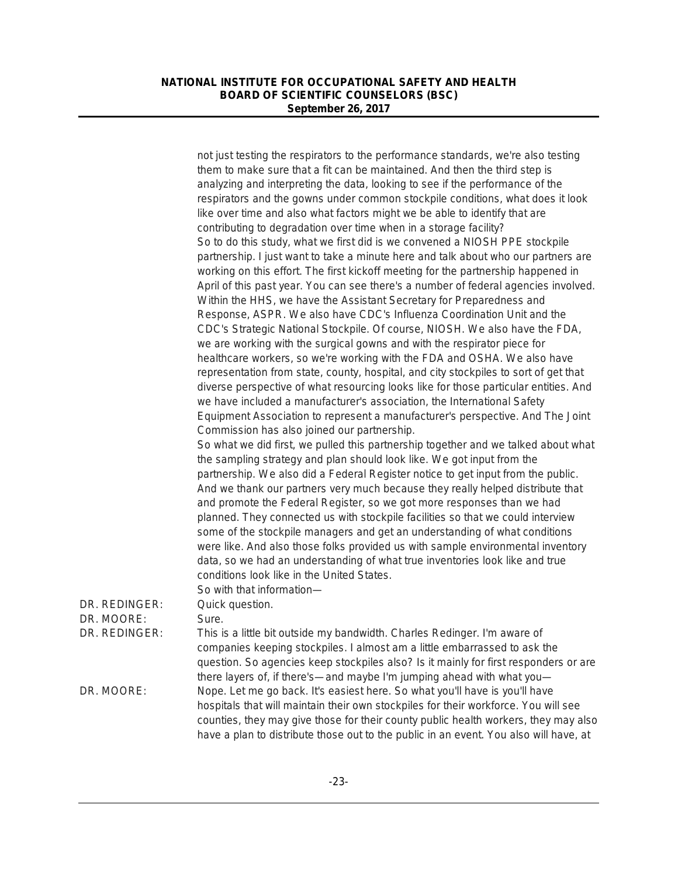|               | not just testing the respirators to the performance standards, we're also testing<br>them to make sure that a fit can be maintained. And then the third step is<br>analyzing and interpreting the data, looking to see if the performance of the                                                                                                                                                                                                                                                 |
|---------------|--------------------------------------------------------------------------------------------------------------------------------------------------------------------------------------------------------------------------------------------------------------------------------------------------------------------------------------------------------------------------------------------------------------------------------------------------------------------------------------------------|
|               | respirators and the gowns under common stockpile conditions, what does it look<br>like over time and also what factors might we be able to identify that are                                                                                                                                                                                                                                                                                                                                     |
|               | contributing to degradation over time when in a storage facility?<br>So to do this study, what we first did is we convened a NIOSH PPE stockpile                                                                                                                                                                                                                                                                                                                                                 |
|               | partnership. I just want to take a minute here and talk about who our partners are                                                                                                                                                                                                                                                                                                                                                                                                               |
|               | working on this effort. The first kickoff meeting for the partnership happened in<br>April of this past year. You can see there's a number of federal agencies involved.<br>Within the HHS, we have the Assistant Secretary for Preparedness and                                                                                                                                                                                                                                                 |
|               | Response, ASPR. We also have CDC's Influenza Coordination Unit and the                                                                                                                                                                                                                                                                                                                                                                                                                           |
|               | CDC's Strategic National Stockpile. Of course, NIOSH. We also have the FDA,<br>we are working with the surgical gowns and with the respirator piece for                                                                                                                                                                                                                                                                                                                                          |
|               | healthcare workers, so we're working with the FDA and OSHA. We also have<br>representation from state, county, hospital, and city stockpiles to sort of get that<br>diverse perspective of what resourcing looks like for those particular entities. And<br>we have included a manufacturer's association, the International Safety                                                                                                                                                              |
|               | Equipment Association to represent a manufacturer's perspective. And The Joint<br>Commission has also joined our partnership.                                                                                                                                                                                                                                                                                                                                                                    |
|               | So what we did first, we pulled this partnership together and we talked about what<br>the sampling strategy and plan should look like. We got input from the                                                                                                                                                                                                                                                                                                                                     |
|               | partnership. We also did a Federal Register notice to get input from the public.<br>And we thank our partners very much because they really helped distribute that<br>and promote the Federal Register, so we got more responses than we had<br>planned. They connected us with stockpile facilities so that we could interview<br>some of the stockpile managers and get an understanding of what conditions<br>were like. And also those folks provided us with sample environmental inventory |
|               | data, so we had an understanding of what true inventories look like and true<br>conditions look like in the United States.                                                                                                                                                                                                                                                                                                                                                                       |
| DR. REDINGER: | So with that information-<br>Quick question.                                                                                                                                                                                                                                                                                                                                                                                                                                                     |
| DR. MOORE:    | Sure.                                                                                                                                                                                                                                                                                                                                                                                                                                                                                            |
| DR. REDINGER: | This is a little bit outside my bandwidth. Charles Redinger. I'm aware of<br>companies keeping stockpiles. I almost am a little embarrassed to ask the<br>question. So agencies keep stockpiles also? Is it mainly for first responders or are<br>there layers of, if there's—and maybe I'm jumping ahead with what you—                                                                                                                                                                         |
| DR. MOORE:    | Nope. Let me go back. It's easiest here. So what you'll have is you'll have<br>hospitals that will maintain their own stockpiles for their workforce. You will see<br>counties, they may give those for their county public health workers, they may also<br>have a plan to distribute those out to the public in an event. You also will have, at                                                                                                                                               |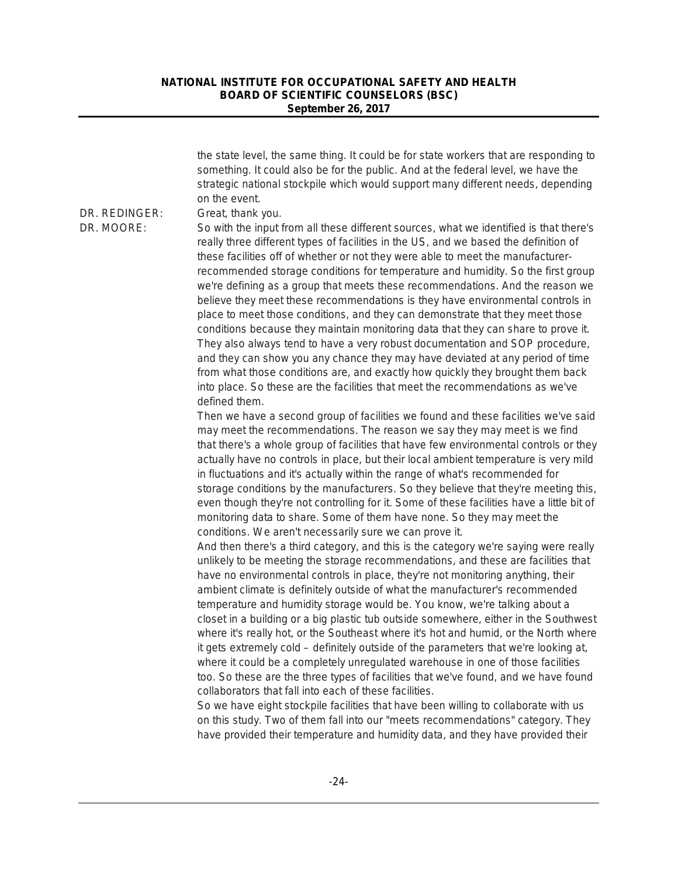the state level, the same thing. It could be for state workers that are responding to something. It could also be for the public. And at the federal level, we have the strategic national stockpile which would support many different needs, depending on the event. DR. REDINGER: Great, thank you. DR. MOORE: So with the input from all these different sources, what we identified is that there's really three different types of facilities in the US, and we based the definition of these facilities off of whether or not they were able to meet the manufacturerrecommended storage conditions for temperature and humidity. So the first group we're defining as a group that meets these recommendations. And the reason we believe they meet these recommendations is they have environmental controls in place to meet those conditions, and they can demonstrate that they meet those conditions because they maintain monitoring data that they can share to prove it. They also always tend to have a very robust documentation and SOP procedure, and they can show you any chance they may have deviated at any period of time from what those conditions are, and exactly how quickly they brought them back into place. So these are the facilities that meet the recommendations as we've defined them. Then we have a second group of facilities we found and these facilities we've said may meet the recommendations. The reason we say they may meet is we find that there's a whole group of facilities that have few environmental controls or they actually have no controls in place, but their local ambient temperature is very mild in fluctuations and it's actually within the range of what's recommended for storage conditions by the manufacturers. So they believe that they're meeting this, even though they're not controlling for it. Some of these facilities have a little bit of monitoring data to share. Some of them have none. So they may meet the conditions. We aren't necessarily sure we can prove it. And then there's a third category, and this is the category we're saying were really unlikely to be meeting the storage recommendations, and these are facilities that have no environmental controls in place, they're not monitoring anything, their ambient climate is definitely outside of what the manufacturer's recommended temperature and humidity storage would be. You know, we're talking about a closet in a building or a big plastic tub outside somewhere, either in the Southwest where it's really hot, or the Southeast where it's hot and humid, or the North where it gets extremely cold – definitely outside of the parameters that we're looking at, where it could be a completely unregulated warehouse in one of those facilities too. So these are the three types of facilities that we've found, and we have found collaborators that fall into each of these facilities. So we have eight stockpile facilities that have been willing to collaborate with us on this study. Two of them fall into our "meets recommendations" category. They have provided their temperature and humidity data, and they have provided their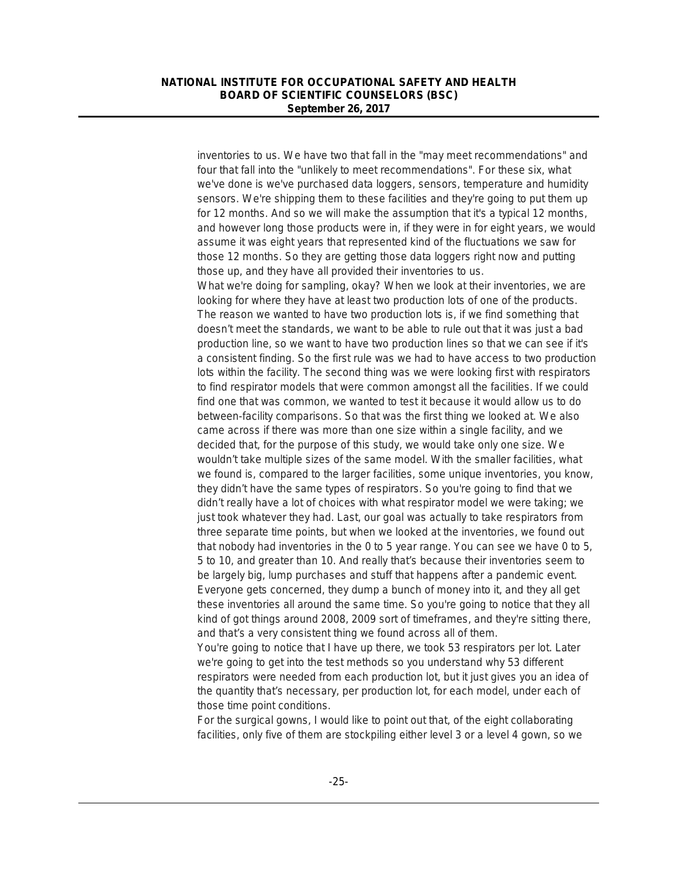inventories to us. We have two that fall in the "may meet recommendations" and four that fall into the "unlikely to meet recommendations". For these six, what we've done is we've purchased data loggers, sensors, temperature and humidity sensors. We're shipping them to these facilities and they're going to put them up for 12 months. And so we will make the assumption that it's a typical 12 months, and however long those products were in, if they were in for eight years, we would assume it was eight years that represented kind of the fluctuations we saw for those 12 months. So they are getting those data loggers right now and putting those up, and they have all provided their inventories to us. What we're doing for sampling, okay? When we look at their inventories, we are looking for where they have at least two production lots of one of the products. The reason we wanted to have two production lots is, if we find something that doesn't meet the standards, we want to be able to rule out that it was just a bad production line, so we want to have two production lines so that we can see if it's a consistent finding. So the first rule was we had to have access to two production lots within the facility. The second thing was we were looking first with respirators to find respirator models that were common amongst all the facilities. If we could find one that was common, we wanted to test it because it would allow us to do between-facility comparisons. So that was the first thing we looked at. We also came across if there was more than one size within a single facility, and we decided that, for the purpose of this study, we would take only one size. We wouldn't take multiple sizes of the same model. With the smaller facilities, what we found is, compared to the larger facilities, some unique inventories, you know, they didn't have the same types of respirators. So you're going to find that we didn't really have a lot of choices with what respirator model we were taking; we just took whatever they had. Last, our goal was actually to take respirators from three separate time points, but when we looked at the inventories, we found out that nobody had inventories in the 0 to 5 year range. You can see we have 0 to 5, 5 to 10, and greater than 10. And really that's because their inventories seem to be largely big, lump purchases and stuff that happens after a pandemic event. Everyone gets concerned, they dump a bunch of money into it, and they all get these inventories all around the same time. So you're going to notice that they all kind of got things around 2008, 2009 sort of timeframes, and they're sitting there, and that's a very consistent thing we found across all of them.

You're going to notice that I have up there, we took 53 respirators per lot. Later we're going to get into the test methods so you understand why 53 different respirators were needed from each production lot, but it just gives you an idea of the quantity that's necessary, per production lot, for each model, under each of those time point conditions.

For the surgical gowns, I would like to point out that, of the eight collaborating facilities, only five of them are stockpiling either level 3 or a level 4 gown, so we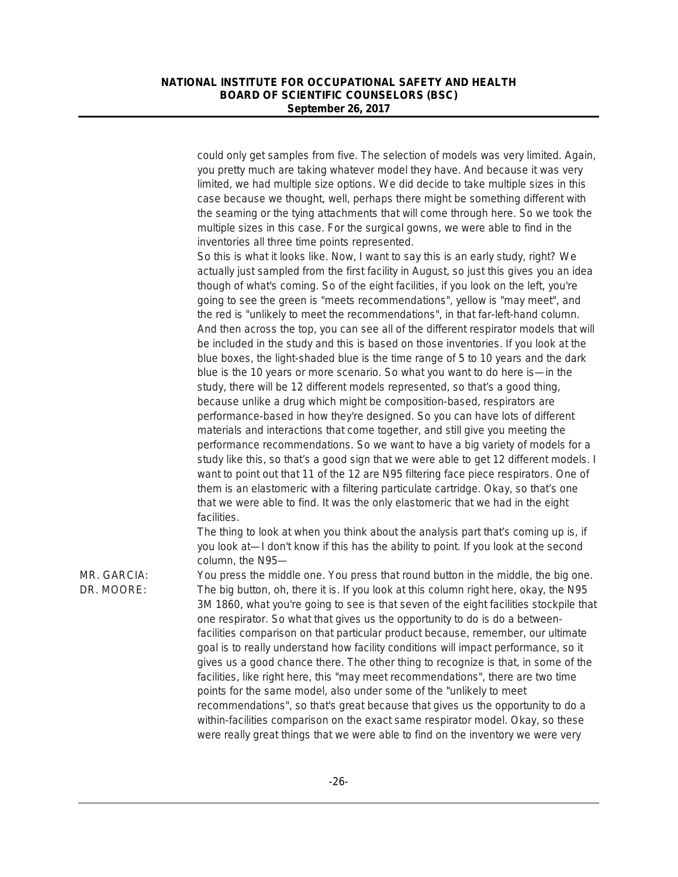could only get samples from five. The selection of models was very limited. Again, you pretty much are taking whatever model they have. And because it was very limited, we had multiple size options. We did decide to take multiple sizes in this case because we thought, well, perhaps there might be something different with the seaming or the tying attachments that will come through here. So we took the multiple sizes in this case. For the surgical gowns, we were able to find in the inventories all three time points represented.

So this is what it looks like. Now, I want to say this is an early study, right? We actually just sampled from the first facility in August, so just this gives you an idea though of what's coming. So of the eight facilities, if you look on the left, you're going to see the green is "meets recommendations", yellow is "may meet", and the red is "unlikely to meet the recommendations", in that far-left-hand column. And then across the top, you can see all of the different respirator models that will be included in the study and this is based on those inventories. If you look at the blue boxes, the light-shaded blue is the time range of 5 to 10 years and the dark blue is the 10 years or more scenario. So what you want to do here is—in the study, there will be 12 different models represented, so that's a good thing, because unlike a drug which might be composition-based, respirators are performance-based in how they're designed. So you can have lots of different materials and interactions that come together, and still give you meeting the performance recommendations. So we want to have a big variety of models for a study like this, so that's a good sign that we were able to get 12 different models. I want to point out that 11 of the 12 are N95 filtering face piece respirators. One of them is an elastomeric with a filtering particulate cartridge. Okay, so that's one that we were able to find. It was the only elastomeric that we had in the eight facilities.

The thing to look at when you think about the analysis part that's coming up is, if you look at—I don't know if this has the ability to point. If you look at the second column, the N95—

MR. GARCIA: You press the middle one. You press that round button in the middle, the big one. DR. MOORE: The big button, oh, there it is. If you look at this column right here, okay, the N95 3M 1860, what you're going to see is that seven of the eight facilities stockpile that one respirator. So what that gives us the opportunity to do is do a betweenfacilities comparison on that particular product because, remember, our ultimate goal is to really understand how facility conditions will impact performance, so it gives us a good chance there. The other thing to recognize is that, in some of the facilities, like right here, this "may meet recommendations", there are two time points for the same model, also under some of the "unlikely to meet recommendations", so that's great because that gives us the opportunity to do a within-facilities comparison on the exact same respirator model. Okay, so these were really great things that we were able to find on the inventory we were very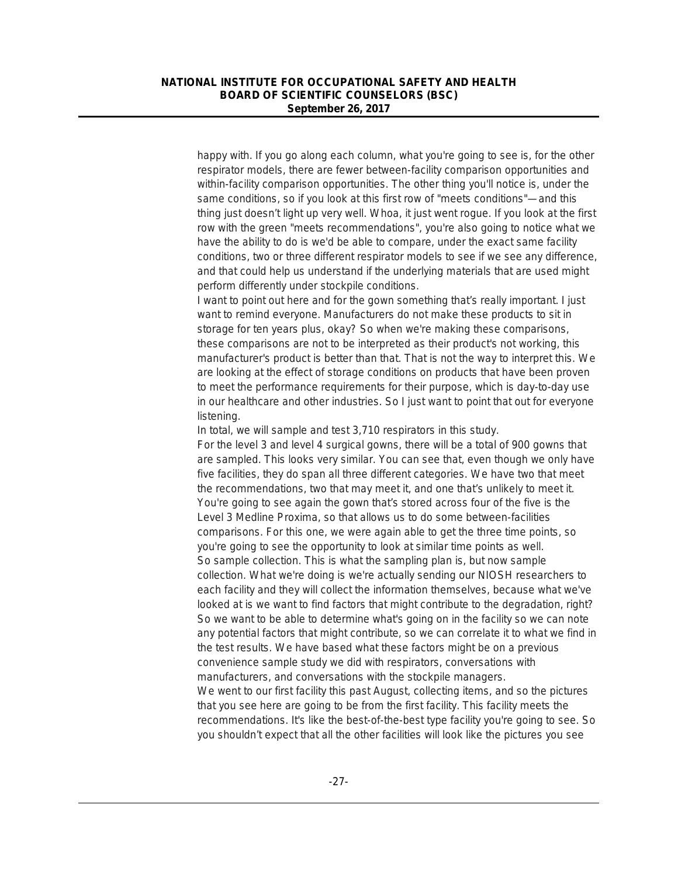happy with. If you go along each column, what you're going to see is, for the other respirator models, there are fewer between-facility comparison opportunities and within-facility comparison opportunities. The other thing you'll notice is, under the same conditions, so if you look at this first row of "meets conditions"—and this thing just doesn't light up very well. Whoa, it just went rogue. If you look at the first row with the green "meets recommendations", you're also going to notice what we have the ability to do is we'd be able to compare, under the exact same facility conditions, two or three different respirator models to see if we see any difference, and that could help us understand if the underlying materials that are used might perform differently under stockpile conditions.

I want to point out here and for the gown something that's really important. I just want to remind everyone. Manufacturers do not make these products to sit in storage for ten years plus, okay? So when we're making these comparisons, these comparisons are not to be interpreted as their product's not working, this manufacturer's product is better than that. That is not the way to interpret this. We are looking at the effect of storage conditions on products that have been proven to meet the performance requirements for their purpose, which is day-to-day use in our healthcare and other industries. So I just want to point that out for everyone listening.

In total, we will sample and test 3,710 respirators in this study.

For the level 3 and level 4 surgical gowns, there will be a total of 900 gowns that are sampled. This looks very similar. You can see that, even though we only have five facilities, they do span all three different categories. We have two that meet the recommendations, two that may meet it, and one that's unlikely to meet it. You're going to see again the gown that's stored across four of the five is the Level 3 Medline Proxima, so that allows us to do some between-facilities comparisons. For this one, we were again able to get the three time points, so you're going to see the opportunity to look at similar time points as well. So sample collection. This is what the sampling plan is, but now sample collection. What we're doing is we're actually sending our NIOSH researchers to each facility and they will collect the information themselves, because what we've looked at is we want to find factors that might contribute to the degradation, right? So we want to be able to determine what's going on in the facility so we can note any potential factors that might contribute, so we can correlate it to what we find in the test results. We have based what these factors might be on a previous convenience sample study we did with respirators, conversations with manufacturers, and conversations with the stockpile managers. We went to our first facility this past August, collecting items, and so the pictures

that you see here are going to be from the first facility. This facility meets the recommendations. It's like the best-of-the-best type facility you're going to see. So you shouldn't expect that all the other facilities will look like the pictures you see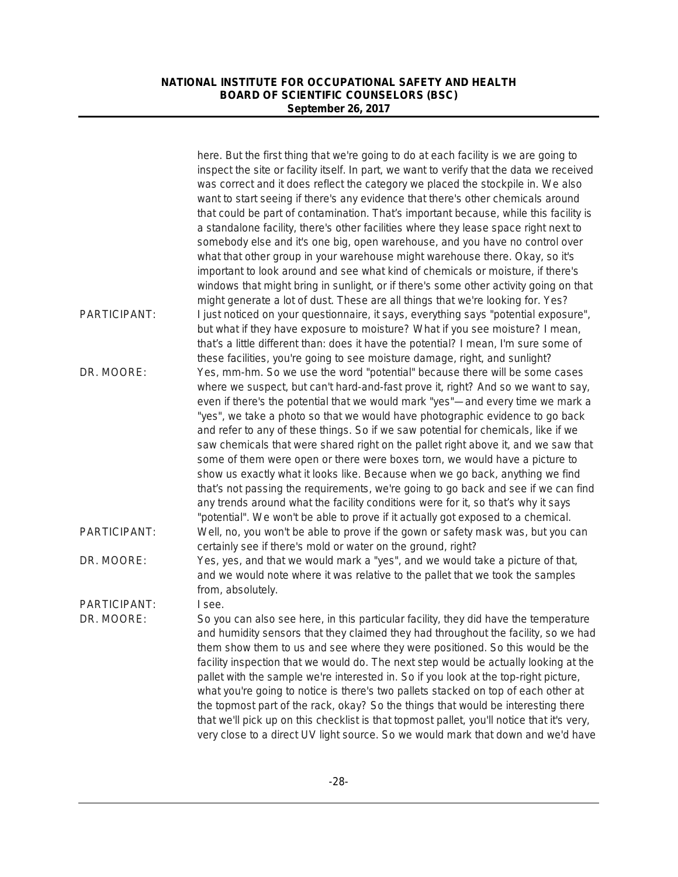|              | here. But the first thing that we're going to do at each facility is we are going to<br>inspect the site or facility itself. In part, we want to verify that the data we received<br>was correct and it does reflect the category we placed the stockpile in. We also                                                                                                                                                                                                                                                             |
|--------------|-----------------------------------------------------------------------------------------------------------------------------------------------------------------------------------------------------------------------------------------------------------------------------------------------------------------------------------------------------------------------------------------------------------------------------------------------------------------------------------------------------------------------------------|
|              | want to start seeing if there's any evidence that there's other chemicals around<br>that could be part of contamination. That's important because, while this facility is                                                                                                                                                                                                                                                                                                                                                         |
|              | a standalone facility, there's other facilities where they lease space right next to<br>somebody else and it's one big, open warehouse, and you have no control over                                                                                                                                                                                                                                                                                                                                                              |
|              | what that other group in your warehouse might warehouse there. Okay, so it's<br>important to look around and see what kind of chemicals or moisture, if there's                                                                                                                                                                                                                                                                                                                                                                   |
|              | windows that might bring in sunlight, or if there's some other activity going on that<br>might generate a lot of dust. These are all things that we're looking for. Yes?                                                                                                                                                                                                                                                                                                                                                          |
| PARTICIPANT: | I just noticed on your questionnaire, it says, everything says "potential exposure",<br>but what if they have exposure to moisture? What if you see moisture? I mean,<br>that's a little different than: does it have the potential? I mean, I'm sure some of<br>these facilities, you're going to see moisture damage, right, and sunlight?                                                                                                                                                                                      |
| DR. MOORE:   | Yes, mm-hm. So we use the word "potential" because there will be some cases<br>where we suspect, but can't hard-and-fast prove it, right? And so we want to say,<br>even if there's the potential that we would mark "yes"-and every time we mark a                                                                                                                                                                                                                                                                               |
|              | "yes", we take a photo so that we would have photographic evidence to go back<br>and refer to any of these things. So if we saw potential for chemicals, like if we<br>saw chemicals that were shared right on the pallet right above it, and we saw that<br>some of them were open or there were boxes torn, we would have a picture to                                                                                                                                                                                          |
|              | show us exactly what it looks like. Because when we go back, anything we find<br>that's not passing the requirements, we're going to go back and see if we can find<br>any trends around what the facility conditions were for it, so that's why it says<br>"potential". We won't be able to prove if it actually got exposed to a chemical.                                                                                                                                                                                      |
| PARTICIPANT: | Well, no, you won't be able to prove if the gown or safety mask was, but you can<br>certainly see if there's mold or water on the ground, right?                                                                                                                                                                                                                                                                                                                                                                                  |
| DR. MOORE:   | Yes, yes, and that we would mark a "yes", and we would take a picture of that,<br>and we would note where it was relative to the pallet that we took the samples<br>from, absolutely.                                                                                                                                                                                                                                                                                                                                             |
| PARTICIPANT: | I see.                                                                                                                                                                                                                                                                                                                                                                                                                                                                                                                            |
| DR. MOORE:   | So you can also see here, in this particular facility, they did have the temperature<br>and humidity sensors that they claimed they had throughout the facility, so we had<br>them show them to us and see where they were positioned. So this would be the<br>facility inspection that we would do. The next step would be actually looking at the<br>pallet with the sample we're interested in. So if you look at the top-right picture,<br>what you're going to notice is there's two pallets stacked on top of each other at |
|              | the topmost part of the rack, okay? So the things that would be interesting there<br>that we'll pick up on this checklist is that topmost pallet, you'll notice that it's very,<br>very close to a direct UV light source. So we would mark that down and we'd have                                                                                                                                                                                                                                                               |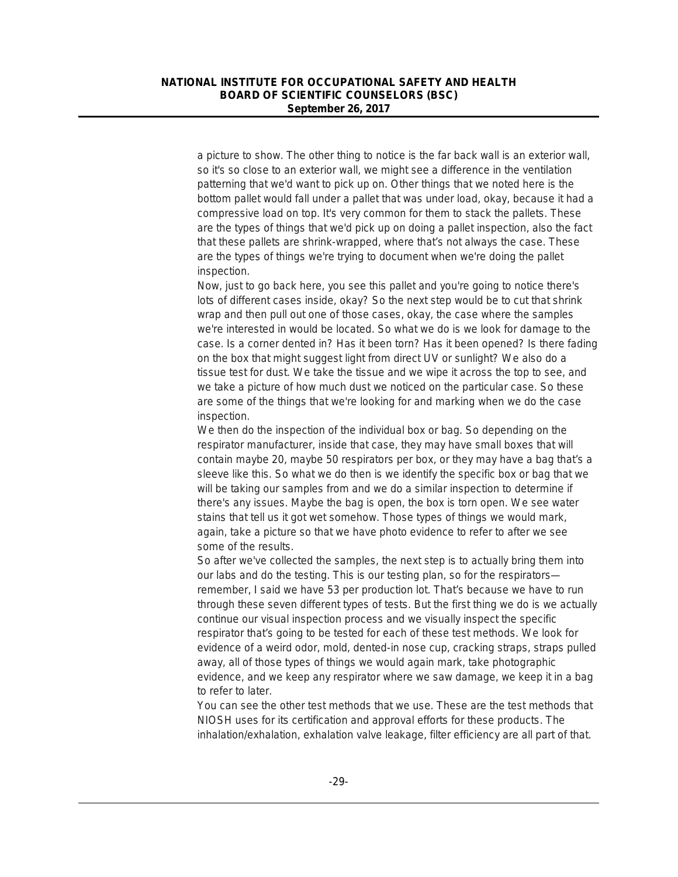a picture to show. The other thing to notice is the far back wall is an exterior wall, so it's so close to an exterior wall, we might see a difference in the ventilation patterning that we'd want to pick up on. Other things that we noted here is the bottom pallet would fall under a pallet that was under load, okay, because it had a compressive load on top. It's very common for them to stack the pallets. These are the types of things that we'd pick up on doing a pallet inspection, also the fact that these pallets are shrink-wrapped, where that's not always the case. These are the types of things we're trying to document when we're doing the pallet inspection.

Now, just to go back here, you see this pallet and you're going to notice there's lots of different cases inside, okay? So the next step would be to cut that shrink wrap and then pull out one of those cases, okay, the case where the samples we're interested in would be located. So what we do is we look for damage to the case. Is a corner dented in? Has it been torn? Has it been opened? Is there fading on the box that might suggest light from direct UV or sunlight? We also do a tissue test for dust. We take the tissue and we wipe it across the top to see, and we take a picture of how much dust we noticed on the particular case. So these are some of the things that we're looking for and marking when we do the case inspection.

We then do the inspection of the individual box or bag. So depending on the respirator manufacturer, inside that case, they may have small boxes that will contain maybe 20, maybe 50 respirators per box, or they may have a bag that's a sleeve like this. So what we do then is we identify the specific box or bag that we will be taking our samples from and we do a similar inspection to determine if there's any issues. Maybe the bag is open, the box is torn open. We see water stains that tell us it got wet somehow. Those types of things we would mark, again, take a picture so that we have photo evidence to refer to after we see some of the results.

So after we've collected the samples, the next step is to actually bring them into our labs and do the testing. This is our testing plan, so for the respirators remember, I said we have 53 per production lot. That's because we have to run through these seven different types of tests. But the first thing we do is we actually continue our visual inspection process and we visually inspect the specific respirator that's going to be tested for each of these test methods. We look for evidence of a weird odor, mold, dented-in nose cup, cracking straps, straps pulled away, all of those types of things we would again mark, take photographic evidence, and we keep any respirator where we saw damage, we keep it in a bag to refer to later.

You can see the other test methods that we use. These are the test methods that NIOSH uses for its certification and approval efforts for these products. The inhalation/exhalation, exhalation valve leakage, filter efficiency are all part of that.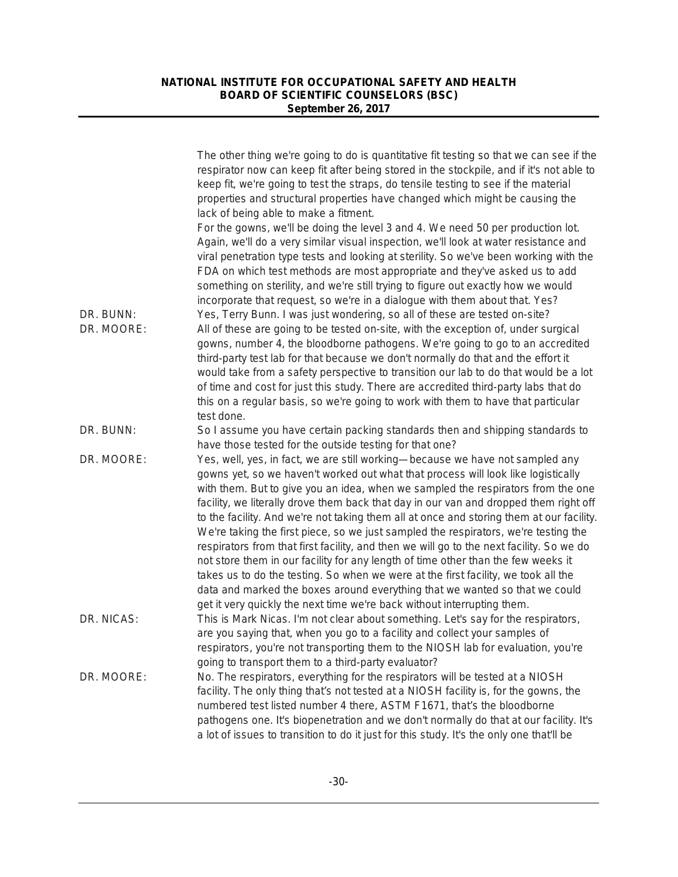|                         | The other thing we're going to do is quantitative fit testing so that we can see if the<br>respirator now can keep fit after being stored in the stockpile, and if it's not able to<br>keep fit, we're going to test the straps, do tensile testing to see if the material<br>properties and structural properties have changed which might be causing the<br>lack of being able to make a fitment.                                                                                                                                                                                                                                                                                                                                                                                                                                                                                                                                                                 |
|-------------------------|---------------------------------------------------------------------------------------------------------------------------------------------------------------------------------------------------------------------------------------------------------------------------------------------------------------------------------------------------------------------------------------------------------------------------------------------------------------------------------------------------------------------------------------------------------------------------------------------------------------------------------------------------------------------------------------------------------------------------------------------------------------------------------------------------------------------------------------------------------------------------------------------------------------------------------------------------------------------|
|                         | For the gowns, we'll be doing the level 3 and 4. We need 50 per production lot.<br>Again, we'll do a very similar visual inspection, we'll look at water resistance and<br>viral penetration type tests and looking at sterility. So we've been working with the<br>FDA on which test methods are most appropriate and they've asked us to add<br>something on sterility, and we're still trying to figure out exactly how we would<br>incorporate that request, so we're in a dialogue with them about that. Yes?                                                                                                                                                                                                                                                                                                                                                                                                                                                  |
| DR. BUNN:<br>DR. MOORE: | Yes, Terry Bunn. I was just wondering, so all of these are tested on-site?<br>All of these are going to be tested on-site, with the exception of, under surgical<br>gowns, number 4, the bloodborne pathogens. We're going to go to an accredited<br>third-party test lab for that because we don't normally do that and the effort it<br>would take from a safety perspective to transition our lab to do that would be a lot<br>of time and cost for just this study. There are accredited third-party labs that do<br>this on a regular basis, so we're going to work with them to have that particular<br>test done.                                                                                                                                                                                                                                                                                                                                            |
| DR. BUNN:               | So I assume you have certain packing standards then and shipping standards to<br>have those tested for the outside testing for that one?                                                                                                                                                                                                                                                                                                                                                                                                                                                                                                                                                                                                                                                                                                                                                                                                                            |
| DR. MOORE:              | Yes, well, yes, in fact, we are still working-because we have not sampled any<br>gowns yet, so we haven't worked out what that process will look like logistically<br>with them. But to give you an idea, when we sampled the respirators from the one<br>facility, we literally drove them back that day in our van and dropped them right off<br>to the facility. And we're not taking them all at once and storing them at our facility.<br>We're taking the first piece, so we just sampled the respirators, we're testing the<br>respirators from that first facility, and then we will go to the next facility. So we do<br>not store them in our facility for any length of time other than the few weeks it<br>takes us to do the testing. So when we were at the first facility, we took all the<br>data and marked the boxes around everything that we wanted so that we could<br>get it very quickly the next time we're back without interrupting them. |
| DR. NICAS:              | This is Mark Nicas. I'm not clear about something. Let's say for the respirators,<br>are you saying that, when you go to a facility and collect your samples of<br>respirators, you're not transporting them to the NIOSH lab for evaluation, you're<br>going to transport them to a third-party evaluator?                                                                                                                                                                                                                                                                                                                                                                                                                                                                                                                                                                                                                                                         |
| DR. MOORE:              | No. The respirators, everything for the respirators will be tested at a NIOSH<br>facility. The only thing that's not tested at a NIOSH facility is, for the gowns, the<br>numbered test listed number 4 there, ASTM F1671, that's the bloodborne<br>pathogens one. It's biopenetration and we don't normally do that at our facility. It's<br>a lot of issues to transition to do it just for this study. It's the only one that'll be                                                                                                                                                                                                                                                                                                                                                                                                                                                                                                                              |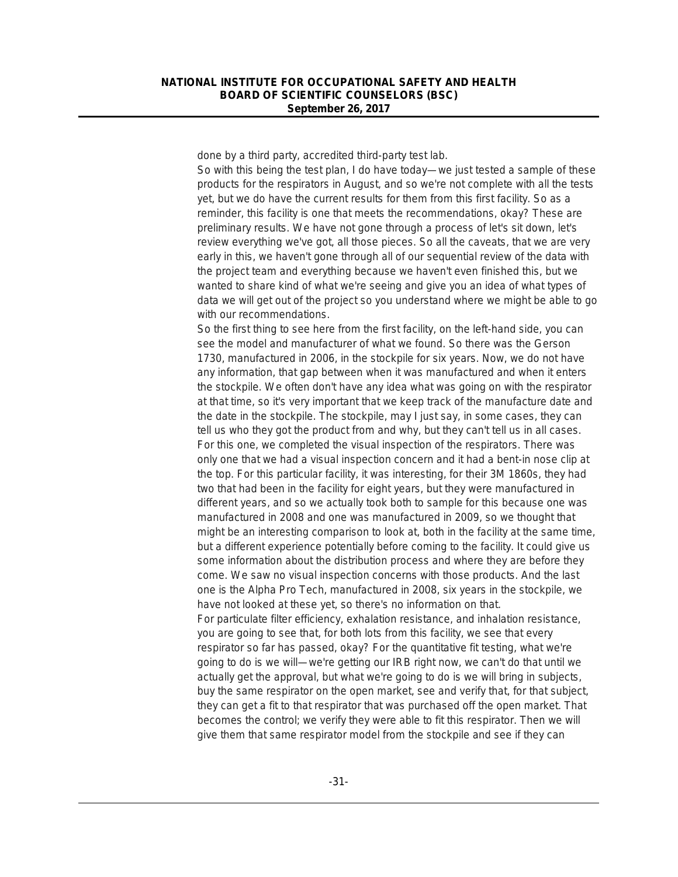done by a third party, accredited third-party test lab.

So with this being the test plan, I do have today—we just tested a sample of these products for the respirators in August, and so we're not complete with all the tests yet, but we do have the current results for them from this first facility. So as a reminder, this facility is one that meets the recommendations, okay? These are preliminary results. We have not gone through a process of let's sit down, let's review everything we've got, all those pieces. So all the caveats, that we are very early in this, we haven't gone through all of our sequential review of the data with the project team and everything because we haven't even finished this, but we wanted to share kind of what we're seeing and give you an idea of what types of data we will get out of the project so you understand where we might be able to go with our recommendations.

So the first thing to see here from the first facility, on the left-hand side, you can see the model and manufacturer of what we found. So there was the Gerson 1730, manufactured in 2006, in the stockpile for six years. Now, we do not have any information, that gap between when it was manufactured and when it enters the stockpile. We often don't have any idea what was going on with the respirator at that time, so it's very important that we keep track of the manufacture date and the date in the stockpile. The stockpile, may I just say, in some cases, they can tell us who they got the product from and why, but they can't tell us in all cases. For this one, we completed the visual inspection of the respirators. There was only one that we had a visual inspection concern and it had a bent-in nose clip at the top. For this particular facility, it was interesting, for their 3M 1860s, they had two that had been in the facility for eight years, but they were manufactured in different years, and so we actually took both to sample for this because one was manufactured in 2008 and one was manufactured in 2009, so we thought that might be an interesting comparison to look at, both in the facility at the same time, but a different experience potentially before coming to the facility. It could give us some information about the distribution process and where they are before they come. We saw no visual inspection concerns with those products. And the last one is the Alpha Pro Tech, manufactured in 2008, six years in the stockpile, we have not looked at these yet, so there's no information on that. For particulate filter efficiency, exhalation resistance, and inhalation resistance, you are going to see that, for both lots from this facility, we see that every

respirator so far has passed, okay? For the quantitative fit testing, what we're going to do is we will—we're getting our IRB right now, we can't do that until we actually get the approval, but what we're going to do is we will bring in subjects, buy the same respirator on the open market, see and verify that, for that subject, they can get a fit to that respirator that was purchased off the open market. That becomes the control; we verify they were able to fit this respirator. Then we will give them that same respirator model from the stockpile and see if they can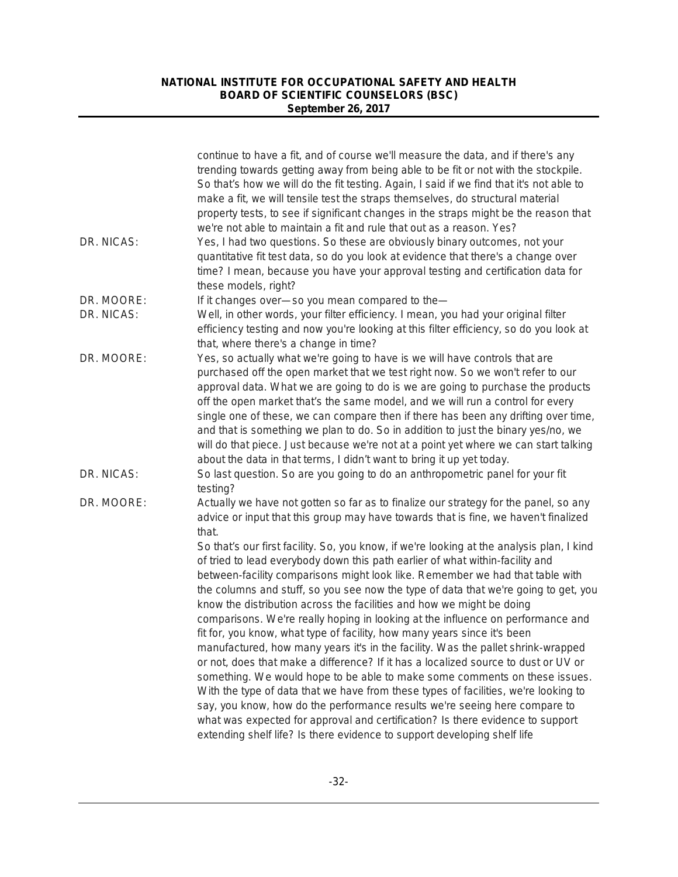|            | continue to have a fit, and of course we'll measure the data, and if there's any<br>trending towards getting away from being able to be fit or not with the stockpile.<br>So that's how we will do the fit testing. Again, I said if we find that it's not able to<br>make a fit, we will tensile test the straps themselves, do structural material<br>property tests, to see if significant changes in the straps might be the reason that<br>we're not able to maintain a fit and rule that out as a reason. Yes?                                                                                                                                                                                                                                                                                                                                                                                                                                                                                                                                                                                                                                                                  |
|------------|---------------------------------------------------------------------------------------------------------------------------------------------------------------------------------------------------------------------------------------------------------------------------------------------------------------------------------------------------------------------------------------------------------------------------------------------------------------------------------------------------------------------------------------------------------------------------------------------------------------------------------------------------------------------------------------------------------------------------------------------------------------------------------------------------------------------------------------------------------------------------------------------------------------------------------------------------------------------------------------------------------------------------------------------------------------------------------------------------------------------------------------------------------------------------------------|
| DR. NICAS: | Yes, I had two questions. So these are obviously binary outcomes, not your<br>quantitative fit test data, so do you look at evidence that there's a change over<br>time? I mean, because you have your approval testing and certification data for<br>these models, right?                                                                                                                                                                                                                                                                                                                                                                                                                                                                                                                                                                                                                                                                                                                                                                                                                                                                                                            |
| DR. MOORE: | If it changes over-so you mean compared to the-                                                                                                                                                                                                                                                                                                                                                                                                                                                                                                                                                                                                                                                                                                                                                                                                                                                                                                                                                                                                                                                                                                                                       |
| DR. NICAS: | Well, in other words, your filter efficiency. I mean, you had your original filter<br>efficiency testing and now you're looking at this filter efficiency, so do you look at<br>that, where there's a change in time?                                                                                                                                                                                                                                                                                                                                                                                                                                                                                                                                                                                                                                                                                                                                                                                                                                                                                                                                                                 |
| DR. MOORE: | Yes, so actually what we're going to have is we will have controls that are<br>purchased off the open market that we test right now. So we won't refer to our<br>approval data. What we are going to do is we are going to purchase the products<br>off the open market that's the same model, and we will run a control for every<br>single one of these, we can compare then if there has been any drifting over time,<br>and that is something we plan to do. So in addition to just the binary yes/no, we<br>will do that piece. Just because we're not at a point yet where we can start talking<br>about the data in that terms, I didn't want to bring it up yet today.                                                                                                                                                                                                                                                                                                                                                                                                                                                                                                        |
| DR. NICAS: | So last question. So are you going to do an anthropometric panel for your fit<br>testing?                                                                                                                                                                                                                                                                                                                                                                                                                                                                                                                                                                                                                                                                                                                                                                                                                                                                                                                                                                                                                                                                                             |
| DR. MOORE: | Actually we have not gotten so far as to finalize our strategy for the panel, so any<br>advice or input that this group may have towards that is fine, we haven't finalized<br>that.                                                                                                                                                                                                                                                                                                                                                                                                                                                                                                                                                                                                                                                                                                                                                                                                                                                                                                                                                                                                  |
|            | So that's our first facility. So, you know, if we're looking at the analysis plan, I kind<br>of tried to lead everybody down this path earlier of what within-facility and<br>between-facility comparisons might look like. Remember we had that table with<br>the columns and stuff, so you see now the type of data that we're going to get, you<br>know the distribution across the facilities and how we might be doing<br>comparisons. We're really hoping in looking at the influence on performance and<br>fit for, you know, what type of facility, how many years since it's been<br>manufactured, how many years it's in the facility. Was the pallet shrink-wrapped<br>or not, does that make a difference? If it has a localized source to dust or UV or<br>something. We would hope to be able to make some comments on these issues.<br>With the type of data that we have from these types of facilities, we're looking to<br>say, you know, how do the performance results we're seeing here compare to<br>what was expected for approval and certification? Is there evidence to support<br>extending shelf life? Is there evidence to support developing shelf life |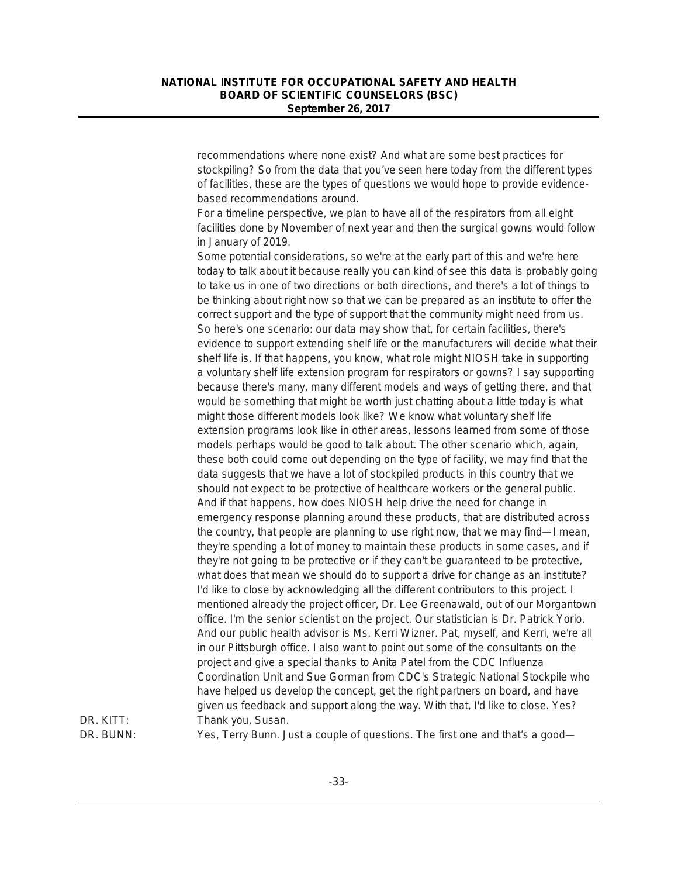recommendations where none exist? And what are some best practices for stockpiling? So from the data that you've seen here today from the different types of facilities, these are the types of questions we would hope to provide evidencebased recommendations around.

For a timeline perspective, we plan to have all of the respirators from all eight facilities done by November of next year and then the surgical gowns would follow in January of 2019.

Some potential considerations, so we're at the early part of this and we're here today to talk about it because really you can kind of see this data is probably going to take us in one of two directions or both directions, and there's a lot of things to be thinking about right now so that we can be prepared as an institute to offer the correct support and the type of support that the community might need from us. So here's one scenario: our data may show that, for certain facilities, there's evidence to support extending shelf life or the manufacturers will decide what their shelf life is. If that happens, you know, what role might NIOSH take in supporting a voluntary shelf life extension program for respirators or gowns? I say supporting because there's many, many different models and ways of getting there, and that would be something that might be worth just chatting about a little today is what might those different models look like? We know what voluntary shelf life extension programs look like in other areas, lessons learned from some of those models perhaps would be good to talk about. The other scenario which, again, these both could come out depending on the type of facility, we may find that the data suggests that we have a lot of stockpiled products in this country that we should not expect to be protective of healthcare workers or the general public. And if that happens, how does NIOSH help drive the need for change in emergency response planning around these products, that are distributed across the country, that people are planning to use right now, that we may find—I mean, they're spending a lot of money to maintain these products in some cases, and if they're not going to be protective or if they can't be guaranteed to be protective, what does that mean we should do to support a drive for change as an institute? I'd like to close by acknowledging all the different contributors to this project. I mentioned already the project officer, Dr. Lee Greenawald, out of our Morgantown office. I'm the senior scientist on the project. Our statistician is Dr. Patrick Yorio. And our public health advisor is Ms. Kerri Wizner. Pat, myself, and Kerri, we're all in our Pittsburgh office. I also want to point out some of the consultants on the project and give a special thanks to Anita Patel from the CDC Influenza Coordination Unit and Sue Gorman from CDC's Strategic National Stockpile who have helped us develop the concept, get the right partners on board, and have given us feedback and support along the way. With that, I'd like to close. Yes? DR. KITT: Thank you, Susan.

DR. BUNN: Yes, Terry Bunn. Just a couple of questions. The first one and that's a good—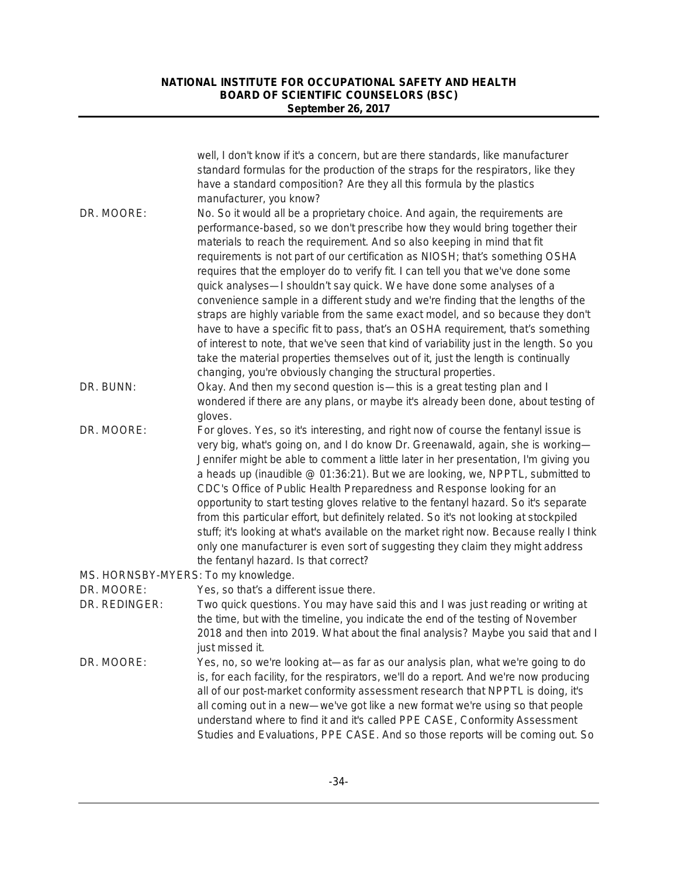|                                     | well, I don't know if it's a concern, but are there standards, like manufacturer<br>standard formulas for the production of the straps for the respirators, like they<br>have a standard composition? Are they all this formula by the plastics<br>manufacturer, you know?                                                                                                                                                                                                                                                                                                                                                                                                                                                                                                                                                                                                                                                                                                                             |
|-------------------------------------|--------------------------------------------------------------------------------------------------------------------------------------------------------------------------------------------------------------------------------------------------------------------------------------------------------------------------------------------------------------------------------------------------------------------------------------------------------------------------------------------------------------------------------------------------------------------------------------------------------------------------------------------------------------------------------------------------------------------------------------------------------------------------------------------------------------------------------------------------------------------------------------------------------------------------------------------------------------------------------------------------------|
| DR. MOORE:                          | No. So it would all be a proprietary choice. And again, the requirements are<br>performance-based, so we don't prescribe how they would bring together their<br>materials to reach the requirement. And so also keeping in mind that fit<br>requirements is not part of our certification as NIOSH; that's something OSHA<br>requires that the employer do to verify fit. I can tell you that we've done some<br>quick analyses—I shouldn't say quick. We have done some analyses of a<br>convenience sample in a different study and we're finding that the lengths of the<br>straps are highly variable from the same exact model, and so because they don't<br>have to have a specific fit to pass, that's an OSHA requirement, that's something<br>of interest to note, that we've seen that kind of variability just in the length. So you<br>take the material properties themselves out of it, just the length is continually<br>changing, you're obviously changing the structural properties. |
| DR. BUNN:                           | Okay. And then my second question is-this is a great testing plan and I<br>wondered if there are any plans, or maybe it's already been done, about testing of<br>gloves.                                                                                                                                                                                                                                                                                                                                                                                                                                                                                                                                                                                                                                                                                                                                                                                                                               |
| DR. MOORE:                          | For gloves. Yes, so it's interesting, and right now of course the fentanyl issue is<br>very big, what's going on, and I do know Dr. Greenawald, again, she is working-<br>Jennifer might be able to comment a little later in her presentation, I'm giving you<br>a heads up (inaudible @ 01:36:21). But we are looking, we, NPPTL, submitted to<br>CDC's Office of Public Health Preparedness and Response looking for an<br>opportunity to start testing gloves relative to the fentanyl hazard. So it's separate<br>from this particular effort, but definitely related. So it's not looking at stockpiled<br>stuff; it's looking at what's available on the market right now. Because really I think<br>only one manufacturer is even sort of suggesting they claim they might address<br>the fentanyl hazard. Is that correct?                                                                                                                                                                    |
| MS. HORNSBY-MYERS: To my knowledge. |                                                                                                                                                                                                                                                                                                                                                                                                                                                                                                                                                                                                                                                                                                                                                                                                                                                                                                                                                                                                        |
| DR. MOORE:<br>DR. REDINGER:         | Yes, so that's a different issue there.<br>Two quick questions. You may have said this and I was just reading or writing at<br>the time, but with the timeline, you indicate the end of the testing of November<br>2018 and then into 2019. What about the final analysis? Maybe you said that and I<br>just missed it.                                                                                                                                                                                                                                                                                                                                                                                                                                                                                                                                                                                                                                                                                |
| DR. MOORE:                          | Yes, no, so we're looking at-as far as our analysis plan, what we're going to do<br>is, for each facility, for the respirators, we'll do a report. And we're now producing<br>all of our post-market conformity assessment research that NPPTL is doing, it's<br>all coming out in a new-we've got like a new format we're using so that people<br>understand where to find it and it's called PPE CASE, Conformity Assessment<br>Studies and Evaluations, PPE CASE. And so those reports will be coming out. So                                                                                                                                                                                                                                                                                                                                                                                                                                                                                       |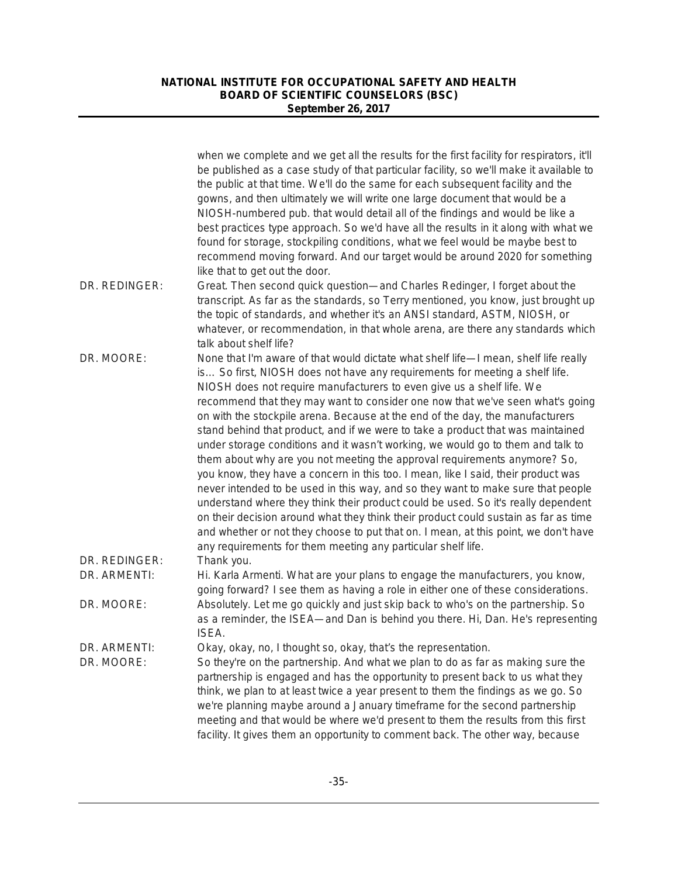|                               | when we complete and we get all the results for the first facility for respirators, it'll<br>be published as a case study of that particular facility, so we'll make it available to<br>the public at that time. We'll do the same for each subsequent facility and the<br>gowns, and then ultimately we will write one large document that would be a<br>NIOSH-numbered pub. that would detail all of the findings and would be like a<br>best practices type approach. So we'd have all the results in it along with what we<br>found for storage, stockpiling conditions, what we feel would be maybe best to<br>recommend moving forward. And our target would be around 2020 for something<br>like that to get out the door.                                                                                                                                                                                                                                                                                                                                                                                                                                            |
|-------------------------------|------------------------------------------------------------------------------------------------------------------------------------------------------------------------------------------------------------------------------------------------------------------------------------------------------------------------------------------------------------------------------------------------------------------------------------------------------------------------------------------------------------------------------------------------------------------------------------------------------------------------------------------------------------------------------------------------------------------------------------------------------------------------------------------------------------------------------------------------------------------------------------------------------------------------------------------------------------------------------------------------------------------------------------------------------------------------------------------------------------------------------------------------------------------------------|
| DR. REDINGER:                 | Great. Then second quick question—and Charles Redinger, I forget about the<br>transcript. As far as the standards, so Terry mentioned, you know, just brought up<br>the topic of standards, and whether it's an ANSI standard, ASTM, NIOSH, or<br>whatever, or recommendation, in that whole arena, are there any standards which<br>talk about shelf life?                                                                                                                                                                                                                                                                                                                                                                                                                                                                                                                                                                                                                                                                                                                                                                                                                  |
| DR. MOORE:                    | None that I'm aware of that would dictate what shelf life-I mean, shelf life really<br>is So first, NIOSH does not have any requirements for meeting a shelf life.<br>NIOSH does not require manufacturers to even give us a shelf life. We<br>recommend that they may want to consider one now that we've seen what's going<br>on with the stockpile arena. Because at the end of the day, the manufacturers<br>stand behind that product, and if we were to take a product that was maintained<br>under storage conditions and it wasn't working, we would go to them and talk to<br>them about why are you not meeting the approval requirements anymore? So,<br>you know, they have a concern in this too. I mean, like I said, their product was<br>never intended to be used in this way, and so they want to make sure that people<br>understand where they think their product could be used. So it's really dependent<br>on their decision around what they think their product could sustain as far as time<br>and whether or not they choose to put that on. I mean, at this point, we don't have<br>any requirements for them meeting any particular shelf life. |
| DR. REDINGER:<br>DR. ARMENTI: | Thank you.<br>Hi. Karla Armenti. What are your plans to engage the manufacturers, you know,<br>going forward? I see them as having a role in either one of these considerations.                                                                                                                                                                                                                                                                                                                                                                                                                                                                                                                                                                                                                                                                                                                                                                                                                                                                                                                                                                                             |
| DR. MOORE:                    | Absolutely. Let me go quickly and just skip back to who's on the partnership. So<br>as a reminder, the ISEA—and Dan is behind you there. Hi, Dan. He's representing<br>ISEA.                                                                                                                                                                                                                                                                                                                                                                                                                                                                                                                                                                                                                                                                                                                                                                                                                                                                                                                                                                                                 |
| DR. ARMENTI:<br>DR. MOORE:    | Okay, okay, no, I thought so, okay, that's the representation.<br>So they're on the partnership. And what we plan to do as far as making sure the<br>partnership is engaged and has the opportunity to present back to us what they<br>think, we plan to at least twice a year present to them the findings as we go. So<br>we're planning maybe around a January timeframe for the second partnership<br>meeting and that would be where we'd present to them the results from this first<br>facility. It gives them an opportunity to comment back. The other way, because                                                                                                                                                                                                                                                                                                                                                                                                                                                                                                                                                                                                 |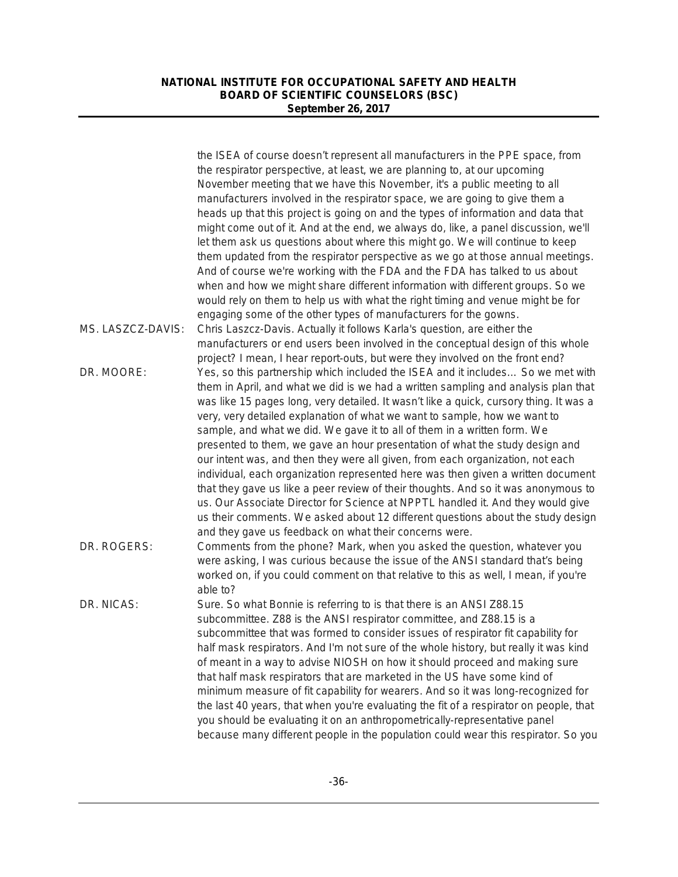|                   | the ISEA of course doesn't represent all manufacturers in the PPE space, from<br>the respirator perspective, at least, we are planning to, at our upcoming |
|-------------------|------------------------------------------------------------------------------------------------------------------------------------------------------------|
|                   | November meeting that we have this November, it's a public meeting to all                                                                                  |
|                   | manufacturers involved in the respirator space, we are going to give them a                                                                                |
|                   | heads up that this project is going on and the types of information and data that                                                                          |
|                   | might come out of it. And at the end, we always do, like, a panel discussion, we'll                                                                        |
|                   | let them ask us questions about where this might go. We will continue to keep                                                                              |
|                   | them updated from the respirator perspective as we go at those annual meetings.                                                                            |
|                   | And of course we're working with the FDA and the FDA has talked to us about                                                                                |
|                   | when and how we might share different information with different groups. So we                                                                             |
|                   | would rely on them to help us with what the right timing and venue might be for                                                                            |
|                   | engaging some of the other types of manufacturers for the gowns.                                                                                           |
| MS. LASZCZ-DAVIS: | Chris Laszcz-Davis. Actually it follows Karla's question, are either the                                                                                   |
|                   | manufacturers or end users been involved in the conceptual design of this whole                                                                            |
|                   | project? I mean, I hear report-outs, but were they involved on the front end?                                                                              |
| DR. MOORE:        | Yes, so this partnership which included the ISEA and it includes So we met with                                                                            |
|                   | them in April, and what we did is we had a written sampling and analysis plan that                                                                         |
|                   | was like 15 pages long, very detailed. It wasn't like a quick, cursory thing. It was a                                                                     |
|                   | very, very detailed explanation of what we want to sample, how we want to                                                                                  |
|                   | sample, and what we did. We gave it to all of them in a written form. We                                                                                   |
|                   | presented to them, we gave an hour presentation of what the study design and                                                                               |
|                   | our intent was, and then they were all given, from each organization, not each                                                                             |
|                   | individual, each organization represented here was then given a written document                                                                           |
|                   | that they gave us like a peer review of their thoughts. And so it was anonymous to                                                                         |
|                   | us. Our Associate Director for Science at NPPTL handled it. And they would give                                                                            |
|                   | us their comments. We asked about 12 different questions about the study design                                                                            |
|                   | and they gave us feedback on what their concerns were.                                                                                                     |
| DR. ROGERS:       | Comments from the phone? Mark, when you asked the question, whatever you                                                                                   |
|                   | were asking, I was curious because the issue of the ANSI standard that's being                                                                             |
|                   | worked on, if you could comment on that relative to this as well, I mean, if you're                                                                        |
|                   | able to?                                                                                                                                                   |
| DR. NICAS:        | Sure. So what Bonnie is referring to is that there is an ANSI Z88.15                                                                                       |
|                   | subcommittee. Z88 is the ANSI respirator committee, and Z88.15 is a                                                                                        |
|                   | subcommittee that was formed to consider issues of respirator fit capability for                                                                           |
|                   | half mask respirators. And I'm not sure of the whole history, but really it was kind                                                                       |
|                   | of meant in a way to advise NIOSH on how it should proceed and making sure                                                                                 |
|                   | that half mask respirators that are marketed in the US have some kind of                                                                                   |
|                   | minimum measure of fit capability for wearers. And so it was long-recognized for                                                                           |
|                   | the last 40 years, that when you're evaluating the fit of a respirator on people, that                                                                     |
|                   | you should be evaluating it on an anthropometrically-representative panel                                                                                  |
|                   | because many different people in the population could wear this respirator. So you                                                                         |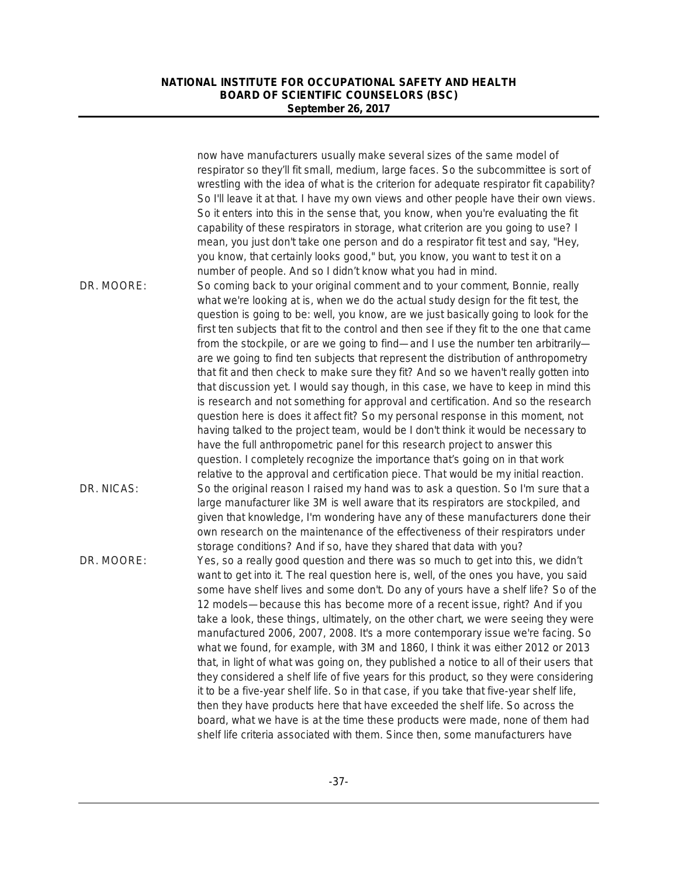|            | now have manufacturers usually make several sizes of the same model of<br>respirator so they'll fit small, medium, large faces. So the subcommittee is sort of<br>wrestling with the idea of what is the criterion for adequate respirator fit capability?<br>So I'll leave it at that. I have my own views and other people have their own views.<br>So it enters into this in the sense that, you know, when you're evaluating the fit<br>capability of these respirators in storage, what criterion are you going to use? I<br>mean, you just don't take one person and do a respirator fit test and say, "Hey,<br>you know, that certainly looks good," but, you know, you want to test it on a                                                                                                                                                                                                                                                                                                                                                                                                                                                   |
|------------|-------------------------------------------------------------------------------------------------------------------------------------------------------------------------------------------------------------------------------------------------------------------------------------------------------------------------------------------------------------------------------------------------------------------------------------------------------------------------------------------------------------------------------------------------------------------------------------------------------------------------------------------------------------------------------------------------------------------------------------------------------------------------------------------------------------------------------------------------------------------------------------------------------------------------------------------------------------------------------------------------------------------------------------------------------------------------------------------------------------------------------------------------------|
| DR. MOORE: | number of people. And so I didn't know what you had in mind.<br>So coming back to your original comment and to your comment, Bonnie, really                                                                                                                                                                                                                                                                                                                                                                                                                                                                                                                                                                                                                                                                                                                                                                                                                                                                                                                                                                                                           |
|            | what we're looking at is, when we do the actual study design for the fit test, the<br>question is going to be: well, you know, are we just basically going to look for the<br>first ten subjects that fit to the control and then see if they fit to the one that came<br>from the stockpile, or are we going to find-and I use the number ten arbitrarily-<br>are we going to find ten subjects that represent the distribution of anthropometry<br>that fit and then check to make sure they fit? And so we haven't really gotten into<br>that discussion yet. I would say though, in this case, we have to keep in mind this<br>is research and not something for approval and certification. And so the research<br>question here is does it affect fit? So my personal response in this moment, not<br>having talked to the project team, would be I don't think it would be necessary to<br>have the full anthropometric panel for this research project to answer this<br>question. I completely recognize the importance that's going on in that work<br>relative to the approval and certification piece. That would be my initial reaction. |
| DR. NICAS: | So the original reason I raised my hand was to ask a question. So I'm sure that a<br>large manufacturer like 3M is well aware that its respirators are stockpiled, and<br>given that knowledge, I'm wondering have any of these manufacturers done their<br>own research on the maintenance of the effectiveness of their respirators under<br>storage conditions? And if so, have they shared that data with you?                                                                                                                                                                                                                                                                                                                                                                                                                                                                                                                                                                                                                                                                                                                                    |
| DR. MOORE: | Yes, so a really good question and there was so much to get into this, we didn't<br>want to get into it. The real question here is, well, of the ones you have, you said<br>some have shelf lives and some don't. Do any of yours have a shelf life? So of the<br>12 models—because this has become more of a recent issue, right? And if you<br>take a look, these things, ultimately, on the other chart, we were seeing they were<br>manufactured 2006, 2007, 2008. It's a more contemporary issue we're facing. So<br>what we found, for example, with 3M and 1860, I think it was either 2012 or 2013<br>that, in light of what was going on, they published a notice to all of their users that<br>they considered a shelf life of five years for this product, so they were considering<br>it to be a five-year shelf life. So in that case, if you take that five-year shelf life,<br>then they have products here that have exceeded the shelf life. So across the<br>board, what we have is at the time these products were made, none of them had<br>shelf life criteria associated with them. Since then, some manufacturers have         |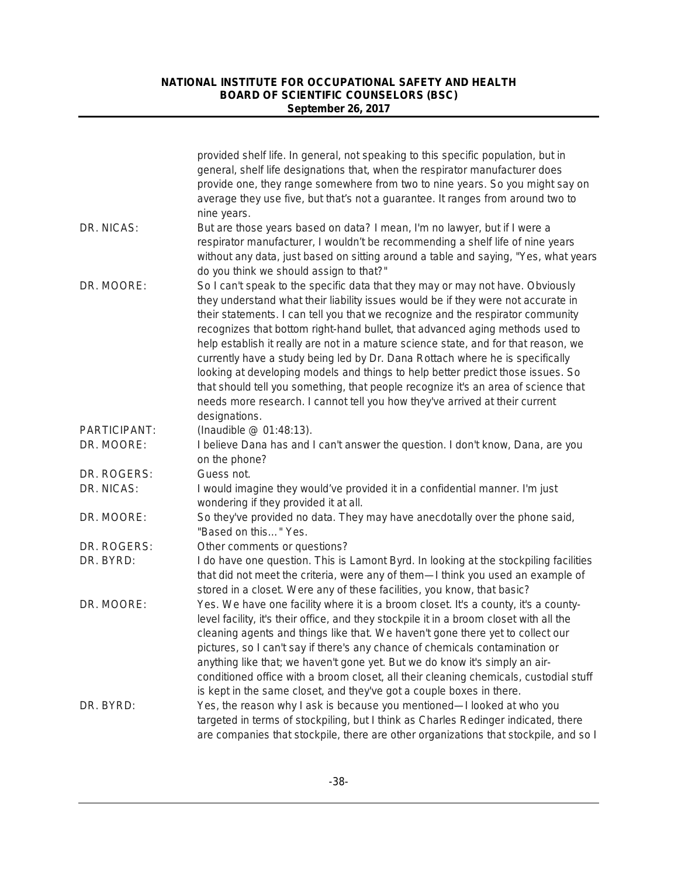|              | provided shelf life. In general, not speaking to this specific population, but in<br>general, shelf life designations that, when the respirator manufacturer does<br>provide one, they range somewhere from two to nine years. So you might say on<br>average they use five, but that's not a guarantee. It ranges from around two to                                                                                                                                                                                                                                                                                                                                                                                                                                                    |
|--------------|------------------------------------------------------------------------------------------------------------------------------------------------------------------------------------------------------------------------------------------------------------------------------------------------------------------------------------------------------------------------------------------------------------------------------------------------------------------------------------------------------------------------------------------------------------------------------------------------------------------------------------------------------------------------------------------------------------------------------------------------------------------------------------------|
| DR. NICAS:   | nine years.<br>But are those years based on data? I mean, I'm no lawyer, but if I were a<br>respirator manufacturer, I wouldn't be recommending a shelf life of nine years<br>without any data, just based on sitting around a table and saying, "Yes, what years<br>do you think we should assign to that?"                                                                                                                                                                                                                                                                                                                                                                                                                                                                             |
| DR. MOORE:   | So I can't speak to the specific data that they may or may not have. Obviously<br>they understand what their liability issues would be if they were not accurate in<br>their statements. I can tell you that we recognize and the respirator community<br>recognizes that bottom right-hand bullet, that advanced aging methods used to<br>help establish it really are not in a mature science state, and for that reason, we<br>currently have a study being led by Dr. Dana Rottach where he is specifically<br>looking at developing models and things to help better predict those issues. So<br>that should tell you something, that people recognize it's an area of science that<br>needs more research. I cannot tell you how they've arrived at their current<br>designations. |
| PARTICIPANT: | (Inaudible @ 01:48:13).                                                                                                                                                                                                                                                                                                                                                                                                                                                                                                                                                                                                                                                                                                                                                                  |
| DR. MOORE:   | I believe Dana has and I can't answer the question. I don't know, Dana, are you<br>on the phone?                                                                                                                                                                                                                                                                                                                                                                                                                                                                                                                                                                                                                                                                                         |
| DR. ROGERS:  | Guess not.                                                                                                                                                                                                                                                                                                                                                                                                                                                                                                                                                                                                                                                                                                                                                                               |
| DR. NICAS:   | I would imagine they would've provided it in a confidential manner. I'm just<br>wondering if they provided it at all.                                                                                                                                                                                                                                                                                                                                                                                                                                                                                                                                                                                                                                                                    |
| DR. MOORE:   | So they've provided no data. They may have anecdotally over the phone said,<br>"Based on this" Yes.                                                                                                                                                                                                                                                                                                                                                                                                                                                                                                                                                                                                                                                                                      |
| DR. ROGERS:  | Other comments or questions?                                                                                                                                                                                                                                                                                                                                                                                                                                                                                                                                                                                                                                                                                                                                                             |
| DR. BYRD:    | I do have one question. This is Lamont Byrd. In looking at the stockpiling facilities<br>that did not meet the criteria, were any of them—I think you used an example of<br>stored in a closet. Were any of these facilities, you know, that basic?                                                                                                                                                                                                                                                                                                                                                                                                                                                                                                                                      |
| DR. MOORE:   | Yes. We have one facility where it is a broom closet. It's a county, it's a county-<br>level facility, it's their office, and they stockpile it in a broom closet with all the<br>cleaning agents and things like that. We haven't gone there yet to collect our<br>pictures, so I can't say if there's any chance of chemicals contamination or<br>anything like that; we haven't gone yet. But we do know it's simply an air-<br>conditioned office with a broom closet, all their cleaning chemicals, custodial stuff<br>is kept in the same closet, and they've got a couple boxes in there.                                                                                                                                                                                         |
| DR. BYRD:    | Yes, the reason why I ask is because you mentioned-I looked at who you<br>targeted in terms of stockpiling, but I think as Charles Redinger indicated, there<br>are companies that stockpile, there are other organizations that stockpile, and so I                                                                                                                                                                                                                                                                                                                                                                                                                                                                                                                                     |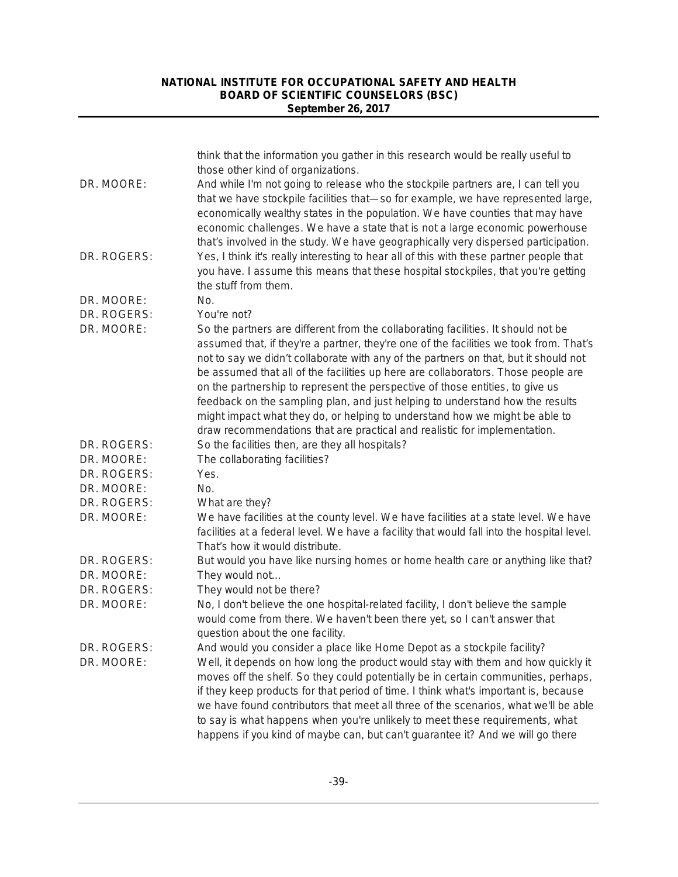| DR. MOORE:  | think that the information you gather in this research would be really useful to<br>those other kind of organizations.<br>And while I'm not going to release who the stockpile partners are, I can tell you<br>that we have stockpile facilities that-so for example, we have represented large,<br>economically wealthy states in the population. We have counties that may have                                                                                                                                                                                                                                                                                                      |
|-------------|----------------------------------------------------------------------------------------------------------------------------------------------------------------------------------------------------------------------------------------------------------------------------------------------------------------------------------------------------------------------------------------------------------------------------------------------------------------------------------------------------------------------------------------------------------------------------------------------------------------------------------------------------------------------------------------|
| DR. ROGERS: | economic challenges. We have a state that is not a large economic powerhouse<br>that's involved in the study. We have geographically very dispersed participation.<br>Yes, I think it's really interesting to hear all of this with these partner people that<br>you have. I assume this means that these hospital stockpiles, that you're getting<br>the stuff from them.                                                                                                                                                                                                                                                                                                             |
| DR. MOORE:  | No.                                                                                                                                                                                                                                                                                                                                                                                                                                                                                                                                                                                                                                                                                    |
| DR. ROGERS: | You're not?                                                                                                                                                                                                                                                                                                                                                                                                                                                                                                                                                                                                                                                                            |
| DR. MOORE:  | So the partners are different from the collaborating facilities. It should not be<br>assumed that, if they're a partner, they're one of the facilities we took from. That's<br>not to say we didn't collaborate with any of the partners on that, but it should not<br>be assumed that all of the facilities up here are collaborators. Those people are<br>on the partnership to represent the perspective of those entities, to give us<br>feedback on the sampling plan, and just helping to understand how the results<br>might impact what they do, or helping to understand how we might be able to<br>draw recommendations that are practical and realistic for implementation. |
| DR. ROGERS: | So the facilities then, are they all hospitals?                                                                                                                                                                                                                                                                                                                                                                                                                                                                                                                                                                                                                                        |
| DR. MOORE:  | The collaborating facilities?                                                                                                                                                                                                                                                                                                                                                                                                                                                                                                                                                                                                                                                          |
| DR. ROGERS: | Yes.                                                                                                                                                                                                                                                                                                                                                                                                                                                                                                                                                                                                                                                                                   |
| DR. MOORE:  | No.                                                                                                                                                                                                                                                                                                                                                                                                                                                                                                                                                                                                                                                                                    |
| DR. ROGERS: | What are they?                                                                                                                                                                                                                                                                                                                                                                                                                                                                                                                                                                                                                                                                         |
| DR. MOORE:  | We have facilities at the county level. We have facilities at a state level. We have<br>facilities at a federal level. We have a facility that would fall into the hospital level.<br>That's how it would distribute.                                                                                                                                                                                                                                                                                                                                                                                                                                                                  |
| DR. ROGERS: | But would you have like nursing homes or home health care or anything like that?                                                                                                                                                                                                                                                                                                                                                                                                                                                                                                                                                                                                       |
| DR. MOORE:  | They would not                                                                                                                                                                                                                                                                                                                                                                                                                                                                                                                                                                                                                                                                         |
| DR. ROGERS: | They would not be there?                                                                                                                                                                                                                                                                                                                                                                                                                                                                                                                                                                                                                                                               |
| DR. MOORE:  | No, I don't believe the one hospital-related facility, I don't believe the sample<br>would come from there. We haven't been there yet, so I can't answer that<br>question about the one facility.                                                                                                                                                                                                                                                                                                                                                                                                                                                                                      |
| DR. ROGERS: | And would you consider a place like Home Depot as a stockpile facility?                                                                                                                                                                                                                                                                                                                                                                                                                                                                                                                                                                                                                |
| DR. MOORE:  | Well, it depends on how long the product would stay with them and how quickly it<br>moves off the shelf. So they could potentially be in certain communities, perhaps,<br>if they keep products for that period of time. I think what's important is, because<br>we have found contributors that meet all three of the scenarios, what we'll be able<br>to say is what happens when you're unlikely to meet these requirements, what                                                                                                                                                                                                                                                   |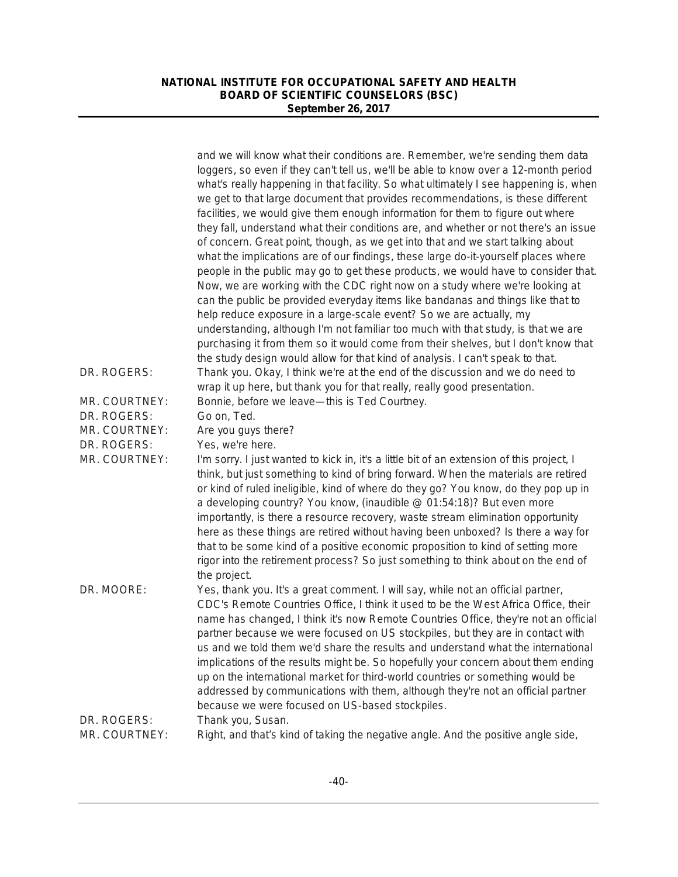|               | and we will know what their conditions are. Remember, we're sending them data<br>loggers, so even if they can't tell us, we'll be able to know over a 12-month period<br>what's really happening in that facility. So what ultimately I see happening is, when<br>we get to that large document that provides recommendations, is these different<br>facilities, we would give them enough information for them to figure out where<br>they fall, understand what their conditions are, and whether or not there's an issue<br>of concern. Great point, though, as we get into that and we start talking about<br>what the implications are of our findings, these large do-it-yourself places where<br>people in the public may go to get these products, we would have to consider that. |
|---------------|--------------------------------------------------------------------------------------------------------------------------------------------------------------------------------------------------------------------------------------------------------------------------------------------------------------------------------------------------------------------------------------------------------------------------------------------------------------------------------------------------------------------------------------------------------------------------------------------------------------------------------------------------------------------------------------------------------------------------------------------------------------------------------------------|
|               | Now, we are working with the CDC right now on a study where we're looking at<br>can the public be provided everyday items like bandanas and things like that to<br>help reduce exposure in a large-scale event? So we are actually, my<br>understanding, although I'm not familiar too much with that study, is that we are<br>purchasing it from them so it would come from their shelves, but I don't know that                                                                                                                                                                                                                                                                                                                                                                          |
| DR. ROGERS:   | the study design would allow for that kind of analysis. I can't speak to that.<br>Thank you. Okay, I think we're at the end of the discussion and we do need to                                                                                                                                                                                                                                                                                                                                                                                                                                                                                                                                                                                                                            |
|               | wrap it up here, but thank you for that really, really good presentation.                                                                                                                                                                                                                                                                                                                                                                                                                                                                                                                                                                                                                                                                                                                  |
| MR. COURTNEY: | Bonnie, before we leave-this is Ted Courtney.                                                                                                                                                                                                                                                                                                                                                                                                                                                                                                                                                                                                                                                                                                                                              |
| DR. ROGERS:   | Go on, Ted.                                                                                                                                                                                                                                                                                                                                                                                                                                                                                                                                                                                                                                                                                                                                                                                |
| MR. COURTNEY: | Are you guys there?                                                                                                                                                                                                                                                                                                                                                                                                                                                                                                                                                                                                                                                                                                                                                                        |
| DR. ROGERS:   | Yes, we're here.                                                                                                                                                                                                                                                                                                                                                                                                                                                                                                                                                                                                                                                                                                                                                                           |
| MR. COURTNEY: | I'm sorry. I just wanted to kick in, it's a little bit of an extension of this project, I<br>think, but just something to kind of bring forward. When the materials are retired<br>or kind of ruled ineligible, kind of where do they go? You know, do they pop up in<br>a developing country? You know, (inaudible @ 01:54:18)? But even more<br>importantly, is there a resource recovery, waste stream elimination opportunity<br>here as these things are retired without having been unboxed? Is there a way for<br>that to be some kind of a positive economic proposition to kind of setting more<br>rigor into the retirement process? So just something to think about on the end of<br>the project.                                                                              |
| DR. MOORE:    | Yes, thank you. It's a great comment. I will say, while not an official partner,<br>CDC's Remote Countries Office, I think it used to be the West Africa Office, their<br>name has changed, I think it's now Remote Countries Office, they're not an official<br>partner because we were focused on US stockpiles, but they are in contact with<br>us and we told them we'd share the results and understand what the international<br>implications of the results might be. So hopefully your concern about them ending<br>up on the international market for third-world countries or something would be<br>addressed by communications with them, although they're not an official partner<br>because we were focused on US-based stockpiles.                                           |
| DR. ROGERS:   | Thank you, Susan.                                                                                                                                                                                                                                                                                                                                                                                                                                                                                                                                                                                                                                                                                                                                                                          |
| MR. COURTNEY: | Right, and that's kind of taking the negative angle. And the positive angle side,                                                                                                                                                                                                                                                                                                                                                                                                                                                                                                                                                                                                                                                                                                          |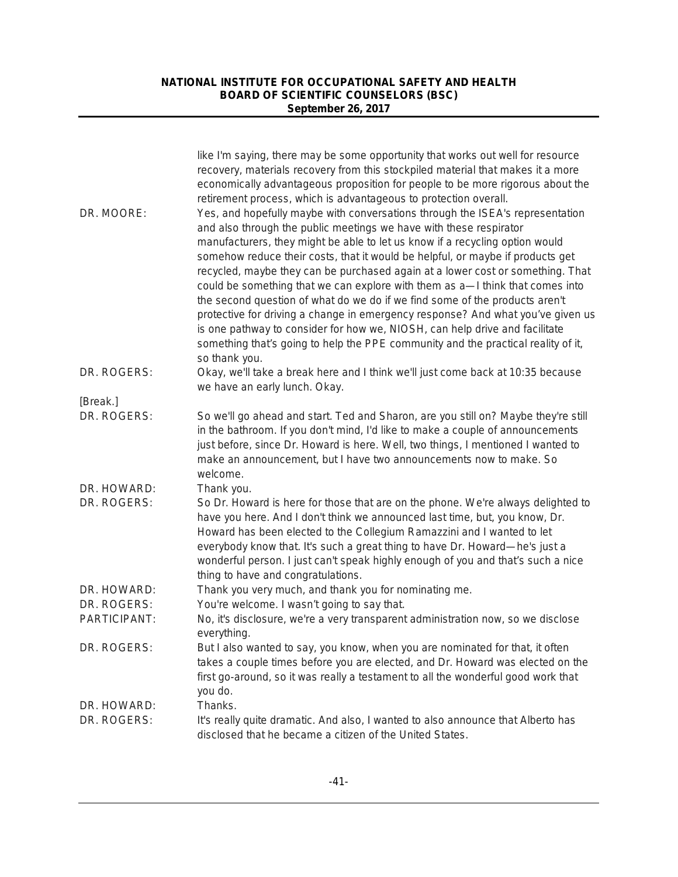|                         | like I'm saying, there may be some opportunity that works out well for resource<br>recovery, materials recovery from this stockpiled material that makes it a more<br>economically advantageous proposition for people to be more rigorous about the<br>retirement process, which is advantageous to protection overall.                                                                                                                                                                                                                                                                                                                                                                                                                                                                                                                        |
|-------------------------|-------------------------------------------------------------------------------------------------------------------------------------------------------------------------------------------------------------------------------------------------------------------------------------------------------------------------------------------------------------------------------------------------------------------------------------------------------------------------------------------------------------------------------------------------------------------------------------------------------------------------------------------------------------------------------------------------------------------------------------------------------------------------------------------------------------------------------------------------|
| DR. MOORE:              | Yes, and hopefully maybe with conversations through the ISEA's representation<br>and also through the public meetings we have with these respirator<br>manufacturers, they might be able to let us know if a recycling option would<br>somehow reduce their costs, that it would be helpful, or maybe if products get<br>recycled, maybe they can be purchased again at a lower cost or something. That<br>could be something that we can explore with them as a—I think that comes into<br>the second question of what do we do if we find some of the products aren't<br>protective for driving a change in emergency response? And what you've given us<br>is one pathway to consider for how we, NIOSH, can help drive and facilitate<br>something that's going to help the PPE community and the practical reality of it,<br>so thank you. |
| DR. ROGERS:             | Okay, we'll take a break here and I think we'll just come back at 10:35 because<br>we have an early lunch. Okay.                                                                                                                                                                                                                                                                                                                                                                                                                                                                                                                                                                                                                                                                                                                                |
| [Break.]<br>DR. ROGERS: | So we'll go ahead and start. Ted and Sharon, are you still on? Maybe they're still                                                                                                                                                                                                                                                                                                                                                                                                                                                                                                                                                                                                                                                                                                                                                              |
|                         | in the bathroom. If you don't mind, I'd like to make a couple of announcements<br>just before, since Dr. Howard is here. Well, two things, I mentioned I wanted to<br>make an announcement, but I have two announcements now to make. So<br>welcome.                                                                                                                                                                                                                                                                                                                                                                                                                                                                                                                                                                                            |
| DR. HOWARD:             | Thank you.                                                                                                                                                                                                                                                                                                                                                                                                                                                                                                                                                                                                                                                                                                                                                                                                                                      |
| DR. ROGERS:             | So Dr. Howard is here for those that are on the phone. We're always delighted to<br>have you here. And I don't think we announced last time, but, you know, Dr.<br>Howard has been elected to the Collegium Ramazzini and I wanted to let<br>everybody know that. It's such a great thing to have Dr. Howard-he's just a<br>wonderful person. I just can't speak highly enough of you and that's such a nice<br>thing to have and congratulations.                                                                                                                                                                                                                                                                                                                                                                                              |
| DR. HOWARD:             | Thank you very much, and thank you for nominating me.                                                                                                                                                                                                                                                                                                                                                                                                                                                                                                                                                                                                                                                                                                                                                                                           |
| DR. ROGERS:             | You're welcome. I wasn't going to say that.                                                                                                                                                                                                                                                                                                                                                                                                                                                                                                                                                                                                                                                                                                                                                                                                     |
| PARTICIPANT:            | No, it's disclosure, we're a very transparent administration now, so we disclose<br>everything.                                                                                                                                                                                                                                                                                                                                                                                                                                                                                                                                                                                                                                                                                                                                                 |
| DR. ROGERS:             | But I also wanted to say, you know, when you are nominated for that, it often<br>takes a couple times before you are elected, and Dr. Howard was elected on the<br>first go-around, so it was really a testament to all the wonderful good work that<br>you do.                                                                                                                                                                                                                                                                                                                                                                                                                                                                                                                                                                                 |
| DR. HOWARD:             | Thanks.                                                                                                                                                                                                                                                                                                                                                                                                                                                                                                                                                                                                                                                                                                                                                                                                                                         |
| DR. ROGERS:             | It's really quite dramatic. And also, I wanted to also announce that Alberto has<br>disclosed that he became a citizen of the United States.                                                                                                                                                                                                                                                                                                                                                                                                                                                                                                                                                                                                                                                                                                    |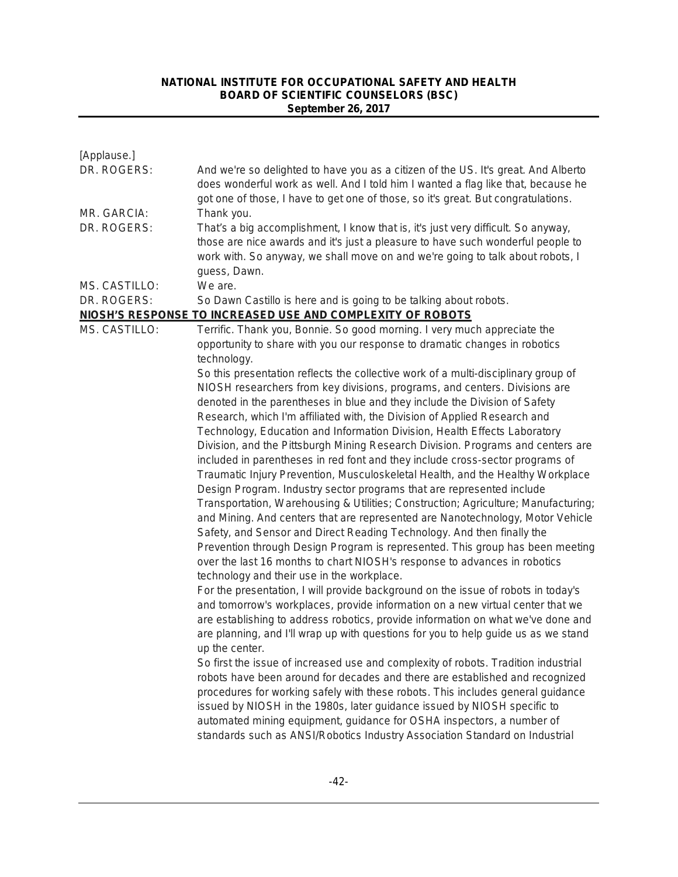| [Applause.]   |                                                                                                                                                                                                                                                                        |
|---------------|------------------------------------------------------------------------------------------------------------------------------------------------------------------------------------------------------------------------------------------------------------------------|
| DR. ROGERS:   | And we're so delighted to have you as a citizen of the US. It's great. And Alberto<br>does wonderful work as well. And I told him I wanted a flag like that, because he<br>got one of those, I have to get one of those, so it's great. But congratulations.           |
| MR. GARCIA:   | Thank you.                                                                                                                                                                                                                                                             |
| DR. ROGERS:   | That's a big accomplishment, I know that is, it's just very difficult. So anyway,<br>those are nice awards and it's just a pleasure to have such wonderful people to<br>work with. So anyway, we shall move on and we're going to talk about robots, I<br>guess, Dawn. |
| MS. CASTILLO: | We are.                                                                                                                                                                                                                                                                |
| DR. ROGERS:   | So Dawn Castillo is here and is going to be talking about robots.                                                                                                                                                                                                      |
|               | NIOSH'S RESPONSE TO INCREASED USE AND COMPLEXITY OF ROBOTS                                                                                                                                                                                                             |
| MS. CASTILLO: | Terrific. Thank you, Bonnie. So good morning. I very much appreciate the                                                                                                                                                                                               |
|               | opportunity to share with you our response to dramatic changes in robotics                                                                                                                                                                                             |
|               | technology.                                                                                                                                                                                                                                                            |
|               | So this presentation reflects the collective work of a multi-disciplinary group of                                                                                                                                                                                     |
|               | NIOSH researchers from key divisions, programs, and centers. Divisions are                                                                                                                                                                                             |
|               | denoted in the parentheses in blue and they include the Division of Safety                                                                                                                                                                                             |
|               | Research, which I'm affiliated with, the Division of Applied Research and                                                                                                                                                                                              |
|               | Technology, Education and Information Division, Health Effects Laboratory<br>Division, and the Pittsburgh Mining Research Division. Programs and centers are                                                                                                           |
|               | included in parentheses in red font and they include cross-sector programs of                                                                                                                                                                                          |
|               | Traumatic Injury Prevention, Musculoskeletal Health, and the Healthy Workplace                                                                                                                                                                                         |
|               | Design Program. Industry sector programs that are represented include                                                                                                                                                                                                  |
|               | Transportation, Warehousing & Utilities; Construction; Agriculture; Manufacturing;                                                                                                                                                                                     |
|               | and Mining. And centers that are represented are Nanotechnology, Motor Vehicle<br>Safety, and Sensor and Direct Reading Technology. And then finally the                                                                                                               |
|               | Prevention through Design Program is represented. This group has been meeting                                                                                                                                                                                          |
|               | over the last 16 months to chart NIOSH's response to advances in robotics<br>technology and their use in the workplace.                                                                                                                                                |
|               | For the presentation, I will provide background on the issue of robots in today's                                                                                                                                                                                      |
|               | and tomorrow's workplaces, provide information on a new virtual center that we                                                                                                                                                                                         |
|               | are establishing to address robotics, provide information on what we've done and                                                                                                                                                                                       |
|               | are planning, and I'll wrap up with questions for you to help guide us as we stand                                                                                                                                                                                     |
|               | up the center.                                                                                                                                                                                                                                                         |
|               | So first the issue of increased use and complexity of robots. Tradition industrial                                                                                                                                                                                     |
|               | robots have been around for decades and there are established and recognized                                                                                                                                                                                           |
|               | procedures for working safely with these robots. This includes general guidance                                                                                                                                                                                        |
|               | issued by NIOSH in the 1980s, later guidance issued by NIOSH specific to                                                                                                                                                                                               |
|               | automated mining equipment, guidance for OSHA inspectors, a number of                                                                                                                                                                                                  |
|               | standards such as ANSI/Robotics Industry Association Standard on Industrial                                                                                                                                                                                            |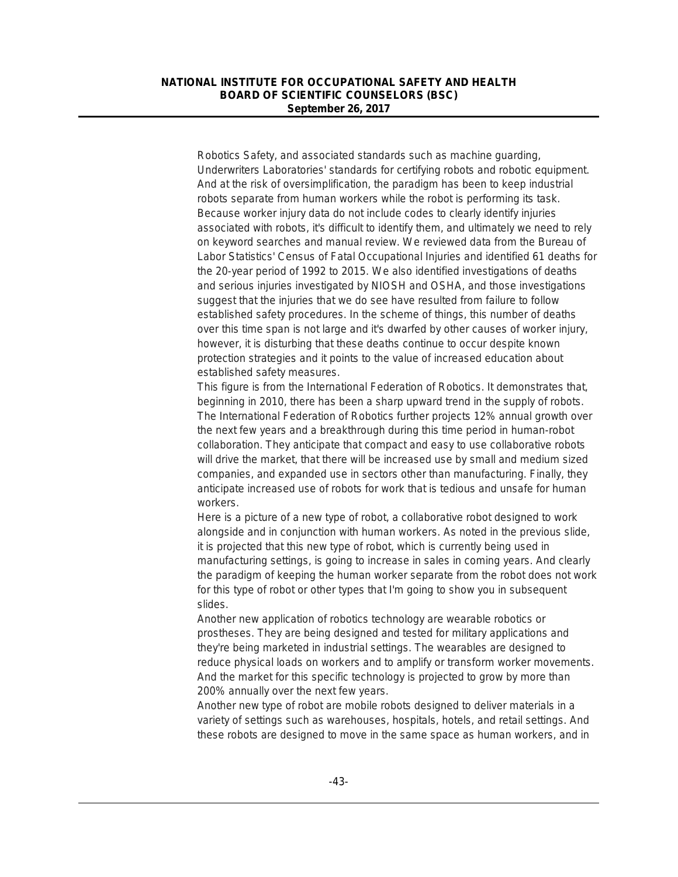Robotics Safety, and associated standards such as machine guarding, Underwriters Laboratories' standards for certifying robots and robotic equipment. And at the risk of oversimplification, the paradigm has been to keep industrial robots separate from human workers while the robot is performing its task. Because worker injury data do not include codes to clearly identify injuries associated with robots, it's difficult to identify them, and ultimately we need to rely on keyword searches and manual review. We reviewed data from the Bureau of Labor Statistics' Census of Fatal Occupational Injuries and identified 61 deaths for the 20-year period of 1992 to 2015. We also identified investigations of deaths and serious injuries investigated by NIOSH and OSHA, and those investigations suggest that the injuries that we do see have resulted from failure to follow established safety procedures. In the scheme of things, this number of deaths over this time span is not large and it's dwarfed by other causes of worker injury, however, it is disturbing that these deaths continue to occur despite known protection strategies and it points to the value of increased education about established safety measures.

This figure is from the International Federation of Robotics. It demonstrates that, beginning in 2010, there has been a sharp upward trend in the supply of robots. The International Federation of Robotics further projects 12% annual growth over the next few years and a breakthrough during this time period in human-robot collaboration. They anticipate that compact and easy to use collaborative robots will drive the market, that there will be increased use by small and medium sized companies, and expanded use in sectors other than manufacturing. Finally, they anticipate increased use of robots for work that is tedious and unsafe for human workers.

Here is a picture of a new type of robot, a collaborative robot designed to work alongside and in conjunction with human workers. As noted in the previous slide, it is projected that this new type of robot, which is currently being used in manufacturing settings, is going to increase in sales in coming years. And clearly the paradigm of keeping the human worker separate from the robot does not work for this type of robot or other types that I'm going to show you in subsequent slides.

Another new application of robotics technology are wearable robotics or prostheses. They are being designed and tested for military applications and they're being marketed in industrial settings. The wearables are designed to reduce physical loads on workers and to amplify or transform worker movements. And the market for this specific technology is projected to grow by more than 200% annually over the next few years.

Another new type of robot are mobile robots designed to deliver materials in a variety of settings such as warehouses, hospitals, hotels, and retail settings. And these robots are designed to move in the same space as human workers, and in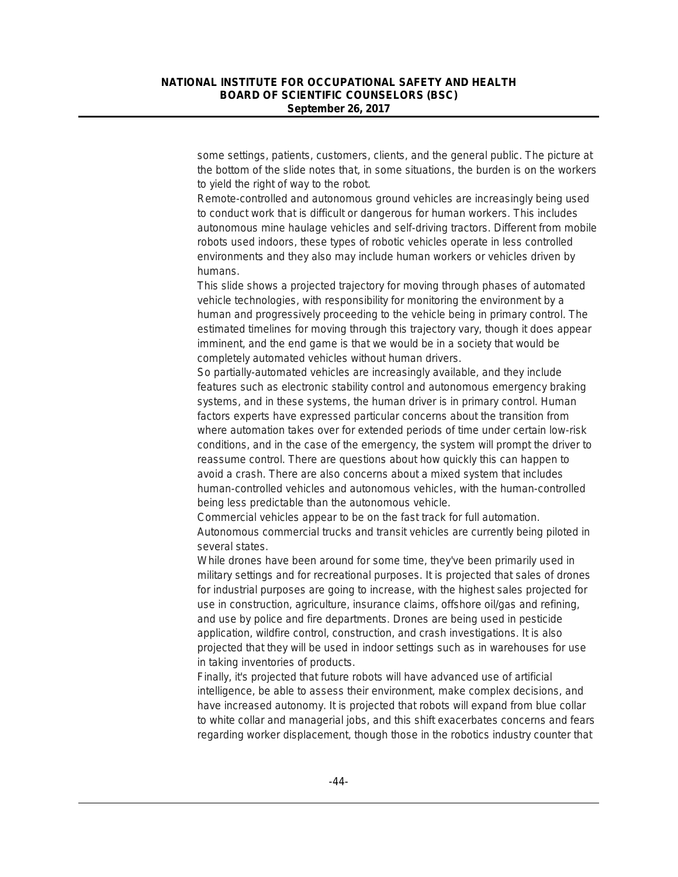some settings, patients, customers, clients, and the general public. The picture at the bottom of the slide notes that, in some situations, the burden is on the workers to yield the right of way to the robot.

Remote-controlled and autonomous ground vehicles are increasingly being used to conduct work that is difficult or dangerous for human workers. This includes autonomous mine haulage vehicles and self-driving tractors. Different from mobile robots used indoors, these types of robotic vehicles operate in less controlled environments and they also may include human workers or vehicles driven by humans.

This slide shows a projected trajectory for moving through phases of automated vehicle technologies, with responsibility for monitoring the environment by a human and progressively proceeding to the vehicle being in primary control. The estimated timelines for moving through this trajectory vary, though it does appear imminent, and the end game is that we would be in a society that would be completely automated vehicles without human drivers.

So partially-automated vehicles are increasingly available, and they include features such as electronic stability control and autonomous emergency braking systems, and in these systems, the human driver is in primary control. Human factors experts have expressed particular concerns about the transition from where automation takes over for extended periods of time under certain low-risk conditions, and in the case of the emergency, the system will prompt the driver to reassume control. There are questions about how quickly this can happen to avoid a crash. There are also concerns about a mixed system that includes human-controlled vehicles and autonomous vehicles, with the human-controlled being less predictable than the autonomous vehicle.

Commercial vehicles appear to be on the fast track for full automation. Autonomous commercial trucks and transit vehicles are currently being piloted in several states.

While drones have been around for some time, they've been primarily used in military settings and for recreational purposes. It is projected that sales of drones for industrial purposes are going to increase, with the highest sales projected for use in construction, agriculture, insurance claims, offshore oil/gas and refining, and use by police and fire departments. Drones are being used in pesticide application, wildfire control, construction, and crash investigations. It is also projected that they will be used in indoor settings such as in warehouses for use in taking inventories of products.

Finally, it's projected that future robots will have advanced use of artificial intelligence, be able to assess their environment, make complex decisions, and have increased autonomy. It is projected that robots will expand from blue collar to white collar and managerial jobs, and this shift exacerbates concerns and fears regarding worker displacement, though those in the robotics industry counter that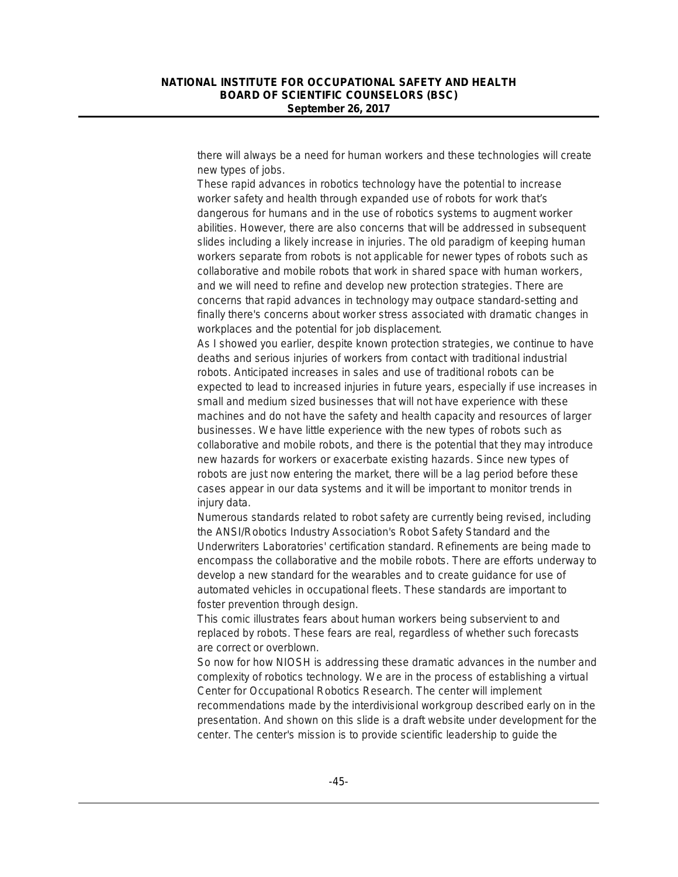there will always be a need for human workers and these technologies will create new types of jobs.

These rapid advances in robotics technology have the potential to increase worker safety and health through expanded use of robots for work that's dangerous for humans and in the use of robotics systems to augment worker abilities. However, there are also concerns that will be addressed in subsequent slides including a likely increase in injuries. The old paradigm of keeping human workers separate from robots is not applicable for newer types of robots such as collaborative and mobile robots that work in shared space with human workers, and we will need to refine and develop new protection strategies. There are concerns that rapid advances in technology may outpace standard-setting and finally there's concerns about worker stress associated with dramatic changes in workplaces and the potential for job displacement.

As I showed you earlier, despite known protection strategies, we continue to have deaths and serious injuries of workers from contact with traditional industrial robots. Anticipated increases in sales and use of traditional robots can be expected to lead to increased injuries in future years, especially if use increases in small and medium sized businesses that will not have experience with these machines and do not have the safety and health capacity and resources of larger businesses. We have little experience with the new types of robots such as collaborative and mobile robots, and there is the potential that they may introduce new hazards for workers or exacerbate existing hazards. Since new types of robots are just now entering the market, there will be a lag period before these cases appear in our data systems and it will be important to monitor trends in injury data.

Numerous standards related to robot safety are currently being revised, including the ANSI/Robotics Industry Association's Robot Safety Standard and the Underwriters Laboratories' certification standard. Refinements are being made to encompass the collaborative and the mobile robots. There are efforts underway to develop a new standard for the wearables and to create guidance for use of automated vehicles in occupational fleets. These standards are important to foster prevention through design.

This comic illustrates fears about human workers being subservient to and replaced by robots. These fears are real, regardless of whether such forecasts are correct or overblown.

So now for how NIOSH is addressing these dramatic advances in the number and complexity of robotics technology. We are in the process of establishing a virtual Center for Occupational Robotics Research. The center will implement recommendations made by the interdivisional workgroup described early on in the presentation. And shown on this slide is a draft website under development for the center. The center's mission is to provide scientific leadership to guide the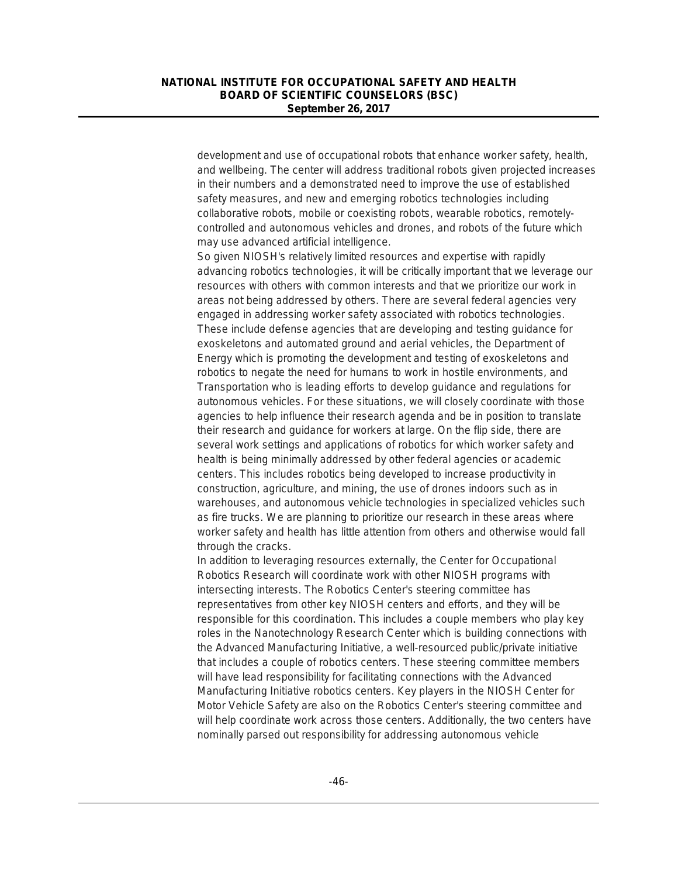development and use of occupational robots that enhance worker safety, health, and wellbeing. The center will address traditional robots given projected increases in their numbers and a demonstrated need to improve the use of established safety measures, and new and emerging robotics technologies including collaborative robots, mobile or coexisting robots, wearable robotics, remotelycontrolled and autonomous vehicles and drones, and robots of the future which may use advanced artificial intelligence.

So given NIOSH's relatively limited resources and expertise with rapidly advancing robotics technologies, it will be critically important that we leverage our resources with others with common interests and that we prioritize our work in areas not being addressed by others. There are several federal agencies very engaged in addressing worker safety associated with robotics technologies. These include defense agencies that are developing and testing guidance for exoskeletons and automated ground and aerial vehicles, the Department of Energy which is promoting the development and testing of exoskeletons and robotics to negate the need for humans to work in hostile environments, and Transportation who is leading efforts to develop guidance and regulations for autonomous vehicles. For these situations, we will closely coordinate with those agencies to help influence their research agenda and be in position to translate their research and guidance for workers at large. On the flip side, there are several work settings and applications of robotics for which worker safety and health is being minimally addressed by other federal agencies or academic centers. This includes robotics being developed to increase productivity in construction, agriculture, and mining, the use of drones indoors such as in warehouses, and autonomous vehicle technologies in specialized vehicles such as fire trucks. We are planning to prioritize our research in these areas where worker safety and health has little attention from others and otherwise would fall through the cracks.

In addition to leveraging resources externally, the Center for Occupational Robotics Research will coordinate work with other NIOSH programs with intersecting interests. The Robotics Center's steering committee has representatives from other key NIOSH centers and efforts, and they will be responsible for this coordination. This includes a couple members who play key roles in the Nanotechnology Research Center which is building connections with the Advanced Manufacturing Initiative, a well-resourced public/private initiative that includes a couple of robotics centers. These steering committee members will have lead responsibility for facilitating connections with the Advanced Manufacturing Initiative robotics centers. Key players in the NIOSH Center for Motor Vehicle Safety are also on the Robotics Center's steering committee and will help coordinate work across those centers. Additionally, the two centers have nominally parsed out responsibility for addressing autonomous vehicle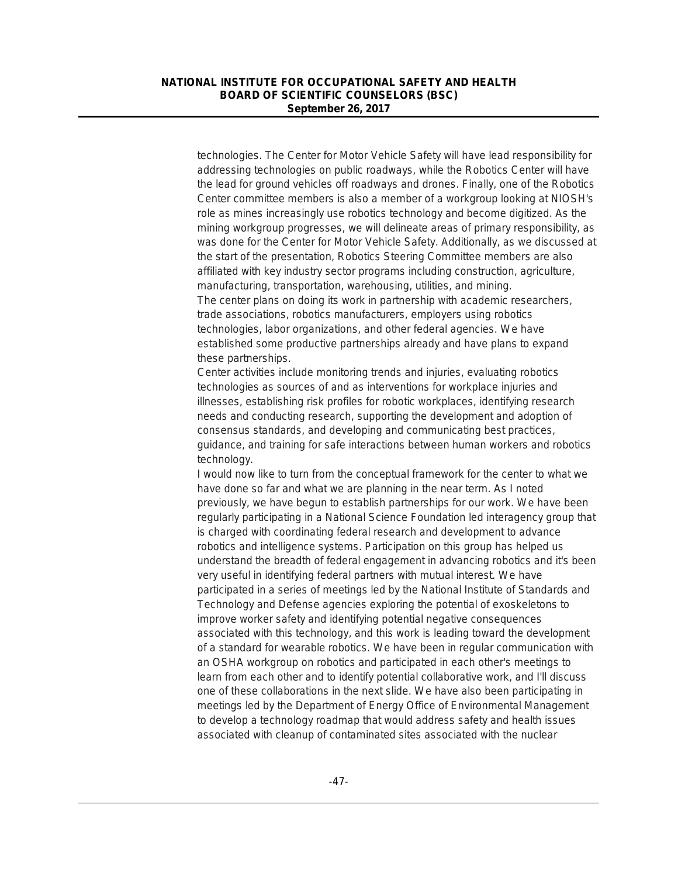technologies. The Center for Motor Vehicle Safety will have lead responsibility for addressing technologies on public roadways, while the Robotics Center will have the lead for ground vehicles off roadways and drones. Finally, one of the Robotics Center committee members is also a member of a workgroup looking at NIOSH's role as mines increasingly use robotics technology and become digitized. As the mining workgroup progresses, we will delineate areas of primary responsibility, as was done for the Center for Motor Vehicle Safety. Additionally, as we discussed at the start of the presentation, Robotics Steering Committee members are also affiliated with key industry sector programs including construction, agriculture, manufacturing, transportation, warehousing, utilities, and mining. The center plans on doing its work in partnership with academic researchers, trade associations, robotics manufacturers, employers using robotics technologies, labor organizations, and other federal agencies. We have

established some productive partnerships already and have plans to expand these partnerships.

Center activities include monitoring trends and injuries, evaluating robotics technologies as sources of and as interventions for workplace injuries and illnesses, establishing risk profiles for robotic workplaces, identifying research needs and conducting research, supporting the development and adoption of consensus standards, and developing and communicating best practices, guidance, and training for safe interactions between human workers and robotics technology.

I would now like to turn from the conceptual framework for the center to what we have done so far and what we are planning in the near term. As I noted previously, we have begun to establish partnerships for our work. We have been regularly participating in a National Science Foundation led interagency group that is charged with coordinating federal research and development to advance robotics and intelligence systems. Participation on this group has helped us understand the breadth of federal engagement in advancing robotics and it's been very useful in identifying federal partners with mutual interest. We have participated in a series of meetings led by the National Institute of Standards and Technology and Defense agencies exploring the potential of exoskeletons to improve worker safety and identifying potential negative consequences associated with this technology, and this work is leading toward the development of a standard for wearable robotics. We have been in regular communication with an OSHA workgroup on robotics and participated in each other's meetings to learn from each other and to identify potential collaborative work, and I'll discuss one of these collaborations in the next slide. We have also been participating in meetings led by the Department of Energy Office of Environmental Management to develop a technology roadmap that would address safety and health issues associated with cleanup of contaminated sites associated with the nuclear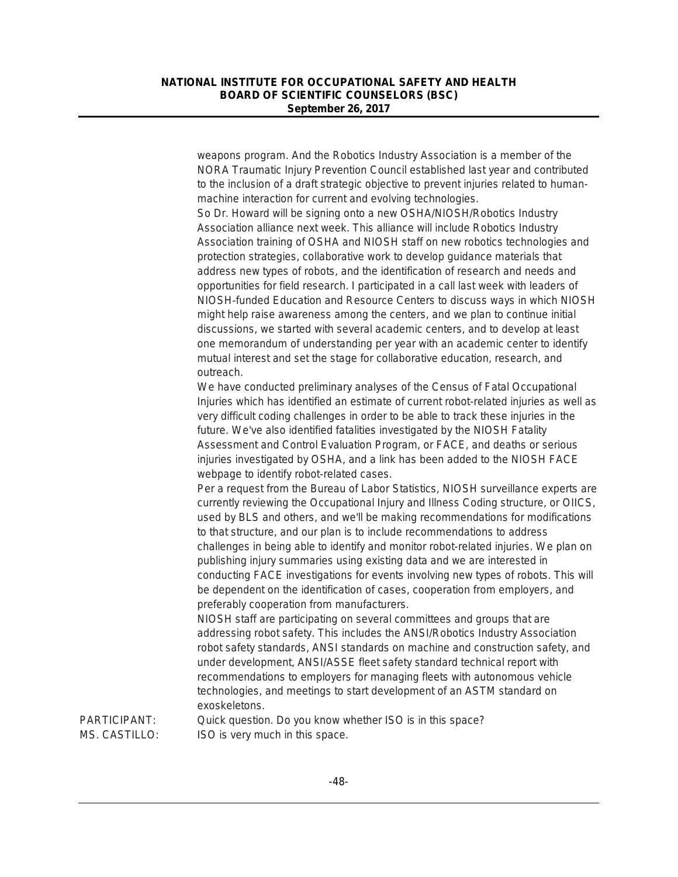weapons program. And the Robotics Industry Association is a member of the NORA Traumatic Injury Prevention Council established last year and contributed to the inclusion of a draft strategic objective to prevent injuries related to humanmachine interaction for current and evolving technologies.

So Dr. Howard will be signing onto a new OSHA/NIOSH/Robotics Industry Association alliance next week. This alliance will include Robotics Industry Association training of OSHA and NIOSH staff on new robotics technologies and protection strategies, collaborative work to develop guidance materials that address new types of robots, and the identification of research and needs and opportunities for field research. I participated in a call last week with leaders of NIOSH-funded Education and Resource Centers to discuss ways in which NIOSH might help raise awareness among the centers, and we plan to continue initial discussions, we started with several academic centers, and to develop at least one memorandum of understanding per year with an academic center to identify mutual interest and set the stage for collaborative education, research, and outreach.

We have conducted preliminary analyses of the Census of Fatal Occupational Injuries which has identified an estimate of current robot-related injuries as well as very difficult coding challenges in order to be able to track these injuries in the future. We've also identified fatalities investigated by the NIOSH Fatality Assessment and Control Evaluation Program, or FACE, and deaths or serious injuries investigated by OSHA, and a link has been added to the NIOSH FACE webpage to identify robot-related cases.

Per a request from the Bureau of Labor Statistics, NIOSH surveillance experts are currently reviewing the Occupational Injury and Illness Coding structure, or OIICS, used by BLS and others, and we'll be making recommendations for modifications to that structure, and our plan is to include recommendations to address challenges in being able to identify and monitor robot-related injuries. We plan on publishing injury summaries using existing data and we are interested in conducting FACE investigations for events involving new types of robots. This will be dependent on the identification of cases, cooperation from employers, and preferably cooperation from manufacturers.

NIOSH staff are participating on several committees and groups that are addressing robot safety. This includes the ANSI/Robotics Industry Association robot safety standards, ANSI standards on machine and construction safety, and under development, ANSI/ASSE fleet safety standard technical report with recommendations to employers for managing fleets with autonomous vehicle technologies, and meetings to start development of an ASTM standard on exoskeletons.

PARTICIPANT: Quick question. Do you know whether ISO is in this space? MS. CASTILLO: ISO is very much in this space.

-48-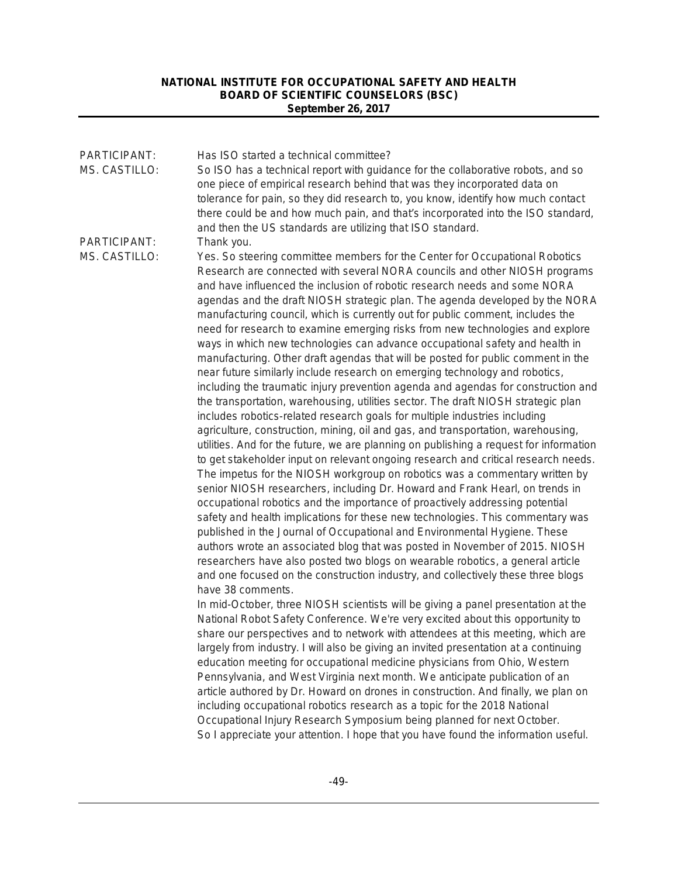| PARTICIPANT:<br>MS. CASTILLO: | Has ISO started a technical committee?<br>So ISO has a technical report with guidance for the collaborative robots, and so<br>one piece of empirical research behind that was they incorporated data on<br>tolerance for pain, so they did research to, you know, identify how much contact<br>there could be and how much pain, and that's incorporated into the ISO standard,                                                                                                                                                                                                                                                                                                                                                                                                                                                                                                                                                                                                                                                                                                                                                                                                                                                                                                                                                                                                                                                                                                                                                                                                                                                                                                                                                                                                                                                                                                                                                                                                                                                              |
|-------------------------------|----------------------------------------------------------------------------------------------------------------------------------------------------------------------------------------------------------------------------------------------------------------------------------------------------------------------------------------------------------------------------------------------------------------------------------------------------------------------------------------------------------------------------------------------------------------------------------------------------------------------------------------------------------------------------------------------------------------------------------------------------------------------------------------------------------------------------------------------------------------------------------------------------------------------------------------------------------------------------------------------------------------------------------------------------------------------------------------------------------------------------------------------------------------------------------------------------------------------------------------------------------------------------------------------------------------------------------------------------------------------------------------------------------------------------------------------------------------------------------------------------------------------------------------------------------------------------------------------------------------------------------------------------------------------------------------------------------------------------------------------------------------------------------------------------------------------------------------------------------------------------------------------------------------------------------------------------------------------------------------------------------------------------------------------|
| PARTICIPANT:<br>MS. CASTILLO: | and then the US standards are utilizing that ISO standard.<br>Thank you.<br>Yes. So steering committee members for the Center for Occupational Robotics<br>Research are connected with several NORA councils and other NIOSH programs<br>and have influenced the inclusion of robotic research needs and some NORA<br>agendas and the draft NIOSH strategic plan. The agenda developed by the NORA<br>manufacturing council, which is currently out for public comment, includes the<br>need for research to examine emerging risks from new technologies and explore<br>ways in which new technologies can advance occupational safety and health in<br>manufacturing. Other draft agendas that will be posted for public comment in the<br>near future similarly include research on emerging technology and robotics,<br>including the traumatic injury prevention agenda and agendas for construction and<br>the transportation, warehousing, utilities sector. The draft NIOSH strategic plan<br>includes robotics-related research goals for multiple industries including<br>agriculture, construction, mining, oil and gas, and transportation, warehousing,<br>utilities. And for the future, we are planning on publishing a request for information<br>to get stakeholder input on relevant ongoing research and critical research needs.<br>The impetus for the NIOSH workgroup on robotics was a commentary written by<br>senior NIOSH researchers, including Dr. Howard and Frank Hearl, on trends in<br>occupational robotics and the importance of proactively addressing potential<br>safety and health implications for these new technologies. This commentary was<br>published in the Journal of Occupational and Environmental Hygiene. These<br>authors wrote an associated blog that was posted in November of 2015. NIOSH<br>researchers have also posted two blogs on wearable robotics, a general article<br>and one focused on the construction industry, and collectively these three blogs<br>have 38 comments. |
|                               | In mid-October, three NIOSH scientists will be giving a panel presentation at the<br>National Robot Safety Conference. We're very excited about this opportunity to<br>share our perspectives and to network with attendees at this meeting, which are<br>largely from industry. I will also be giving an invited presentation at a continuing<br>education meeting for occupational medicine physicians from Ohio, Western<br>Pennsylvania, and West Virginia next month. We anticipate publication of an<br>article authored by Dr. Howard on drones in construction. And finally, we plan on<br>including occupational robotics research as a topic for the 2018 National<br>Occupational Injury Research Symposium being planned for next October.<br>So I appreciate your attention. I hope that you have found the information useful.                                                                                                                                                                                                                                                                                                                                                                                                                                                                                                                                                                                                                                                                                                                                                                                                                                                                                                                                                                                                                                                                                                                                                                                                 |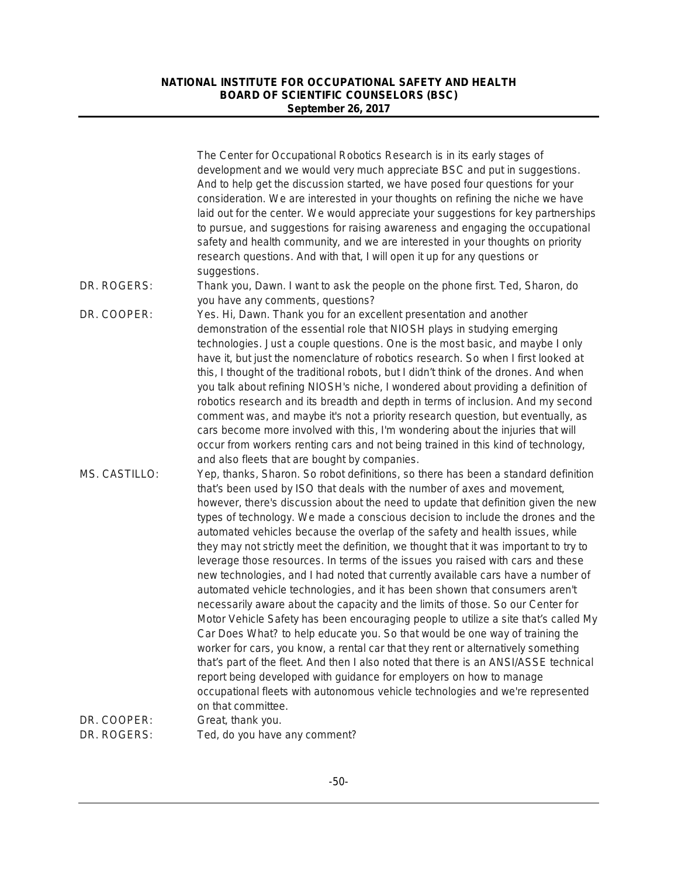|                            | The Center for Occupational Robotics Research is in its early stages of<br>development and we would very much appreciate BSC and put in suggestions.<br>And to help get the discussion started, we have posed four questions for your<br>consideration. We are interested in your thoughts on refining the niche we have<br>laid out for the center. We would appreciate your suggestions for key partnerships<br>to pursue, and suggestions for raising awareness and engaging the occupational<br>safety and health community, and we are interested in your thoughts on priority<br>research questions. And with that, I will open it up for any questions or                                                                                                                                                                                                                                                                                                                                                                                                                                                                                                                                                                                                                                                                                                                              |
|----------------------------|-----------------------------------------------------------------------------------------------------------------------------------------------------------------------------------------------------------------------------------------------------------------------------------------------------------------------------------------------------------------------------------------------------------------------------------------------------------------------------------------------------------------------------------------------------------------------------------------------------------------------------------------------------------------------------------------------------------------------------------------------------------------------------------------------------------------------------------------------------------------------------------------------------------------------------------------------------------------------------------------------------------------------------------------------------------------------------------------------------------------------------------------------------------------------------------------------------------------------------------------------------------------------------------------------------------------------------------------------------------------------------------------------|
| DR. ROGERS:                | suggestions.<br>Thank you, Dawn. I want to ask the people on the phone first. Ted, Sharon, do<br>you have any comments, questions?                                                                                                                                                                                                                                                                                                                                                                                                                                                                                                                                                                                                                                                                                                                                                                                                                                                                                                                                                                                                                                                                                                                                                                                                                                                            |
| DR. COOPER:                | Yes. Hi, Dawn. Thank you for an excellent presentation and another<br>demonstration of the essential role that NIOSH plays in studying emerging<br>technologies. Just a couple questions. One is the most basic, and maybe I only<br>have it, but just the nomenclature of robotics research. So when I first looked at<br>this, I thought of the traditional robots, but I didn't think of the drones. And when<br>you talk about refining NIOSH's niche, I wondered about providing a definition of<br>robotics research and its breadth and depth in terms of inclusion. And my second<br>comment was, and maybe it's not a priority research question, but eventually, as<br>cars become more involved with this, I'm wondering about the injuries that will<br>occur from workers renting cars and not being trained in this kind of technology,<br>and also fleets that are bought by companies.                                                                                                                                                                                                                                                                                                                                                                                                                                                                                        |
| MS. CASTILLO:              | Yep, thanks, Sharon. So robot definitions, so there has been a standard definition<br>that's been used by ISO that deals with the number of axes and movement,<br>however, there's discussion about the need to update that definition given the new<br>types of technology. We made a conscious decision to include the drones and the<br>automated vehicles because the overlap of the safety and health issues, while<br>they may not strictly meet the definition, we thought that it was important to try to<br>leverage those resources. In terms of the issues you raised with cars and these<br>new technologies, and I had noted that currently available cars have a number of<br>automated vehicle technologies, and it has been shown that consumers aren't<br>necessarily aware about the capacity and the limits of those. So our Center for<br>Motor Vehicle Safety has been encouraging people to utilize a site that's called My<br>Car Does What? to help educate you. So that would be one way of training the<br>worker for cars, you know, a rental car that they rent or alternatively something<br>that's part of the fleet. And then I also noted that there is an ANSI/ASSE technical<br>report being developed with guidance for employers on how to manage<br>occupational fleets with autonomous vehicle technologies and we're represented<br>on that committee. |
| DR. COOPER:<br>DR. ROGERS: | Great, thank you.<br>Ted, do you have any comment?                                                                                                                                                                                                                                                                                                                                                                                                                                                                                                                                                                                                                                                                                                                                                                                                                                                                                                                                                                                                                                                                                                                                                                                                                                                                                                                                            |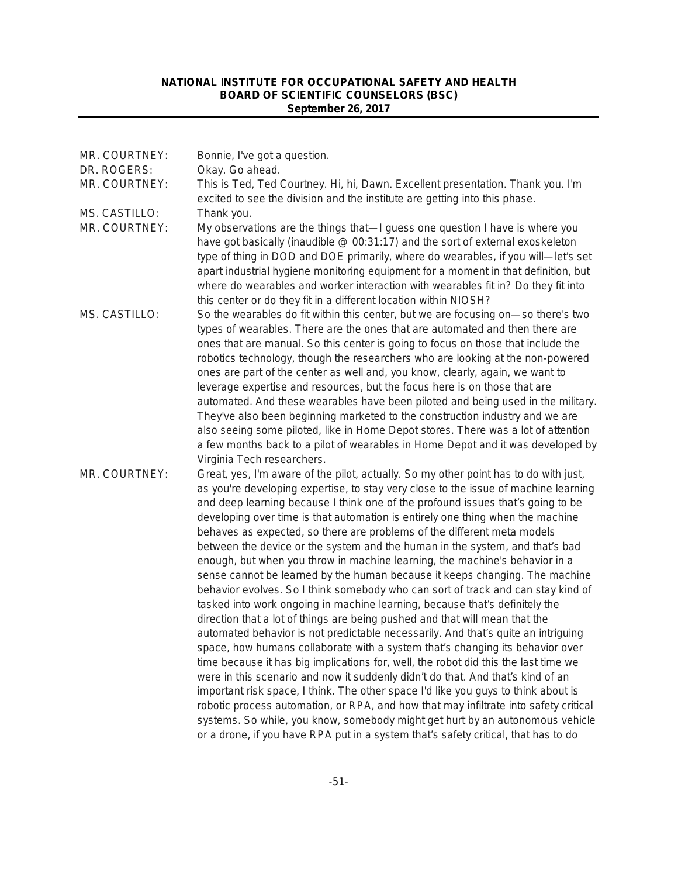| MR. COURTNEY:<br>DR. ROGERS:<br>MR. COURTNEY: | Bonnie, I've got a question.<br>Okay. Go ahead.<br>This is Ted, Ted Courtney. Hi, hi, Dawn. Excellent presentation. Thank you. I'm                                                                                                                                                                                                                                                                                                                                                                                                                                                                                                                                                                                                                                                                                                                                                                                                                                                                                                                                                                                                                                                                                                                                                                                                                                                                                                                                                                                                                                                                                               |
|-----------------------------------------------|----------------------------------------------------------------------------------------------------------------------------------------------------------------------------------------------------------------------------------------------------------------------------------------------------------------------------------------------------------------------------------------------------------------------------------------------------------------------------------------------------------------------------------------------------------------------------------------------------------------------------------------------------------------------------------------------------------------------------------------------------------------------------------------------------------------------------------------------------------------------------------------------------------------------------------------------------------------------------------------------------------------------------------------------------------------------------------------------------------------------------------------------------------------------------------------------------------------------------------------------------------------------------------------------------------------------------------------------------------------------------------------------------------------------------------------------------------------------------------------------------------------------------------------------------------------------------------------------------------------------------------|
| MS. CASTILLO:<br>MR. COURTNEY:                | excited to see the division and the institute are getting into this phase.<br>Thank you.<br>My observations are the things that-I guess one question I have is where you<br>have got basically (inaudible @ 00:31:17) and the sort of external exoskeleton<br>type of thing in DOD and DOE primarily, where do wearables, if you will-let's set<br>apart industrial hygiene monitoring equipment for a moment in that definition, but<br>where do wearables and worker interaction with wearables fit in? Do they fit into                                                                                                                                                                                                                                                                                                                                                                                                                                                                                                                                                                                                                                                                                                                                                                                                                                                                                                                                                                                                                                                                                                       |
| MS. CASTILLO:                                 | this center or do they fit in a different location within NIOSH?<br>So the wearables do fit within this center, but we are focusing on-so there's two<br>types of wearables. There are the ones that are automated and then there are<br>ones that are manual. So this center is going to focus on those that include the<br>robotics technology, though the researchers who are looking at the non-powered<br>ones are part of the center as well and, you know, clearly, again, we want to<br>leverage expertise and resources, but the focus here is on those that are<br>automated. And these wearables have been piloted and being used in the military.<br>They've also been beginning marketed to the construction industry and we are<br>also seeing some piloted, like in Home Depot stores. There was a lot of attention<br>a few months back to a pilot of wearables in Home Depot and it was developed by<br>Virginia Tech researchers.                                                                                                                                                                                                                                                                                                                                                                                                                                                                                                                                                                                                                                                                              |
| MR. COURTNEY:                                 | Great, yes, I'm aware of the pilot, actually. So my other point has to do with just,<br>as you're developing expertise, to stay very close to the issue of machine learning<br>and deep learning because I think one of the profound issues that's going to be<br>developing over time is that automation is entirely one thing when the machine<br>behaves as expected, so there are problems of the different meta models<br>between the device or the system and the human in the system, and that's bad<br>enough, but when you throw in machine learning, the machine's behavior in a<br>sense cannot be learned by the human because it keeps changing. The machine<br>behavior evolves. So I think somebody who can sort of track and can stay kind of<br>tasked into work ongoing in machine learning, because that's definitely the<br>direction that a lot of things are being pushed and that will mean that the<br>automated behavior is not predictable necessarily. And that's quite an intriguing<br>space, how humans collaborate with a system that's changing its behavior over<br>time because it has big implications for, well, the robot did this the last time we<br>were in this scenario and now it suddenly didn't do that. And that's kind of an<br>important risk space, I think. The other space I'd like you guys to think about is<br>robotic process automation, or RPA, and how that may infiltrate into safety critical<br>systems. So while, you know, somebody might get hurt by an autonomous vehicle<br>or a drone, if you have RPA put in a system that's safety critical, that has to do |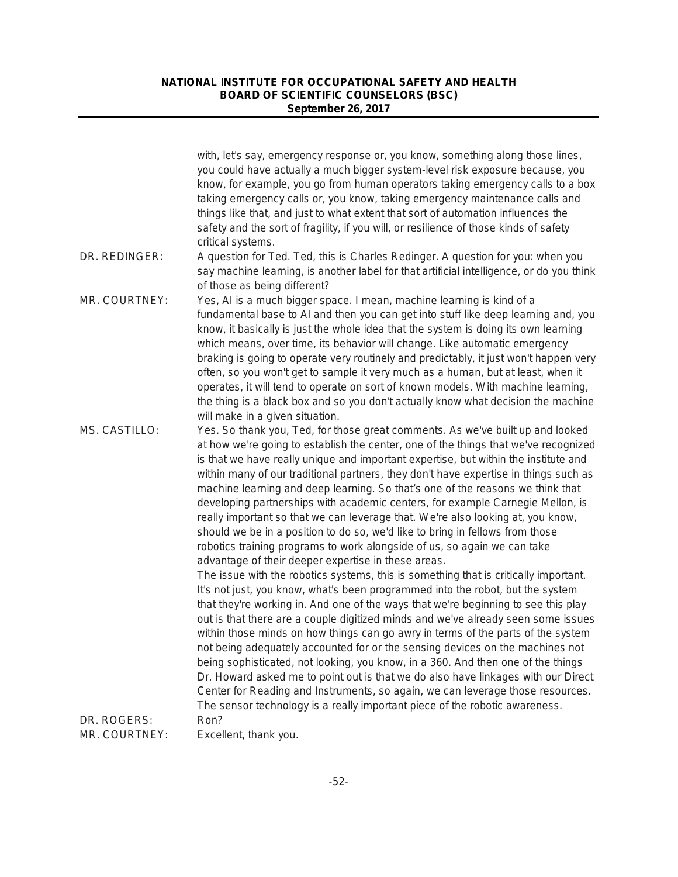|               | with, let's say, emergency response or, you know, something along those lines,<br>you could have actually a much bigger system-level risk exposure because, you<br>know, for example, you go from human operators taking emergency calls to a box<br>taking emergency calls or, you know, taking emergency maintenance calls and<br>things like that, and just to what extent that sort of automation influences the<br>safety and the sort of fragility, if you will, or resilience of those kinds of safety                                                                                                                                                                                                                                                                                                                                                                                                                                                                                                                                                                                                                                                                                                                                                                                                                                                                                                                                                                                                                                                                                                                                                                                       |
|---------------|-----------------------------------------------------------------------------------------------------------------------------------------------------------------------------------------------------------------------------------------------------------------------------------------------------------------------------------------------------------------------------------------------------------------------------------------------------------------------------------------------------------------------------------------------------------------------------------------------------------------------------------------------------------------------------------------------------------------------------------------------------------------------------------------------------------------------------------------------------------------------------------------------------------------------------------------------------------------------------------------------------------------------------------------------------------------------------------------------------------------------------------------------------------------------------------------------------------------------------------------------------------------------------------------------------------------------------------------------------------------------------------------------------------------------------------------------------------------------------------------------------------------------------------------------------------------------------------------------------------------------------------------------------------------------------------------------------|
|               | critical systems.                                                                                                                                                                                                                                                                                                                                                                                                                                                                                                                                                                                                                                                                                                                                                                                                                                                                                                                                                                                                                                                                                                                                                                                                                                                                                                                                                                                                                                                                                                                                                                                                                                                                                   |
| DR. REDINGER: | A question for Ted. Ted, this is Charles Redinger. A question for you: when you<br>say machine learning, is another label for that artificial intelligence, or do you think<br>of those as being different?                                                                                                                                                                                                                                                                                                                                                                                                                                                                                                                                                                                                                                                                                                                                                                                                                                                                                                                                                                                                                                                                                                                                                                                                                                                                                                                                                                                                                                                                                         |
| MR. COURTNEY: | Yes, AI is a much bigger space. I mean, machine learning is kind of a<br>fundamental base to AI and then you can get into stuff like deep learning and, you<br>know, it basically is just the whole idea that the system is doing its own learning<br>which means, over time, its behavior will change. Like automatic emergency<br>braking is going to operate very routinely and predictably, it just won't happen very<br>often, so you won't get to sample it very much as a human, but at least, when it<br>operates, it will tend to operate on sort of known models. With machine learning,<br>the thing is a black box and so you don't actually know what decision the machine<br>will make in a given situation.                                                                                                                                                                                                                                                                                                                                                                                                                                                                                                                                                                                                                                                                                                                                                                                                                                                                                                                                                                          |
| MS. CASTILLO: | Yes. So thank you, Ted, for those great comments. As we've built up and looked<br>at how we're going to establish the center, one of the things that we've recognized<br>is that we have really unique and important expertise, but within the institute and<br>within many of our traditional partners, they don't have expertise in things such as<br>machine learning and deep learning. So that's one of the reasons we think that<br>developing partnerships with academic centers, for example Carnegie Mellon, is<br>really important so that we can leverage that. We're also looking at, you know,<br>should we be in a position to do so, we'd like to bring in fellows from those<br>robotics training programs to work alongside of us, so again we can take<br>advantage of their deeper expertise in these areas.<br>The issue with the robotics systems, this is something that is critically important.<br>It's not just, you know, what's been programmed into the robot, but the system<br>that they're working in. And one of the ways that we're beginning to see this play<br>out is that there are a couple digitized minds and we've already seen some issues<br>within those minds on how things can go awry in terms of the parts of the system<br>not being adequately accounted for or the sensing devices on the machines not<br>being sophisticated, not looking, you know, in a 360. And then one of the things<br>Dr. Howard asked me to point out is that we do also have linkages with our Direct<br>Center for Reading and Instruments, so again, we can leverage those resources.<br>The sensor technology is a really important piece of the robotic awareness. |
| DR. ROGERS:   | Ron?                                                                                                                                                                                                                                                                                                                                                                                                                                                                                                                                                                                                                                                                                                                                                                                                                                                                                                                                                                                                                                                                                                                                                                                                                                                                                                                                                                                                                                                                                                                                                                                                                                                                                                |
| MR. COURTNEY: | Excellent, thank you.                                                                                                                                                                                                                                                                                                                                                                                                                                                                                                                                                                                                                                                                                                                                                                                                                                                                                                                                                                                                                                                                                                                                                                                                                                                                                                                                                                                                                                                                                                                                                                                                                                                                               |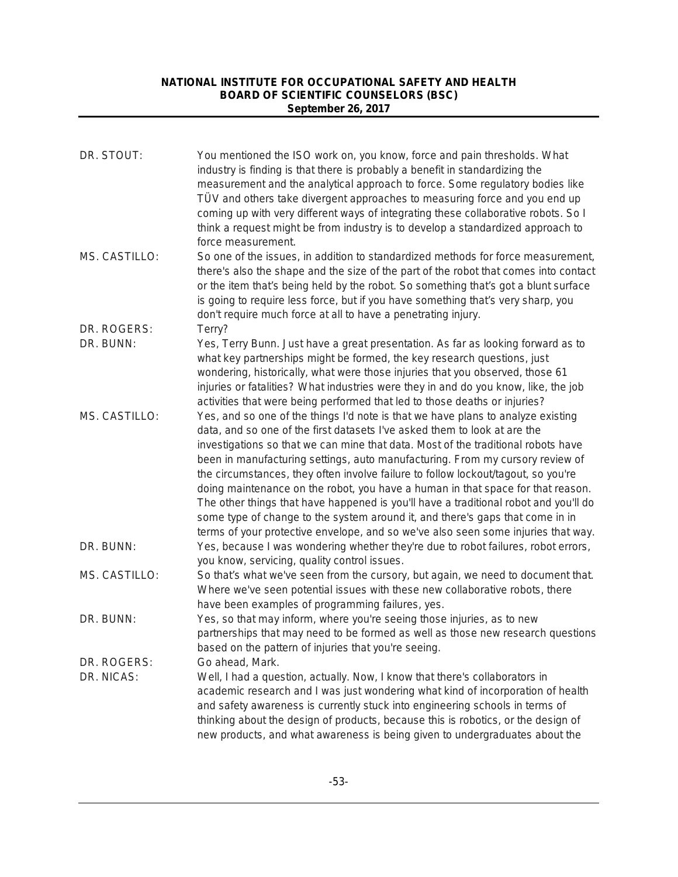| DR. STOUT:                | You mentioned the ISO work on, you know, force and pain thresholds. What<br>industry is finding is that there is probably a benefit in standardizing the<br>measurement and the analytical approach to force. Some regulatory bodies like<br>TÜV and others take divergent approaches to measuring force and you end up<br>coming up with very different ways of integrating these collaborative robots. So I<br>think a request might be from industry is to develop a standardized approach to<br>force measurement.                                                                                                                                                                                                                                                    |
|---------------------------|---------------------------------------------------------------------------------------------------------------------------------------------------------------------------------------------------------------------------------------------------------------------------------------------------------------------------------------------------------------------------------------------------------------------------------------------------------------------------------------------------------------------------------------------------------------------------------------------------------------------------------------------------------------------------------------------------------------------------------------------------------------------------|
| MS. CASTILLO:             | So one of the issues, in addition to standardized methods for force measurement,<br>there's also the shape and the size of the part of the robot that comes into contact<br>or the item that's being held by the robot. So something that's got a blunt surface<br>is going to require less force, but if you have something that's very sharp, you<br>don't require much force at all to have a penetrating injury.                                                                                                                                                                                                                                                                                                                                                      |
| DR. ROGERS:<br>DR. BUNN:  | Terry?<br>Yes, Terry Bunn. Just have a great presentation. As far as looking forward as to<br>what key partnerships might be formed, the key research questions, just<br>wondering, historically, what were those injuries that you observed, those 61<br>injuries or fatalities? What industries were they in and do you know, like, the job<br>activities that were being performed that led to those deaths or injuries?                                                                                                                                                                                                                                                                                                                                               |
| MS. CASTILLO:             | Yes, and so one of the things I'd note is that we have plans to analyze existing<br>data, and so one of the first datasets I've asked them to look at are the<br>investigations so that we can mine that data. Most of the traditional robots have<br>been in manufacturing settings, auto manufacturing. From my cursory review of<br>the circumstances, they often involve failure to follow lockout/tagout, so you're<br>doing maintenance on the robot, you have a human in that space for that reason.<br>The other things that have happened is you'll have a traditional robot and you'll do<br>some type of change to the system around it, and there's gaps that come in in<br>terms of your protective envelope, and so we've also seen some injuries that way. |
| DR. BUNN:                 | Yes, because I was wondering whether they're due to robot failures, robot errors,<br>you know, servicing, quality control issues.                                                                                                                                                                                                                                                                                                                                                                                                                                                                                                                                                                                                                                         |
| MS. CASTILLO:             | So that's what we've seen from the cursory, but again, we need to document that.<br>Where we've seen potential issues with these new collaborative robots, there<br>have been examples of programming failures, yes.                                                                                                                                                                                                                                                                                                                                                                                                                                                                                                                                                      |
| DR. BUNN:                 | Yes, so that may inform, where you're seeing those injuries, as to new<br>partnerships that may need to be formed as well as those new research questions<br>based on the pattern of injuries that you're seeing.                                                                                                                                                                                                                                                                                                                                                                                                                                                                                                                                                         |
| DR. ROGERS:<br>DR. NICAS: | Go ahead, Mark.<br>Well, I had a question, actually. Now, I know that there's collaborators in<br>academic research and I was just wondering what kind of incorporation of health<br>and safety awareness is currently stuck into engineering schools in terms of<br>thinking about the design of products, because this is robotics, or the design of<br>new products, and what awareness is being given to undergraduates about the                                                                                                                                                                                                                                                                                                                                     |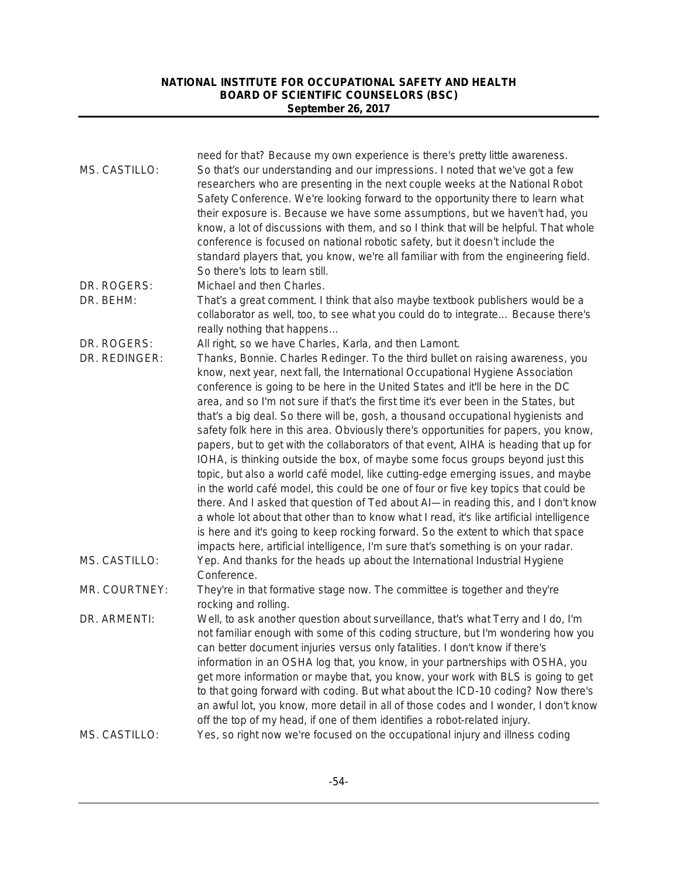| MS. CASTILLO: | need for that? Because my own experience is there's pretty little awareness.<br>So that's our understanding and our impressions. I noted that we've got a few<br>researchers who are presenting in the next couple weeks at the National Robot<br>Safety Conference. We're looking forward to the opportunity there to learn what<br>their exposure is. Because we have some assumptions, but we haven't had, you<br>know, a lot of discussions with them, and so I think that will be helpful. That whole<br>conference is focused on national robotic safety, but it doesn't include the<br>standard players that, you know, we're all familiar with from the engineering field.<br>So there's lots to learn still.                                                                                                                                                                                                                                                                                                                                                                                                                                                                                                                       |
|---------------|---------------------------------------------------------------------------------------------------------------------------------------------------------------------------------------------------------------------------------------------------------------------------------------------------------------------------------------------------------------------------------------------------------------------------------------------------------------------------------------------------------------------------------------------------------------------------------------------------------------------------------------------------------------------------------------------------------------------------------------------------------------------------------------------------------------------------------------------------------------------------------------------------------------------------------------------------------------------------------------------------------------------------------------------------------------------------------------------------------------------------------------------------------------------------------------------------------------------------------------------|
| DR. ROGERS:   | Michael and then Charles.                                                                                                                                                                                                                                                                                                                                                                                                                                                                                                                                                                                                                                                                                                                                                                                                                                                                                                                                                                                                                                                                                                                                                                                                                   |
| DR. BEHM:     | That's a great comment. I think that also maybe textbook publishers would be a<br>collaborator as well, too, to see what you could do to integrate Because there's<br>really nothing that happens                                                                                                                                                                                                                                                                                                                                                                                                                                                                                                                                                                                                                                                                                                                                                                                                                                                                                                                                                                                                                                           |
| DR. ROGERS:   | All right, so we have Charles, Karla, and then Lamont.                                                                                                                                                                                                                                                                                                                                                                                                                                                                                                                                                                                                                                                                                                                                                                                                                                                                                                                                                                                                                                                                                                                                                                                      |
| DR. REDINGER: | Thanks, Bonnie. Charles Redinger. To the third bullet on raising awareness, you<br>know, next year, next fall, the International Occupational Hygiene Association<br>conference is going to be here in the United States and it'll be here in the DC<br>area, and so I'm not sure if that's the first time it's ever been in the States, but<br>that's a big deal. So there will be, gosh, a thousand occupational hygienists and<br>safety folk here in this area. Obviously there's opportunities for papers, you know,<br>papers, but to get with the collaborators of that event, AIHA is heading that up for<br>IOHA, is thinking outside the box, of maybe some focus groups beyond just this<br>topic, but also a world café model, like cutting-edge emerging issues, and maybe<br>in the world café model, this could be one of four or five key topics that could be<br>there. And I asked that question of Ted about AI-in reading this, and I don't know<br>a whole lot about that other than to know what I read, it's like artificial intelligence<br>is here and it's going to keep rocking forward. So the extent to which that space<br>impacts here, artificial intelligence, I'm sure that's something is on your radar. |
| MS. CASTILLO: | Yep. And thanks for the heads up about the International Industrial Hygiene<br>Conference.                                                                                                                                                                                                                                                                                                                                                                                                                                                                                                                                                                                                                                                                                                                                                                                                                                                                                                                                                                                                                                                                                                                                                  |
| MR. COURTNEY: | They're in that formative stage now. The committee is together and they're<br>rocking and rolling.                                                                                                                                                                                                                                                                                                                                                                                                                                                                                                                                                                                                                                                                                                                                                                                                                                                                                                                                                                                                                                                                                                                                          |
| DR. ARMENTI:  | Well, to ask another question about surveillance, that's what Terry and I do, I'm<br>not familiar enough with some of this coding structure, but I'm wondering how you<br>can better document injuries versus only fatalities. I don't know if there's<br>information in an OSHA log that, you know, in your partnerships with OSHA, you<br>get more information or maybe that, you know, your work with BLS is going to get<br>to that going forward with coding. But what about the ICD-10 coding? Now there's<br>an awful lot, you know, more detail in all of those codes and I wonder, I don't know<br>off the top of my head, if one of them identifies a robot-related injury.                                                                                                                                                                                                                                                                                                                                                                                                                                                                                                                                                       |
| MS. CASTILLO: | Yes, so right now we're focused on the occupational injury and illness coding                                                                                                                                                                                                                                                                                                                                                                                                                                                                                                                                                                                                                                                                                                                                                                                                                                                                                                                                                                                                                                                                                                                                                               |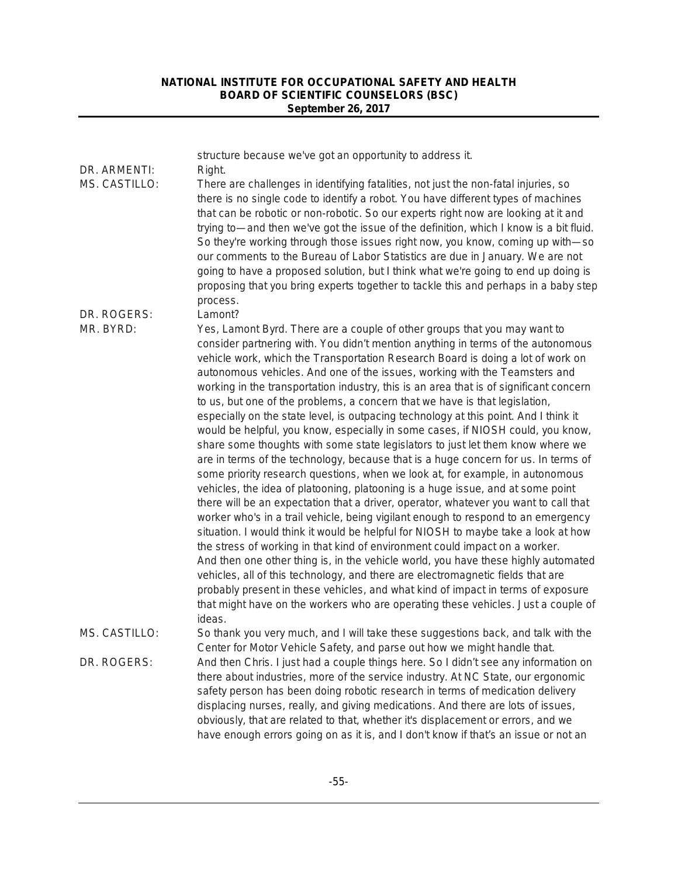| DR. ARMENTI:<br>MS. CASTILLO: | structure because we've got an opportunity to address it.<br>Right.<br>There are challenges in identifying fatalities, not just the non-fatal injuries, so<br>there is no single code to identify a robot. You have different types of machines<br>that can be robotic or non-robotic. So our experts right now are looking at it and<br>trying to—and then we've got the issue of the definition, which I know is a bit fluid.<br>So they're working through those issues right now, you know, coming up with-so<br>our comments to the Bureau of Labor Statistics are due in January. We are not<br>going to have a proposed solution, but I think what we're going to end up doing is<br>proposing that you bring experts together to tackle this and perhaps in a baby step<br>process.                                                                                                                                                                                                                                                                                                                                                                                                                                                                                                                                                                                                                                                                                                                                                                                                                                                                                                                                                             |
|-------------------------------|---------------------------------------------------------------------------------------------------------------------------------------------------------------------------------------------------------------------------------------------------------------------------------------------------------------------------------------------------------------------------------------------------------------------------------------------------------------------------------------------------------------------------------------------------------------------------------------------------------------------------------------------------------------------------------------------------------------------------------------------------------------------------------------------------------------------------------------------------------------------------------------------------------------------------------------------------------------------------------------------------------------------------------------------------------------------------------------------------------------------------------------------------------------------------------------------------------------------------------------------------------------------------------------------------------------------------------------------------------------------------------------------------------------------------------------------------------------------------------------------------------------------------------------------------------------------------------------------------------------------------------------------------------------------------------------------------------------------------------------------------------|
| DR. ROGERS:<br>MR. BYRD:      | Lamont?<br>Yes, Lamont Byrd. There are a couple of other groups that you may want to<br>consider partnering with. You didn't mention anything in terms of the autonomous<br>vehicle work, which the Transportation Research Board is doing a lot of work on<br>autonomous vehicles. And one of the issues, working with the Teamsters and<br>working in the transportation industry, this is an area that is of significant concern<br>to us, but one of the problems, a concern that we have is that legislation,<br>especially on the state level, is outpacing technology at this point. And I think it<br>would be helpful, you know, especially in some cases, if NIOSH could, you know,<br>share some thoughts with some state legislators to just let them know where we<br>are in terms of the technology, because that is a huge concern for us. In terms of<br>some priority research questions, when we look at, for example, in autonomous<br>vehicles, the idea of platooning, platooning is a huge issue, and at some point<br>there will be an expectation that a driver, operator, whatever you want to call that<br>worker who's in a trail vehicle, being vigilant enough to respond to an emergency<br>situation. I would think it would be helpful for NIOSH to maybe take a look at how<br>the stress of working in that kind of environment could impact on a worker.<br>And then one other thing is, in the vehicle world, you have these highly automated<br>vehicles, all of this technology, and there are electromagnetic fields that are<br>probably present in these vehicles, and what kind of impact in terms of exposure<br>that might have on the workers who are operating these vehicles. Just a couple of<br>ideas. |
| MS. CASTILLO:<br>DR. ROGERS:  | So thank you very much, and I will take these suggestions back, and talk with the<br>Center for Motor Vehicle Safety, and parse out how we might handle that.<br>And then Chris. I just had a couple things here. So I didn't see any information on<br>there about industries, more of the service industry. At NC State, our ergonomic<br>safety person has been doing robotic research in terms of medication delivery<br>displacing nurses, really, and giving medications. And there are lots of issues,<br>obviously, that are related to that, whether it's displacement or errors, and we<br>have enough errors going on as it is, and I don't know if that's an issue or not an                                                                                                                                                                                                                                                                                                                                                                                                                                                                                                                                                                                                                                                                                                                                                                                                                                                                                                                                                                                                                                                                |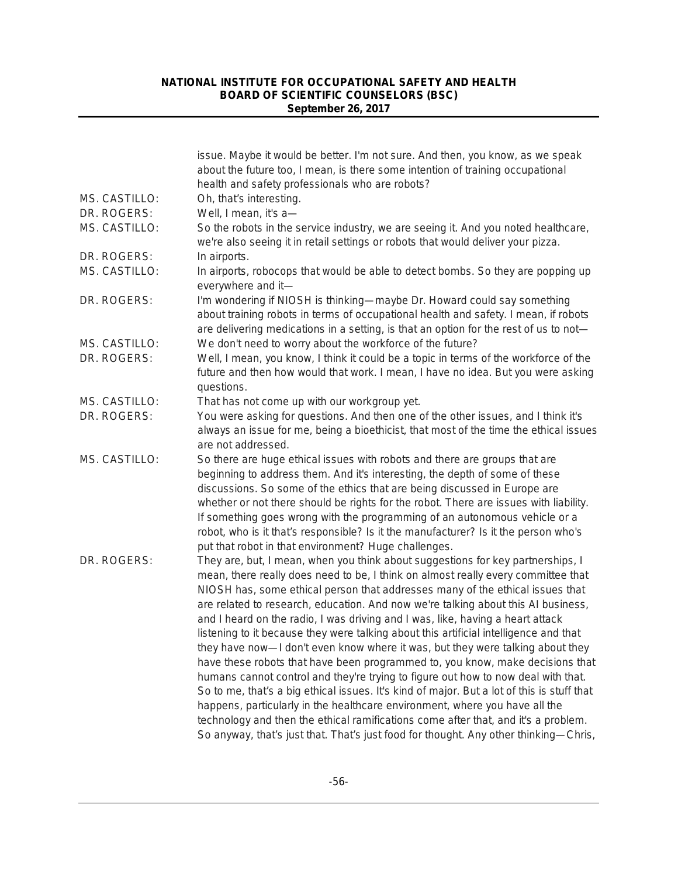|               | issue. Maybe it would be better. I'm not sure. And then, you know, as we speak<br>about the future too, I mean, is there some intention of training occupational<br>health and safety professionals who are robots?                                                                                                                                                                                                                                                                                                                                                                                                                                                                                                                                                                                                                                                                                                                                                                                                                                                                                                                      |
|---------------|------------------------------------------------------------------------------------------------------------------------------------------------------------------------------------------------------------------------------------------------------------------------------------------------------------------------------------------------------------------------------------------------------------------------------------------------------------------------------------------------------------------------------------------------------------------------------------------------------------------------------------------------------------------------------------------------------------------------------------------------------------------------------------------------------------------------------------------------------------------------------------------------------------------------------------------------------------------------------------------------------------------------------------------------------------------------------------------------------------------------------------------|
| MS. CASTILLO: | Oh, that's interesting.                                                                                                                                                                                                                                                                                                                                                                                                                                                                                                                                                                                                                                                                                                                                                                                                                                                                                                                                                                                                                                                                                                                  |
| DR. ROGERS:   | Well, I mean, it's a-                                                                                                                                                                                                                                                                                                                                                                                                                                                                                                                                                                                                                                                                                                                                                                                                                                                                                                                                                                                                                                                                                                                    |
| MS. CASTILLO: | So the robots in the service industry, we are seeing it. And you noted healthcare,<br>we're also seeing it in retail settings or robots that would deliver your pizza.                                                                                                                                                                                                                                                                                                                                                                                                                                                                                                                                                                                                                                                                                                                                                                                                                                                                                                                                                                   |
| DR. ROGERS:   | In airports.                                                                                                                                                                                                                                                                                                                                                                                                                                                                                                                                                                                                                                                                                                                                                                                                                                                                                                                                                                                                                                                                                                                             |
| MS. CASTILLO: | In airports, robocops that would be able to detect bombs. So they are popping up<br>everywhere and it-                                                                                                                                                                                                                                                                                                                                                                                                                                                                                                                                                                                                                                                                                                                                                                                                                                                                                                                                                                                                                                   |
| DR. ROGERS:   | I'm wondering if NIOSH is thinking—maybe Dr. Howard could say something<br>about training robots in terms of occupational health and safety. I mean, if robots<br>are delivering medications in a setting, is that an option for the rest of us to not-                                                                                                                                                                                                                                                                                                                                                                                                                                                                                                                                                                                                                                                                                                                                                                                                                                                                                  |
| MS. CASTILLO: | We don't need to worry about the workforce of the future?                                                                                                                                                                                                                                                                                                                                                                                                                                                                                                                                                                                                                                                                                                                                                                                                                                                                                                                                                                                                                                                                                |
| DR. ROGERS:   | Well, I mean, you know, I think it could be a topic in terms of the workforce of the<br>future and then how would that work. I mean, I have no idea. But you were asking<br>questions.                                                                                                                                                                                                                                                                                                                                                                                                                                                                                                                                                                                                                                                                                                                                                                                                                                                                                                                                                   |
| MS. CASTILLO: | That has not come up with our workgroup yet.                                                                                                                                                                                                                                                                                                                                                                                                                                                                                                                                                                                                                                                                                                                                                                                                                                                                                                                                                                                                                                                                                             |
| DR. ROGERS:   | You were asking for questions. And then one of the other issues, and I think it's<br>always an issue for me, being a bioethicist, that most of the time the ethical issues<br>are not addressed.                                                                                                                                                                                                                                                                                                                                                                                                                                                                                                                                                                                                                                                                                                                                                                                                                                                                                                                                         |
| MS. CASTILLO: | So there are huge ethical issues with robots and there are groups that are<br>beginning to address them. And it's interesting, the depth of some of these<br>discussions. So some of the ethics that are being discussed in Europe are<br>whether or not there should be rights for the robot. There are issues with liability.<br>If something goes wrong with the programming of an autonomous vehicle or a<br>robot, who is it that's responsible? Is it the manufacturer? Is it the person who's<br>put that robot in that environment? Huge challenges.                                                                                                                                                                                                                                                                                                                                                                                                                                                                                                                                                                             |
| DR. ROGERS:   | They are, but, I mean, when you think about suggestions for key partnerships, I<br>mean, there really does need to be, I think on almost really every committee that<br>NIOSH has, some ethical person that addresses many of the ethical issues that<br>are related to research, education. And now we're talking about this AI business,<br>and I heard on the radio, I was driving and I was, like, having a heart attack<br>listening to it because they were talking about this artificial intelligence and that<br>they have now-I don't even know where it was, but they were talking about they<br>have these robots that have been programmed to, you know, make decisions that<br>humans cannot control and they're trying to figure out how to now deal with that.<br>So to me, that's a big ethical issues. It's kind of major. But a lot of this is stuff that<br>happens, particularly in the healthcare environment, where you have all the<br>technology and then the ethical ramifications come after that, and it's a problem.<br>So anyway, that's just that. That's just food for thought. Any other thinking-Chris, |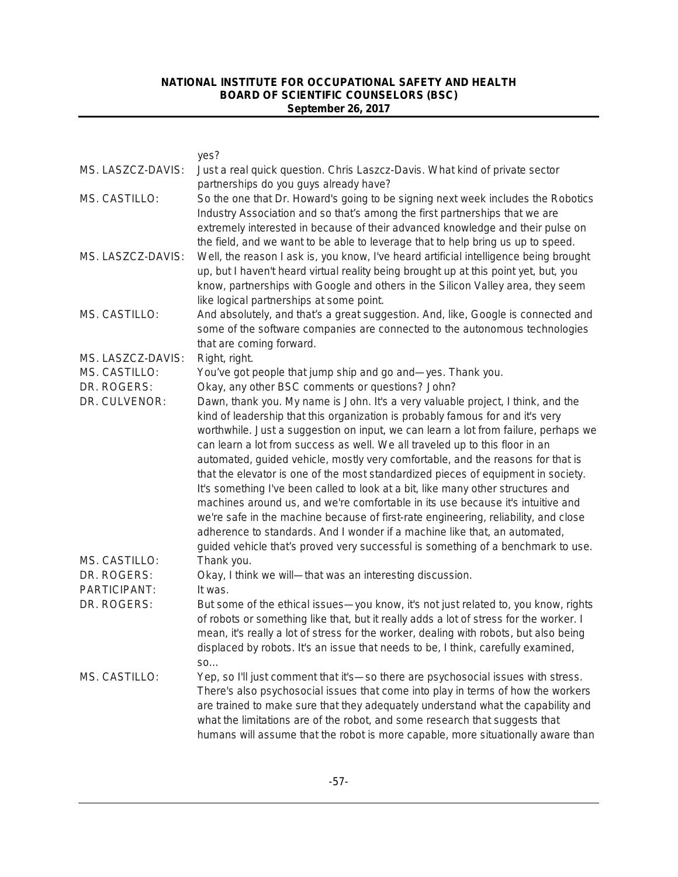|                                | yes?                                                                                                                                                                                                                                                                                                                                                                                                                                                                                                                                                                                                                                                                                                                                                                                                                                                                                                                                                            |
|--------------------------------|-----------------------------------------------------------------------------------------------------------------------------------------------------------------------------------------------------------------------------------------------------------------------------------------------------------------------------------------------------------------------------------------------------------------------------------------------------------------------------------------------------------------------------------------------------------------------------------------------------------------------------------------------------------------------------------------------------------------------------------------------------------------------------------------------------------------------------------------------------------------------------------------------------------------------------------------------------------------|
| MS. LASZCZ-DAVIS:              | Just a real quick question. Chris Laszcz-Davis. What kind of private sector<br>partnerships do you guys already have?                                                                                                                                                                                                                                                                                                                                                                                                                                                                                                                                                                                                                                                                                                                                                                                                                                           |
| MS. CASTILLO:                  | So the one that Dr. Howard's going to be signing next week includes the Robotics<br>Industry Association and so that's among the first partnerships that we are<br>extremely interested in because of their advanced knowledge and their pulse on<br>the field, and we want to be able to leverage that to help bring us up to speed.                                                                                                                                                                                                                                                                                                                                                                                                                                                                                                                                                                                                                           |
| MS. LASZCZ-DAVIS:              | Well, the reason I ask is, you know, I've heard artificial intelligence being brought<br>up, but I haven't heard virtual reality being brought up at this point yet, but, you<br>know, partnerships with Google and others in the Silicon Valley area, they seem<br>like logical partnerships at some point.                                                                                                                                                                                                                                                                                                                                                                                                                                                                                                                                                                                                                                                    |
| MS. CASTILLO:                  | And absolutely, and that's a great suggestion. And, like, Google is connected and<br>some of the software companies are connected to the autonomous technologies<br>that are coming forward.                                                                                                                                                                                                                                                                                                                                                                                                                                                                                                                                                                                                                                                                                                                                                                    |
| MS. LASZCZ-DAVIS:              | Right, right.                                                                                                                                                                                                                                                                                                                                                                                                                                                                                                                                                                                                                                                                                                                                                                                                                                                                                                                                                   |
| MS. CASTILLO:                  | You've got people that jump ship and go and-yes. Thank you.                                                                                                                                                                                                                                                                                                                                                                                                                                                                                                                                                                                                                                                                                                                                                                                                                                                                                                     |
| DR. ROGERS:                    | Okay, any other BSC comments or questions? John?                                                                                                                                                                                                                                                                                                                                                                                                                                                                                                                                                                                                                                                                                                                                                                                                                                                                                                                |
| DR. CULVENOR:<br>MS. CASTILLO: | Dawn, thank you. My name is John. It's a very valuable project, I think, and the<br>kind of leadership that this organization is probably famous for and it's very<br>worthwhile. Just a suggestion on input, we can learn a lot from failure, perhaps we<br>can learn a lot from success as well. We all traveled up to this floor in an<br>automated, guided vehicle, mostly very comfortable, and the reasons for that is<br>that the elevator is one of the most standardized pieces of equipment in society.<br>It's something I've been called to look at a bit, like many other structures and<br>machines around us, and we're comfortable in its use because it's intuitive and<br>we're safe in the machine because of first-rate engineering, reliability, and close<br>adherence to standards. And I wonder if a machine like that, an automated,<br>guided vehicle that's proved very successful is something of a benchmark to use.<br>Thank you. |
| DR. ROGERS:                    | Okay, I think we will—that was an interesting discussion.                                                                                                                                                                                                                                                                                                                                                                                                                                                                                                                                                                                                                                                                                                                                                                                                                                                                                                       |
| PARTICIPANT:                   | It was.                                                                                                                                                                                                                                                                                                                                                                                                                                                                                                                                                                                                                                                                                                                                                                                                                                                                                                                                                         |
| DR. ROGERS:                    | But some of the ethical issues-you know, it's not just related to, you know, rights<br>of robots or something like that, but it really adds a lot of stress for the worker. I<br>mean, it's really a lot of stress for the worker, dealing with robots, but also being<br>displaced by robots. It's an issue that needs to be, I think, carefully examined,<br>SO                                                                                                                                                                                                                                                                                                                                                                                                                                                                                                                                                                                               |
| MS. CASTILLO:                  | Yep, so I'll just comment that it's-so there are psychosocial issues with stress.<br>There's also psychosocial issues that come into play in terms of how the workers<br>are trained to make sure that they adequately understand what the capability and<br>what the limitations are of the robot, and some research that suggests that<br>humans will assume that the robot is more capable, more situationally aware than                                                                                                                                                                                                                                                                                                                                                                                                                                                                                                                                    |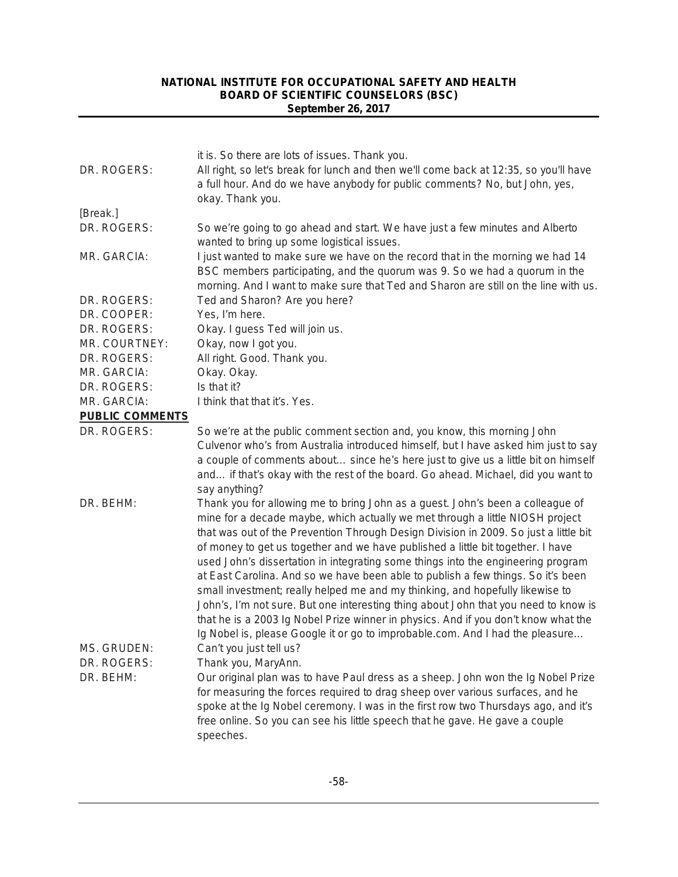|                        | it is. So there are lots of issues. Thank you.                                                                                                                    |
|------------------------|-------------------------------------------------------------------------------------------------------------------------------------------------------------------|
| DR. ROGERS:            | All right, so let's break for lunch and then we'll come back at 12:35, so you'll have                                                                             |
|                        | a full hour. And do we have anybody for public comments? No, but John, yes,                                                                                       |
|                        | okay. Thank you.                                                                                                                                                  |
| [Break.]               |                                                                                                                                                                   |
| DR. ROGERS:            | So we're going to go ahead and start. We have just a few minutes and Alberto                                                                                      |
|                        | wanted to bring up some logistical issues.                                                                                                                        |
| MR. GARCIA:            | I just wanted to make sure we have on the record that in the morning we had 14                                                                                    |
|                        | BSC members participating, and the quorum was 9. So we had a quorum in the                                                                                        |
|                        | morning. And I want to make sure that Ted and Sharon are still on the line with us.                                                                               |
| DR. ROGERS:            | Ted and Sharon? Are you here?                                                                                                                                     |
| DR. COOPER:            | Yes, I'm here.                                                                                                                                                    |
| DR. ROGERS:            | Okay. I guess Ted will join us.                                                                                                                                   |
| MR. COURTNEY:          | Okay, now I got you.                                                                                                                                              |
| DR. ROGERS:            | All right. Good. Thank you.                                                                                                                                       |
| MR. GARCIA:            | Okay. Okay.                                                                                                                                                       |
| DR. ROGERS:            | Is that it?                                                                                                                                                       |
| MR. GARCIA:            | I think that that it's. Yes.                                                                                                                                      |
| <b>PUBLIC COMMENTS</b> |                                                                                                                                                                   |
| DR. ROGERS:            | So we're at the public comment section and, you know, this morning John                                                                                           |
|                        | Culvenor who's from Australia introduced himself, but I have asked him just to say                                                                                |
|                        | a couple of comments about since he's here just to give us a little bit on himself                                                                                |
|                        | and if that's okay with the rest of the board. Go ahead. Michael, did you want to                                                                                 |
|                        | say anything?                                                                                                                                                     |
| DR. BEHM:              | Thank you for allowing me to bring John as a guest. John's been a colleague of                                                                                    |
|                        | mine for a decade maybe, which actually we met through a little NIOSH project                                                                                     |
|                        | that was out of the Prevention Through Design Division in 2009. So just a little bit                                                                              |
|                        | of money to get us together and we have published a little bit together. I have                                                                                   |
|                        | used John's dissertation in integrating some things into the engineering program                                                                                  |
|                        | at East Carolina. And so we have been able to publish a few things. So it's been<br>small investment; really helped me and my thinking, and hopefully likewise to |
|                        | John's, I'm not sure. But one interesting thing about John that you need to know is                                                                               |
|                        | that he is a 2003 Ig Nobel Prize winner in physics. And if you don't know what the                                                                                |
|                        | Ig Nobel is, please Google it or go to improbable.com. And I had the pleasure                                                                                     |
| MS. GRUDEN:            | Can't you just tell us?                                                                                                                                           |
| DR. ROGERS:            | Thank you, MaryAnn.                                                                                                                                               |
| DR. BEHM:              | Our original plan was to have Paul dress as a sheep. John won the Ig Nobel Prize                                                                                  |
|                        | for measuring the forces required to drag sheep over various surfaces, and he                                                                                     |
|                        | spoke at the Ig Nobel ceremony. I was in the first row two Thursdays ago, and it's                                                                                |
|                        | free online. So you can see his little speech that he gave. He gave a couple                                                                                      |
|                        | speeches.                                                                                                                                                         |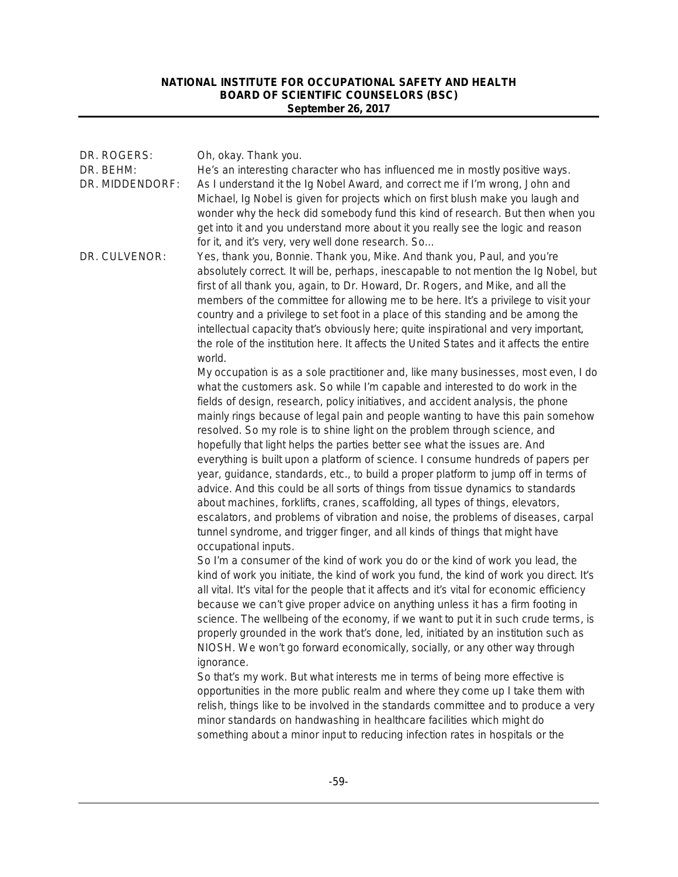| DR. ROGERS:<br>DR. BEHM:<br>DR. MIDDENDORF: | Oh, okay. Thank you.<br>He's an interesting character who has influenced me in mostly positive ways.<br>As I understand it the Ig Nobel Award, and correct me if I'm wrong, John and<br>Michael, Ig Nobel is given for projects which on first blush make you laugh and<br>wonder why the heck did somebody fund this kind of research. But then when you<br>get into it and you understand more about it you really see the logic and reason<br>for it, and it's very, very well done research. So                                                                                                                                                                                                                                                                                                                                                                                                                                                                                                                                                                                                                                                                                                                                                                                                                                                                                                                                                                                                                                                                                                                                                                                                                                                                                                                                                                                                                                                                                                                                                                                                                |
|---------------------------------------------|--------------------------------------------------------------------------------------------------------------------------------------------------------------------------------------------------------------------------------------------------------------------------------------------------------------------------------------------------------------------------------------------------------------------------------------------------------------------------------------------------------------------------------------------------------------------------------------------------------------------------------------------------------------------------------------------------------------------------------------------------------------------------------------------------------------------------------------------------------------------------------------------------------------------------------------------------------------------------------------------------------------------------------------------------------------------------------------------------------------------------------------------------------------------------------------------------------------------------------------------------------------------------------------------------------------------------------------------------------------------------------------------------------------------------------------------------------------------------------------------------------------------------------------------------------------------------------------------------------------------------------------------------------------------------------------------------------------------------------------------------------------------------------------------------------------------------------------------------------------------------------------------------------------------------------------------------------------------------------------------------------------------------------------------------------------------------------------------------------------------|
| DR. CULVENOR:                               | Yes, thank you, Bonnie. Thank you, Mike. And thank you, Paul, and you're<br>absolutely correct. It will be, perhaps, inescapable to not mention the Ig Nobel, but<br>first of all thank you, again, to Dr. Howard, Dr. Rogers, and Mike, and all the<br>members of the committee for allowing me to be here. It's a privilege to visit your<br>country and a privilege to set foot in a place of this standing and be among the<br>intellectual capacity that's obviously here; quite inspirational and very important,<br>the role of the institution here. It affects the United States and it affects the entire<br>world.                                                                                                                                                                                                                                                                                                                                                                                                                                                                                                                                                                                                                                                                                                                                                                                                                                                                                                                                                                                                                                                                                                                                                                                                                                                                                                                                                                                                                                                                                      |
|                                             | My occupation is as a sole practitioner and, like many businesses, most even, I do<br>what the customers ask. So while I'm capable and interested to do work in the<br>fields of design, research, policy initiatives, and accident analysis, the phone<br>mainly rings because of legal pain and people wanting to have this pain somehow<br>resolved. So my role is to shine light on the problem through science, and<br>hopefully that light helps the parties better see what the issues are. And<br>everything is built upon a platform of science. I consume hundreds of papers per<br>year, guidance, standards, etc., to build a proper platform to jump off in terms of<br>advice. And this could be all sorts of things from tissue dynamics to standards<br>about machines, forklifts, cranes, scaffolding, all types of things, elevators,<br>escalators, and problems of vibration and noise, the problems of diseases, carpal<br>tunnel syndrome, and trigger finger, and all kinds of things that might have<br>occupational inputs.<br>So I'm a consumer of the kind of work you do or the kind of work you lead, the<br>kind of work you initiate, the kind of work you fund, the kind of work you direct. It's<br>all vital. It's vital for the people that it affects and it's vital for economic efficiency<br>because we can't give proper advice on anything unless it has a firm footing in<br>science. The wellbeing of the economy, if we want to put it in such crude terms, is<br>properly grounded in the work that's done, led, initiated by an institution such as<br>NIOSH. We won't go forward economically, socially, or any other way through<br>ignorance.<br>So that's my work. But what interests me in terms of being more effective is<br>opportunities in the more public realm and where they come up I take them with<br>relish, things like to be involved in the standards committee and to produce a very<br>minor standards on handwashing in healthcare facilities which might do<br>something about a minor input to reducing infection rates in hospitals or the |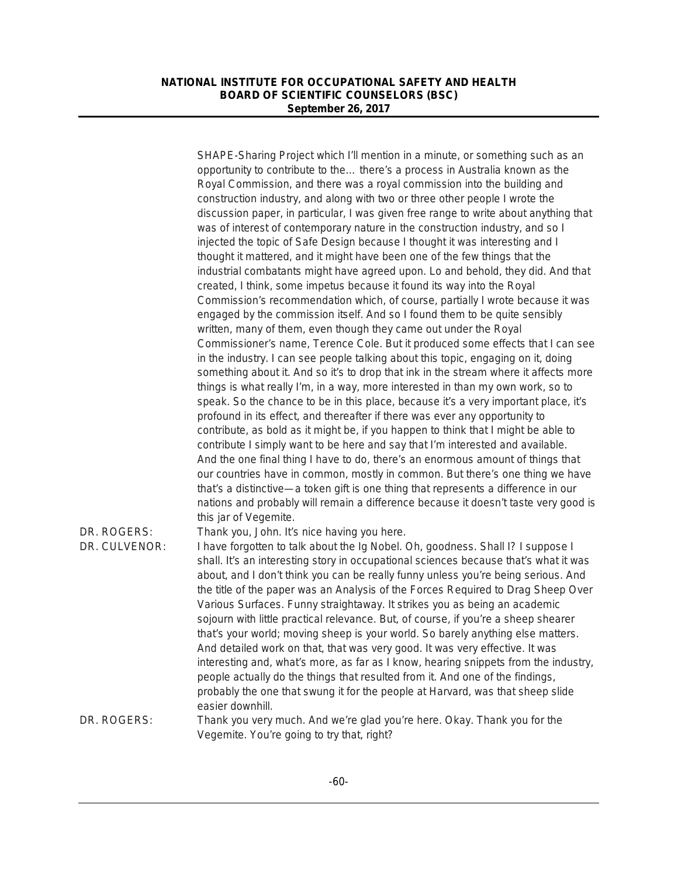|                              | SHAPE-Sharing Project which I'll mention in a minute, or something such as an<br>opportunity to contribute to the there's a process in Australia known as the<br>Royal Commission, and there was a royal commission into the building and<br>construction industry, and along with two or three other people I wrote the<br>discussion paper, in particular, I was given free range to write about anything that<br>was of interest of contemporary nature in the construction industry, and so I<br>injected the topic of Safe Design because I thought it was interesting and I<br>thought it mattered, and it might have been one of the few things that the<br>industrial combatants might have agreed upon. Lo and behold, they did. And that                                                                                                                                                                                                                                                                  |
|------------------------------|---------------------------------------------------------------------------------------------------------------------------------------------------------------------------------------------------------------------------------------------------------------------------------------------------------------------------------------------------------------------------------------------------------------------------------------------------------------------------------------------------------------------------------------------------------------------------------------------------------------------------------------------------------------------------------------------------------------------------------------------------------------------------------------------------------------------------------------------------------------------------------------------------------------------------------------------------------------------------------------------------------------------|
|                              | created, I think, some impetus because it found its way into the Royal<br>Commission's recommendation which, of course, partially I wrote because it was<br>engaged by the commission itself. And so I found them to be quite sensibly<br>written, many of them, even though they came out under the Royal<br>Commissioner's name, Terence Cole. But it produced some effects that I can see<br>in the industry. I can see people talking about this topic, engaging on it, doing<br>something about it. And so it's to drop that ink in the stream where it affects more<br>things is what really I'm, in a way, more interested in than my own work, so to<br>speak. So the chance to be in this place, because it's a very important place, it's<br>profound in its effect, and thereafter if there was ever any opportunity to<br>contribute, as bold as it might be, if you happen to think that I might be able to                                                                                            |
|                              | contribute I simply want to be here and say that I'm interested and available.<br>And the one final thing I have to do, there's an enormous amount of things that<br>our countries have in common, mostly in common. But there's one thing we have<br>that's a distinctive—a token gift is one thing that represents a difference in our<br>nations and probably will remain a difference because it doesn't taste very good is<br>this jar of Vegemite.                                                                                                                                                                                                                                                                                                                                                                                                                                                                                                                                                            |
| DR. ROGERS:<br>DR. CULVENOR: | Thank you, John. It's nice having you here.<br>I have forgotten to talk about the Ig Nobel. Oh, goodness. Shall I? I suppose I<br>shall. It's an interesting story in occupational sciences because that's what it was<br>about, and I don't think you can be really funny unless you're being serious. And<br>the title of the paper was an Analysis of the Forces Required to Drag Sheep Over<br>Various Surfaces. Funny straightaway. It strikes you as being an academic<br>sojourn with little practical relevance. But, of course, if you're a sheep shearer<br>that's your world; moving sheep is your world. So barely anything else matters.<br>And detailed work on that, that was very good. It was very effective. It was<br>interesting and, what's more, as far as I know, hearing snippets from the industry,<br>people actually do the things that resulted from it. And one of the findings,<br>probably the one that swung it for the people at Harvard, was that sheep slide<br>easier downhill. |
| DR. ROGERS:                  | Thank you very much. And we're glad you're here. Okay. Thank you for the<br>Vegemite. You're going to try that, right?                                                                                                                                                                                                                                                                                                                                                                                                                                                                                                                                                                                                                                                                                                                                                                                                                                                                                              |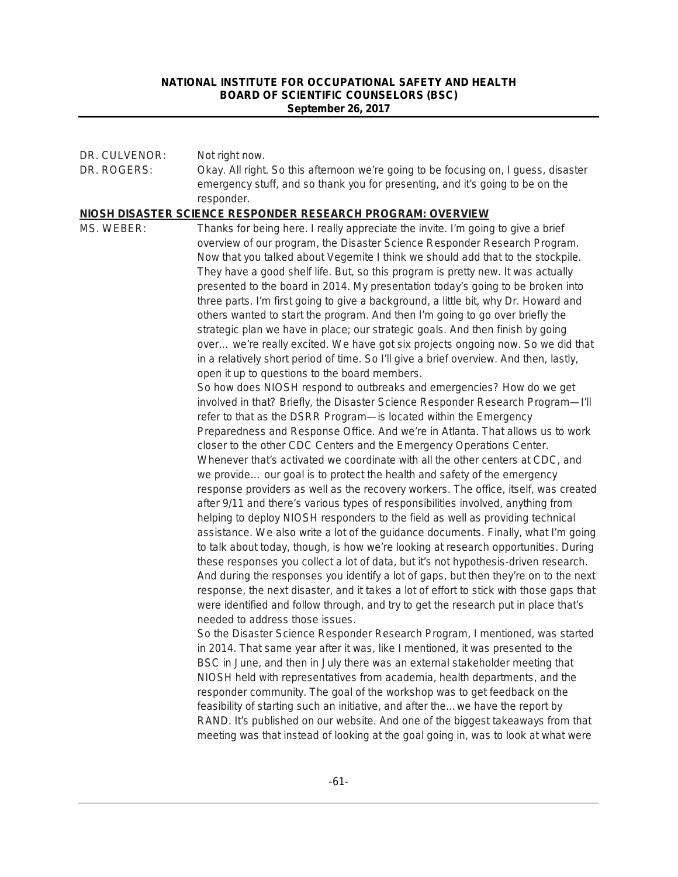| DR. CULVENOR: | Not right now.                                                                                                                                                              |
|---------------|-----------------------------------------------------------------------------------------------------------------------------------------------------------------------------|
| DR. ROGERS:   | Okay. All right. So this afternoon we're going to be focusing on, I guess, disaster                                                                                         |
|               | emergency stuff, and so thank you for presenting, and it's going to be on the                                                                                               |
|               | responder.<br>NIOSH DISASTER SCIENCE RESPONDER RESEARCH PROGRAM: OVERVIEW                                                                                                   |
| MS. WEBER:    | Thanks for being here. I really appreciate the invite. I'm going to give a brief                                                                                            |
|               | overview of our program, the Disaster Science Responder Research Program.                                                                                                   |
|               | Now that you talked about Vegemite I think we should add that to the stockpile.                                                                                             |
|               | They have a good shelf life. But, so this program is pretty new. It was actually                                                                                            |
|               | presented to the board in 2014. My presentation today's going to be broken into                                                                                             |
|               | three parts. I'm first going to give a background, a little bit, why Dr. Howard and                                                                                         |
|               | others wanted to start the program. And then I'm going to go over briefly the                                                                                               |
|               | strategic plan we have in place; our strategic goals. And then finish by going                                                                                              |
|               | over we're really excited. We have got six projects ongoing now. So we did that                                                                                             |
|               | in a relatively short period of time. So I'll give a brief overview. And then, lastly,                                                                                      |
|               | open it up to questions to the board members.<br>So how does NIOSH respond to outbreaks and emergencies? How do we get                                                      |
|               | involved in that? Briefly, the Disaster Science Responder Research Program-I'll                                                                                             |
|               | refer to that as the DSRR Program-is located within the Emergency                                                                                                           |
|               | Preparedness and Response Office. And we're in Atlanta. That allows us to work                                                                                              |
|               | closer to the other CDC Centers and the Emergency Operations Center.                                                                                                        |
|               | Whenever that's activated we coordinate with all the other centers at CDC, and                                                                                              |
|               | we provide our goal is to protect the health and safety of the emergency                                                                                                    |
|               | response providers as well as the recovery workers. The office, itself, was created                                                                                         |
|               | after 9/11 and there's various types of responsibilities involved, anything from                                                                                            |
|               | helping to deploy NIOSH responders to the field as well as providing technical                                                                                              |
|               | assistance. We also write a lot of the guidance documents. Finally, what I'm going                                                                                          |
|               | to talk about today, though, is how we're looking at research opportunities. During                                                                                         |
|               | these responses you collect a lot of data, but it's not hypothesis-driven research.<br>And during the responses you identify a lot of gaps, but then they're on to the next |
|               | response, the next disaster, and it takes a lot of effort to stick with those gaps that                                                                                     |
|               | were identified and follow through, and try to get the research put in place that's                                                                                         |
|               | needed to address those issues.                                                                                                                                             |
|               | So the Disaster Science Responder Research Program, I mentioned, was started                                                                                                |
|               | in 2014. That same year after it was, like I mentioned, it was presented to the                                                                                             |
|               | BSC in June, and then in July there was an external stakeholder meeting that                                                                                                |
|               | NIOSH held with representatives from academia, health departments, and the                                                                                                  |
|               | responder community. The goal of the workshop was to get feedback on the                                                                                                    |
|               | feasibility of starting such an initiative, and after the we have the report by                                                                                             |
|               | RAND. It's published on our website. And one of the biggest takeaways from that                                                                                             |
|               | meeting was that instead of looking at the goal going in, was to look at what were                                                                                          |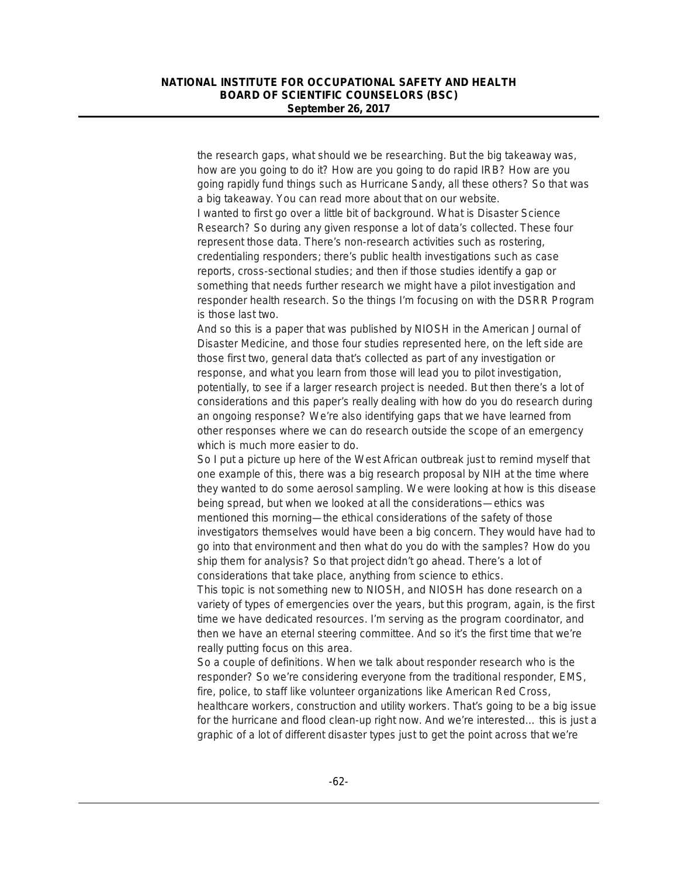the research gaps, what should we be researching. But the big takeaway was, how are you going to do it? How are you going to do rapid IRB? How are you going rapidly fund things such as Hurricane Sandy, all these others? So that was a big takeaway. You can read more about that on our website. I wanted to first go over a little bit of background. What is Disaster Science Research? So during any given response a lot of data's collected. These four represent those data. There's non-research activities such as rostering, credentialing responders; there's public health investigations such as case reports, cross-sectional studies; and then if those studies identify a gap or something that needs further research we might have a pilot investigation and responder health research. So the things I'm focusing on with the DSRR Program is those last two.

And so this is a paper that was published by NIOSH in the *American Journal of Disaster Medicine*, and those four studies represented here, on the left side are those first two, general data that's collected as part of any investigation or response, and what you learn from those will lead you to pilot investigation, potentially, to see if a larger research project is needed. But then there's a lot of considerations and this paper's really dealing with how do you do research during an ongoing response? We're also identifying gaps that we have learned from other responses where we can do research outside the scope of an emergency which is much more easier to do.

So I put a picture up here of the West African outbreak just to remind myself that one example of this, there was a big research proposal by NIH at the time where they wanted to do some aerosol sampling. We were looking at how is this disease being spread, but when we looked at all the considerations—ethics was mentioned this morning—the ethical considerations of the safety of those investigators themselves would have been a big concern. They would have had to go into that environment and then what do you do with the samples? How do you ship them for analysis? So that project didn't go ahead. There's a lot of considerations that take place, anything from science to ethics.

This topic is not something new to NIOSH, and NIOSH has done research on a variety of types of emergencies over the years, but this program, again, is the first time we have dedicated resources. I'm serving as the program coordinator, and then we have an eternal steering committee. And so it's the first time that we're really putting focus on this area.

So a couple of definitions. When we talk about responder research who is the responder? So we're considering everyone from the traditional responder, EMS, fire, police, to staff like volunteer organizations like American Red Cross, healthcare workers, construction and utility workers. That's going to be a big issue for the hurricane and flood clean-up right now. And we're interested… this is just a graphic of a lot of different disaster types just to get the point across that we're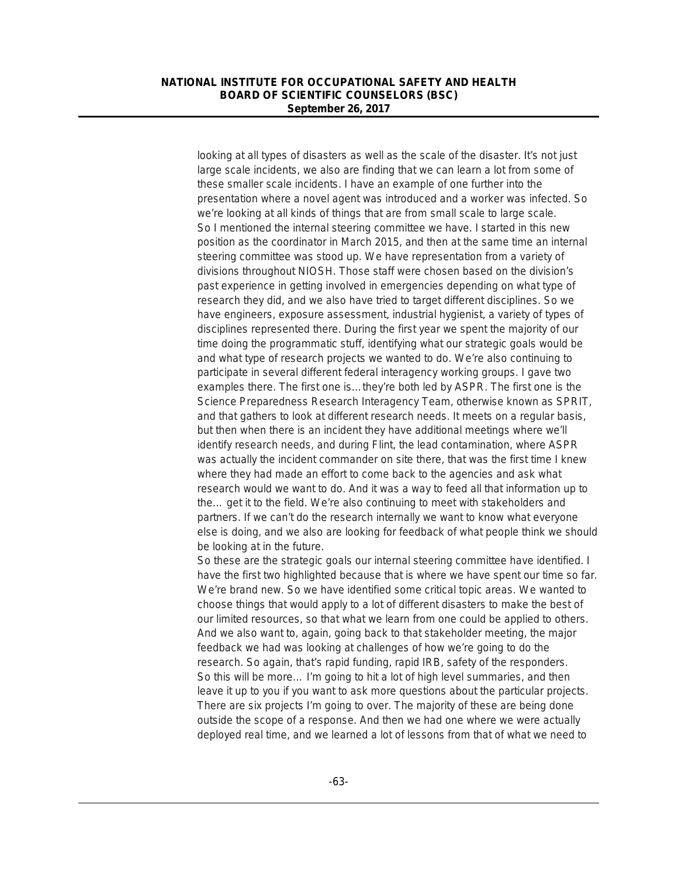looking at all types of disasters as well as the scale of the disaster. It's not just large scale incidents, we also are finding that we can learn a lot from some of these smaller scale incidents. I have an example of one further into the presentation where a novel agent was introduced and a worker was infected. So we're looking at all kinds of things that are from small scale to large scale. So I mentioned the internal steering committee we have. I started in this new position as the coordinator in March 2015, and then at the same time an internal steering committee was stood up. We have representation from a variety of divisions throughout NIOSH. Those staff were chosen based on the division's past experience in getting involved in emergencies depending on what type of research they did, and we also have tried to target different disciplines. So we have engineers, exposure assessment, industrial hygienist, a variety of types of disciplines represented there. During the first year we spent the majority of our time doing the programmatic stuff, identifying what our strategic goals would be and what type of research projects we wanted to do. We're also continuing to participate in several different federal interagency working groups. I gave two examples there. The first one is…they're both led by ASPR. The first one is the Science Preparedness Research Interagency Team, otherwise known as SPRIT, and that gathers to look at different research needs. It meets on a regular basis, but then when there is an incident they have additional meetings where we'll identify research needs, and during Flint, the lead contamination, where ASPR was actually the incident commander on site there, that was the first time I knew where they had made an effort to come back to the agencies and ask what research would we want to do. And it was a way to feed all that information up to the… get it to the field. We're also continuing to meet with stakeholders and partners. If we can't do the research internally we want to know what everyone else is doing, and we also are looking for feedback of what people think we should be looking at in the future.

So these are the strategic goals our internal steering committee have identified. I have the first two highlighted because that is where we have spent our time so far. We're brand new. So we have identified some critical topic areas. We wanted to choose things that would apply to a lot of different disasters to make the best of our limited resources, so that what we learn from one could be applied to others. And we also want to, again, going back to that stakeholder meeting, the major feedback we had was looking at challenges of how we're going to do the research. So again, that's rapid funding, rapid IRB, safety of the responders. So this will be more… I'm going to hit a lot of high level summaries, and then leave it up to you if you want to ask more questions about the particular projects. There are six projects I'm going to over. The majority of these are being done outside the scope of a response. And then we had one where we were actually deployed real time, and we learned a lot of lessons from that of what we need to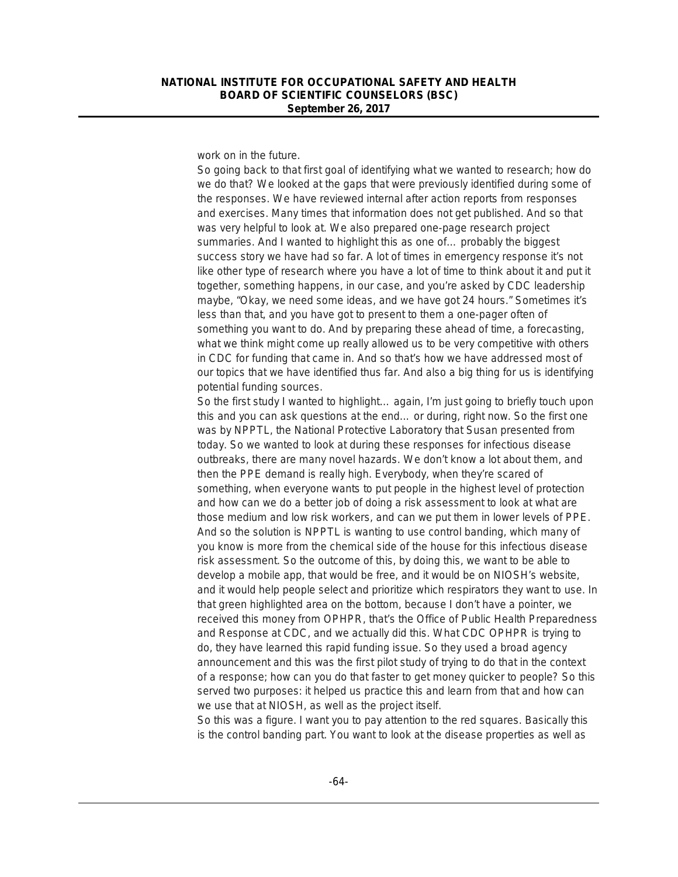work on in the future.

So going back to that first goal of identifying what we wanted to research; how do we do that? We looked at the gaps that were previously identified during some of the responses. We have reviewed internal after action reports from responses and exercises. Many times that information does not get published. And so that was very helpful to look at. We also prepared one-page research project summaries. And I wanted to highlight this as one of… probably the biggest success story we have had so far. A lot of times in emergency response it's not like other type of research where you have a lot of time to think about it and put it together, something happens, in our case, and you're asked by CDC leadership maybe, "Okay, we need some ideas, and we have got 24 hours." Sometimes it's less than that, and you have got to present to them a one-pager often of something you want to do. And by preparing these ahead of time, a forecasting, what we think might come up really allowed us to be very competitive with others in CDC for funding that came in. And so that's how we have addressed most of our topics that we have identified thus far. And also a big thing for us is identifying potential funding sources.

So the first study I wanted to highlight… again, I'm just going to briefly touch upon this and you can ask questions at the end… or during, right now. So the first one was by NPPTL, the National Protective Laboratory that Susan presented from today. So we wanted to look at during these responses for infectious disease outbreaks, there are many novel hazards. We don't know a lot about them, and then the PPE demand is really high. Everybody, when they're scared of something, when everyone wants to put people in the highest level of protection and how can we do a better job of doing a risk assessment to look at what are those medium and low risk workers, and can we put them in lower levels of PPE. And so the solution is NPPTL is wanting to use control banding, which many of you know is more from the chemical side of the house for this infectious disease risk assessment. So the outcome of this, by doing this, we want to be able to develop a mobile app, that would be free, and it would be on NIOSH's website, and it would help people select and prioritize which respirators they want to use. In that green highlighted area on the bottom, because I don't have a pointer, we received this money from OPHPR, that's the Office of Public Health Preparedness and Response at CDC, and we actually did this. What CDC OPHPR is trying to do, they have learned this rapid funding issue. So they used a broad agency announcement and this was the first pilot study of trying to do that in the context of a response; how can you do that faster to get money quicker to people? So this served two purposes: it helped us practice this and learn from that and how can we use that at NIOSH, as well as the project itself.

So this was a figure. I want you to pay attention to the red squares. Basically this is the control banding part. You want to look at the disease properties as well as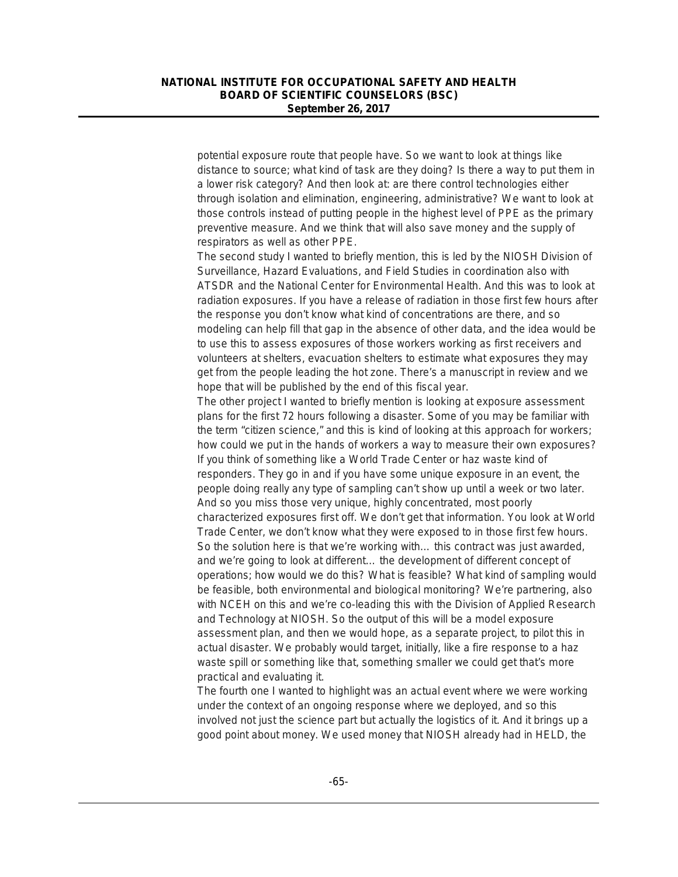potential exposure route that people have. So we want to look at things like distance to source; what kind of task are they doing? Is there a way to put them in a lower risk category? And then look at: are there control technologies either through isolation and elimination, engineering, administrative? We want to look at those controls instead of putting people in the highest level of PPE as the primary preventive measure. And we think that will also save money and the supply of respirators as well as other PPE.

The second study I wanted to briefly mention, this is led by the NIOSH Division of Surveillance, Hazard Evaluations, and Field Studies in coordination also with ATSDR and the National Center for Environmental Health. And this was to look at radiation exposures. If you have a release of radiation in those first few hours after the response you don't know what kind of concentrations are there, and so modeling can help fill that gap in the absence of other data, and the idea would be to use this to assess exposures of those workers working as first receivers and volunteers at shelters, evacuation shelters to estimate what exposures they may get from the people leading the hot zone. There's a manuscript in review and we hope that will be published by the end of this fiscal year.

The other project I wanted to briefly mention is looking at exposure assessment plans for the first 72 hours following a disaster. Some of you may be familiar with the term "citizen science," and this is kind of looking at this approach for workers; how could we put in the hands of workers a way to measure their own exposures? If you think of something like a World Trade Center or haz waste kind of responders. They go in and if you have some unique exposure in an event, the people doing really any type of sampling can't show up until a week or two later. And so you miss those very unique, highly concentrated, most poorly characterized exposures first off. We don't get that information. You look at World Trade Center, we don't know what they were exposed to in those first few hours. So the solution here is that we're working with… this contract was just awarded, and we're going to look at different… the development of different concept of operations; how would we do this? What is feasible? What kind of sampling would be feasible, both environmental and biological monitoring? We're partnering, also with NCEH on this and we're co-leading this with the Division of Applied Research and Technology at NIOSH. So the output of this will be a model exposure assessment plan, and then we would hope, as a separate project, to pilot this in actual disaster. We probably would target, initially, like a fire response to a haz waste spill or something like that, something smaller we could get that's more practical and evaluating it.

The fourth one I wanted to highlight was an actual event where we were working under the context of an ongoing response where we deployed, and so this involved not just the science part but actually the logistics of it. And it brings up a good point about money. We used money that NIOSH already had in HELD, the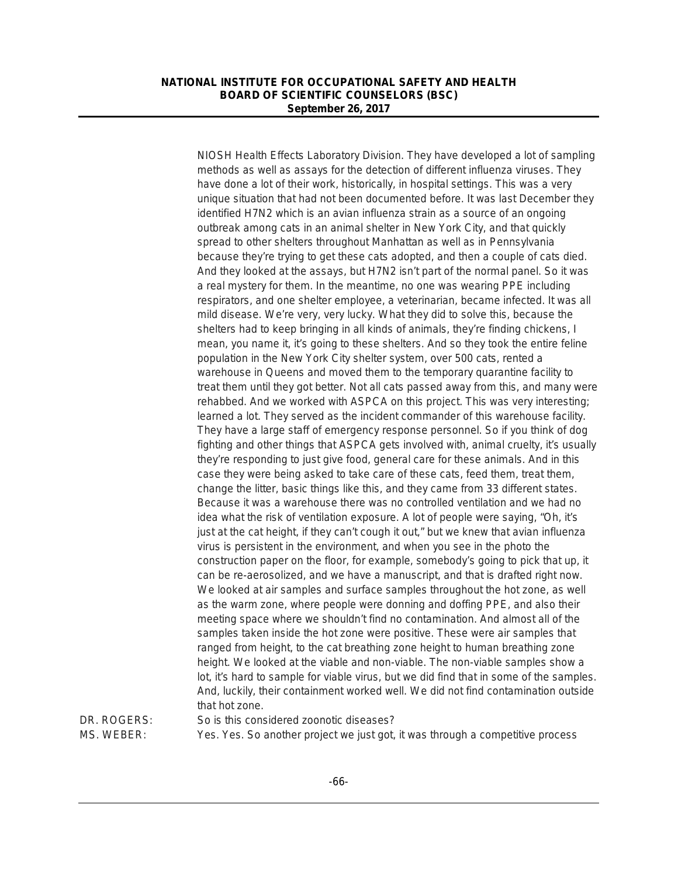NIOSH Health Effects Laboratory Division. They have developed a lot of sampling methods as well as assays for the detection of different influenza viruses. They have done a lot of their work, historically, in hospital settings. This was a very unique situation that had not been documented before. It was last December they identified H7N2 which is an avian influenza strain as a source of an ongoing outbreak among cats in an animal shelter in New York City, and that quickly spread to other shelters throughout Manhattan as well as in Pennsylvania because they're trying to get these cats adopted, and then a couple of cats died. And they looked at the assays, but H7N2 isn't part of the normal panel. So it was a real mystery for them. In the meantime, no one was wearing PPE including respirators, and one shelter employee, a veterinarian, became infected. It was all mild disease. We're very, very lucky. What they did to solve this, because the shelters had to keep bringing in all kinds of animals, they're finding chickens, I mean, you name it, it's going to these shelters. And so they took the entire feline population in the New York City shelter system, over 500 cats, rented a warehouse in Queens and moved them to the temporary quarantine facility to treat them until they got better. Not all cats passed away from this, and many were rehabbed. And we worked with ASPCA on this project. This was very interesting; learned a lot. They served as the incident commander of this warehouse facility. They have a large staff of emergency response personnel. So if you think of dog fighting and other things that ASPCA gets involved with, animal cruelty, it's usually they're responding to just give food, general care for these animals. And in this case they were being asked to take care of these cats, feed them, treat them, change the litter, basic things like this, and they came from 33 different states. Because it was a warehouse there was no controlled ventilation and we had no idea what the risk of ventilation exposure. A lot of people were saying, "Oh, it's just at the cat height, if they can't cough it out," but we knew that avian influenza virus is persistent in the environment, and when you see in the photo the construction paper on the floor, for example, somebody's going to pick that up, it can be re-aerosolized, and we have a manuscript, and that is drafted right now. We looked at air samples and surface samples throughout the hot zone, as well as the warm zone, where people were donning and doffing PPE, and also their meeting space where we shouldn't find no contamination. And almost all of the samples taken inside the hot zone were positive. These were air samples that ranged from height, to the cat breathing zone height to human breathing zone height. We looked at the viable and non-viable. The non-viable samples show a lot, it's hard to sample for viable virus, but we did find that in some of the samples. And, luckily, their containment worked well. We did not find contamination outside that hot zone.

DR. ROGERS: So is this considered zoonotic diseases? MS. WEBER: Yes. Yes. So another project we just got, it was through a competitive process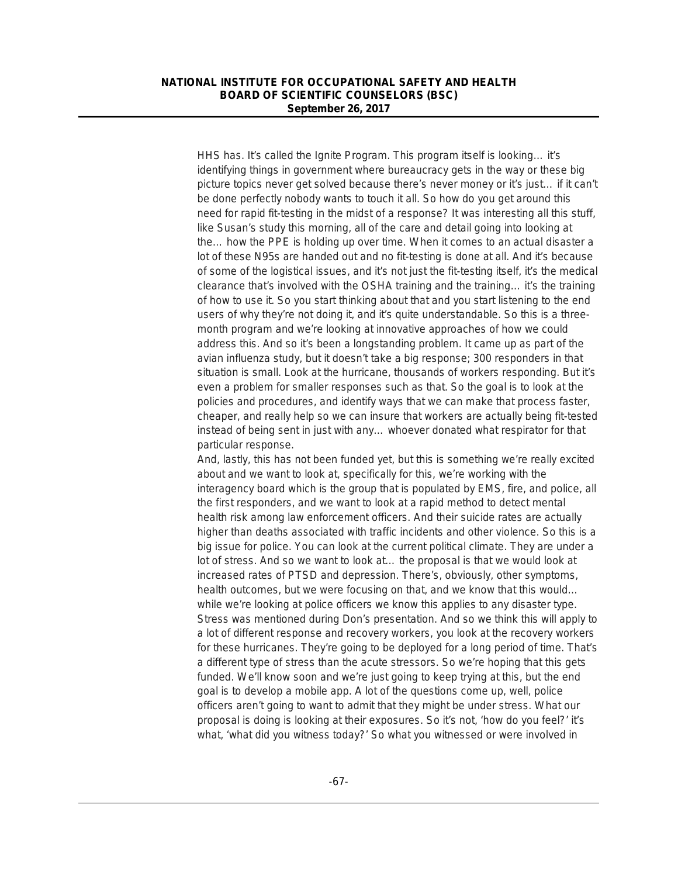HHS has. It's called the Ignite Program. This program itself is looking… it's identifying things in government where bureaucracy gets in the way or these big picture topics never get solved because there's never money or it's just… if it can't be done perfectly nobody wants to touch it all. So how do you get around this need for rapid fit-testing in the midst of a response? It was interesting all this stuff, like Susan's study this morning, all of the care and detail going into looking at the… how the PPE is holding up over time. When it comes to an actual disaster a lot of these N95s are handed out and no fit-testing is done at all. And it's because of some of the logistical issues, and it's not just the fit-testing itself, it's the medical clearance that's involved with the OSHA training and the training… it's the training of how to use it. So you start thinking about that and you start listening to the end users of why they're not doing it, and it's quite understandable. So this is a threemonth program and we're looking at innovative approaches of how we could address this. And so it's been a longstanding problem. It came up as part of the avian influenza study, but it doesn't take a big response; 300 responders in that situation is small. Look at the hurricane, thousands of workers responding. But it's even a problem for smaller responses such as that. So the goal is to look at the policies and procedures, and identify ways that we can make that process faster, cheaper, and really help so we can insure that workers are actually being fit-tested instead of being sent in just with any… whoever donated what respirator for that particular response.

And, lastly, this has not been funded yet, but this is something we're really excited about and we want to look at, specifically for this, we're working with the interagency board which is the group that is populated by EMS, fire, and police, all the first responders, and we want to look at a rapid method to detect mental health risk among law enforcement officers. And their suicide rates are actually higher than deaths associated with traffic incidents and other violence. So this is a big issue for police. You can look at the current political climate. They are under a lot of stress. And so we want to look at… the proposal is that we would look at increased rates of PTSD and depression. There's, obviously, other symptoms, health outcomes, but we were focusing on that, and we know that this would… while we're looking at police officers we know this applies to any disaster type. Stress was mentioned during Don's presentation. And so we think this will apply to a lot of different response and recovery workers, you look at the recovery workers for these hurricanes. They're going to be deployed for a long period of time. That's a different type of stress than the acute stressors. So we're hoping that this gets funded. We'll know soon and we're just going to keep trying at this, but the end goal is to develop a mobile app. A lot of the questions come up, well, police officers aren't going to want to admit that they might be under stress. What our proposal is doing is looking at their exposures. So it's not, 'how do you feel?' it's what, 'what did you witness today?' So what you witnessed or were involved in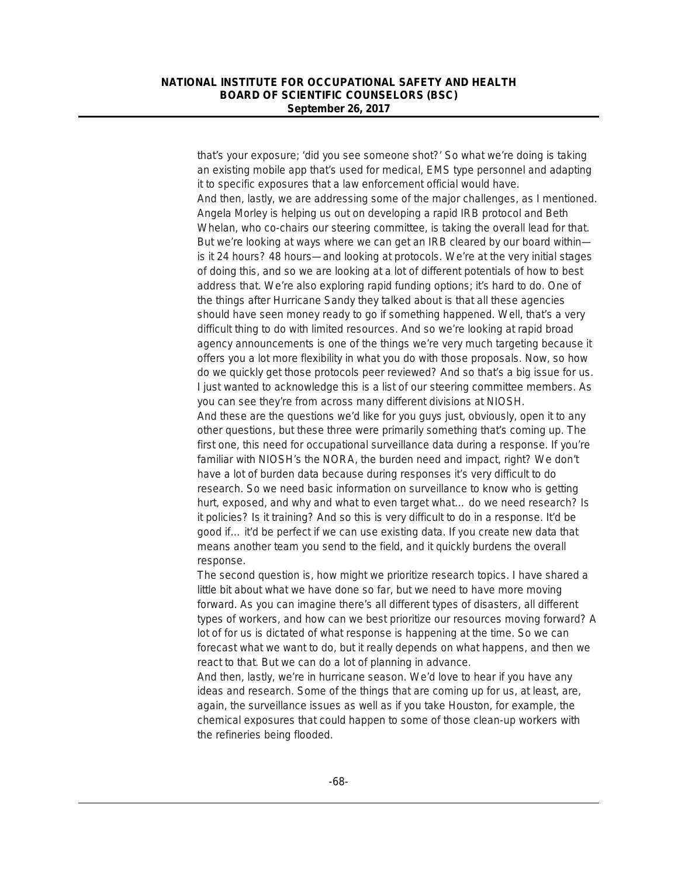that's your exposure; 'did you see someone shot?' So what we're doing is taking an existing mobile app that's used for medical, EMS type personnel and adapting it to specific exposures that a law enforcement official would have. And then, lastly, we are addressing some of the major challenges, as I mentioned. Angela Morley is helping us out on developing a rapid IRB protocol and Beth Whelan, who co-chairs our steering committee, is taking the overall lead for that. But we're looking at ways where we can get an IRB cleared by our board within is it 24 hours? 48 hours—and looking at protocols. We're at the very initial stages of doing this, and so we are looking at a lot of different potentials of how to best address that. We're also exploring rapid funding options; it's hard to do. One of the things after Hurricane Sandy they talked about is that all these agencies should have seen money ready to go if something happened. Well, that's a very difficult thing to do with limited resources. And so we're looking at rapid broad agency announcements is one of the things we're very much targeting because it offers you a lot more flexibility in what you do with those proposals. Now, so how do we quickly get those protocols peer reviewed? And so that's a big issue for us. I just wanted to acknowledge this is a list of our steering committee members. As you can see they're from across many different divisions at NIOSH. And these are the questions we'd like for you guys just, obviously, open it to any other questions, but these three were primarily something that's coming up. The first one, this need for occupational surveillance data during a response. If you're familiar with NIOSH's the NORA, the burden need and impact, right? We don't have a lot of burden data because during responses it's very difficult to do research. So we need basic information on surveillance to know who is getting hurt, exposed, and why and what to even target what... do we need research? Is it policies? Is it training? And so this is very difficult to do in a response. It'd be good if… it'd be perfect if we can use existing data. If you create new data that means another team you send to the field, and it quickly burdens the overall response.

The second question is, how might we prioritize research topics. I have shared a little bit about what we have done so far, but we need to have more moving forward. As you can imagine there's all different types of disasters, all different types of workers, and how can we best prioritize our resources moving forward? A lot of for us is dictated of what response is happening at the time. So we can forecast what we want to do, but it really depends on what happens, and then we react to that. But we can do a lot of planning in advance.

And then, lastly, we're in hurricane season. We'd love to hear if you have any ideas and research. Some of the things that are coming up for us, at least, are, again, the surveillance issues as well as if you take Houston, for example, the chemical exposures that could happen to some of those clean-up workers with the refineries being flooded.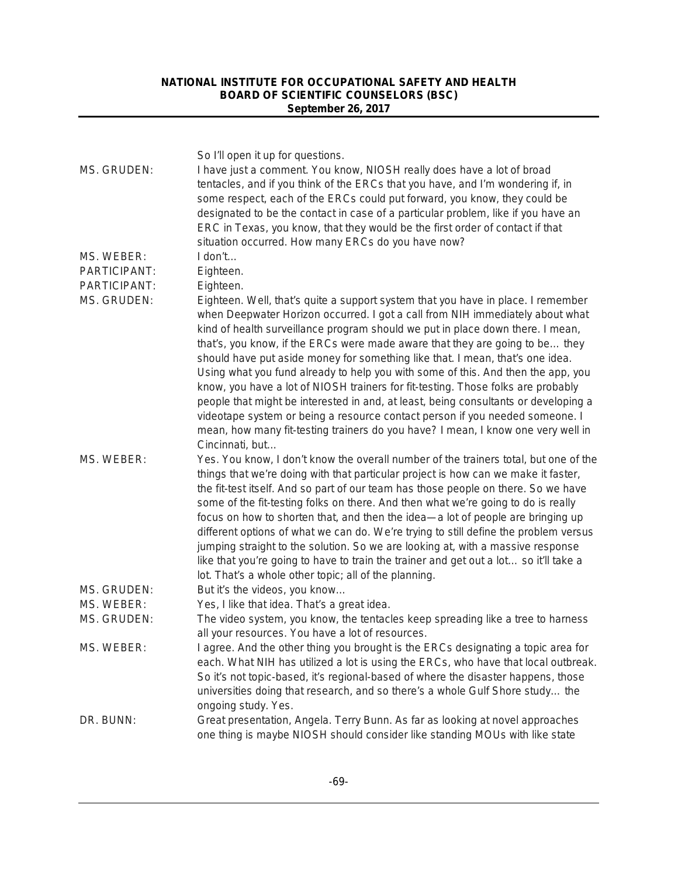|                     | So I'll open it up for questions.                                                                                                                                       |
|---------------------|-------------------------------------------------------------------------------------------------------------------------------------------------------------------------|
| MS. GRUDEN:         | I have just a comment. You know, NIOSH really does have a lot of broad<br>tentacles, and if you think of the ERCs that you have, and I'm wondering if, in               |
|                     | some respect, each of the ERCs could put forward, you know, they could be                                                                                               |
|                     | designated to be the contact in case of a particular problem, like if you have an                                                                                       |
|                     | ERC in Texas, you know, that they would be the first order of contact if that                                                                                           |
|                     | situation occurred. How many ERCs do you have now?                                                                                                                      |
| MS. WEBER:          | I don't                                                                                                                                                                 |
| <b>PARTICIPANT:</b> | Eighteen.                                                                                                                                                               |
| PARTICIPANT:        | Eighteen.                                                                                                                                                               |
| MS. GRUDEN:         | Eighteen. Well, that's quite a support system that you have in place. I remember<br>when Deepwater Horizon occurred. I got a call from NIH immediately about what       |
|                     | kind of health surveillance program should we put in place down there. I mean,                                                                                          |
|                     | that's, you know, if the ERCs were made aware that they are going to be they                                                                                            |
|                     | should have put aside money for something like that. I mean, that's one idea.                                                                                           |
|                     | Using what you fund already to help you with some of this. And then the app, you                                                                                        |
|                     | know, you have a lot of NIOSH trainers for fit-testing. Those folks are probably                                                                                        |
|                     | people that might be interested in and, at least, being consultants or developing a                                                                                     |
|                     | videotape system or being a resource contact person if you needed someone. I                                                                                            |
|                     | mean, how many fit-testing trainers do you have? I mean, I know one very well in                                                                                        |
|                     | Cincinnati, but                                                                                                                                                         |
| MS. WEBER:          | Yes. You know, I don't know the overall number of the trainers total, but one of the                                                                                    |
|                     | things that we're doing with that particular project is how can we make it faster,                                                                                      |
|                     | the fit-test itself. And so part of our team has those people on there. So we have                                                                                      |
|                     | some of the fit-testing folks on there. And then what we're going to do is really                                                                                       |
|                     | focus on how to shorten that, and then the idea—a lot of people are bringing up                                                                                         |
|                     | different options of what we can do. We're trying to still define the problem versus<br>jumping straight to the solution. So we are looking at, with a massive response |
|                     | like that you're going to have to train the trainer and get out a lot so it'll take a                                                                                   |
|                     | lot. That's a whole other topic; all of the planning.                                                                                                                   |
| MS. GRUDEN:         | But it's the videos, you know                                                                                                                                           |
| MS. WEBER:          | Yes, I like that idea. That's a great idea.                                                                                                                             |
| MS. GRUDEN:         | The video system, you know, the tentacles keep spreading like a tree to harness                                                                                         |
|                     | all your resources. You have a lot of resources.                                                                                                                        |
| MS. WEBER:          | I agree. And the other thing you brought is the ERCs designating a topic area for                                                                                       |
|                     | each. What NIH has utilized a lot is using the ERCs, who have that local outbreak.                                                                                      |
|                     | So it's not topic-based, it's regional-based of where the disaster happens, those                                                                                       |
|                     | universities doing that research, and so there's a whole Gulf Shore study the                                                                                           |
|                     | ongoing study. Yes.                                                                                                                                                     |
| DR. BUNN:           | Great presentation, Angela. Terry Bunn. As far as looking at novel approaches                                                                                           |
|                     | one thing is maybe NIOSH should consider like standing MOUs with like state                                                                                             |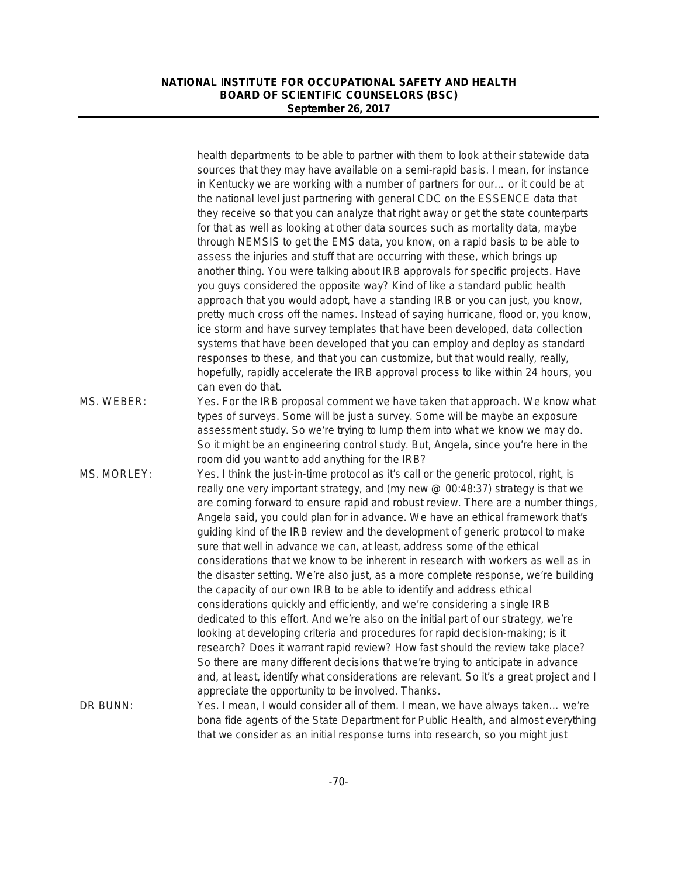|             | health departments to be able to partner with them to look at their statewide data<br>sources that they may have available on a semi-rapid basis. I mean, for instance<br>in Kentucky we are working with a number of partners for our or it could be at<br>the national level just partnering with general CDC on the ESSENCE data that<br>they receive so that you can analyze that right away or get the state counterparts<br>for that as well as looking at other data sources such as mortality data, maybe<br>through NEMSIS to get the EMS data, you know, on a rapid basis to be able to<br>assess the injuries and stuff that are occurring with these, which brings up<br>another thing. You were talking about IRB approvals for specific projects. Have<br>you guys considered the opposite way? Kind of like a standard public health<br>approach that you would adopt, have a standing IRB or you can just, you know,                                                                                                                                                                                                                                                                                                                                                                                                             |
|-------------|--------------------------------------------------------------------------------------------------------------------------------------------------------------------------------------------------------------------------------------------------------------------------------------------------------------------------------------------------------------------------------------------------------------------------------------------------------------------------------------------------------------------------------------------------------------------------------------------------------------------------------------------------------------------------------------------------------------------------------------------------------------------------------------------------------------------------------------------------------------------------------------------------------------------------------------------------------------------------------------------------------------------------------------------------------------------------------------------------------------------------------------------------------------------------------------------------------------------------------------------------------------------------------------------------------------------------------------------------|
|             | pretty much cross off the names. Instead of saying hurricane, flood or, you know,<br>ice storm and have survey templates that have been developed, data collection<br>systems that have been developed that you can employ and deploy as standard<br>responses to these, and that you can customize, but that would really, really,<br>hopefully, rapidly accelerate the IRB approval process to like within 24 hours, you<br>can even do that.                                                                                                                                                                                                                                                                                                                                                                                                                                                                                                                                                                                                                                                                                                                                                                                                                                                                                                  |
| MS. WEBER:  | Yes. For the IRB proposal comment we have taken that approach. We know what<br>types of surveys. Some will be just a survey. Some will be maybe an exposure<br>assessment study. So we're trying to lump them into what we know we may do.<br>So it might be an engineering control study. But, Angela, since you're here in the<br>room did you want to add anything for the IRB?                                                                                                                                                                                                                                                                                                                                                                                                                                                                                                                                                                                                                                                                                                                                                                                                                                                                                                                                                               |
| MS. MORLEY: | Yes. I think the just-in-time protocol as it's call or the generic protocol, right, is<br>really one very important strategy, and (my new @ 00:48:37) strategy is that we<br>are coming forward to ensure rapid and robust review. There are a number things,<br>Angela said, you could plan for in advance. We have an ethical framework that's<br>guiding kind of the IRB review and the development of generic protocol to make<br>sure that well in advance we can, at least, address some of the ethical<br>considerations that we know to be inherent in research with workers as well as in<br>the disaster setting. We're also just, as a more complete response, we're building<br>the capacity of our own IRB to be able to identify and address ethical<br>considerations quickly and efficiently, and we're considering a single IRB<br>dedicated to this effort. And we're also on the initial part of our strategy, we're<br>looking at developing criteria and procedures for rapid decision-making; is it<br>research? Does it warrant rapid review? How fast should the review take place?<br>So there are many different decisions that we're trying to anticipate in advance<br>and, at least, identify what considerations are relevant. So it's a great project and I<br>appreciate the opportunity to be involved. Thanks. |
| DR BUNN:    | Yes. I mean, I would consider all of them. I mean, we have always taken we're<br>bona fide agents of the State Department for Public Health, and almost everything<br>that we consider as an initial response turns into research, so you might just                                                                                                                                                                                                                                                                                                                                                                                                                                                                                                                                                                                                                                                                                                                                                                                                                                                                                                                                                                                                                                                                                             |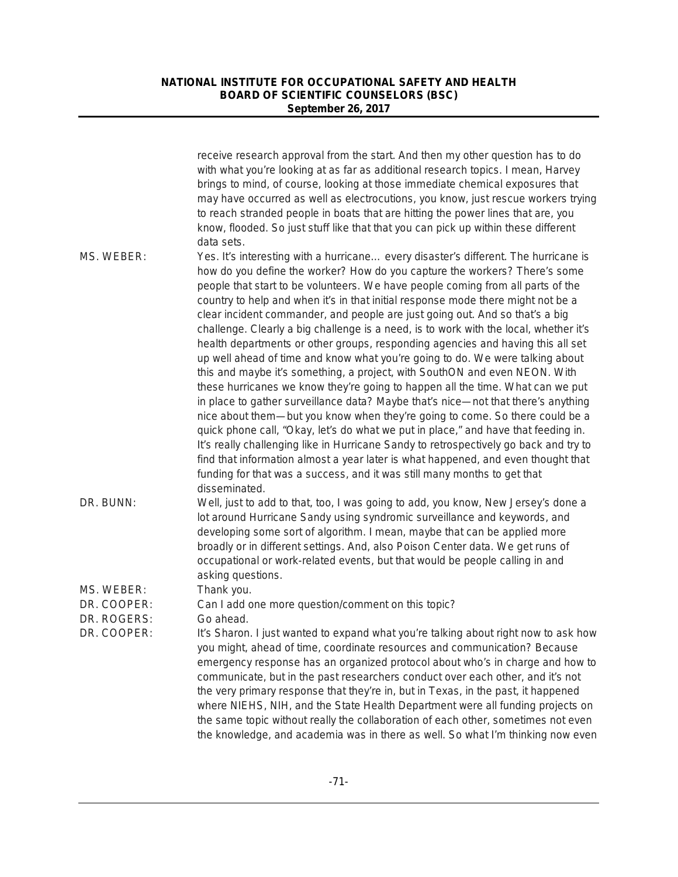|                            | receive research approval from the start. And then my other question has to do<br>with what you're looking at as far as additional research topics. I mean, Harvey<br>brings to mind, of course, looking at those immediate chemical exposures that<br>may have occurred as well as electrocutions, you know, just rescue workers trying<br>to reach stranded people in boats that are hitting the power lines that are, you<br>know, flooded. So just stuff like that that you can pick up within these different<br>data sets.                                                                                                                                                                                                                                                                                                                                                                                                                                                                                                                                                                                                                                                                                                                                                                                                                                                            |
|----------------------------|---------------------------------------------------------------------------------------------------------------------------------------------------------------------------------------------------------------------------------------------------------------------------------------------------------------------------------------------------------------------------------------------------------------------------------------------------------------------------------------------------------------------------------------------------------------------------------------------------------------------------------------------------------------------------------------------------------------------------------------------------------------------------------------------------------------------------------------------------------------------------------------------------------------------------------------------------------------------------------------------------------------------------------------------------------------------------------------------------------------------------------------------------------------------------------------------------------------------------------------------------------------------------------------------------------------------------------------------------------------------------------------------|
| MS. WEBER:                 | Yes. It's interesting with a hurricane every disaster's different. The hurricane is<br>how do you define the worker? How do you capture the workers? There's some<br>people that start to be volunteers. We have people coming from all parts of the<br>country to help and when it's in that initial response mode there might not be a<br>clear incident commander, and people are just going out. And so that's a big<br>challenge. Clearly a big challenge is a need, is to work with the local, whether it's<br>health departments or other groups, responding agencies and having this all set<br>up well ahead of time and know what you're going to do. We were talking about<br>this and maybe it's something, a project, with SouthON and even NEON. With<br>these hurricanes we know they're going to happen all the time. What can we put<br>in place to gather surveillance data? Maybe that's nice-not that there's anything<br>nice about them—but you know when they're going to come. So there could be a<br>quick phone call, "Okay, let's do what we put in place," and have that feeding in.<br>It's really challenging like in Hurricane Sandy to retrospectively go back and try to<br>find that information almost a year later is what happened, and even thought that<br>funding for that was a success, and it was still many months to get that<br>disseminated. |
| DR. BUNN:                  | Well, just to add to that, too, I was going to add, you know, New Jersey's done a<br>lot around Hurricane Sandy using syndromic surveillance and keywords, and<br>developing some sort of algorithm. I mean, maybe that can be applied more<br>broadly or in different settings. And, also Poison Center data. We get runs of<br>occupational or work-related events, but that would be people calling in and<br>asking questions.                                                                                                                                                                                                                                                                                                                                                                                                                                                                                                                                                                                                                                                                                                                                                                                                                                                                                                                                                          |
| MS. WEBER:                 | Thank you.                                                                                                                                                                                                                                                                                                                                                                                                                                                                                                                                                                                                                                                                                                                                                                                                                                                                                                                                                                                                                                                                                                                                                                                                                                                                                                                                                                                  |
| DR. COOPER:<br>DR. ROGERS: | Can I add one more question/comment on this topic?<br>Go ahead.                                                                                                                                                                                                                                                                                                                                                                                                                                                                                                                                                                                                                                                                                                                                                                                                                                                                                                                                                                                                                                                                                                                                                                                                                                                                                                                             |
| DR. COOPER:                | It's Sharon. I just wanted to expand what you're talking about right now to ask how<br>you might, ahead of time, coordinate resources and communication? Because<br>emergency response has an organized protocol about who's in charge and how to<br>communicate, but in the past researchers conduct over each other, and it's not<br>the very primary response that they're in, but in Texas, in the past, it happened<br>where NIEHS, NIH, and the State Health Department were all funding projects on<br>the same topic without really the collaboration of each other, sometimes not even<br>the knowledge, and academia was in there as well. So what I'm thinking now even                                                                                                                                                                                                                                                                                                                                                                                                                                                                                                                                                                                                                                                                                                          |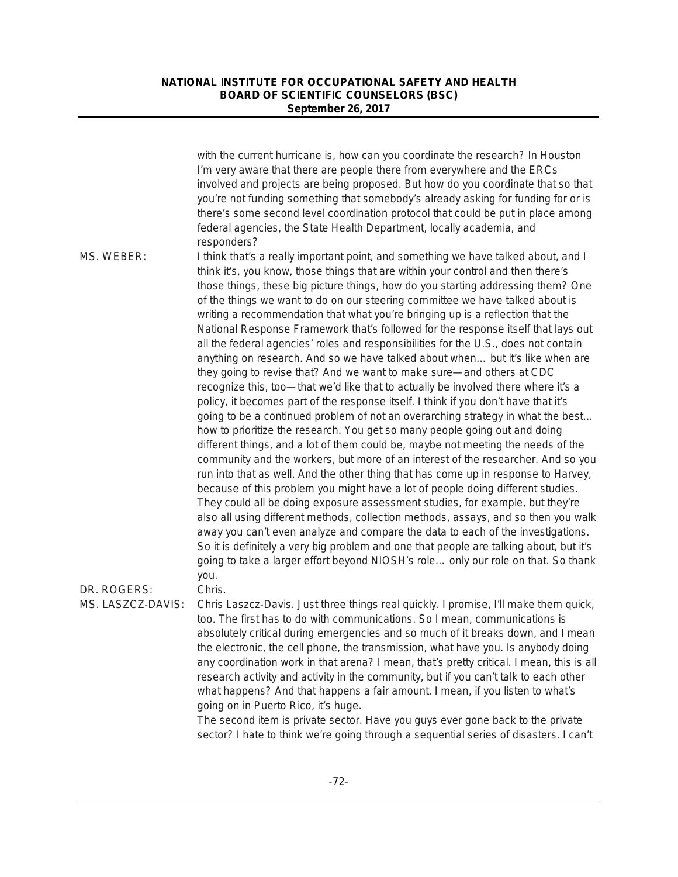|                                  | with the current hurricane is, how can you coordinate the research? In Houston<br>I'm very aware that there are people there from everywhere and the ERCs<br>involved and projects are being proposed. But how do you coordinate that so that<br>you're not funding something that somebody's already asking for funding for or is<br>there's some second level coordination protocol that could be put in place among<br>federal agencies, the State Health Department, locally academia, and<br>responders?                                                                                                                                                                                                                                                                                                                                                                                                                                                                                                                                                                                                                                                                                                                                                                                                                                                                                                                                                                                                                                                                                                                                                                                                                                                                                                                                                                                               |
|----------------------------------|-------------------------------------------------------------------------------------------------------------------------------------------------------------------------------------------------------------------------------------------------------------------------------------------------------------------------------------------------------------------------------------------------------------------------------------------------------------------------------------------------------------------------------------------------------------------------------------------------------------------------------------------------------------------------------------------------------------------------------------------------------------------------------------------------------------------------------------------------------------------------------------------------------------------------------------------------------------------------------------------------------------------------------------------------------------------------------------------------------------------------------------------------------------------------------------------------------------------------------------------------------------------------------------------------------------------------------------------------------------------------------------------------------------------------------------------------------------------------------------------------------------------------------------------------------------------------------------------------------------------------------------------------------------------------------------------------------------------------------------------------------------------------------------------------------------------------------------------------------------------------------------------------------------|
| MS. WEBER:                       | I think that's a really important point, and something we have talked about, and I<br>think it's, you know, those things that are within your control and then there's<br>those things, these big picture things, how do you starting addressing them? One<br>of the things we want to do on our steering committee we have talked about is<br>writing a recommendation that what you're bringing up is a reflection that the<br>National Response Framework that's followed for the response itself that lays out<br>all the federal agencies' roles and responsibilities for the U.S., does not contain<br>anything on research. And so we have talked about when but it's like when are<br>they going to revise that? And we want to make sure—and others at CDC<br>recognize this, too-that we'd like that to actually be involved there where it's a<br>policy, it becomes part of the response itself. I think if you don't have that it's<br>going to be a continued problem of not an overarching strategy in what the best<br>how to prioritize the research. You get so many people going out and doing<br>different things, and a lot of them could be, maybe not meeting the needs of the<br>community and the workers, but more of an interest of the researcher. And so you<br>run into that as well. And the other thing that has come up in response to Harvey,<br>because of this problem you might have a lot of people doing different studies.<br>They could all be doing exposure assessment studies, for example, but they're<br>also all using different methods, collection methods, assays, and so then you walk<br>away you can't even analyze and compare the data to each of the investigations.<br>So it is definitely a very big problem and one that people are talking about, but it's<br>going to take a larger effort beyond NIOSH's role only our role on that. So thank |
| DR. ROGERS:<br>MS. LASZCZ-DAVIS: | you.<br>Chris.<br>Chris Laszcz-Davis. Just three things real quickly. I promise, I'll make them quick,<br>too. The first has to do with communications. So I mean, communications is<br>absolutely critical during emergencies and so much of it breaks down, and I mean<br>the electronic, the cell phone, the transmission, what have you. Is anybody doing<br>any coordination work in that arena? I mean, that's pretty critical. I mean, this is all<br>research activity and activity in the community, but if you can't talk to each other<br>what happens? And that happens a fair amount. I mean, if you listen to what's<br>going on in Puerto Rico, it's huge.<br>The second item is private sector. Have you guys ever gone back to the private<br>sector? I hate to think we're going through a sequential series of disasters. I can't                                                                                                                                                                                                                                                                                                                                                                                                                                                                                                                                                                                                                                                                                                                                                                                                                                                                                                                                                                                                                                                        |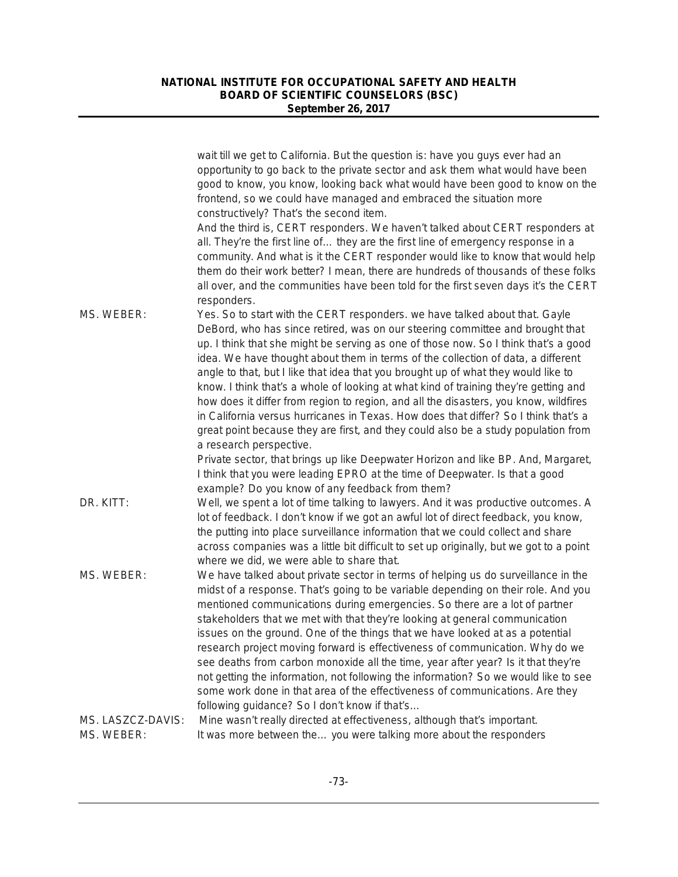|                   | wait till we get to California. But the question is: have you guys ever had an<br>opportunity to go back to the private sector and ask them what would have been<br>good to know, you know, looking back what would have been good to know on the<br>frontend, so we could have managed and embraced the situation more<br>constructively? That's the second item.<br>And the third is, CERT responders. We haven't talked about CERT responders at<br>all. They're the first line of they are the first line of emergency response in a<br>community. And what is it the CERT responder would like to know that would help<br>them do their work better? I mean, there are hundreds of thousands of these folks<br>all over, and the communities have been told for the first seven days it's the CERT               |
|-------------------|-----------------------------------------------------------------------------------------------------------------------------------------------------------------------------------------------------------------------------------------------------------------------------------------------------------------------------------------------------------------------------------------------------------------------------------------------------------------------------------------------------------------------------------------------------------------------------------------------------------------------------------------------------------------------------------------------------------------------------------------------------------------------------------------------------------------------|
|                   | responders.                                                                                                                                                                                                                                                                                                                                                                                                                                                                                                                                                                                                                                                                                                                                                                                                           |
| MS. WEBER:        | Yes. So to start with the CERT responders. we have talked about that. Gayle<br>DeBord, who has since retired, was on our steering committee and brought that<br>up. I think that she might be serving as one of those now. So I think that's a good<br>idea. We have thought about them in terms of the collection of data, a different<br>angle to that, but I like that idea that you brought up of what they would like to<br>know. I think that's a whole of looking at what kind of training they're getting and<br>how does it differ from region to region, and all the disasters, you know, wildfires<br>in California versus hurricanes in Texas. How does that differ? So I think that's a<br>great point because they are first, and they could also be a study population from<br>a research perspective. |
|                   | Private sector, that brings up like Deepwater Horizon and like BP. And, Margaret,<br>I think that you were leading EPRO at the time of Deepwater. Is that a good<br>example? Do you know of any feedback from them?                                                                                                                                                                                                                                                                                                                                                                                                                                                                                                                                                                                                   |
| DR. KITT:         | Well, we spent a lot of time talking to lawyers. And it was productive outcomes. A<br>lot of feedback. I don't know if we got an awful lot of direct feedback, you know,<br>the putting into place surveillance information that we could collect and share<br>across companies was a little bit difficult to set up originally, but we got to a point<br>where we did, we were able to share that.                                                                                                                                                                                                                                                                                                                                                                                                                   |
| MS. WEBER:        | We have talked about private sector in terms of helping us do surveillance in the<br>midst of a response. That's going to be variable depending on their role. And you<br>mentioned communications during emergencies. So there are a lot of partner<br>stakeholders that we met with that they're looking at general communication<br>issues on the ground. One of the things that we have looked at as a potential<br>research project moving forward is effectiveness of communication. Why do we<br>see deaths from carbon monoxide all the time, year after year? Is it that they're<br>not getting the information, not following the information? So we would like to see<br>some work done in that area of the effectiveness of communications. Are they<br>following guidance? So I don't know if that's     |
| MS. LASZCZ-DAVIS: | Mine wasn't really directed at effectiveness, although that's important.                                                                                                                                                                                                                                                                                                                                                                                                                                                                                                                                                                                                                                                                                                                                              |
| MS. WEBER:        | It was more between the you were talking more about the responders                                                                                                                                                                                                                                                                                                                                                                                                                                                                                                                                                                                                                                                                                                                                                    |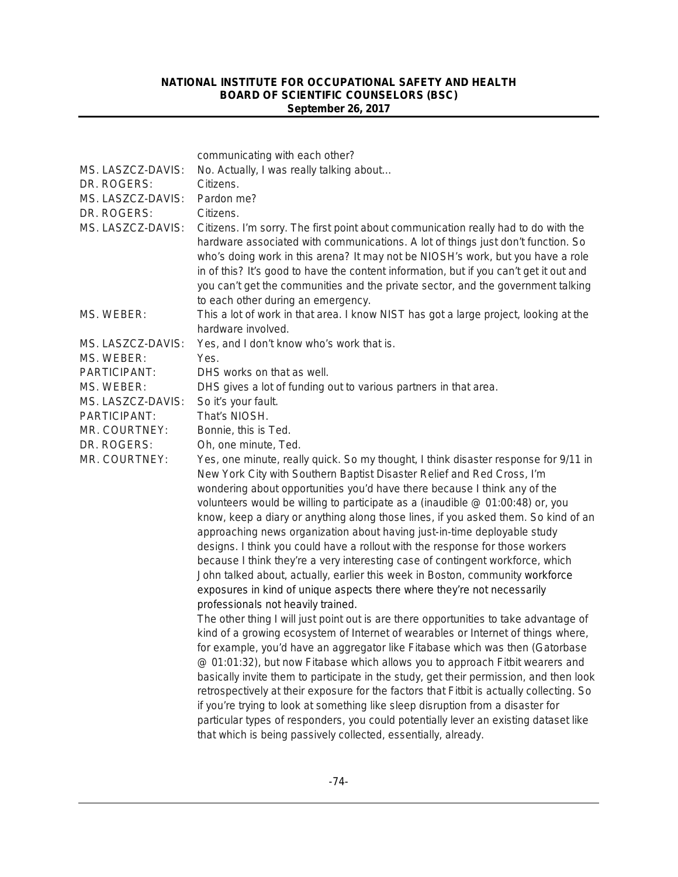| MS. LASZCZ-DAVIS:<br>DR. ROGERS:<br>MS. LASZCZ-DAVIS:<br>DR. ROGERS:<br>MS. LASZCZ-DAVIS:                                                           | communicating with each other?<br>No. Actually, I was really talking about<br>Citizens.<br>Pardon me?<br>Citizens.<br>Citizens. I'm sorry. The first point about communication really had to do with the<br>hardware associated with communications. A lot of things just don't function. So<br>who's doing work in this arena? It may not be NIOSH's work, but you have a role<br>in of this? It's good to have the content information, but if you can't get it out and<br>you can't get the communities and the private sector, and the government talking<br>to each other during an emergency.                                                                                                                                                                                                                                                                                                                                                                                                                                                                                                                                                                                                                              |
|-----------------------------------------------------------------------------------------------------------------------------------------------------|----------------------------------------------------------------------------------------------------------------------------------------------------------------------------------------------------------------------------------------------------------------------------------------------------------------------------------------------------------------------------------------------------------------------------------------------------------------------------------------------------------------------------------------------------------------------------------------------------------------------------------------------------------------------------------------------------------------------------------------------------------------------------------------------------------------------------------------------------------------------------------------------------------------------------------------------------------------------------------------------------------------------------------------------------------------------------------------------------------------------------------------------------------------------------------------------------------------------------------|
| MS. WEBER:                                                                                                                                          | This a lot of work in that area. I know NIST has got a large project, looking at the<br>hardware involved.                                                                                                                                                                                                                                                                                                                                                                                                                                                                                                                                                                                                                                                                                                                                                                                                                                                                                                                                                                                                                                                                                                                       |
| MS. LASZCZ-DAVIS:<br>MS. WEBER:<br>PARTICIPANT:<br>MS. WEBER:<br>MS. LASZCZ-DAVIS:<br>PARTICIPANT:<br>MR. COURTNEY:<br>DR. ROGERS:<br>MR. COURTNEY: | Yes, and I don't know who's work that is.<br>Yes.<br>DHS works on that as well.<br>DHS gives a lot of funding out to various partners in that area.<br>So it's your fault.<br>That's NIOSH.<br>Bonnie, this is Ted.<br>Oh, one minute, Ted.<br>Yes, one minute, really quick. So my thought, I think disaster response for 9/11 in<br>New York City with Southern Baptist Disaster Relief and Red Cross, I'm<br>wondering about opportunities you'd have there because I think any of the<br>volunteers would be willing to participate as a (inaudible @ 01:00:48) or, you<br>know, keep a diary or anything along those lines, if you asked them. So kind of an                                                                                                                                                                                                                                                                                                                                                                                                                                                                                                                                                                |
|                                                                                                                                                     | approaching news organization about having just-in-time deployable study<br>designs. I think you could have a rollout with the response for those workers<br>because I think they're a very interesting case of contingent workforce, which<br>John talked about, actually, earlier this week in Boston, community workforce<br>exposures in kind of unique aspects there where they're not necessarily<br>professionals not heavily trained.<br>The other thing I will just point out is are there opportunities to take advantage of<br>kind of a growing ecosystem of Internet of wearables or Internet of things where,<br>for example, you'd have an aggregator like Fitabase which was then (Gatorbase<br>@ 01:01:32), but now Fitabase which allows you to approach Fitbit wearers and<br>basically invite them to participate in the study, get their permission, and then look<br>retrospectively at their exposure for the factors that Fitbit is actually collecting. So<br>if you're trying to look at something like sleep disruption from a disaster for<br>particular types of responders, you could potentially lever an existing dataset like<br>that which is being passively collected, essentially, already. |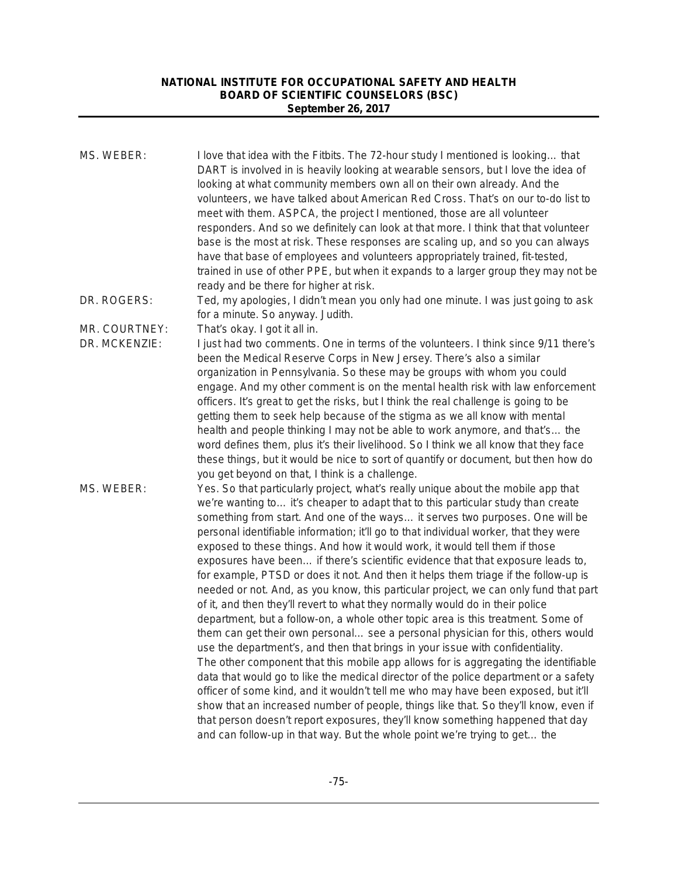| I love that idea with the Fitbits. The 72-hour study I mentioned is looking that<br>DART is involved in is heavily looking at wearable sensors, but I love the idea of<br>looking at what community members own all on their own already. And the<br>volunteers, we have talked about American Red Cross. That's on our to-do list to<br>meet with them. ASPCA, the project I mentioned, those are all volunteer<br>responders. And so we definitely can look at that more. I think that that volunteer<br>base is the most at risk. These responses are scaling up, and so you can always<br>have that base of employees and volunteers appropriately trained, fit-tested,<br>trained in use of other PPE, but when it expands to a larger group they may not be<br>ready and be there for higher at risk.                                                                                                                                                                                                                                                                                                                                                                                                                                                                                                                                                                                                                                                                                                                                                            |
|------------------------------------------------------------------------------------------------------------------------------------------------------------------------------------------------------------------------------------------------------------------------------------------------------------------------------------------------------------------------------------------------------------------------------------------------------------------------------------------------------------------------------------------------------------------------------------------------------------------------------------------------------------------------------------------------------------------------------------------------------------------------------------------------------------------------------------------------------------------------------------------------------------------------------------------------------------------------------------------------------------------------------------------------------------------------------------------------------------------------------------------------------------------------------------------------------------------------------------------------------------------------------------------------------------------------------------------------------------------------------------------------------------------------------------------------------------------------------------------------------------------------------------------------------------------------|
| Ted, my apologies, I didn't mean you only had one minute. I was just going to ask<br>for a minute. So anyway. Judith.                                                                                                                                                                                                                                                                                                                                                                                                                                                                                                                                                                                                                                                                                                                                                                                                                                                                                                                                                                                                                                                                                                                                                                                                                                                                                                                                                                                                                                                  |
| That's okay. I got it all in.                                                                                                                                                                                                                                                                                                                                                                                                                                                                                                                                                                                                                                                                                                                                                                                                                                                                                                                                                                                                                                                                                                                                                                                                                                                                                                                                                                                                                                                                                                                                          |
| I just had two comments. One in terms of the volunteers. I think since 9/11 there's<br>been the Medical Reserve Corps in New Jersey. There's also a similar<br>organization in Pennsylvania. So these may be groups with whom you could<br>engage. And my other comment is on the mental health risk with law enforcement<br>officers. It's great to get the risks, but I think the real challenge is going to be<br>getting them to seek help because of the stigma as we all know with mental<br>health and people thinking I may not be able to work anymore, and that's the<br>word defines them, plus it's their livelihood. So I think we all know that they face<br>these things, but it would be nice to sort of quantify or document, but then how do<br>you get beyond on that, I think is a challenge.                                                                                                                                                                                                                                                                                                                                                                                                                                                                                                                                                                                                                                                                                                                                                      |
| Yes. So that particularly project, what's really unique about the mobile app that<br>we're wanting to it's cheaper to adapt that to this particular study than create<br>something from start. And one of the ways it serves two purposes. One will be<br>personal identifiable information; it'll go to that individual worker, that they were<br>exposed to these things. And how it would work, it would tell them if those<br>exposures have been if there's scientific evidence that that exposure leads to,<br>for example, PTSD or does it not. And then it helps them triage if the follow-up is<br>needed or not. And, as you know, this particular project, we can only fund that part<br>of it, and then they'll revert to what they normally would do in their police<br>department, but a follow-on, a whole other topic area is this treatment. Some of<br>them can get their own personal see a personal physician for this, others would<br>use the department's, and then that brings in your issue with confidentiality.<br>The other component that this mobile app allows for is aggregating the identifiable<br>data that would go to like the medical director of the police department or a safety<br>officer of some kind, and it wouldn't tell me who may have been exposed, but it'll<br>show that an increased number of people, things like that. So they'll know, even if<br>that person doesn't report exposures, they'll know something happened that day<br>and can follow-up in that way. But the whole point we're trying to get the |
|                                                                                                                                                                                                                                                                                                                                                                                                                                                                                                                                                                                                                                                                                                                                                                                                                                                                                                                                                                                                                                                                                                                                                                                                                                                                                                                                                                                                                                                                                                                                                                        |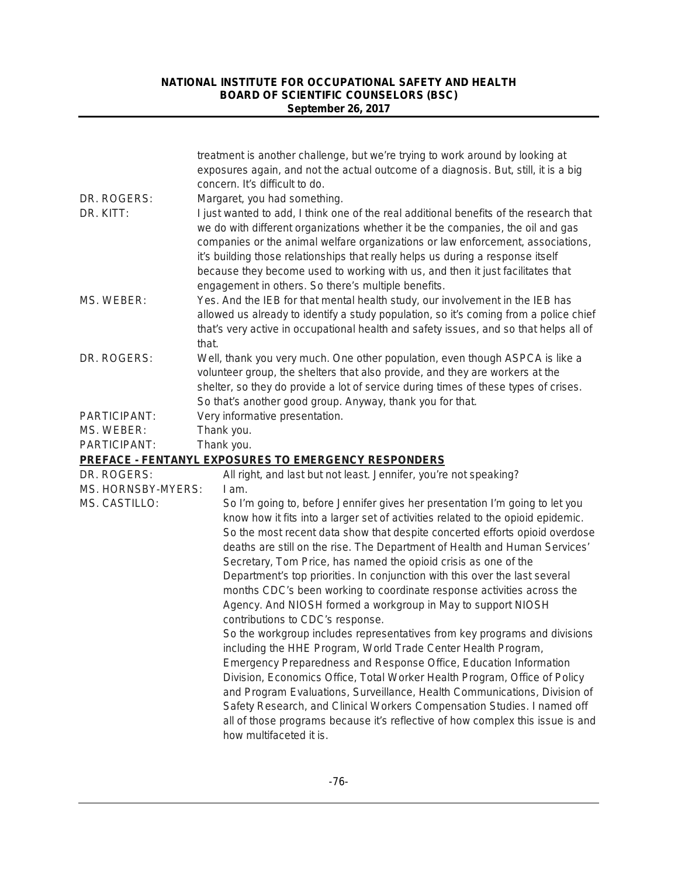| DR. ROGERS:<br>DR. KITT: | treatment is another challenge, but we're trying to work around by looking at<br>exposures again, and not the actual outcome of a diagnosis. But, still, it is a big<br>concern. It's difficult to do.<br>Margaret, you had something.<br>I just wanted to add, I think one of the real additional benefits of the research that<br>we do with different organizations whether it be the companies, the oil and gas<br>companies or the animal welfare organizations or law enforcement, associations,<br>it's building those relationships that really helps us during a response itself<br>because they become used to working with us, and then it just facilitates that |
|--------------------------|-----------------------------------------------------------------------------------------------------------------------------------------------------------------------------------------------------------------------------------------------------------------------------------------------------------------------------------------------------------------------------------------------------------------------------------------------------------------------------------------------------------------------------------------------------------------------------------------------------------------------------------------------------------------------------|
| MS. WEBER:               | engagement in others. So there's multiple benefits.<br>Yes. And the IEB for that mental health study, our involvement in the IEB has<br>allowed us already to identify a study population, so it's coming from a police chief<br>that's very active in occupational health and safety issues, and so that helps all of<br>that.                                                                                                                                                                                                                                                                                                                                             |
| DR. ROGERS:              | Well, thank you very much. One other population, even though ASPCA is like a<br>volunteer group, the shelters that also provide, and they are workers at the<br>shelter, so they do provide a lot of service during times of these types of crises.<br>So that's another good group. Anyway, thank you for that.                                                                                                                                                                                                                                                                                                                                                            |
| PARTICIPANT:             | Very informative presentation.                                                                                                                                                                                                                                                                                                                                                                                                                                                                                                                                                                                                                                              |
| MS. WEBER:               | Thank you.                                                                                                                                                                                                                                                                                                                                                                                                                                                                                                                                                                                                                                                                  |
| PARTICIPANT:             | Thank you.                                                                                                                                                                                                                                                                                                                                                                                                                                                                                                                                                                                                                                                                  |
|                          | <b>PREFACE - FENTANYL EXPOSURES TO EMERGENCY RESPONDERS</b>                                                                                                                                                                                                                                                                                                                                                                                                                                                                                                                                                                                                                 |
| DR. ROGERS:              | All right, and last but not least. Jennifer, you're not speaking?                                                                                                                                                                                                                                                                                                                                                                                                                                                                                                                                                                                                           |
| MS. HORNSBY-MYERS:       | I am.                                                                                                                                                                                                                                                                                                                                                                                                                                                                                                                                                                                                                                                                       |
| MS. CASTILLO:            | So I'm going to, before Jennifer gives her presentation I'm going to let you<br>know how it fits into a larger set of activities related to the opioid epidemic.<br>So the most recent data show that despite concerted efforts opioid overdose<br>deaths are still on the rise. The Department of Health and Human Services'<br>Secretary, Tom Price, has named the opioid crisis as one of the<br>Department's top priorities. In conjunction with this over the last several<br>months CDC's been working to coordinate response activities across the<br>Agency. And NIOSH formed a workgroup in May to support NIOSH                                                   |
|                          | contributions to CDC's response.<br>So the workgroup includes representatives from key programs and divisions<br>including the HHE Program, World Trade Center Health Program,<br>Emergency Preparedness and Response Office, Education Information<br>Division, Economics Office, Total Worker Health Program, Office of Policy<br>and Program Evaluations, Surveillance, Health Communications, Division of<br>Safety Research, and Clinical Workers Compensation Studies. I named off<br>all of those programs because it's reflective of how complex this issue is and<br>how multifaceted it is.                                                                       |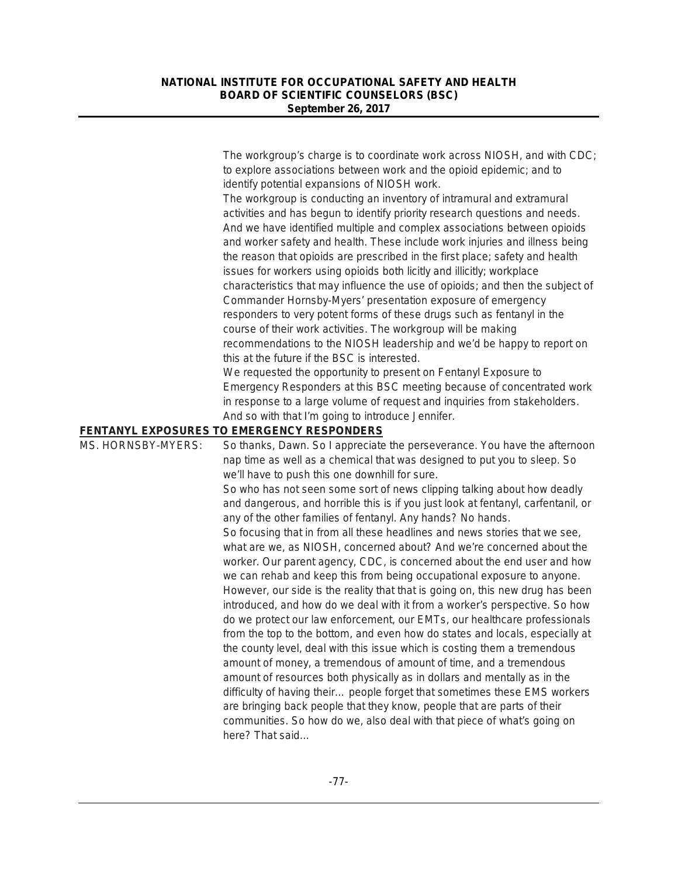|                    | The workgroup's charge is to coordinate work across NIOSH, and with CDC;<br>to explore associations between work and the opioid epidemic; and to |
|--------------------|--------------------------------------------------------------------------------------------------------------------------------------------------|
|                    | identify potential expansions of NIOSH work.                                                                                                     |
|                    | The workgroup is conducting an inventory of intramural and extramural                                                                            |
|                    | activities and has begun to identify priority research questions and needs.                                                                      |
|                    | And we have identified multiple and complex associations between opioids                                                                         |
|                    | and worker safety and health. These include work injuries and illness being                                                                      |
|                    | the reason that opioids are prescribed in the first place; safety and health                                                                     |
|                    | issues for workers using opioids both licitly and illicitly; workplace                                                                           |
|                    | characteristics that may influence the use of opioids; and then the subject of                                                                   |
|                    | Commander Hornsby-Myers' presentation exposure of emergency                                                                                      |
|                    | responders to very potent forms of these drugs such as fentanyl in the                                                                           |
|                    | course of their work activities. The workgroup will be making                                                                                    |
|                    | recommendations to the NIOSH leadership and we'd be happy to report on                                                                           |
|                    | this at the future if the BSC is interested.                                                                                                     |
|                    | We requested the opportunity to present on Fentanyl Exposure to                                                                                  |
|                    | Emergency Responders at this BSC meeting because of concentrated work                                                                            |
|                    | in response to a large volume of request and inquiries from stakeholders.                                                                        |
|                    | And so with that I'm going to introduce Jennifer.                                                                                                |
|                    | FENTANYL EXPOSURES TO EMERGENCY RESPONDERS                                                                                                       |
| MS. HORNSBY-MYERS: | So thanks, Dawn. So I appreciate the perseverance. You have the afternoon                                                                        |
|                    | nap time as well as a chemical that was designed to put you to sleep. So                                                                         |
|                    | we'll have to push this one downhill for sure.                                                                                                   |
|                    | So who has not seen some sort of news clipping talking about how deadly                                                                          |
|                    | and dangerous, and horrible this is if you just look at fentanyl, carfentanil, or                                                                |
|                    | any of the other families of fentanyl. Any hands? No hands.                                                                                      |
|                    | So focusing that in from all these headlines and news stories that we see,                                                                       |
|                    | what are we, as NIOSH, concerned about? And we're concerned about the                                                                            |
|                    | worker. Our parent agency, CDC, is concerned about the end user and how                                                                          |
|                    | we can rehab and keep this from being occupational exposure to anyone.                                                                           |
|                    | However, our side is the reality that that is going on, this new drug has been                                                                   |
|                    | introduced, and how do we deal with it from a worker's perspective. So how                                                                       |
|                    | do we protect our law enforcement, our EMTs, our healthcare professionals                                                                        |
|                    | from the top to the bottom, and even how do states and locals, especially at                                                                     |
|                    | the county level, deal with this issue which is costing them a tremendous                                                                        |
|                    | amount of money, a tremendous of amount of time, and a tremendous                                                                                |
|                    | amount of resources both physically as in dollars and mentally as in the                                                                         |
|                    | difficulty of having their people forget that sometimes these EMS workers                                                                        |
|                    | are bringing back people that they know, people that are parts of their                                                                          |
|                    | communities. So how do we, also deal with that piece of what's going on                                                                          |
|                    | here? That said                                                                                                                                  |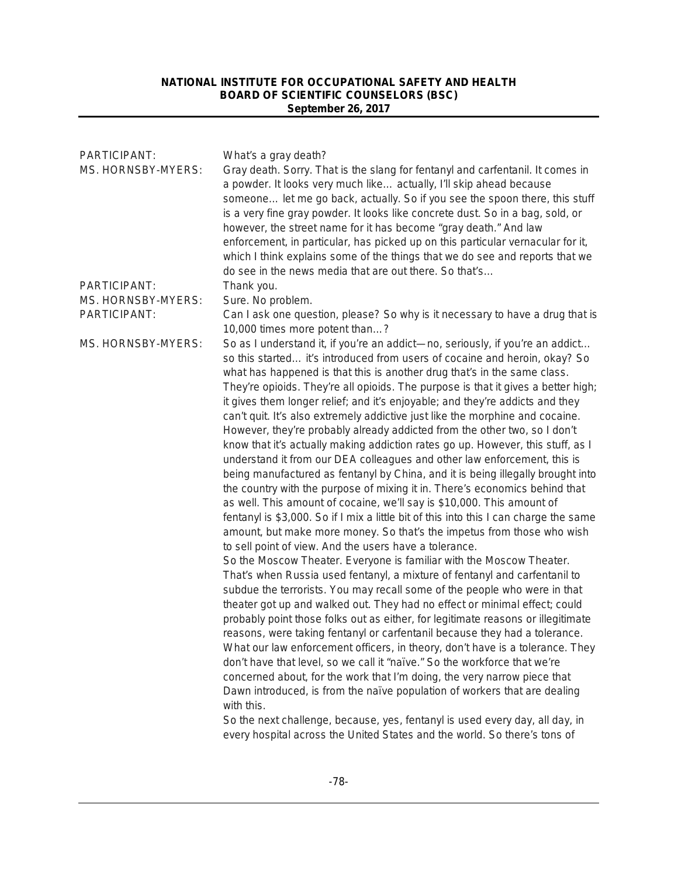| PARTICIPANT:<br>MS. HORNSBY-MYERS: | What's a gray death?<br>Gray death. Sorry. That is the slang for fentanyl and carfentanil. It comes in<br>a powder. It looks very much like actually, I'll skip ahead because<br>someone let me go back, actually. So if you see the spoon there, this stuff<br>is a very fine gray powder. It looks like concrete dust. So in a bag, sold, or<br>however, the street name for it has become "gray death." And law<br>enforcement, in particular, has picked up on this particular vernacular for it,<br>which I think explains some of the things that we do see and reports that we<br>do see in the news media that are out there. So that's                                                                                                                                                                                                                                                                                                                                                                                                                                                                                                                                                                                                                                                                                                                                                                                                                                                                                                                                                                                                                                                                                                                                                                                                                                                                                                                                                                                                                                                                                                                                                                                                                                                                |
|------------------------------------|----------------------------------------------------------------------------------------------------------------------------------------------------------------------------------------------------------------------------------------------------------------------------------------------------------------------------------------------------------------------------------------------------------------------------------------------------------------------------------------------------------------------------------------------------------------------------------------------------------------------------------------------------------------------------------------------------------------------------------------------------------------------------------------------------------------------------------------------------------------------------------------------------------------------------------------------------------------------------------------------------------------------------------------------------------------------------------------------------------------------------------------------------------------------------------------------------------------------------------------------------------------------------------------------------------------------------------------------------------------------------------------------------------------------------------------------------------------------------------------------------------------------------------------------------------------------------------------------------------------------------------------------------------------------------------------------------------------------------------------------------------------------------------------------------------------------------------------------------------------------------------------------------------------------------------------------------------------------------------------------------------------------------------------------------------------------------------------------------------------------------------------------------------------------------------------------------------------------------------------------------------------------------------------------------------------|
| PARTICIPANT:                       | Thank you.                                                                                                                                                                                                                                                                                                                                                                                                                                                                                                                                                                                                                                                                                                                                                                                                                                                                                                                                                                                                                                                                                                                                                                                                                                                                                                                                                                                                                                                                                                                                                                                                                                                                                                                                                                                                                                                                                                                                                                                                                                                                                                                                                                                                                                                                                                     |
| MS. HORNSBY-MYERS:<br>PARTICIPANT: |                                                                                                                                                                                                                                                                                                                                                                                                                                                                                                                                                                                                                                                                                                                                                                                                                                                                                                                                                                                                                                                                                                                                                                                                                                                                                                                                                                                                                                                                                                                                                                                                                                                                                                                                                                                                                                                                                                                                                                                                                                                                                                                                                                                                                                                                                                                |
|                                    | 10,000 times more potent than?                                                                                                                                                                                                                                                                                                                                                                                                                                                                                                                                                                                                                                                                                                                                                                                                                                                                                                                                                                                                                                                                                                                                                                                                                                                                                                                                                                                                                                                                                                                                                                                                                                                                                                                                                                                                                                                                                                                                                                                                                                                                                                                                                                                                                                                                                 |
| MS. HORNSBY-MYERS:                 | Sure. No problem.<br>Can I ask one question, please? So why is it necessary to have a drug that is<br>So as I understand it, if you're an addict-no, seriously, if you're an addict<br>so this started it's introduced from users of cocaine and heroin, okay? So<br>what has happened is that this is another drug that's in the same class.<br>They're opioids. They're all opioids. The purpose is that it gives a better high;<br>it gives them longer relief; and it's enjoyable; and they're addicts and they<br>can't quit. It's also extremely addictive just like the morphine and cocaine.<br>However, they're probably already addicted from the other two, so I don't<br>know that it's actually making addiction rates go up. However, this stuff, as I<br>understand it from our DEA colleagues and other law enforcement, this is<br>being manufactured as fentanyl by China, and it is being illegally brought into<br>the country with the purpose of mixing it in. There's economics behind that<br>as well. This amount of cocaine, we'll say is \$10,000. This amount of<br>fentanyl is \$3,000. So if I mix a little bit of this into this I can charge the same<br>amount, but make more money. So that's the impetus from those who wish<br>to sell point of view. And the users have a tolerance.<br>So the Moscow Theater. Everyone is familiar with the Moscow Theater.<br>That's when Russia used fentanyl, a mixture of fentanyl and carfentanil to<br>subdue the terrorists. You may recall some of the people who were in that<br>theater got up and walked out. They had no effect or minimal effect; could<br>probably point those folks out as either, for legitimate reasons or illegitimate<br>reasons, were taking fentanyl or carfentanil because they had a tolerance.<br>What our law enforcement officers, in theory, don't have is a tolerance. They<br>don't have that level, so we call it "naïve." So the workforce that we're<br>concerned about, for the work that I'm doing, the very narrow piece that<br>Dawn introduced, is from the naïve population of workers that are dealing<br>with this.<br>So the next challenge, because, yes, fentanyl is used every day, all day, in<br>every hospital across the United States and the world. So there's tons of |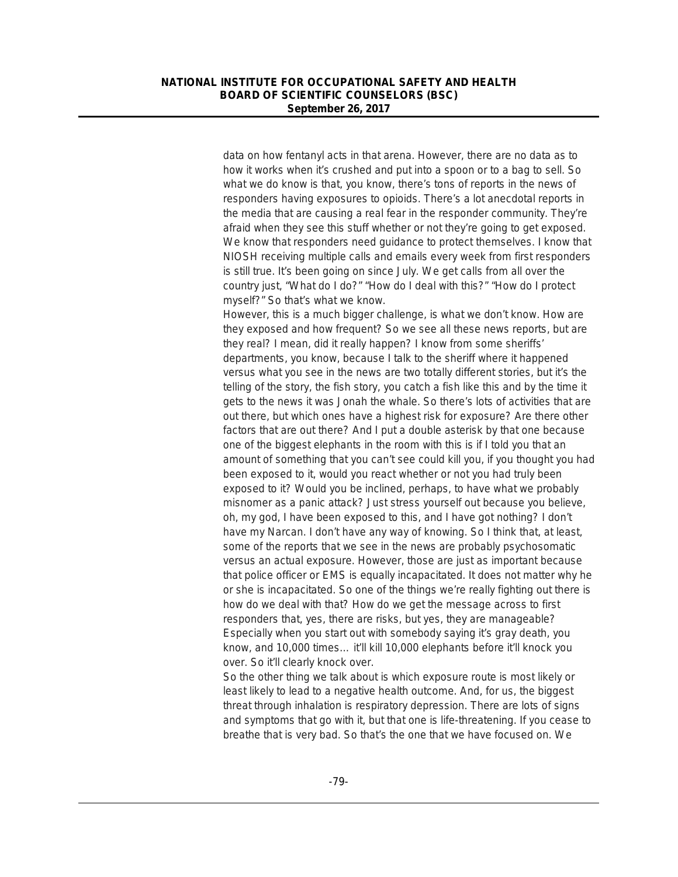data on how fentanyl acts in that arena. However, there are no data as to how it works when it's crushed and put into a spoon or to a bag to sell. So what we do know is that, you know, there's tons of reports in the news of responders having exposures to opioids. There's a lot anecdotal reports in the media that are causing a real fear in the responder community. They're afraid when they see this stuff whether or not they're going to get exposed. We know that responders need guidance to protect themselves. I know that NIOSH receiving multiple calls and emails every week from first responders is still true. It's been going on since July. We get calls from all over the country just, "What do I do?" "How do I deal with this?" "How do I protect myself?" So that's what we know.

However, this is a much bigger challenge, is what we don't know. How are they exposed and how frequent? So we see all these news reports, but are they real? I mean, did it really happen? I know from some sheriffs' departments, you know, because I talk to the sheriff where it happened versus what you see in the news are two totally different stories, but it's the telling of the story, the fish story, you catch a fish like this and by the time it gets to the news it was Jonah the whale. So there's lots of activities that are out there, but which ones have a highest risk for exposure? Are there other factors that are out there? And I put a double asterisk by that one because one of the biggest elephants in the room with this is if I told you that an amount of something that you can't see could kill you, if you thought you had been exposed to it, would you react whether or not you had truly been exposed to it? Would you be inclined, perhaps, to have what we probably misnomer as a panic attack? Just stress yourself out because you believe, oh, my god, I have been exposed to this, and I have got nothing? I don't have my Narcan. I don't have any way of knowing. So I think that, at least, some of the reports that we see in the news are probably psychosomatic versus an actual exposure. However, those are just as important because that police officer or EMS is equally incapacitated. It does not matter why he or she is incapacitated. So one of the things we're really fighting out there is how do we deal with that? How do we get the message across to first responders that, yes, there are risks, but yes, they are manageable? Especially when you start out with somebody saying it's gray death, you know, and 10,000 times… it'll kill 10,000 elephants before it'll knock you over. So it'll clearly knock over.

So the other thing we talk about is which exposure route is most likely or least likely to lead to a negative health outcome. And, for us, the biggest threat through inhalation is respiratory depression. There are lots of signs and symptoms that go with it, but that one is life-threatening. If you cease to breathe that is very bad. So that's the one that we have focused on. We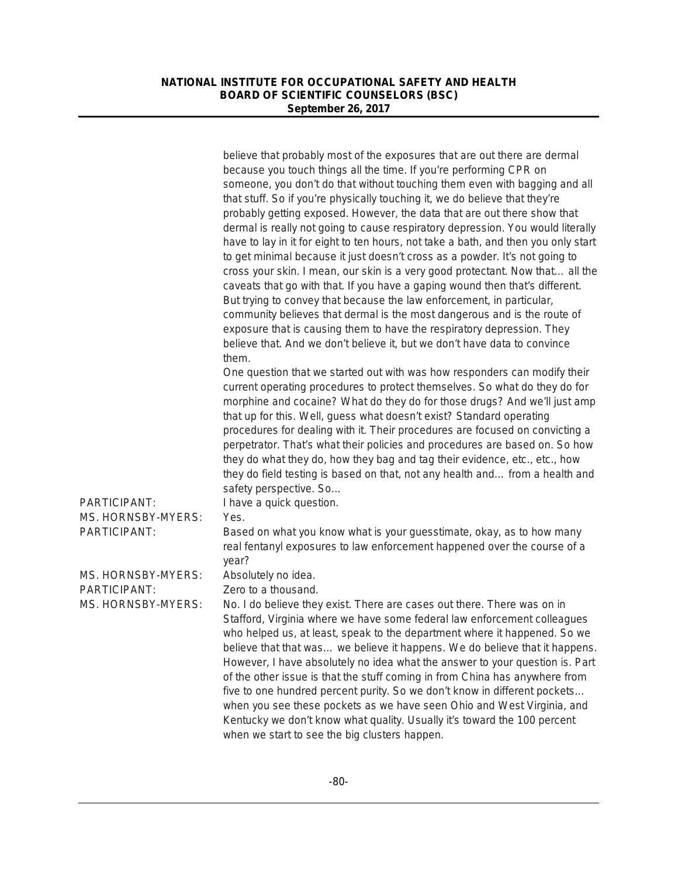|                                                    | believe that probably most of the exposures that are out there are dermal<br>because you touch things all the time. If you're performing CPR on<br>someone, you don't do that without touching them even with bagging and all<br>that stuff. So if you're physically touching it, we do believe that they're<br>probably getting exposed. However, the data that are out there show that<br>dermal is really not going to cause respiratory depression. You would literally<br>have to lay in it for eight to ten hours, not take a bath, and then you only start<br>to get minimal because it just doesn't cross as a powder. It's not going to<br>cross your skin. I mean, our skin is a very good protectant. Now that all the<br>caveats that go with that. If you have a gaping wound then that's different.<br>But trying to convey that because the law enforcement, in particular,<br>community believes that dermal is the most dangerous and is the route of<br>exposure that is causing them to have the respiratory depression. They<br>believe that. And we don't believe it, but we don't have data to convince |
|----------------------------------------------------|-------------------------------------------------------------------------------------------------------------------------------------------------------------------------------------------------------------------------------------------------------------------------------------------------------------------------------------------------------------------------------------------------------------------------------------------------------------------------------------------------------------------------------------------------------------------------------------------------------------------------------------------------------------------------------------------------------------------------------------------------------------------------------------------------------------------------------------------------------------------------------------------------------------------------------------------------------------------------------------------------------------------------------------------------------------------------------------------------------------------------------|
|                                                    | them.<br>One question that we started out with was how responders can modify their<br>current operating procedures to protect themselves. So what do they do for<br>morphine and cocaine? What do they do for those drugs? And we'll just amp<br>that up for this. Well, guess what doesn't exist? Standard operating<br>procedures for dealing with it. Their procedures are focused on convicting a<br>perpetrator. That's what their policies and procedures are based on. So how<br>they do what they do, how they bag and tag their evidence, etc., etc., how<br>they do field testing is based on that, not any health and from a health and<br>safety perspective. So                                                                                                                                                                                                                                                                                                                                                                                                                                                  |
| PARTICIPANT:<br>MS. HORNSBY-MYERS:<br>PARTICIPANT: | I have a quick question.<br>Yes.<br>Based on what you know what is your guesstimate, okay, as to how many<br>real fentanyl exposures to law enforcement happened over the course of a<br>year?                                                                                                                                                                                                                                                                                                                                                                                                                                                                                                                                                                                                                                                                                                                                                                                                                                                                                                                                |
| MS. HORNSBY-MYERS:<br>PARTICIPANT:                 | Absolutely no idea.<br>Zero to a thousand.                                                                                                                                                                                                                                                                                                                                                                                                                                                                                                                                                                                                                                                                                                                                                                                                                                                                                                                                                                                                                                                                                    |
| MS. HORNSBY-MYERS:                                 | No. I do believe they exist. There are cases out there. There was on in<br>Stafford, Virginia where we have some federal law enforcement colleagues<br>who helped us, at least, speak to the department where it happened. So we<br>believe that that was we believe it happens. We do believe that it happens.<br>However, I have absolutely no idea what the answer to your question is. Part<br>of the other issue is that the stuff coming in from China has anywhere from<br>five to one hundred percent purity. So we don't know in different pockets<br>when you see these pockets as we have seen Ohio and West Virginia, and<br>Kentucky we don't know what quality. Usually it's toward the 100 percent<br>when we start to see the big clusters happen.                                                                                                                                                                                                                                                                                                                                                            |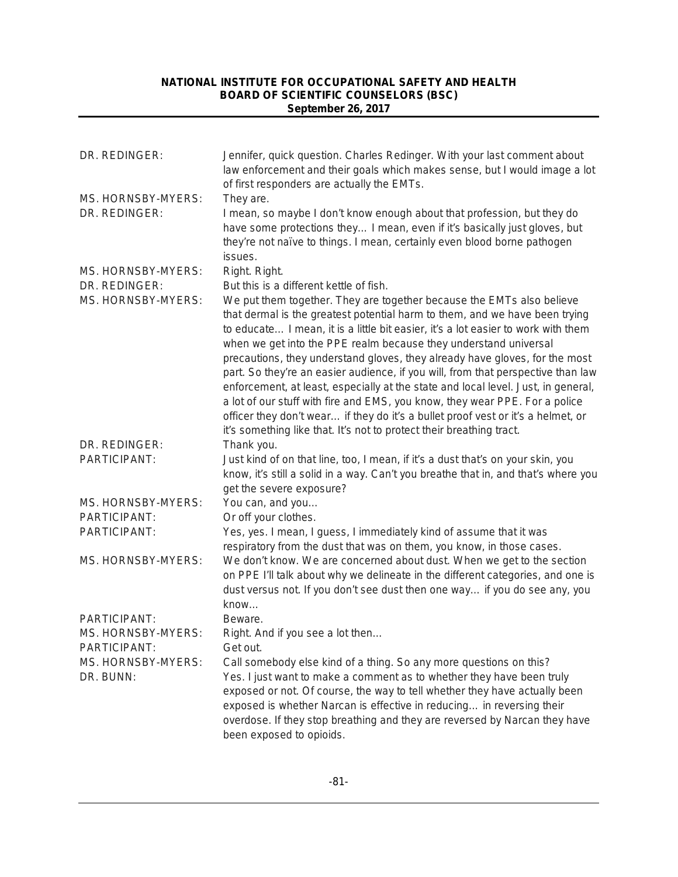| DR. REDINGER:                       | Jennifer, quick question. Charles Redinger. With your last comment about<br>law enforcement and their goals which makes sense, but I would image a lot<br>of first responders are actually the EMTs.                                                                                                                                                                                                             |
|-------------------------------------|------------------------------------------------------------------------------------------------------------------------------------------------------------------------------------------------------------------------------------------------------------------------------------------------------------------------------------------------------------------------------------------------------------------|
| MS. HORNSBY-MYERS:<br>DR. REDINGER: | They are.<br>I mean, so maybe I don't know enough about that profession, but they do                                                                                                                                                                                                                                                                                                                             |
|                                     | have some protections they I mean, even if it's basically just gloves, but<br>they're not naïve to things. I mean, certainly even blood borne pathogen                                                                                                                                                                                                                                                           |
| MS. HORNSBY-MYERS:                  | issues.<br>Right. Right.                                                                                                                                                                                                                                                                                                                                                                                         |
| DR. REDINGER:                       | But this is a different kettle of fish.                                                                                                                                                                                                                                                                                                                                                                          |
| MS. HORNSBY-MYERS:                  | We put them together. They are together because the EMTs also believe<br>that dermal is the greatest potential harm to them, and we have been trying<br>to educate I mean, it is a little bit easier, it's a lot easier to work with them<br>when we get into the PPE realm because they understand universal<br>precautions, they understand gloves, they already have gloves, for the most                     |
|                                     | part. So they're an easier audience, if you will, from that perspective than law<br>enforcement, at least, especially at the state and local level. Just, in general,<br>a lot of our stuff with fire and EMS, you know, they wear PPE. For a police<br>officer they don't wear if they do it's a bullet proof vest or it's a helmet, or<br>it's something like that. It's not to protect their breathing tract. |
| DR. REDINGER:                       | Thank you.                                                                                                                                                                                                                                                                                                                                                                                                       |
| PARTICIPANT:                        | Just kind of on that line, too, I mean, if it's a dust that's on your skin, you<br>know, it's still a solid in a way. Can't you breathe that in, and that's where you<br>get the severe exposure?                                                                                                                                                                                                                |
| MS. HORNSBY-MYERS:                  | You can, and you                                                                                                                                                                                                                                                                                                                                                                                                 |
| PARTICIPANT:                        | Or off your clothes.                                                                                                                                                                                                                                                                                                                                                                                             |
| PARTICIPANT:                        | Yes, yes. I mean, I guess, I immediately kind of assume that it was<br>respiratory from the dust that was on them, you know, in those cases.                                                                                                                                                                                                                                                                     |
| MS. HORNSBY-MYERS:                  | We don't know. We are concerned about dust. When we get to the section<br>on PPE I'll talk about why we delineate in the different categories, and one is<br>dust versus not. If you don't see dust then one way if you do see any, you<br>know                                                                                                                                                                  |
| PARTICIPANT:                        | Beware.                                                                                                                                                                                                                                                                                                                                                                                                          |
| MS. HORNSBY-MYERS:                  | Right. And if you see a lot then                                                                                                                                                                                                                                                                                                                                                                                 |
| PARTICIPANT:                        | Get out.                                                                                                                                                                                                                                                                                                                                                                                                         |
| MS. HORNSBY-MYERS:                  | Call somebody else kind of a thing. So any more questions on this?                                                                                                                                                                                                                                                                                                                                               |
| DR. BUNN:                           | Yes. I just want to make a comment as to whether they have been truly<br>exposed or not. Of course, the way to tell whether they have actually been<br>exposed is whether Narcan is effective in reducing in reversing their<br>overdose. If they stop breathing and they are reversed by Narcan they have                                                                                                       |
|                                     | been exposed to opioids.                                                                                                                                                                                                                                                                                                                                                                                         |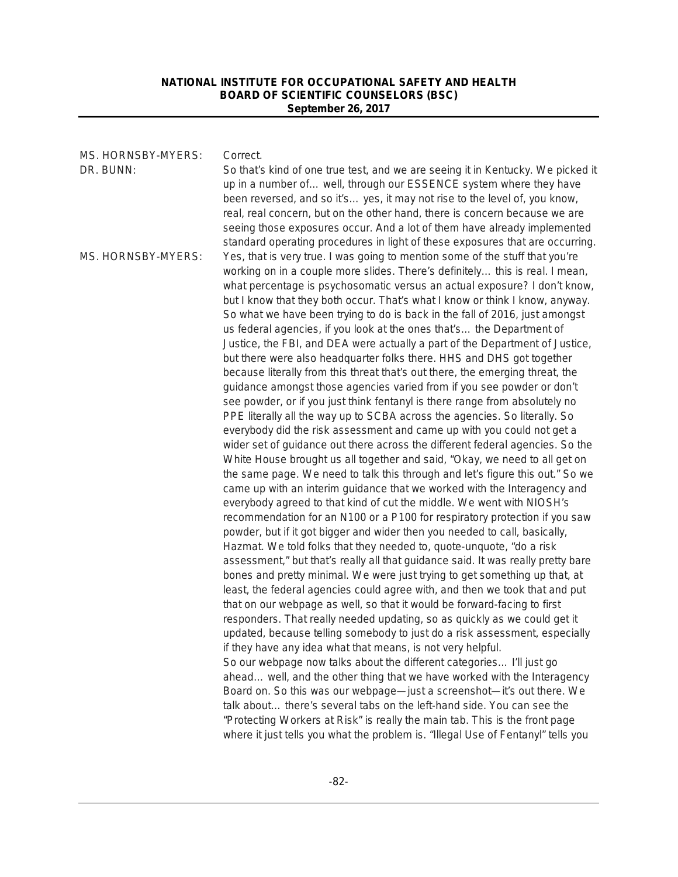| MS. HORNSBY-MYERS: | Correct.                                                                         |
|--------------------|----------------------------------------------------------------------------------|
| DR. BUNN:          | So that's kind of one true test, and we are seeing it in Kentucky. We picked it  |
|                    | up in a number of well, through our ESSENCE system where they have               |
|                    | been reversed, and so it's yes, it may not rise to the level of, you know,       |
|                    | real, real concern, but on the other hand, there is concern because we are       |
|                    | seeing those exposures occur. And a lot of them have already implemented         |
|                    | standard operating procedures in light of these exposures that are occurring.    |
| MS. HORNSBY-MYERS: | Yes, that is very true. I was going to mention some of the stuff that you're     |
|                    | working on in a couple more slides. There's definitely this is real. I mean,     |
|                    | what percentage is psychosomatic versus an actual exposure? I don't know,        |
|                    | but I know that they both occur. That's what I know or think I know, anyway.     |
|                    | So what we have been trying to do is back in the fall of 2016, just amongst      |
|                    | us federal agencies, if you look at the ones that's the Department of            |
|                    | Justice, the FBI, and DEA were actually a part of the Department of Justice,     |
|                    | but there were also headquarter folks there. HHS and DHS got together            |
|                    | because literally from this threat that's out there, the emerging threat, the    |
|                    | guidance amongst those agencies varied from if you see powder or don't           |
|                    | see powder, or if you just think fentanyl is there range from absolutely no      |
|                    | PPE literally all the way up to SCBA across the agencies. So literally. So       |
|                    | everybody did the risk assessment and came up with you could not get a           |
|                    | wider set of guidance out there across the different federal agencies. So the    |
|                    | White House brought us all together and said, "Okay, we need to all get on       |
|                    | the same page. We need to talk this through and let's figure this out." So we    |
|                    | came up with an interim guidance that we worked with the Interagency and         |
|                    | everybody agreed to that kind of cut the middle. We went with NIOSH's            |
|                    | recommendation for an N100 or a P100 for respiratory protection if you saw       |
|                    | powder, but if it got bigger and wider then you needed to call, basically,       |
|                    | Hazmat. We told folks that they needed to, quote-unquote, "do a risk             |
|                    | assessment," but that's really all that guidance said. It was really pretty bare |
|                    | bones and pretty minimal. We were just trying to get something up that, at       |
|                    | least, the federal agencies could agree with, and then we took that and put      |
|                    | that on our webpage as well, so that it would be forward-facing to first         |
|                    | responders. That really needed updating, so as quickly as we could get it        |
|                    | updated, because telling somebody to just do a risk assessment, especially       |
|                    | if they have any idea what that means, is not very helpful.                      |
|                    | So our webpage now talks about the different categories I'll just go             |
|                    | ahead well, and the other thing that we have worked with the Interagency         |
|                    | Board on. So this was our webpage-just a screenshot-it's out there. We           |
|                    | talk about there's several tabs on the left-hand side. You can see the           |
|                    | "Protecting Workers at Risk" is really the main tab. This is the front page      |
|                    | where it just tells you what the problem is. "Illegal Use of Fentanyl" tells you |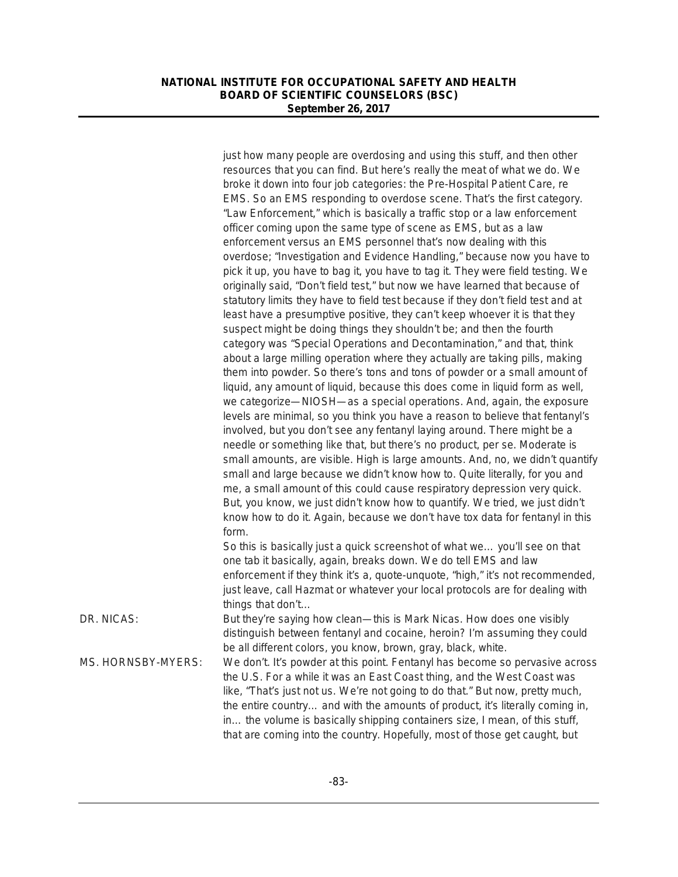|                    | just how many people are overdosing and using this stuff, and then other                                                                       |
|--------------------|------------------------------------------------------------------------------------------------------------------------------------------------|
|                    | resources that you can find. But here's really the meat of what we do. We                                                                      |
|                    | broke it down into four job categories: the Pre-Hospital Patient Care, re                                                                      |
|                    | EMS. So an EMS responding to overdose scene. That's the first category.                                                                        |
|                    | "Law Enforcement," which is basically a traffic stop or a law enforcement                                                                      |
|                    | officer coming upon the same type of scene as EMS, but as a law                                                                                |
|                    | enforcement versus an EMS personnel that's now dealing with this                                                                               |
|                    | overdose; "Investigation and Evidence Handling," because now you have to                                                                       |
|                    | pick it up, you have to bag it, you have to tag it. They were field testing. We                                                                |
|                    | originally said, "Don't field test," but now we have learned that because of                                                                   |
|                    | statutory limits they have to field test because if they don't field test and at                                                               |
|                    | least have a presumptive positive, they can't keep whoever it is that they                                                                     |
|                    | suspect might be doing things they shouldn't be; and then the fourth                                                                           |
|                    | category was "Special Operations and Decontamination," and that, think                                                                         |
|                    | about a large milling operation where they actually are taking pills, making                                                                   |
|                    | them into powder. So there's tons and tons of powder or a small amount of                                                                      |
|                    | liquid, any amount of liquid, because this does come in liquid form as well,                                                                   |
|                    | we categorize-NIOSH-as a special operations. And, again, the exposure                                                                          |
|                    | levels are minimal, so you think you have a reason to believe that fentanyl's                                                                  |
|                    | involved, but you don't see any fentanyl laying around. There might be a                                                                       |
|                    | needle or something like that, but there's no product, per se. Moderate is                                                                     |
|                    | small amounts, are visible. High is large amounts. And, no, we didn't quantify                                                                 |
|                    | small and large because we didn't know how to. Quite literally, for you and                                                                    |
|                    | me, a small amount of this could cause respiratory depression very quick.                                                                      |
|                    | But, you know, we just didn't know how to quantify. We tried, we just didn't                                                                   |
|                    | know how to do it. Again, because we don't have tox data for fentanyl in this                                                                  |
|                    | form.                                                                                                                                          |
|                    | So this is basically just a quick screenshot of what we you'll see on that<br>one tab it basically, again, breaks down. We do tell EMS and law |
|                    | enforcement if they think it's a, quote-unquote, "high," it's not recommended,                                                                 |
|                    | just leave, call Hazmat or whatever your local protocols are for dealing with                                                                  |
|                    | things that don't                                                                                                                              |
| DR. NICAS:         | But they're saying how clean—this is Mark Nicas. How does one visibly                                                                          |
|                    | distinguish between fentanyl and cocaine, heroin? I'm assuming they could                                                                      |
|                    | be all different colors, you know, brown, gray, black, white.                                                                                  |
| MS. HORNSBY-MYERS: | We don't. It's powder at this point. Fentanyl has become so pervasive across                                                                   |
|                    | the U.S. For a while it was an East Coast thing, and the West Coast was                                                                        |
|                    | like, "That's just not us. We're not going to do that." But now, pretty much,                                                                  |
|                    | the entire country and with the amounts of product, it's literally coming in,                                                                  |
|                    | in the volume is basically shipping containers size, I mean, of this stuff,                                                                    |
|                    | that are coming into the country. Hopefully, most of those get caught, but                                                                     |
|                    |                                                                                                                                                |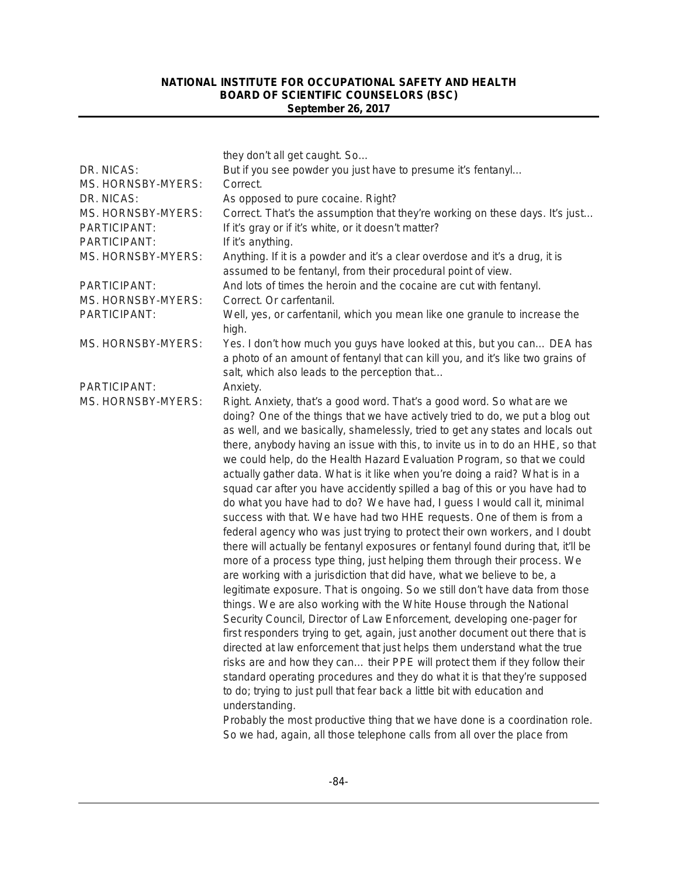|                    | they don't all get caught. So                                                                                                                       |
|--------------------|-----------------------------------------------------------------------------------------------------------------------------------------------------|
| DR. NICAS:         | But if you see powder you just have to presume it's fentanyl                                                                                        |
| MS. HORNSBY-MYERS: | Correct.                                                                                                                                            |
| DR. NICAS:         | As opposed to pure cocaine. Right?                                                                                                                  |
| MS. HORNSBY-MYERS: | Correct. That's the assumption that they're working on these days. It's just                                                                        |
| PARTICIPANT:       | If it's gray or if it's white, or it doesn't matter?                                                                                                |
| PARTICIPANT:       | If it's anything.                                                                                                                                   |
| MS. HORNSBY-MYERS: | Anything. If it is a powder and it's a clear overdose and it's a drug, it is                                                                        |
|                    | assumed to be fentanyl, from their procedural point of view.                                                                                        |
| PARTICIPANT:       | And lots of times the heroin and the cocaine are cut with fentanyl.                                                                                 |
| MS. HORNSBY-MYERS: | Correct. Or carfentanil.                                                                                                                            |
| PARTICIPANT:       | Well, yes, or carfentanil, which you mean like one granule to increase the<br>high.                                                                 |
| MS. HORNSBY-MYERS: | Yes. I don't how much you guys have looked at this, but you can DEA has                                                                             |
|                    | a photo of an amount of fentanyl that can kill you, and it's like two grains of                                                                     |
|                    | salt, which also leads to the perception that                                                                                                       |
| PARTICIPANT:       | Anxiety.                                                                                                                                            |
| MS. HORNSBY-MYERS: | Right. Anxiety, that's a good word. That's a good word. So what are we                                                                              |
|                    | doing? One of the things that we have actively tried to do, we put a blog out                                                                       |
|                    | as well, and we basically, shamelessly, tried to get any states and locals out                                                                      |
|                    | there, anybody having an issue with this, to invite us in to do an HHE, so that                                                                     |
|                    | we could help, do the Health Hazard Evaluation Program, so that we could                                                                            |
|                    | actually gather data. What is it like when you're doing a raid? What is in a                                                                        |
|                    | squad car after you have accidently spilled a bag of this or you have had to                                                                        |
|                    | do what you have had to do? We have had, I guess I would call it, minimal<br>success with that. We have had two HHE requests. One of them is from a |
|                    | federal agency who was just trying to protect their own workers, and I doubt                                                                        |
|                    | there will actually be fentanyl exposures or fentanyl found during that, it'll be                                                                   |
|                    | more of a process type thing, just helping them through their process. We                                                                           |
|                    | are working with a jurisdiction that did have, what we believe to be, a                                                                             |
|                    | legitimate exposure. That is ongoing. So we still don't have data from those                                                                        |
|                    | things. We are also working with the White House through the National                                                                               |
|                    | Security Council, Director of Law Enforcement, developing one-pager for                                                                             |
|                    | first responders trying to get, again, just another document out there that is                                                                      |
|                    | directed at law enforcement that just helps them understand what the true                                                                           |
|                    | risks are and how they can their PPE will protect them if they follow their                                                                         |
|                    | standard operating procedures and they do what it is that they're supposed                                                                          |
|                    | to do; trying to just pull that fear back a little bit with education and                                                                           |
|                    | understanding.                                                                                                                                      |
|                    | Probably the most productive thing that we have done is a coordination role.                                                                        |
|                    | So we had, again, all those telephone calls from all over the place from                                                                            |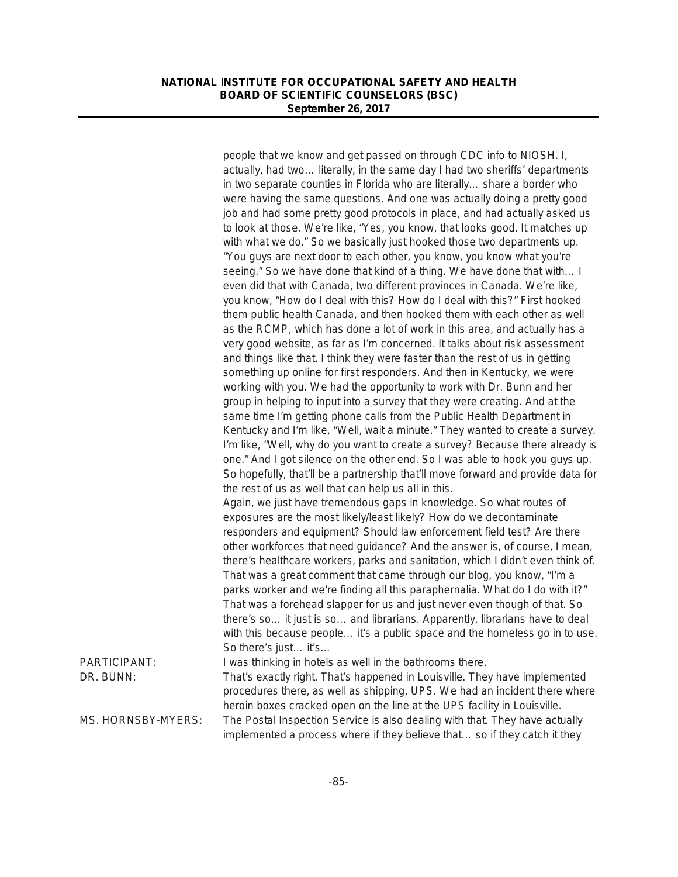|                    | people that we know and get passed on through CDC info to NIOSH. I,<br>actually, had two literally, in the same day I had two sheriffs' departments<br>in two separate counties in Florida who are literally share a border who                                                                                                    |
|--------------------|------------------------------------------------------------------------------------------------------------------------------------------------------------------------------------------------------------------------------------------------------------------------------------------------------------------------------------|
|                    | were having the same questions. And one was actually doing a pretty good<br>job and had some pretty good protocols in place, and had actually asked us                                                                                                                                                                             |
|                    | to look at those. We're like, "Yes, you know, that looks good. It matches up<br>with what we do." So we basically just hooked those two departments up.                                                                                                                                                                            |
|                    | "You guys are next door to each other, you know, you know what you're<br>seeing." So we have done that kind of a thing. We have done that with I                                                                                                                                                                                   |
|                    | even did that with Canada, two different provinces in Canada. We're like,<br>you know, "How do I deal with this? How do I deal with this?" First hooked<br>them public health Canada, and then hooked them with each other as well                                                                                                 |
|                    | as the RCMP, which has done a lot of work in this area, and actually has a<br>very good website, as far as I'm concerned. It talks about risk assessment                                                                                                                                                                           |
|                    | and things like that. I think they were faster than the rest of us in getting<br>something up online for first responders. And then in Kentucky, we were<br>working with you. We had the opportunity to work with Dr. Bunn and her                                                                                                 |
|                    | group in helping to input into a survey that they were creating. And at the<br>same time I'm getting phone calls from the Public Health Department in                                                                                                                                                                              |
|                    | Kentucky and I'm like, "Well, wait a minute." They wanted to create a survey.<br>I'm like, "Well, why do you want to create a survey? Because there already is<br>one." And I got silence on the other end. So I was able to hook you guys up.<br>So hopefully, that'll be a partnership that'll move forward and provide data for |
|                    | the rest of us as well that can help us all in this.<br>Again, we just have tremendous gaps in knowledge. So what routes of<br>exposures are the most likely/least likely? How do we decontaminate                                                                                                                                 |
|                    | responders and equipment? Should law enforcement field test? Are there<br>other workforces that need guidance? And the answer is, of course, I mean,<br>there's healthcare workers, parks and sanitation, which I didn't even think of.                                                                                            |
|                    | That was a great comment that came through our blog, you know, "I'm a<br>parks worker and we're finding all this paraphernalia. What do I do with it?"<br>That was a forehead slapper for us and just never even though of that. So                                                                                                |
|                    | there's so it just is so and librarians. Apparently, librarians have to deal<br>with this because people it's a public space and the homeless go in to use.                                                                                                                                                                        |
| PARTICIPANT:       | So there's just it's<br>I was thinking in hotels as well in the bathrooms there.                                                                                                                                                                                                                                                   |
| DR. BUNN:          | That's exactly right. That's happened in Louisville. They have implemented<br>procedures there, as well as shipping, UPS. We had an incident there where<br>heroin boxes cracked open on the line at the UPS facility in Louisville.                                                                                               |
| MS. HORNSBY-MYERS: | The Postal Inspection Service is also dealing with that. They have actually<br>implemented a process where if they believe that so if they catch it they                                                                                                                                                                           |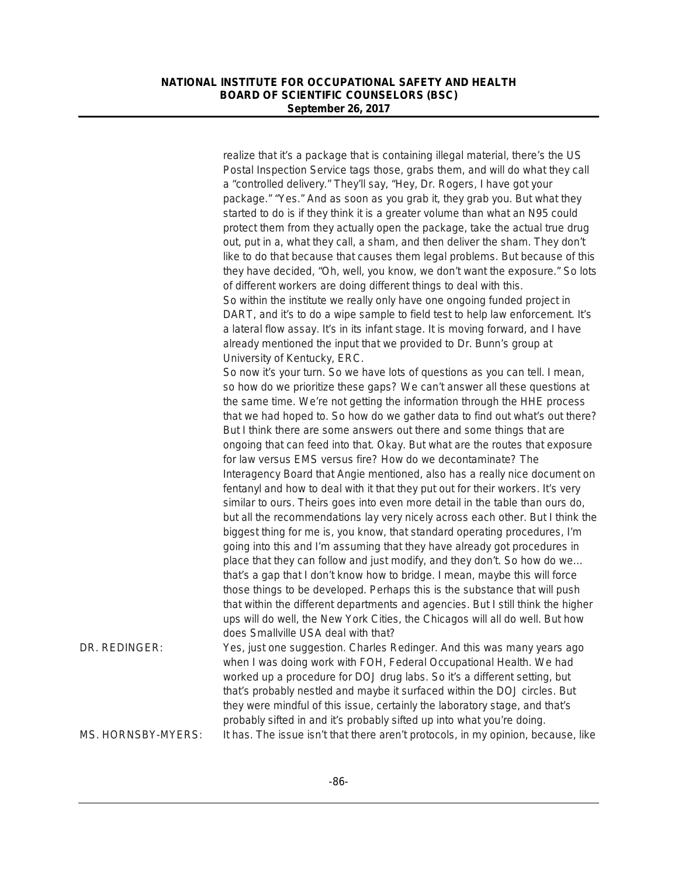|                    | realize that it's a package that is containing illegal material, there's the US<br>Postal Inspection Service tags those, grabs them, and will do what they call<br>a "controlled delivery." They'll say, "Hey, Dr. Rogers, I have got your<br>package." "Yes." And as soon as you grab it, they grab you. But what they<br>started to do is if they think it is a greater volume than what an N95 could<br>protect them from they actually open the package, take the actual true drug<br>out, put in a, what they call, a sham, and then deliver the sham. They don't<br>like to do that because that causes them legal problems. But because of this<br>they have decided, "Oh, well, you know, we don't want the exposure." So lots<br>of different workers are doing different things to deal with this.<br>So within the institute we really only have one ongoing funded project in<br>DART, and it's to do a wipe sample to field test to help law enforcement. It's<br>a lateral flow assay. It's in its infant stage. It is moving forward, and I have<br>already mentioned the input that we provided to Dr. Bunn's group at |
|--------------------|----------------------------------------------------------------------------------------------------------------------------------------------------------------------------------------------------------------------------------------------------------------------------------------------------------------------------------------------------------------------------------------------------------------------------------------------------------------------------------------------------------------------------------------------------------------------------------------------------------------------------------------------------------------------------------------------------------------------------------------------------------------------------------------------------------------------------------------------------------------------------------------------------------------------------------------------------------------------------------------------------------------------------------------------------------------------------------------------------------------------------------------|
|                    | University of Kentucky, ERC.<br>So now it's your turn. So we have lots of questions as you can tell. I mean,<br>so how do we prioritize these gaps? We can't answer all these questions at<br>the same time. We're not getting the information through the HHE process<br>that we had hoped to. So how do we gather data to find out what's out there?<br>But I think there are some answers out there and some things that are<br>ongoing that can feed into that. Okay. But what are the routes that exposure<br>for law versus EMS versus fire? How do we decontaminate? The                                                                                                                                                                                                                                                                                                                                                                                                                                                                                                                                                        |
|                    | Interagency Board that Angie mentioned, also has a really nice document on<br>fentanyl and how to deal with it that they put out for their workers. It's very<br>similar to ours. Theirs goes into even more detail in the table than ours do,<br>but all the recommendations lay very nicely across each other. But I think the<br>biggest thing for me is, you know, that standard operating procedures, I'm<br>going into this and I'm assuming that they have already got procedures in<br>place that they can follow and just modify, and they don't. So how do we<br>that's a gap that I don't know how to bridge. I mean, maybe this will force<br>those things to be developed. Perhaps this is the substance that will push<br>that within the different departments and agencies. But I still think the higher<br>ups will do well, the New York Cities, the Chicagos will all do well. But how                                                                                                                                                                                                                              |
| DR. REDINGER:      | does Smallville USA deal with that?<br>Yes, just one suggestion. Charles Redinger. And this was many years ago<br>when I was doing work with FOH, Federal Occupational Health. We had<br>worked up a procedure for DOJ drug labs. So it's a different setting, but<br>that's probably nestled and maybe it surfaced within the DOJ circles. But<br>they were mindful of this issue, certainly the laboratory stage, and that's<br>probably sifted in and it's probably sifted up into what you're doing.                                                                                                                                                                                                                                                                                                                                                                                                                                                                                                                                                                                                                               |
| MS. HORNSBY-MYERS: | It has. The issue isn't that there aren't protocols, in my opinion, because, like                                                                                                                                                                                                                                                                                                                                                                                                                                                                                                                                                                                                                                                                                                                                                                                                                                                                                                                                                                                                                                                      |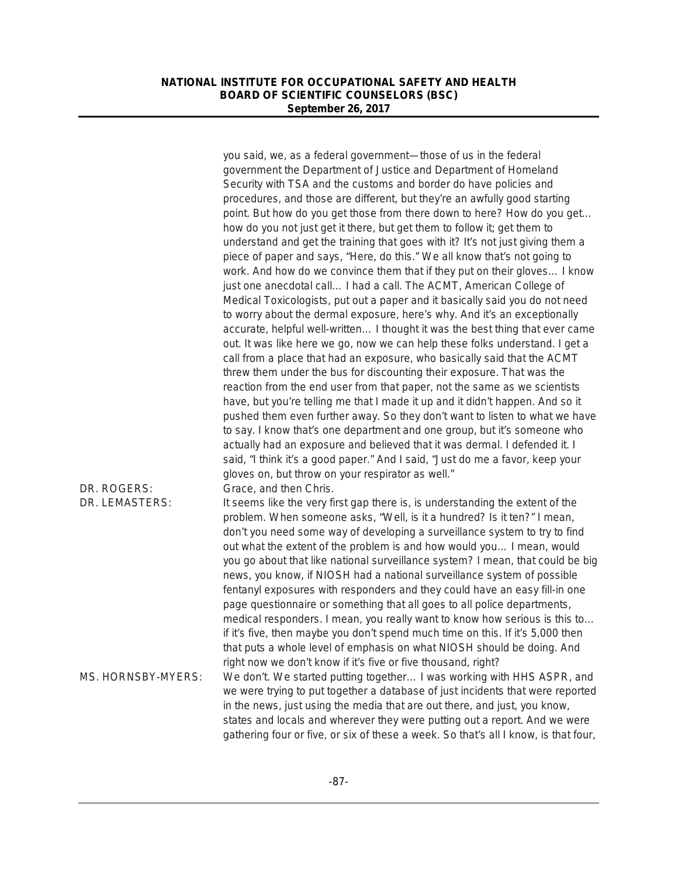|                    | you said, we, as a federal government—those of us in the federal<br>government the Department of Justice and Department of Homeland |
|--------------------|-------------------------------------------------------------------------------------------------------------------------------------|
|                    | Security with TSA and the customs and border do have policies and                                                                   |
|                    | procedures, and those are different, but they're an awfully good starting                                                           |
|                    | point. But how do you get those from there down to here? How do you get                                                             |
|                    | how do you not just get it there, but get them to follow it; get them to                                                            |
|                    | understand and get the training that goes with it? It's not just giving them a                                                      |
|                    | piece of paper and says, "Here, do this." We all know that's not going to                                                           |
|                    | work. And how do we convince them that if they put on their gloves I know                                                           |
|                    | just one anecdotal call I had a call. The ACMT, American College of                                                                 |
|                    | Medical Toxicologists, put out a paper and it basically said you do not need                                                        |
|                    | to worry about the dermal exposure, here's why. And it's an exceptionally                                                           |
|                    | accurate, helpful well-written I thought it was the best thing that ever came                                                       |
|                    | out. It was like here we go, now we can help these folks understand. I get a                                                        |
|                    | call from a place that had an exposure, who basically said that the ACMT                                                            |
|                    | threw them under the bus for discounting their exposure. That was the                                                               |
|                    | reaction from the end user from that paper, not the same as we scientists                                                           |
|                    | have, but you're telling me that I made it up and it didn't happen. And so it                                                       |
|                    | pushed them even further away. So they don't want to listen to what we have                                                         |
|                    | to say. I know that's one department and one group, but it's someone who                                                            |
|                    | actually had an exposure and believed that it was dermal. I defended it. I                                                          |
|                    | said, "I think it's a good paper." And I said, "Just do me a favor, keep your                                                       |
|                    | gloves on, but throw on your respirator as well."                                                                                   |
| DR. ROGERS:        | Grace, and then Chris.                                                                                                              |
| DR. LEMASTERS:     | It seems like the very first gap there is, is understanding the extent of the                                                       |
|                    | problem. When someone asks, "Well, is it a hundred? Is it ten?" I mean,                                                             |
|                    | don't you need some way of developing a surveillance system to try to find                                                          |
|                    | out what the extent of the problem is and how would you I mean, would                                                               |
|                    |                                                                                                                                     |
|                    | you go about that like national surveillance system? I mean, that could be big                                                      |
|                    | news, you know, if NIOSH had a national surveillance system of possible                                                             |
|                    | fentanyl exposures with responders and they could have an easy fill-in one                                                          |
|                    | page questionnaire or something that all goes to all police departments,                                                            |
|                    | medical responders. I mean, you really want to know how serious is this to                                                          |
|                    | if it's five, then maybe you don't spend much time on this. If it's 5,000 then                                                      |
|                    | that puts a whole level of emphasis on what NIOSH should be doing. And                                                              |
|                    | right now we don't know if it's five or five thousand, right?                                                                       |
| MS. HORNSBY-MYERS: | We don't. We started putting together I was working with HHS ASPR, and                                                              |
|                    | we were trying to put together a database of just incidents that were reported                                                      |
|                    | in the news, just using the media that are out there, and just, you know,                                                           |
|                    | states and locals and wherever they were putting out a report. And we were                                                          |
|                    | gathering four or five, or six of these a week. So that's all I know, is that four,                                                 |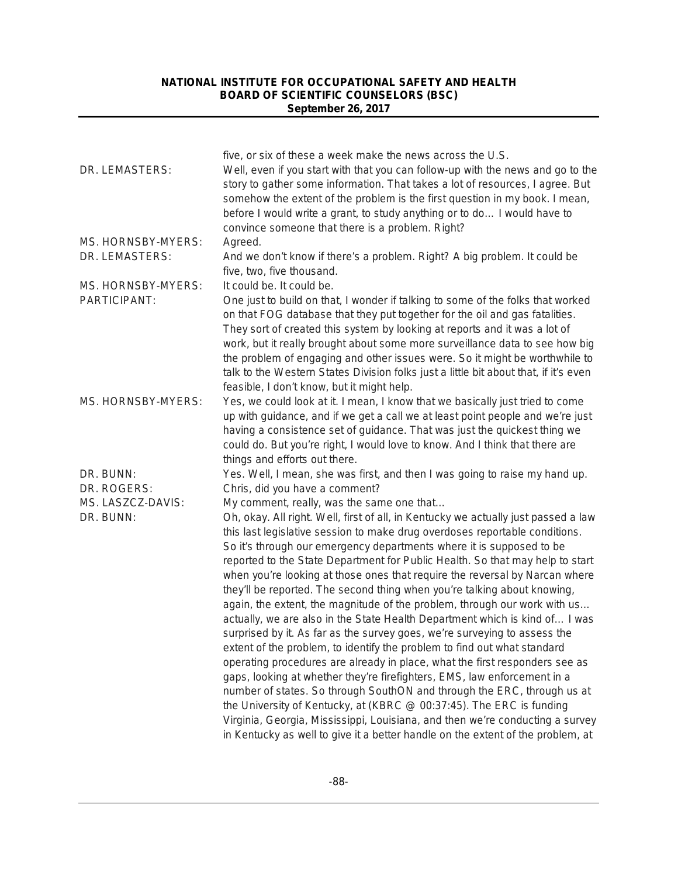| convince someone that there is a problem. Right?<br>Agreed.<br>And we don't know if there's a problem. Right? A big problem. It could be<br>five, two, five thousand.<br>It could be. It could be.<br>One just to build on that, I wonder if talking to some of the folks that worked<br>on that FOG database that they put together for the oil and gas fatalities.<br>They sort of created this system by looking at reports and it was a lot of<br>work, but it really brought about some more surveillance data to see how big                                                                                                                                                                                                                                                                                                                                                                                                                                                                                                                                                                                                                                                                                                                                                           |
|----------------------------------------------------------------------------------------------------------------------------------------------------------------------------------------------------------------------------------------------------------------------------------------------------------------------------------------------------------------------------------------------------------------------------------------------------------------------------------------------------------------------------------------------------------------------------------------------------------------------------------------------------------------------------------------------------------------------------------------------------------------------------------------------------------------------------------------------------------------------------------------------------------------------------------------------------------------------------------------------------------------------------------------------------------------------------------------------------------------------------------------------------------------------------------------------------------------------------------------------------------------------------------------------|
|                                                                                                                                                                                                                                                                                                                                                                                                                                                                                                                                                                                                                                                                                                                                                                                                                                                                                                                                                                                                                                                                                                                                                                                                                                                                                              |
|                                                                                                                                                                                                                                                                                                                                                                                                                                                                                                                                                                                                                                                                                                                                                                                                                                                                                                                                                                                                                                                                                                                                                                                                                                                                                              |
|                                                                                                                                                                                                                                                                                                                                                                                                                                                                                                                                                                                                                                                                                                                                                                                                                                                                                                                                                                                                                                                                                                                                                                                                                                                                                              |
| the problem of engaging and other issues were. So it might be worthwhile to<br>talk to the Western States Division folks just a little bit about that, if it's even<br>feasible, I don't know, but it might help.                                                                                                                                                                                                                                                                                                                                                                                                                                                                                                                                                                                                                                                                                                                                                                                                                                                                                                                                                                                                                                                                            |
| Yes, we could look at it. I mean, I know that we basically just tried to come<br>up with guidance, and if we get a call we at least point people and we're just<br>having a consistence set of guidance. That was just the quickest thing we<br>could do. But you're right, I would love to know. And I think that there are<br>things and efforts out there.                                                                                                                                                                                                                                                                                                                                                                                                                                                                                                                                                                                                                                                                                                                                                                                                                                                                                                                                |
| Yes. Well, I mean, she was first, and then I was going to raise my hand up.                                                                                                                                                                                                                                                                                                                                                                                                                                                                                                                                                                                                                                                                                                                                                                                                                                                                                                                                                                                                                                                                                                                                                                                                                  |
| Chris, did you have a comment?<br>My comment, really, was the same one that                                                                                                                                                                                                                                                                                                                                                                                                                                                                                                                                                                                                                                                                                                                                                                                                                                                                                                                                                                                                                                                                                                                                                                                                                  |
| Oh, okay. All right. Well, first of all, in Kentucky we actually just passed a law<br>this last legislative session to make drug overdoses reportable conditions.<br>So it's through our emergency departments where it is supposed to be<br>reported to the State Department for Public Health. So that may help to start<br>when you're looking at those ones that require the reversal by Narcan where<br>they'll be reported. The second thing when you're talking about knowing,<br>again, the extent, the magnitude of the problem, through our work with us<br>actually, we are also in the State Health Department which is kind of I was<br>surprised by it. As far as the survey goes, we're surveying to assess the<br>extent of the problem, to identify the problem to find out what standard<br>operating procedures are already in place, what the first responders see as<br>gaps, looking at whether they're firefighters, EMS, law enforcement in a<br>number of states. So through SouthON and through the ERC, through us at<br>the University of Kentucky, at (KBRC @ 00:37:45). The ERC is funding<br>Virginia, Georgia, Mississippi, Louisiana, and then we're conducting a survey<br>in Kentucky as well to give it a better handle on the extent of the problem, at |
|                                                                                                                                                                                                                                                                                                                                                                                                                                                                                                                                                                                                                                                                                                                                                                                                                                                                                                                                                                                                                                                                                                                                                                                                                                                                                              |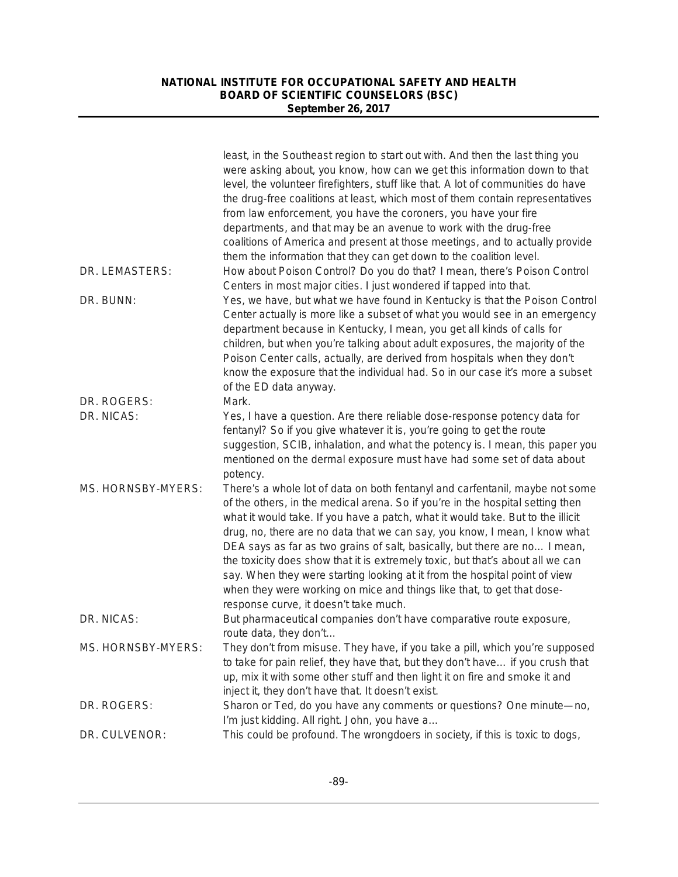|                    | least, in the Southeast region to start out with. And then the last thing you<br>were asking about, you know, how can we get this information down to that |
|--------------------|------------------------------------------------------------------------------------------------------------------------------------------------------------|
|                    | level, the volunteer firefighters, stuff like that. A lot of communities do have                                                                           |
|                    | the drug-free coalitions at least, which most of them contain representatives                                                                              |
|                    | from law enforcement, you have the coroners, you have your fire                                                                                            |
|                    | departments, and that may be an avenue to work with the drug-free                                                                                          |
|                    | coalitions of America and present at those meetings, and to actually provide                                                                               |
|                    | them the information that they can get down to the coalition level.                                                                                        |
| DR. LEMASTERS:     | How about Poison Control? Do you do that? I mean, there's Poison Control                                                                                   |
|                    | Centers in most major cities. I just wondered if tapped into that.                                                                                         |
| DR. BUNN:          | Yes, we have, but what we have found in Kentucky is that the Poison Control                                                                                |
|                    | Center actually is more like a subset of what you would see in an emergency                                                                                |
|                    | department because in Kentucky, I mean, you get all kinds of calls for                                                                                     |
|                    | children, but when you're talking about adult exposures, the majority of the                                                                               |
|                    | Poison Center calls, actually, are derived from hospitals when they don't                                                                                  |
|                    | know the exposure that the individual had. So in our case it's more a subset                                                                               |
|                    | of the ED data anyway.                                                                                                                                     |
| DR. ROGERS:        | Mark.                                                                                                                                                      |
| DR. NICAS:         | Yes, I have a question. Are there reliable dose-response potency data for                                                                                  |
|                    | fentanyl? So if you give whatever it is, you're going to get the route                                                                                     |
|                    | suggestion, SCIB, inhalation, and what the potency is. I mean, this paper you                                                                              |
|                    | mentioned on the dermal exposure must have had some set of data about                                                                                      |
|                    | potency.                                                                                                                                                   |
| MS. HORNSBY-MYERS: | There's a whole lot of data on both fentanyl and carfentanil, maybe not some                                                                               |
|                    | of the others, in the medical arena. So if you're in the hospital setting then                                                                             |
|                    | what it would take. If you have a patch, what it would take. But to the illicit                                                                            |
|                    | drug, no, there are no data that we can say, you know, I mean, I know what                                                                                 |
|                    | DEA says as far as two grains of salt, basically, but there are no I mean,                                                                                 |
|                    | the toxicity does show that it is extremely toxic, but that's about all we can                                                                             |
|                    | say. When they were starting looking at it from the hospital point of view                                                                                 |
|                    | when they were working on mice and things like that, to get that dose-                                                                                     |
|                    | response curve, it doesn't take much.                                                                                                                      |
| DR. NICAS:         | But pharmaceutical companies don't have comparative route exposure,                                                                                        |
|                    | route data, they don't                                                                                                                                     |
| MS. HORNSBY-MYERS: | They don't from misuse. They have, if you take a pill, which you're supposed                                                                               |
|                    | to take for pain relief, they have that, but they don't have if you crush that                                                                             |
|                    | up, mix it with some other stuff and then light it on fire and smoke it and                                                                                |
|                    | inject it, they don't have that. It doesn't exist.                                                                                                         |
| DR. ROGERS:        | Sharon or Ted, do you have any comments or questions? One minute-no,                                                                                       |
|                    | I'm just kidding. All right. John, you have a                                                                                                              |
| DR. CULVENOR:      | This could be profound. The wrongdoers in society, if this is toxic to dogs,                                                                               |
|                    |                                                                                                                                                            |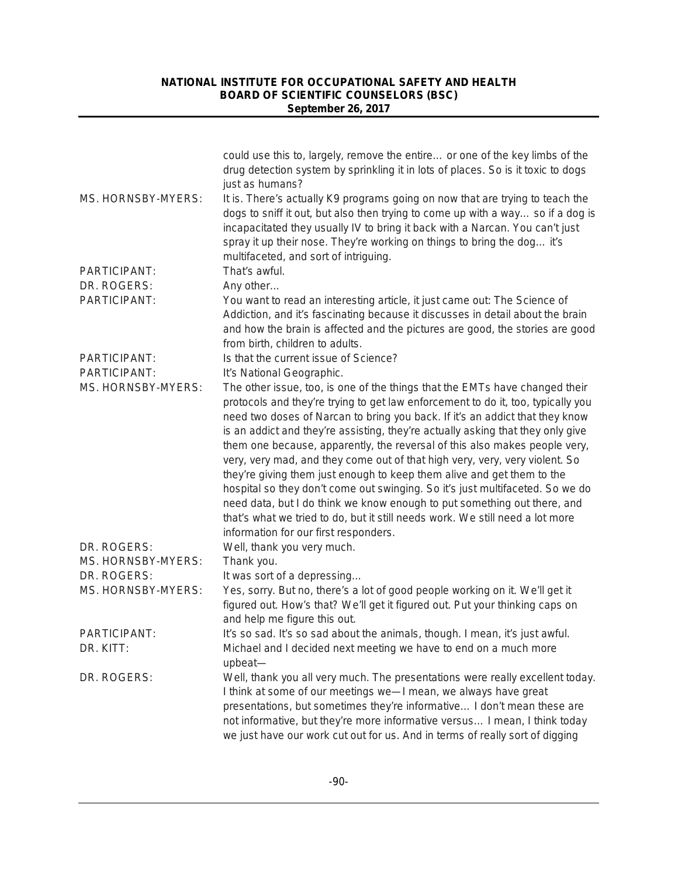|                     | could use this to, largely, remove the entire or one of the key limbs of the<br>drug detection system by sprinkling it in lots of places. So is it toxic to dogs<br>just as humans?                                                                                                                                                                                                                                                                                                                                                                                                                                                                                                                                                                                                                                                                              |
|---------------------|------------------------------------------------------------------------------------------------------------------------------------------------------------------------------------------------------------------------------------------------------------------------------------------------------------------------------------------------------------------------------------------------------------------------------------------------------------------------------------------------------------------------------------------------------------------------------------------------------------------------------------------------------------------------------------------------------------------------------------------------------------------------------------------------------------------------------------------------------------------|
| MS. HORNSBY-MYERS:  | It is. There's actually K9 programs going on now that are trying to teach the<br>dogs to sniff it out, but also then trying to come up with a way so if a dog is<br>incapacitated they usually IV to bring it back with a Narcan. You can't just<br>spray it up their nose. They're working on things to bring the dog it's<br>multifaceted, and sort of intriguing.                                                                                                                                                                                                                                                                                                                                                                                                                                                                                             |
| PARTICIPANT:        | That's awful.                                                                                                                                                                                                                                                                                                                                                                                                                                                                                                                                                                                                                                                                                                                                                                                                                                                    |
| DR. ROGERS:         | Any other                                                                                                                                                                                                                                                                                                                                                                                                                                                                                                                                                                                                                                                                                                                                                                                                                                                        |
| PARTICIPANT:        | You want to read an interesting article, it just came out: The Science of<br>Addiction, and it's fascinating because it discusses in detail about the brain<br>and how the brain is affected and the pictures are good, the stories are good<br>from birth, children to adults.                                                                                                                                                                                                                                                                                                                                                                                                                                                                                                                                                                                  |
| PARTICIPANT:        | Is that the current issue of Science?                                                                                                                                                                                                                                                                                                                                                                                                                                                                                                                                                                                                                                                                                                                                                                                                                            |
| PARTICIPANT:        | It's National Geographic.                                                                                                                                                                                                                                                                                                                                                                                                                                                                                                                                                                                                                                                                                                                                                                                                                                        |
| MS. HORNSBY-MYERS:  | The other issue, too, is one of the things that the EMTs have changed their<br>protocols and they're trying to get law enforcement to do it, too, typically you<br>need two doses of Narcan to bring you back. If it's an addict that they know<br>is an addict and they're assisting, they're actually asking that they only give<br>them one because, apparently, the reversal of this also makes people very,<br>very, very mad, and they come out of that high very, very, very violent. So<br>they're giving them just enough to keep them alive and get them to the<br>hospital so they don't come out swinging. So it's just multifaceted. So we do<br>need data, but I do think we know enough to put something out there, and<br>that's what we tried to do, but it still needs work. We still need a lot more<br>information for our first responders. |
| DR. ROGERS:         | Well, thank you very much.                                                                                                                                                                                                                                                                                                                                                                                                                                                                                                                                                                                                                                                                                                                                                                                                                                       |
| MS. HORNSBY-MYERS:  | Thank you.                                                                                                                                                                                                                                                                                                                                                                                                                                                                                                                                                                                                                                                                                                                                                                                                                                                       |
| DR. ROGERS:         | It was sort of a depressing                                                                                                                                                                                                                                                                                                                                                                                                                                                                                                                                                                                                                                                                                                                                                                                                                                      |
| MS. HORNSBY-MYERS:  | Yes, sorry. But no, there's a lot of good people working on it. We'll get it<br>figured out. How's that? We'll get it figured out. Put your thinking caps on<br>and help me figure this out.                                                                                                                                                                                                                                                                                                                                                                                                                                                                                                                                                                                                                                                                     |
| <b>PARTICIPANT:</b> | It's so sad. It's so sad about the animals, though. I mean, it's just awful.                                                                                                                                                                                                                                                                                                                                                                                                                                                                                                                                                                                                                                                                                                                                                                                     |
| DR. KITT:           | Michael and I decided next meeting we have to end on a much more<br>upbeat-                                                                                                                                                                                                                                                                                                                                                                                                                                                                                                                                                                                                                                                                                                                                                                                      |
| DR. ROGERS:         | Well, thank you all very much. The presentations were really excellent today.<br>I think at some of our meetings we-I mean, we always have great<br>presentations, but sometimes they're informative I don't mean these are<br>not informative, but they're more informative versus I mean, I think today<br>we just have our work cut out for us. And in terms of really sort of digging                                                                                                                                                                                                                                                                                                                                                                                                                                                                        |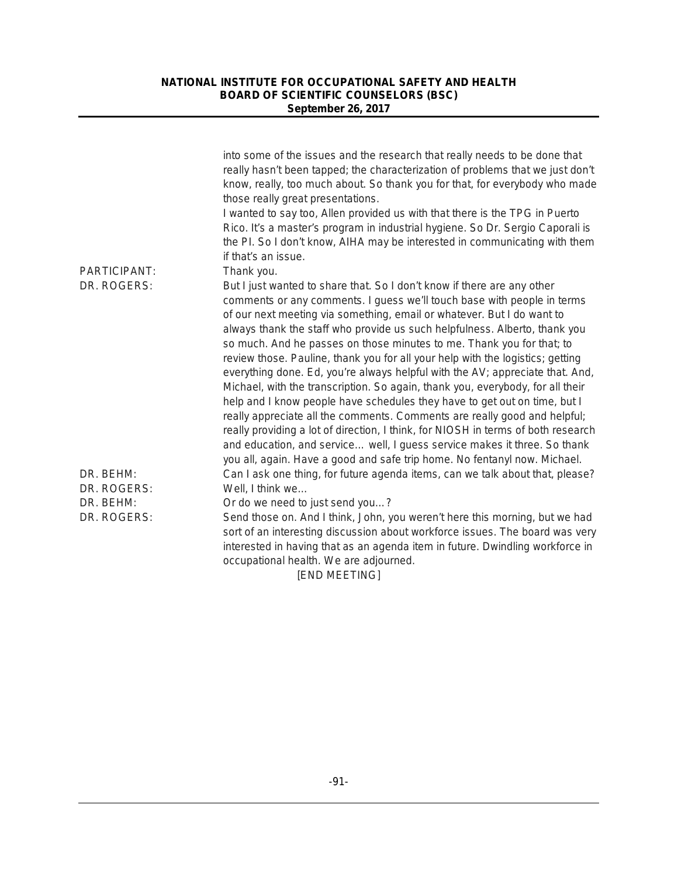| PARTICIPANT:             | into some of the issues and the research that really needs to be done that<br>really hasn't been tapped; the characterization of problems that we just don't<br>know, really, too much about. So thank you for that, for everybody who made<br>those really great presentations.<br>I wanted to say too, Allen provided us with that there is the TPG in Puerto<br>Rico. It's a master's program in industrial hygiene. So Dr. Sergio Caporali is<br>the PI. So I don't know, AIHA may be interested in communicating with them<br>if that's an issue.<br>Thank you.                                                                                                                                                                                                                                                                                                                                                                                                 |
|--------------------------|----------------------------------------------------------------------------------------------------------------------------------------------------------------------------------------------------------------------------------------------------------------------------------------------------------------------------------------------------------------------------------------------------------------------------------------------------------------------------------------------------------------------------------------------------------------------------------------------------------------------------------------------------------------------------------------------------------------------------------------------------------------------------------------------------------------------------------------------------------------------------------------------------------------------------------------------------------------------|
| DR. ROGERS:              | But I just wanted to share that. So I don't know if there are any other<br>comments or any comments. I guess we'll touch base with people in terms<br>of our next meeting via something, email or whatever. But I do want to<br>always thank the staff who provide us such helpfulness. Alberto, thank you<br>so much. And he passes on those minutes to me. Thank you for that; to<br>review those. Pauline, thank you for all your help with the logistics; getting<br>everything done. Ed, you're always helpful with the AV; appreciate that. And,<br>Michael, with the transcription. So again, thank you, everybody, for all their<br>help and I know people have schedules they have to get out on time, but I<br>really appreciate all the comments. Comments are really good and helpful;<br>really providing a lot of direction, I think, for NIOSH in terms of both research<br>and education, and service well, I guess service makes it three. So thank |
| DR. BEHM:<br>DR. ROGERS: | you all, again. Have a good and safe trip home. No fentanyl now. Michael.<br>Can I ask one thing, for future agenda items, can we talk about that, please?<br>Well, I think we                                                                                                                                                                                                                                                                                                                                                                                                                                                                                                                                                                                                                                                                                                                                                                                       |
| DR. BEHM:<br>DR. ROGERS: | Or do we need to just send you?<br>Send those on. And I think, John, you weren't here this morning, but we had<br>sort of an interesting discussion about workforce issues. The board was very<br>interested in having that as an agenda item in future. Dwindling workforce in<br>occupational health. We are adjourned.                                                                                                                                                                                                                                                                                                                                                                                                                                                                                                                                                                                                                                            |

[END MEETING]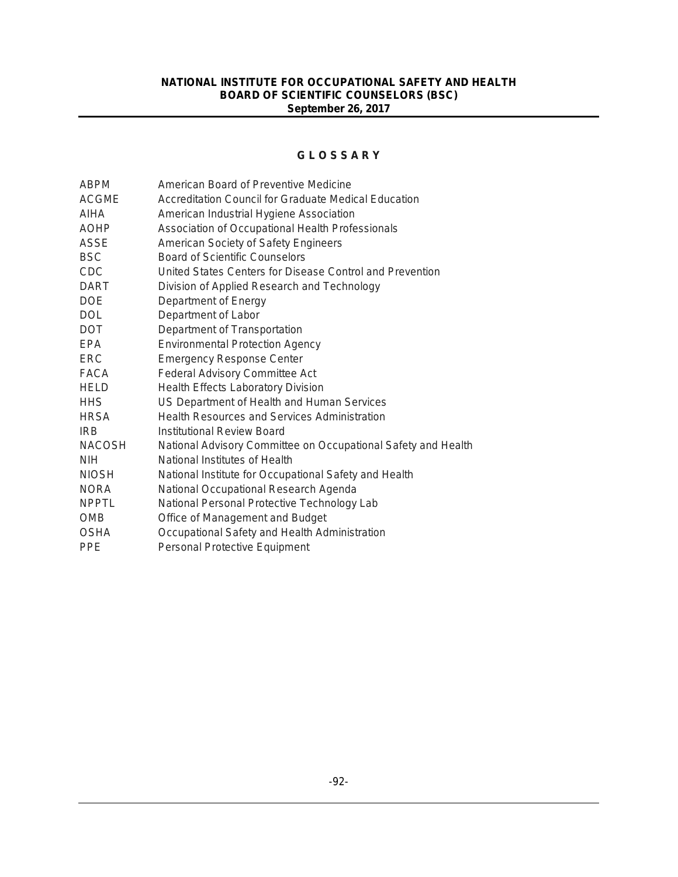### **G L O S S A R Y**

| <b>ABPM</b>   | American Board of Preventive Medicine                         |
|---------------|---------------------------------------------------------------|
| <b>ACGME</b>  | Accreditation Council for Graduate Medical Education          |
| AIHA          | American Industrial Hygiene Association                       |
| <b>AOHP</b>   | Association of Occupational Health Professionals              |
| ASSE          | American Society of Safety Engineers                          |
| <b>BSC</b>    | Board of Scientific Counselors                                |
| <b>CDC</b>    | United States Centers for Disease Control and Prevention      |
| <b>DART</b>   | Division of Applied Research and Technology                   |
| <b>DOE</b>    | Department of Energy                                          |
| <b>DOL</b>    | Department of Labor                                           |
| <b>DOT</b>    | Department of Transportation                                  |
| EPA           | <b>Environmental Protection Agency</b>                        |
| <b>ERC</b>    | <b>Emergency Response Center</b>                              |
| FACA          | <b>Federal Advisory Committee Act</b>                         |
| <b>HELD</b>   | Health Effects Laboratory Division                            |
| <b>HHS</b>    | US Department of Health and Human Services                    |
| <b>HRSA</b>   | <b>Health Resources and Services Administration</b>           |
| <b>IRB</b>    | Institutional Review Board                                    |
| <b>NACOSH</b> | National Advisory Committee on Occupational Safety and Health |
| <b>NIH</b>    | National Institutes of Health                                 |
| <b>NIOSH</b>  | National Institute for Occupational Safety and Health         |
| <b>NORA</b>   | National Occupational Research Agenda                         |
| <b>NPPTL</b>  | National Personal Protective Technology Lab                   |
| <b>OMB</b>    | Office of Management and Budget                               |
| <b>OSHA</b>   | Occupational Safety and Health Administration                 |
| <b>PPE</b>    | Personal Protective Equipment                                 |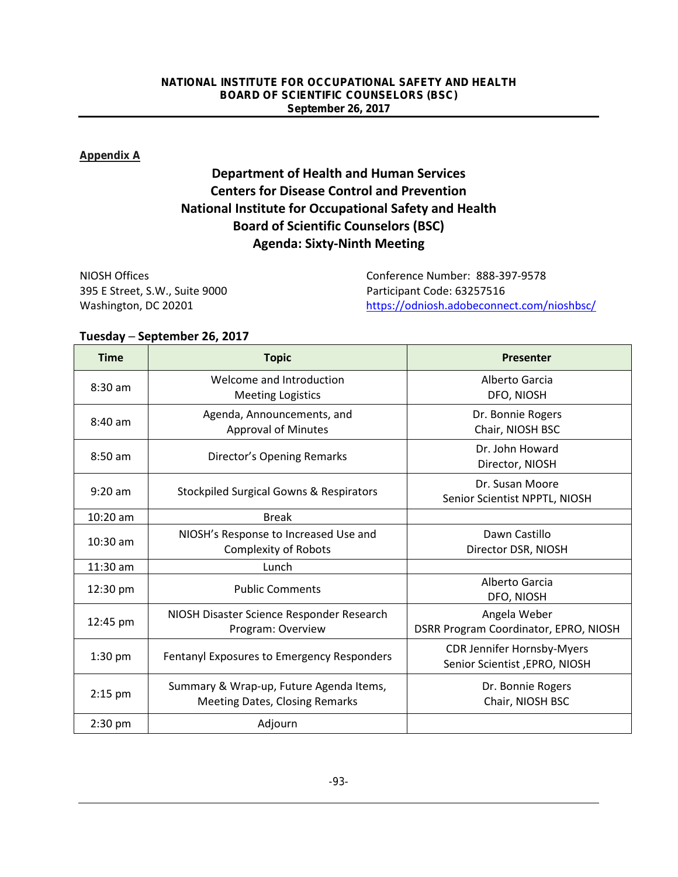### **Appendix A**

## **Department of Health and Human Services Centers for Disease Control and Prevention National Institute for Occupational Safety and Health Board of Scientific Counselors (BSC) Agenda: Sixty-Ninth Meeting**

| NIOSH Offices                  | Conference Number: 888-397-9578            |
|--------------------------------|--------------------------------------------|
| 395 E Street, S.W., Suite 9000 | Participant Code: 63257516                 |
| Washington, DC 20201           | https://odniosh.adobeconnect.com/nioshbsc/ |

### **Tuesday ─ September 26, 2017**

| <b>Time</b> | <b>Topic</b>                                                                     | Presenter                                                          |
|-------------|----------------------------------------------------------------------------------|--------------------------------------------------------------------|
| $8:30$ am   | Welcome and Introduction<br><b>Meeting Logistics</b>                             | Alberto Garcia<br>DFO, NIOSH                                       |
| $8:40$ am   | Agenda, Announcements, and<br><b>Approval of Minutes</b>                         | Dr. Bonnie Rogers<br>Chair, NIOSH BSC                              |
| $8:50$ am   | Director's Opening Remarks                                                       | Dr. John Howard<br>Director, NIOSH                                 |
| $9:20$ am   | <b>Stockpiled Surgical Gowns &amp; Respirators</b>                               | Dr. Susan Moore<br>Senior Scientist NPPTL, NIOSH                   |
| $10:20$ am  | <b>Break</b>                                                                     |                                                                    |
| $10:30$ am  | NIOSH's Response to Increased Use and<br><b>Complexity of Robots</b>             | Dawn Castillo<br>Director DSR, NIOSH                               |
| $11:30$ am  | Lunch                                                                            |                                                                    |
| 12:30 pm    | <b>Public Comments</b>                                                           | Alberto Garcia<br>DFO, NIOSH                                       |
| 12:45 pm    | NIOSH Disaster Science Responder Research<br>Program: Overview                   | Angela Weber<br>DSRR Program Coordinator, EPRO, NIOSH              |
| $1:30$ pm   | Fentanyl Exposures to Emergency Responders                                       | <b>CDR Jennifer Hornsby-Myers</b><br>Senior Scientist, EPRO, NIOSH |
| $2:15$ pm   | Summary & Wrap-up, Future Agenda Items,<br><b>Meeting Dates, Closing Remarks</b> | Dr. Bonnie Rogers<br>Chair, NIOSH BSC                              |
| $2:30$ pm   | Adjourn                                                                          |                                                                    |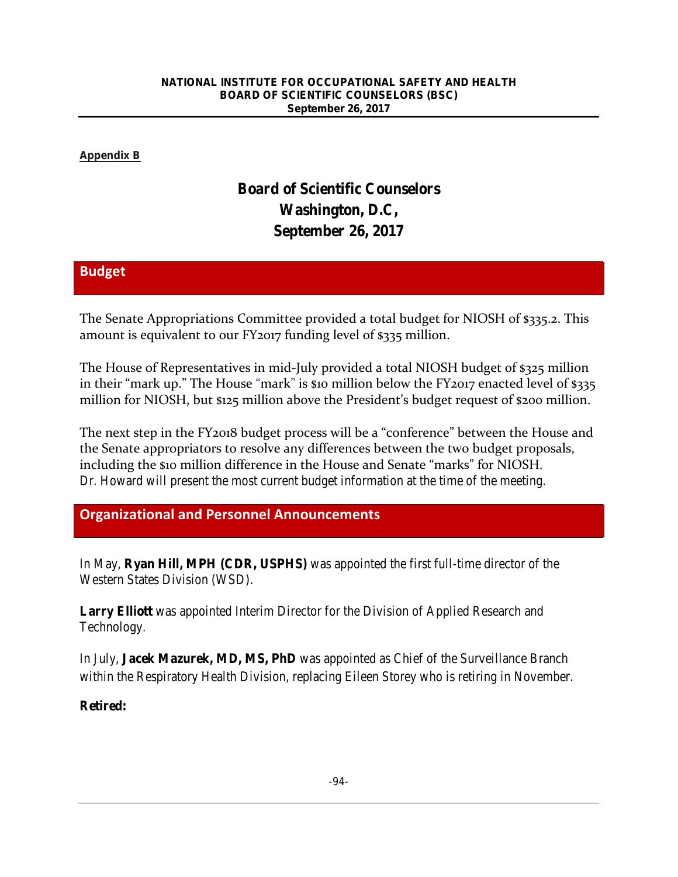### **Appendix B**

# **Board of Scientific Counselors Washington, D.C, September 26, 2017**

### **Budget**

The Senate Appropriations Committee provided a total budget for NIOSH of \$335.2. This amount is equivalent to our FY2017 funding level of \$335 million.

The House of Representatives in mid-July provided a total NIOSH budget of \$325 million in their "mark up." The House "mark" is \$10 million below the FY2017 enacted level of \$335 million for NIOSH, but \$125 million above the President's budget request of \$200 million.

The next step in the FY2018 budget process will be a "conference" between the House and the Senate appropriators to resolve any differences between the two budget proposals, including the \$10 million difference in the House and Senate "marks" for NIOSH. Dr. Howard will present the most current budget information at the time of the meeting.

## **Organizational and Personnel Announcements**

In May, **Ryan Hill, MPH (CDR, USPHS)** was appointed the first full-time director of the Western States Division (WSD).

**Larry Elliott** was appointed Interim Director for the Division of Applied Research and Technology.

In July, **Jacek Mazurek, MD, MS, PhD** was appointed as Chief of the Surveillance Branch within the Respiratory Health Division, replacing Eileen Storey who is retiring in November.

### **Retired:**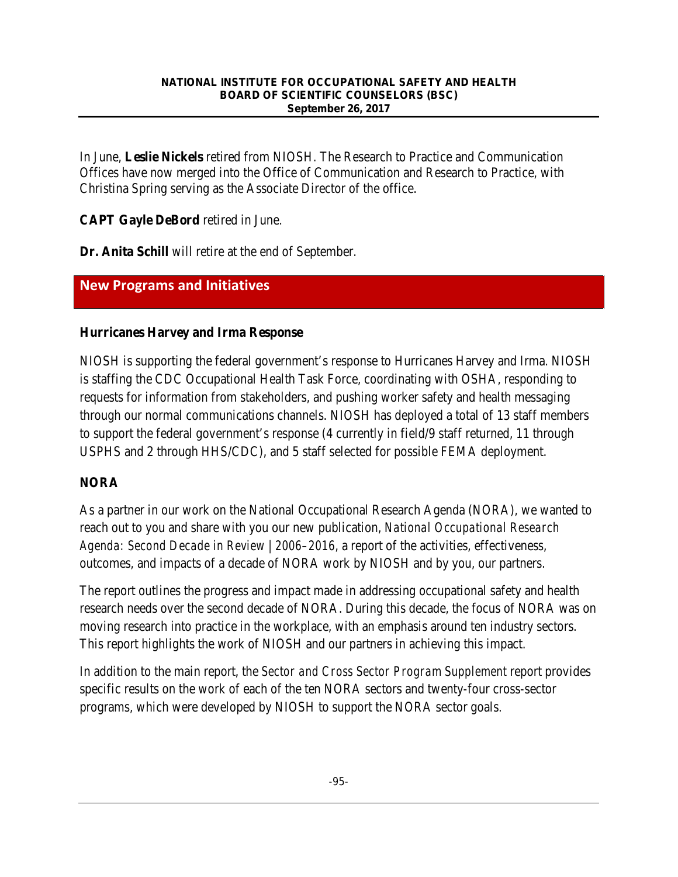In June, **Leslie Nickels** retired from NIOSH. The Research to Practice and Communication Offices have now merged into the Office of Communication and Research to Practice, with Christina Spring serving as the Associate Director of the office.

**CAPT Gayle DeBord** retired in June.

**Dr. Anita Schill** will retire at the end of September.

## **New Programs and Initiatives**

### **Hurricanes Harvey and Irma Response**

NIOSH is supporting the federal government's response to Hurricanes Harvey and Irma. NIOSH is staffing the CDC Occupational Health Task Force, coordinating with OSHA, responding to requests for information from stakeholders, and pushing worker safety and health messaging through our normal communications channels. NIOSH has deployed a total of 13 staff members to support the federal government's response (4 currently in field/9 staff returned, 11 through USPHS and 2 through HHS/CDC), and 5 staff selected for possible FEMA deployment.

## **NORA**

As a partner in our work on the National Occupational Research Agenda (NORA), we wanted to reach out to you and share with you our new publication, *[National Occupational Research](https://www.cdc.gov/niosh/docs/2017-146/default.html)  [Agenda: Second Decade in Review | 2006–2016](https://www.cdc.gov/niosh/docs/2017-146/default.html)*, a report of the activities, effectiveness, outcomes, and impacts of a decade of NORA work by NIOSH and by you, our partners.

The report outlines the progress and impact made in addressing occupational safety and health research needs over the second decade of NORA. During this decade, the focus of NORA was on moving research into practice in the workplace, with an emphasis around ten industry sectors. This report highlights the work of NIOSH and our partners in achieving this impact.

In addition to the main report, the *[Sector and Cross Sector Program Supplement](https://www.cdc.gov/niosh/docs/2017-147/)* report provides specific results on the work of each of the ten NORA sectors and twenty-four cross-sector programs, which were developed by NIOSH to support the NORA sector goals.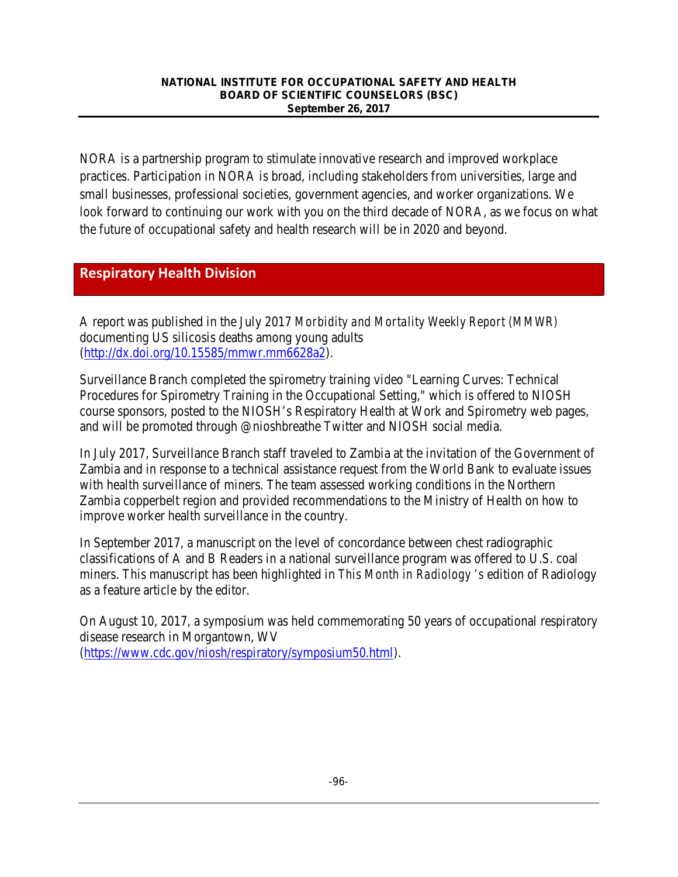NORA is a partnership program to stimulate innovative research and improved workplace practices. Participation in NORA is broad, including stakeholders from universities, large and small businesses, professional societies, government agencies, and worker organizations. We look forward to continuing our work with you on the third decade of NORA, as we focus on what the future of occupational safety and health research will be in 2020 and beyond.

## **Respiratory Health Division**

A report was published in the July 2017 *Morbidity and Mortality Weekly Report (MMWR)* documenting US silicosis deaths among young adults [\(http://dx.doi.org/10.15585/mmwr.mm6628a2\)](http://dx.doi.org/10.15585/mmwr.mm6628a2).

Surveillance Branch completed the spirometry training video "Learning Curves: Technical Procedures for Spirometry Training in the Occupational Setting," which is offered to NIOSH course sponsors, posted to the NIOSH's Respiratory Health at Work and Spirometry web pages, and will be promoted through @nioshbreathe Twitter and NIOSH social media.

In July 2017, Surveillance Branch staff traveled to Zambia at the invitation of the Government of Zambia and in response to a technical assistance request from the World Bank to evaluate issues with health surveillance of miners. The team assessed working conditions in the Northern Zambia copperbelt region and provided recommendations to the Ministry of Health on how to improve worker health surveillance in the country.

In September 2017, a manuscript on the level of concordance between chest radiographic classifications of A and B Readers in a national surveillance program was offered to U.S. coal miners. This manuscript has been highlighted in *This Month in Radiology 's* edition of Radiology as a feature article by the editor.

On August 10, 2017, a symposium was held commemorating 50 years of occupational respiratory disease research in Morgantown, WV [\(https://www.cdc.gov/niosh/respiratory/symposium50.html\)](https://www.cdc.gov/niosh/respiratory/symposium50.html).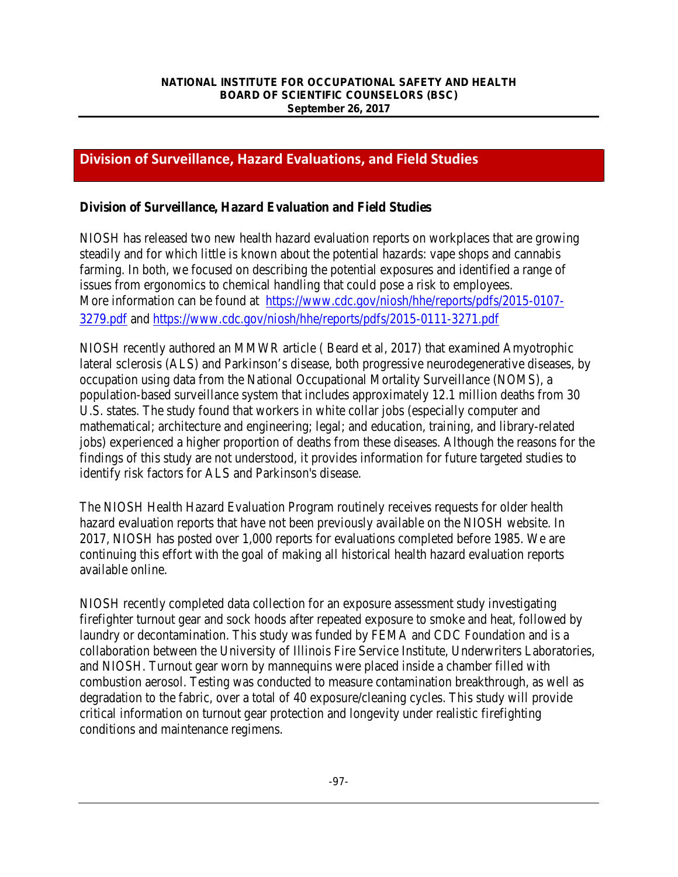## **Division of Surveillance, Hazard Evaluations, and Field Studies**

### **Division of Surveillance, Hazard Evaluation and Field Studies**

NIOSH has released two new health hazard evaluation reports on workplaces that are growing steadily and for which little is known about the potential hazards: vape shops and cannabis farming. In both, we focused on describing the potential exposures and identified a range of issues from ergonomics to chemical handling that could pose a risk to employees. More information can be found at [https://www.cdc.gov/niosh/hhe/reports/pdfs/2015-0107-](https://www.cdc.gov/niosh/hhe/reports/pdfs/2015-0107-3279.pdf) [3279.pdf](https://www.cdc.gov/niosh/hhe/reports/pdfs/2015-0107-3279.pdf) and<https://www.cdc.gov/niosh/hhe/reports/pdfs/2015-0111-3271.pdf>

NIOSH recently authored an MMWR article ( Beard et al, 2017) that examined Amyotrophic lateral sclerosis (ALS) and Parkinson's disease, both progressive neurodegenerative diseases, by occupation using data from the National Occupational Mortality Surveillance (NOMS), a population-based surveillance system that includes approximately 12.1 million deaths from 30 U.S. states. The study found that workers in white collar jobs (especially computer and mathematical; architecture and engineering; legal; and education, training, and library-related jobs) experienced a higher proportion of deaths from these diseases. Although the reasons for the findings of this study are not understood, it provides information for future targeted studies to identify risk factors for ALS and Parkinson's disease.

The NIOSH Health Hazard Evaluation Program routinely receives requests for older health hazard evaluation reports that have not been previously available on the NIOSH website. In 2017, NIOSH has posted over 1,000 reports for evaluations completed before 1985. We are continuing this effort with the goal of making all historical health hazard evaluation reports available online.

NIOSH recently completed data collection for an exposure assessment study investigating firefighter turnout gear and sock hoods after repeated exposure to smoke and heat, followed by laundry or decontamination. This study was funded by FEMA and CDC Foundation and is a collaboration between the University of Illinois Fire Service Institute, Underwriters Laboratories, and NIOSH. Turnout gear worn by mannequins were placed inside a chamber filled with combustion aerosol. Testing was conducted to measure contamination breakthrough, as well as degradation to the fabric, over a total of 40 exposure/cleaning cycles. This study will provide critical information on turnout gear protection and longevity under realistic firefighting conditions and maintenance regimens.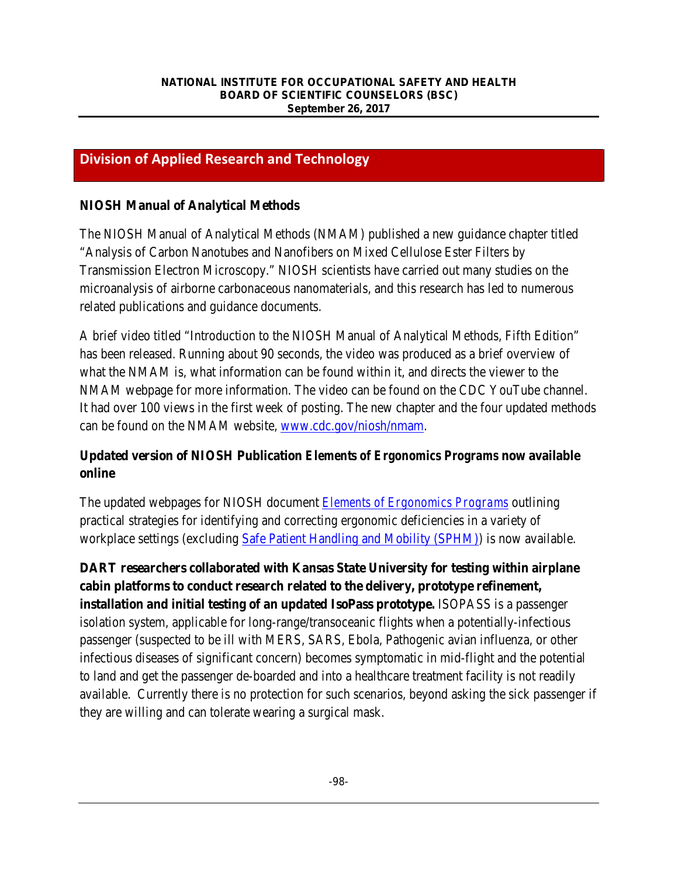## **Division of Applied Research and Technology**

## **NIOSH Manual of Analytical Methods**

The NIOSH Manual of Analytical Methods (NMAM) published a new guidance chapter titled "Analysis of Carbon Nanotubes and Nanofibers on Mixed Cellulose Ester Filters by Transmission Electron Microscopy." NIOSH scientists have carried out many studies on the microanalysis of airborne carbonaceous nanomaterials, and this research has led to numerous related publications and guidance documents.

A brief video titled "Introduction to the NIOSH Manual of Analytical Methods, Fifth Edition" has been released. Running about 90 seconds, the video was produced as a brief overview of what the NMAM is, what information can be found within it, and directs the viewer to the NMAM webpage for more information. The video can be found on the CDC YouTube channel. It had over 100 views in the first week of posting. The new chapter and the four updated methods can be found on the NMAM website, [www.cdc.gov/niosh/nmam.](http://www.cdc.gov/niosh/nmam)

## **Updated version of NIOSH Publication** *Elements of Ergonomics Programs* **now available online**

The updated webpages for NIOSH document *[Elements of Ergonomics Programs](https://www.cdc.gov/niosh/topics/ergonomics/ergoprimer/default.html)* outlining practical strategies for identifying and correcting ergonomic deficiencies in a variety of workplace settings (excluding [Safe Patient Handling and Mobility \(SPHM\)\)](https://www.cdc.gov/niosh/topics/safepatient/default.html) is now available.

**DART researchers collaborated with Kansas State University for testing within airplane cabin platforms to conduct research related to the delivery, prototype refinement, installation and initial testing of an updated IsoPass prototype.** ISOPASS is a passenger isolation system, applicable for long-range/transoceanic flights when a potentially-infectious passenger (suspected to be ill with MERS, SARS, Ebola, Pathogenic avian influenza, or other infectious diseases of significant concern) becomes symptomatic in mid-flight and the potential to land and get the passenger de-boarded and into a healthcare treatment facility is not readily available. Currently there is no protection for such scenarios, beyond asking the sick passenger if they are willing and can tolerate wearing a surgical mask.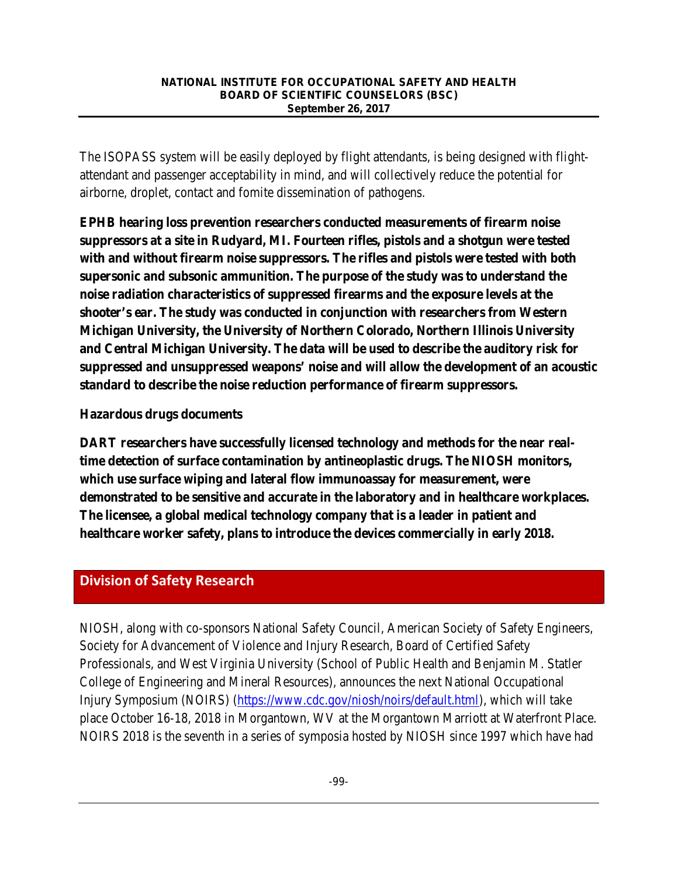The ISOPASS system will be easily deployed by flight attendants, is being designed with flightattendant and passenger acceptability in mind, and will collectively reduce the potential for airborne, droplet, contact and fomite dissemination of pathogens.

**EPHB hearing loss prevention researchers conducted measurements of firearm noise suppressors at a site in Rudyard, MI. Fourteen rifles, pistols and a shotgun were tested with and without firearm noise suppressors. The rifles and pistols were tested with both supersonic and subsonic ammunition. The purpose of the study was to understand the noise radiation characteristics of suppressed firearms and the exposure levels at the shooter's ear. The study was conducted in conjunction with researchers from Western Michigan University, the University of Northern Colorado, Northern Illinois University and Central Michigan University. The data will be used to describe the auditory risk for suppressed and unsuppressed weapons' noise and will allow the development of an acoustic standard to describe the noise reduction performance of firearm suppressors.**

### **Hazardous drugs documents**

**DART researchers have successfully licensed technology and methods for the near realtime detection of surface contamination by antineoplastic drugs. The NIOSH monitors, which use surface wiping and lateral flow immunoassay for measurement, were demonstrated to be sensitive and accurate in the laboratory and in healthcare workplaces. The licensee, a global medical technology company that is a leader in patient and healthcare worker safety, plans to introduce the devices commercially in early 2018.**

## **Division of Safety Research**

NIOSH, along with co-sponsors National Safety Council, American Society of Safety Engineers, Society for Advancement of Violence and Injury Research, Board of Certified Safety Professionals, and West Virginia University (School of Public Health and Benjamin M. Statler College of Engineering and Mineral Resources), announces the next National Occupational Injury Symposium (NOIRS) [\(https://www.cdc.gov/niosh/noirs/default.html\)](https://www.cdc.gov/niosh/noirs/default.html), which will take place October 16-18, 2018 in Morgantown, WV at the Morgantown Marriott at Waterfront Place. NOIRS 2018 is the seventh in a series of symposia hosted by NIOSH since 1997 which have had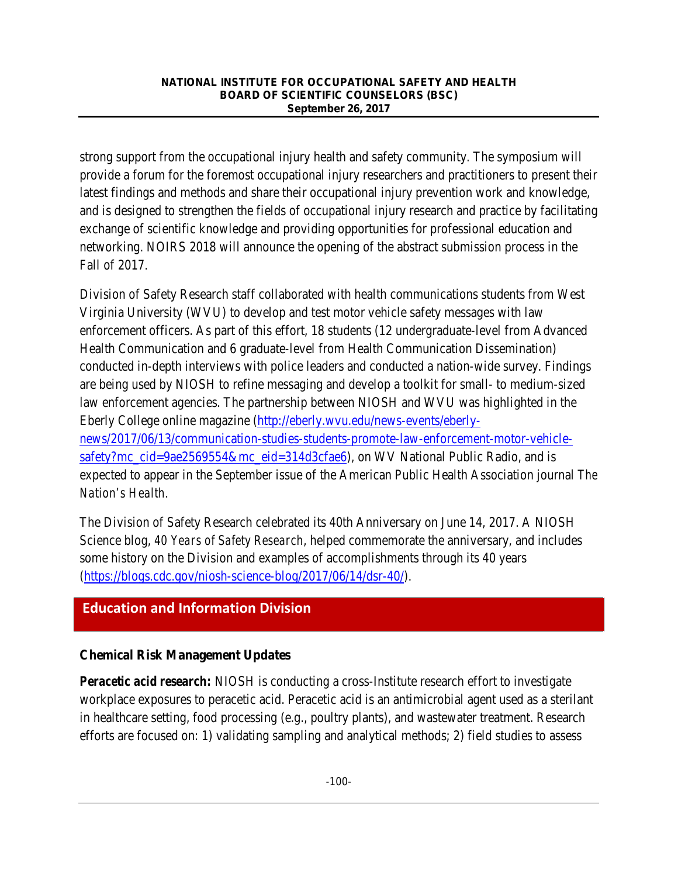strong support from the occupational injury health and safety community. The symposium will provide a forum for the foremost occupational injury researchers and practitioners to present their latest findings and methods and share their occupational injury prevention work and knowledge, and is designed to strengthen the fields of occupational injury research and practice by facilitating exchange of scientific knowledge and providing opportunities for professional education and networking. NOIRS 2018 will announce the opening of the abstract submission process in the Fall of 2017.

Division of Safety Research staff collaborated with health communications students from West Virginia University (WVU) to develop and test motor vehicle safety messages with law enforcement officers. As part of this effort, 18 students (12 undergraduate-level from Advanced Health Communication and 6 graduate-level from Health Communication Dissemination) conducted in-depth interviews with police leaders and conducted a nation-wide survey. Findings are being used by NIOSH to refine messaging and develop a toolkit for small- to medium-sized law enforcement agencies. The partnership between NIOSH and WVU was highlighted in the Eberly College online magazine [\(http://eberly.wvu.edu/news-events/eberly](http://eberly.wvu.edu/news-events/eberly-news/2017/06/13/communication-studies-students-promote-law-enforcement-motor-vehicle-safety?mc_cid=9ae2569554&mc_eid=314d3cfae6)[news/2017/06/13/communication-studies-students-promote-law-enforcement-motor-vehicle](http://eberly.wvu.edu/news-events/eberly-news/2017/06/13/communication-studies-students-promote-law-enforcement-motor-vehicle-safety?mc_cid=9ae2569554&mc_eid=314d3cfae6)[safety?mc\\_cid=9ae2569554&mc\\_eid=314d3cfae6\)](http://eberly.wvu.edu/news-events/eberly-news/2017/06/13/communication-studies-students-promote-law-enforcement-motor-vehicle-safety?mc_cid=9ae2569554&mc_eid=314d3cfae6), on WV National Public Radio, and is expected to appear in the September issue of the American Public Health Association journal *The Nation's Health*.

The Division of Safety Research celebrated its 40th Anniversary on June 14, 2017. A NIOSH Science blog, *40 Years of Safety Research*, helped commemorate the anniversary, and includes some history on the Division and examples of accomplishments through its 40 years [\(https://blogs.cdc.gov/niosh-science-blog/2017/06/14/dsr-40/\)](https://blogs.cdc.gov/niosh-science-blog/2017/06/14/dsr-40/).

## **Education and Information Division**

## **Chemical Risk Management Updates**

*Peracetic acid research:* NIOSH is conducting a cross-Institute research effort to investigate workplace exposures to peracetic acid. Peracetic acid is an antimicrobial agent used as a sterilant in healthcare setting, food processing (e.g., poultry plants), and wastewater treatment. Research efforts are focused on: 1) validating sampling and analytical methods; 2) field studies to assess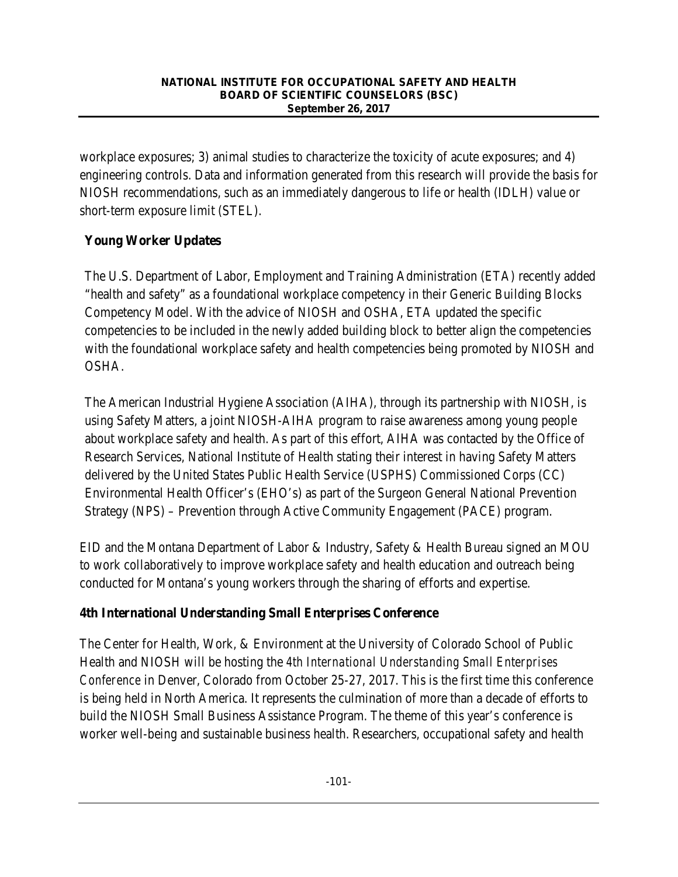workplace exposures; 3) animal studies to characterize the toxicity of acute exposures; and 4) engineering controls. Data and information generated from this research will provide the basis for NIOSH recommendations, such as an immediately dangerous to life or health (IDLH) value or short-term exposure limit (STEL).

## **Young Worker Updates**

The U.S. Department of Labor, Employment and Training Administration (ETA) recently added "health and safety" as a foundational workplace competency in their Generic Building Blocks Competency Model. With the advice of NIOSH and OSHA, ETA updated the specific competencies to be included in the newly added building block to better align the competencies with the foundational workplace safety and health competencies being promoted by NIOSH and OSHA.

The American Industrial Hygiene Association (AIHA), through its partnership with NIOSH, is using Safety Matters, a joint NIOSH-AIHA program to raise awareness among young people about workplace safety and health. As part of this effort, AIHA was contacted by the Office of Research Services, National Institute of Health stating their interest in having Safety Matters delivered by the United States Public Health Service (USPHS) Commissioned Corps (CC) Environmental Health Officer's (EHO's) as part of the Surgeon General National Prevention Strategy (NPS) – Prevention through Active Community Engagement (PACE) program.

EID and the Montana Department of Labor & Industry, Safety & Health Bureau signed an MOU to work collaboratively to improve workplace safety and health education and outreach being conducted for Montana's young workers through the sharing of efforts and expertise.

## **4th International Understanding Small Enterprises Conference**

The Center for Health, Work, & Environment at the University of Colorado School of Public Health and NIOSH will be hosting the *4th International Understanding Small Enterprises Conference* in Denver, Colorado from October 25-27, 2017. This is the first time this conference is being held in North America. It represents the culmination of more than a decade of efforts to build the NIOSH Small Business Assistance Program. The theme of this year's conference is worker well-being and sustainable business health. Researchers, occupational safety and health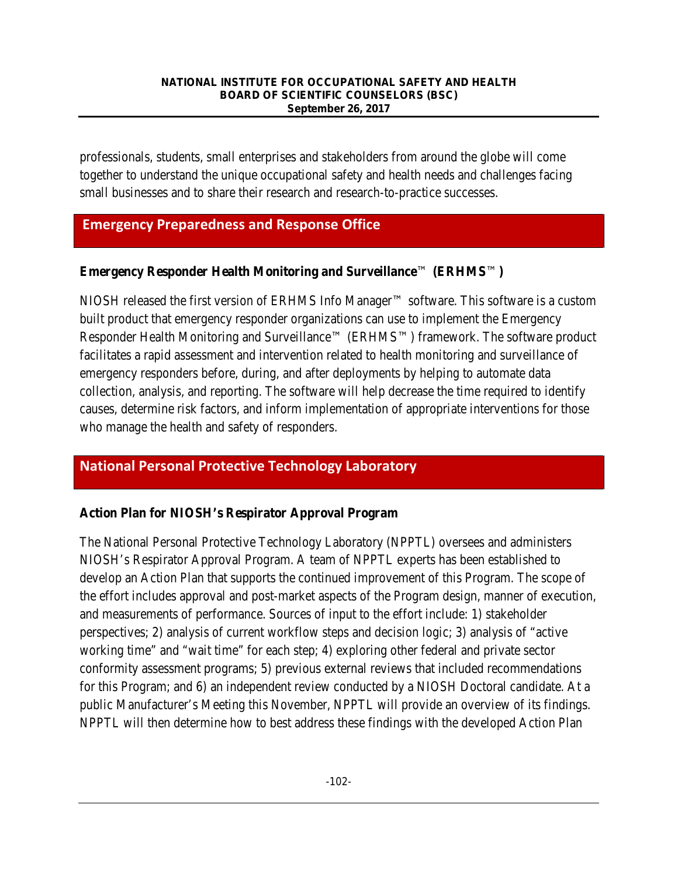professionals, students, small enterprises and stakeholders from around the globe will come together to understand the unique occupational safety and health needs and challenges facing small businesses and to share their research and research-to-practice successes.

## **Emergency Preparedness and Response Office**

### **Emergency Responder Health Monitoring and Surveillance**™ **(ERHMS**™**)**

NIOSH released the first version of ERHMS Info Manager™ software. This software is a custom built product that emergency responder organizations can use to implement the Emergency Responder Health Monitoring and Surveillance™ (ERHMS™) framework. The software product facilitates a rapid assessment and intervention related to health monitoring and surveillance of emergency responders before, during, and after deployments by helping to automate data collection, analysis, and reporting. The software will help decrease the time required to identify causes, determine risk factors, and inform implementation of appropriate interventions for those who manage the health and safety of responders.

## **National Personal Protective Technology Laboratory**

### **Action Plan for NIOSH's Respirator Approval Program**

The National Personal Protective Technology Laboratory (NPPTL) oversees and administers NIOSH's Respirator Approval Program. A team of NPPTL experts has been established to develop an Action Plan that supports the continued improvement of this Program. The scope of the effort includes approval and post-market aspects of the Program design, manner of execution, and measurements of performance. Sources of input to the effort include: 1) stakeholder perspectives; 2) analysis of current workflow steps and decision logic; 3) analysis of "active working time" and "wait time" for each step; 4) exploring other federal and private sector conformity assessment programs; 5) previous external reviews that included recommendations for this Program; and 6) an independent review conducted by a NIOSH Doctoral candidate. At a public Manufacturer's Meeting this November, NPPTL will provide an overview of its findings. NPPTL will then determine how to best address these findings with the developed Action Plan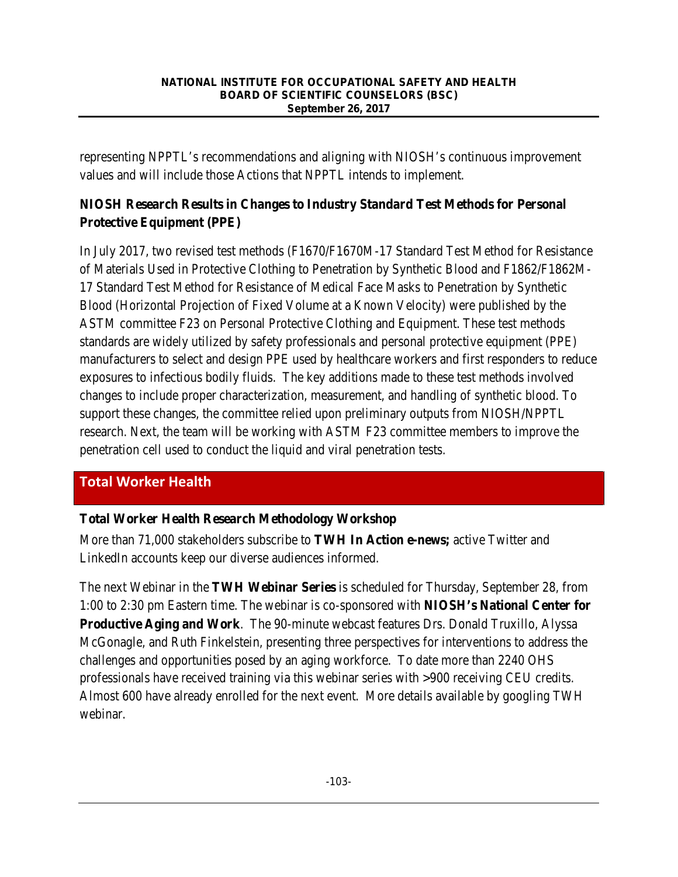representing NPPTL's recommendations and aligning with NIOSH's continuous improvement values and will include those Actions that NPPTL intends to implement.

## **NIOSH Research Results in Changes to Industry Standard Test Methods for Personal Protective Equipment (PPE)**

In July 2017, two revised test methods (F1670/F1670M-17 Standard Test Method for Resistance of Materials Used in Protective Clothing to Penetration by Synthetic Blood and F1862/F1862M-17 Standard Test Method for Resistance of Medical Face Masks to Penetration by Synthetic Blood (Horizontal Projection of Fixed Volume at a Known Velocity) were published by the ASTM committee F23 on Personal Protective Clothing and Equipment. These test methods standards are widely utilized by safety professionals and personal protective equipment (PPE) manufacturers to select and design PPE used by healthcare workers and first responders to reduce exposures to infectious bodily fluids. The key additions made to these test methods involved changes to include proper characterization, measurement, and handling of synthetic blood. To support these changes, the committee relied upon preliminary outputs from NIOSH/NPPTL research. Next, the team will be working with ASTM F23 committee members to improve the penetration cell used to conduct the liquid and viral penetration tests.

## **Total Worker Health**

## **Total Worker Health Research Methodology Workshop**

More than 71,000 stakeholders subscribe to **TWH In Action e-news;** active Twitter and LinkedIn accounts keep our diverse audiences informed.

The next Webinar in the **TWH Webinar Series** is scheduled for Thursday, September 28, from 1:00 to 2:30 pm Eastern time. The webinar is co-sponsored with **NIOSH's National Center for Productive Aging and Work**. The 90-minute webcast features Drs. Donald Truxillo, Alyssa McGonagle, and Ruth Finkelstein, presenting three perspectives for interventions to address the challenges and opportunities posed by an aging workforce. To date more than 2240 OHS professionals have received training via this webinar series with >900 receiving CEU credits. Almost 600 have already enrolled for the next event. More details available by googling TWH webinar.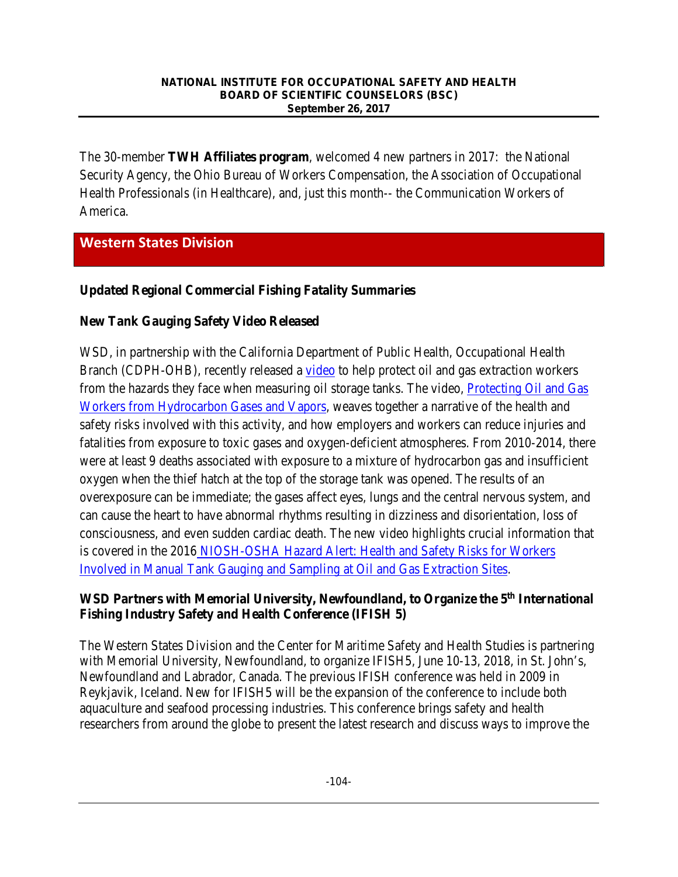The 30-member **TWH Affiliates program**, welcomed 4 new partners in 2017: the National Security Agency, the Ohio Bureau of Workers Compensation, the Association of Occupational Health Professionals (in Healthcare), and, just this month-- the Communication Workers of America.

## **Western States Division**

### **Updated Regional Commercial Fishing Fatality Summaries**

### **New Tank Gauging Safety Video Released**

WSD, in partnership with the California Department of Public Health, Occupational Health Branch (CDPH-OHB), recently released a [video](https://go.usa.gov/xRfcd) to help protect oil and gas extraction workers from the hazards they face when measuring oil storage tanks. The video, **Protecting Oil and Gas** [Workers from Hydrocarbon Gases and Vapors,](https://go.usa.gov/xRfcd) weaves together a narrative of the health and safety risks involved with this activity, and how employers and workers can reduce injuries and fatalities from exposure to toxic gases and oxygen-deficient atmospheres. From 2010-2014, there were at least 9 deaths associated with exposure to a mixture of hydrocarbon gas and insufficient oxygen when the thief hatch at the top of the storage tank was opened. The results of an overexposure can be immediate; the gases affect eyes, lungs and the central nervous system, and can cause the heart to have abnormal rhythms resulting in dizziness and disorientation, loss of consciousness, and even sudden cardiac death. The new video highlights crucial information that is covered in the 2016 [NIOSH-OSHA Hazard Alert: Health and Safety Risks for Workers](https://www.cdc.gov/niosh/docs/2016-108/default.html)  [Involved in Manual Tank Gauging and Sampling at Oil and Gas Extraction Sites.](https://www.cdc.gov/niosh/docs/2016-108/default.html)

### **WSD Partners with Memorial University, Newfoundland, to Organize the 5th International Fishing Industry Safety and Health Conference (IFISH 5)**

The Western States Division and the Center for Maritime Safety and Health Studies is partnering with Memorial University, Newfoundland, to organize IFISH5, June 10-13, 2018, in St. John's, Newfoundland and Labrador, Canada. The previous IFISH conference was held in 2009 in Reykjavik, Iceland. New for IFISH5 will be the expansion of the conference to include both aquaculture and seafood processing industries. This conference brings safety and health researchers from around the globe to present the latest research and discuss ways to improve the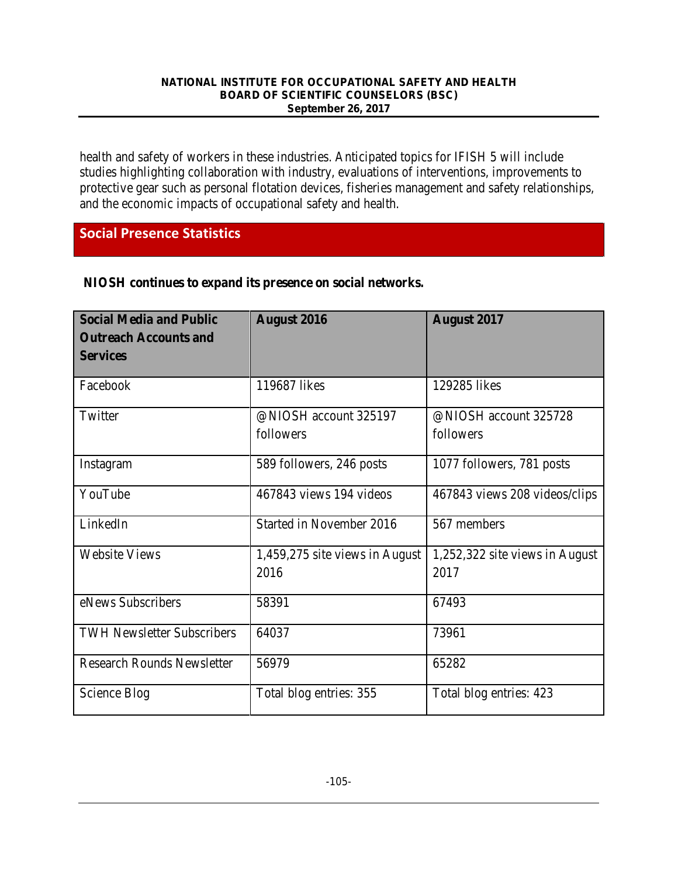health and safety of workers in these industries. Anticipated topics for IFISH 5 will include studies highlighting collaboration with industry, evaluations of interventions, improvements to protective gear such as personal flotation devices, fisheries management and safety relationships, and the economic impacts of occupational safety and health.

## **Social Presence Statistics**

| <b>Social Media and Public</b>    | <b>August 2016</b>             | <b>August 2017</b>             |
|-----------------------------------|--------------------------------|--------------------------------|
| <b>Outreach Accounts and</b>      |                                |                                |
| <b>Services</b>                   |                                |                                |
|                                   |                                |                                |
| Facebook                          | 119687 likes                   | 129285 likes                   |
|                                   |                                |                                |
| Twitter                           | @NIOSH account 325197          | @NIOSH account 325728          |
|                                   | followers                      | followers                      |
|                                   |                                |                                |
| Instagram                         | 589 followers, 246 posts       | 1077 followers, 781 posts      |
|                                   |                                |                                |
| YouTube                           | 467843 views 194 videos        | 467843 views 208 videos/clips  |
|                                   |                                |                                |
| LinkedIn                          | Started in November 2016       | 567 members                    |
|                                   |                                |                                |
| <b>Website Views</b>              | 1,459,275 site views in August | 1,252,322 site views in August |
|                                   | 2016                           | 2017                           |
|                                   |                                |                                |
| eNews Subscribers                 | 58391                          | 67493                          |
|                                   |                                |                                |
| <b>TWH Newsletter Subscribers</b> | 64037                          | 73961                          |
|                                   |                                |                                |
| <b>Research Rounds Newsletter</b> | 56979                          | 65282                          |
|                                   |                                |                                |
| Science Blog                      | Total blog entries: 355        | Total blog entries: 423        |
|                                   |                                |                                |

### **NIOSH continues to expand its presence on social networks***.*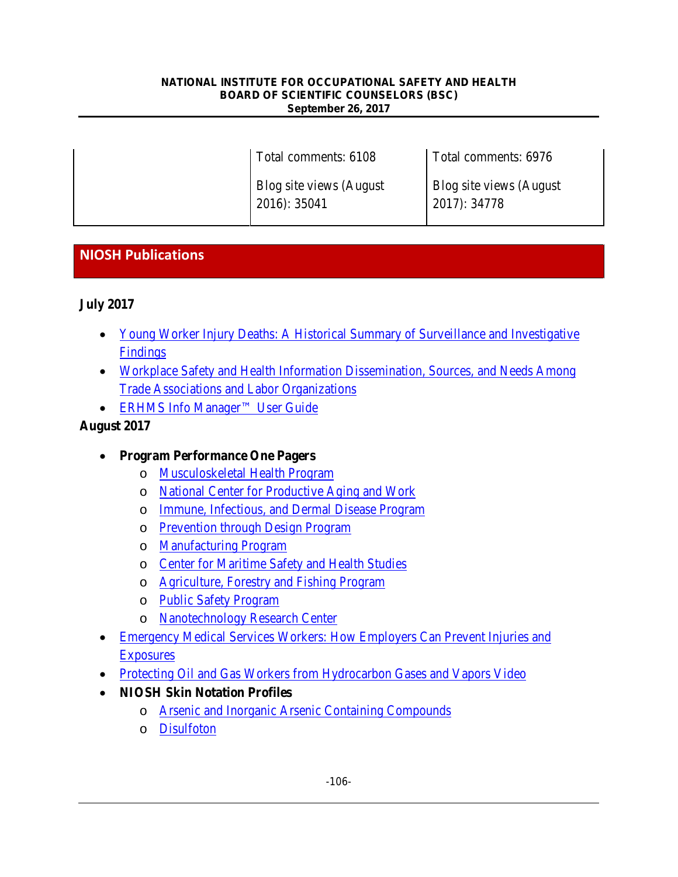| Total comments: 6108                    | Total comments: 6976                    |
|-----------------------------------------|-----------------------------------------|
| Blog site views (August<br>2016): 35041 | Blog site views (August<br>2017): 34778 |

## **NIOSH Publications**

### **July 2017**

- [Young Worker Injury Deaths: A Historical Summary of Surveillance and Investigative](https://www.cdc.gov/niosh/docs/2017-168/default.html) [Findings](https://www.cdc.gov/niosh/docs/2017-168/default.html)
- [Workplace Safety and Health Information Dissemination, Sources, and Needs Among](https://www.cdc.gov/niosh/docs/2017-166/default.html) [Trade Associations and Labor Organizations](https://www.cdc.gov/niosh/docs/2017-166/default.html)
- [ERHMS Info Manager™ User Guide](https://www.cdc.gov/niosh/docs/2017-169/)

### **August 2017**

- **Program Performance One Pagers**
	- o [Musculoskeletal Health Program](https://www.cdc.gov/niosh/docs/2017-183/default.html)
	- o [National Center for Productive Aging and Work](https://www.cdc.gov/niosh/docs/2017-182/default.html)
	- o [Immune, Infectious, and Dermal Disease Program](https://www.cdc.gov/niosh/docs/2017-181/default.html)
	- o [Prevention through Design Program](https://www.cdc.gov/niosh/docs/2017-180/default.html)
	- o [Manufacturing Program](https://www.cdc.gov/niosh/docs/2017-179/default.html)
	- o [Center for Maritime Safety and Health Studies](https://www.cdc.gov/niosh/docs/2017-178/default.html)
	- o [Agriculture, Forestry and Fishing Program](https://www.cdc.gov/niosh/docs/2017-177/default.html)
	- o [Public Safety Program](https://www.cdc.gov/niosh/docs/2017-176/default.html)
	- o [Nanotechnology Research Center](https://www.cdc.gov/niosh/docs/2017-175/default.html)
- [Emergency Medical Services Workers: How Employers Can Prevent Injuries and](https://www.cdc.gov/niosh/docs/2017-194/default.html) [Exposures](https://www.cdc.gov/niosh/docs/2017-194/default.html)
- [Protecting Oil and Gas Workers from Hydrocarbon Gases and Vapors Video](https://www.cdc.gov/niosh/docs/video/2017-158d/)
- **NIOSH Skin Notation Profiles**
	- o [Arsenic and Inorganic Arsenic Containing Compounds](https://www.cdc.gov/niosh/docs/2017-184/default.html)
	- o [Disulfoton](https://www.cdc.gov/niosh/docs/2017-185/default.html)